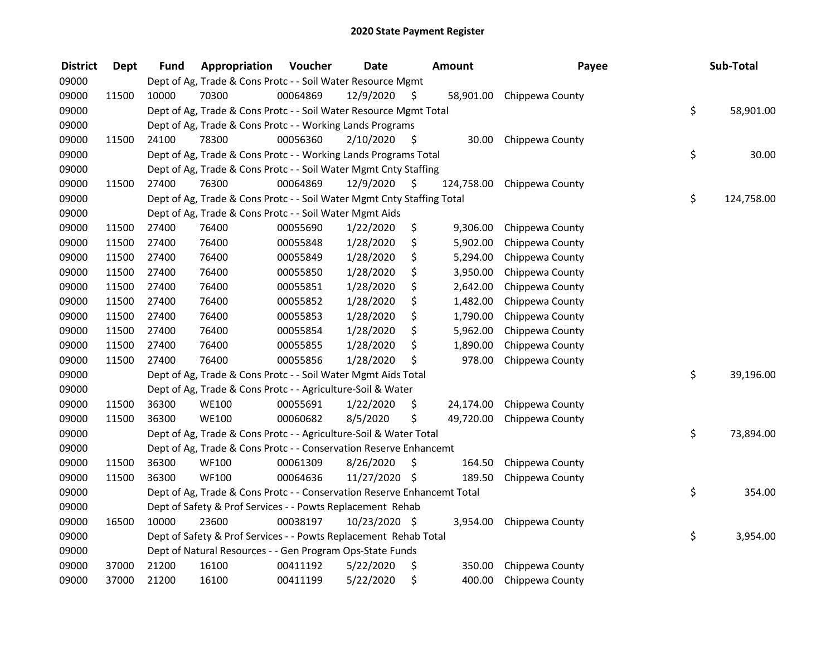| <b>District</b> | <b>Dept</b> | <b>Fund</b> | Appropriation                                                           | Voucher  | <b>Date</b>   |     | <b>Amount</b> | Payee           | Sub-Total        |
|-----------------|-------------|-------------|-------------------------------------------------------------------------|----------|---------------|-----|---------------|-----------------|------------------|
| 09000           |             |             | Dept of Ag, Trade & Cons Protc - - Soil Water Resource Mgmt             |          |               |     |               |                 |                  |
| 09000           | 11500       | 10000       | 70300                                                                   | 00064869 | 12/9/2020     | \$. | 58,901.00     | Chippewa County |                  |
| 09000           |             |             | Dept of Ag, Trade & Cons Protc - - Soil Water Resource Mgmt Total       |          |               |     |               |                 | \$<br>58,901.00  |
| 09000           |             |             | Dept of Ag, Trade & Cons Protc - - Working Lands Programs               |          |               |     |               |                 |                  |
| 09000           | 11500       | 24100       | 78300                                                                   | 00056360 | 2/10/2020     | \$  | 30.00         | Chippewa County |                  |
| 09000           |             |             | Dept of Ag, Trade & Cons Protc - - Working Lands Programs Total         |          |               |     |               |                 | \$<br>30.00      |
| 09000           |             |             | Dept of Ag, Trade & Cons Protc - - Soil Water Mgmt Cnty Staffing        |          |               |     |               |                 |                  |
| 09000           | 11500       | 27400       | 76300                                                                   | 00064869 | 12/9/2020     | -S  | 124,758.00    | Chippewa County |                  |
| 09000           |             |             | Dept of Ag, Trade & Cons Protc - - Soil Water Mgmt Cnty Staffing Total  |          |               |     |               |                 | \$<br>124,758.00 |
| 09000           |             |             | Dept of Ag, Trade & Cons Protc - - Soil Water Mgmt Aids                 |          |               |     |               |                 |                  |
| 09000           | 11500       | 27400       | 76400                                                                   | 00055690 | 1/22/2020     | \$  | 9,306.00      | Chippewa County |                  |
| 09000           | 11500       | 27400       | 76400                                                                   | 00055848 | 1/28/2020     | \$  | 5,902.00      | Chippewa County |                  |
| 09000           | 11500       | 27400       | 76400                                                                   | 00055849 | 1/28/2020     | \$  | 5,294.00      | Chippewa County |                  |
| 09000           | 11500       | 27400       | 76400                                                                   | 00055850 | 1/28/2020     | \$  | 3,950.00      | Chippewa County |                  |
| 09000           | 11500       | 27400       | 76400                                                                   | 00055851 | 1/28/2020     | \$  | 2,642.00      | Chippewa County |                  |
| 09000           | 11500       | 27400       | 76400                                                                   | 00055852 | 1/28/2020     | \$  | 1,482.00      | Chippewa County |                  |
| 09000           | 11500       | 27400       | 76400                                                                   | 00055853 | 1/28/2020     | \$  | 1,790.00      | Chippewa County |                  |
| 09000           | 11500       | 27400       | 76400                                                                   | 00055854 | 1/28/2020     | \$  | 5,962.00      | Chippewa County |                  |
| 09000           | 11500       | 27400       | 76400                                                                   | 00055855 | 1/28/2020     | \$  | 1,890.00      | Chippewa County |                  |
| 09000           | 11500       | 27400       | 76400                                                                   | 00055856 | 1/28/2020     | \$  | 978.00        | Chippewa County |                  |
| 09000           |             |             | Dept of Ag, Trade & Cons Protc - - Soil Water Mgmt Aids Total           |          |               |     |               |                 | \$<br>39,196.00  |
| 09000           |             |             | Dept of Ag, Trade & Cons Protc - - Agriculture-Soil & Water             |          |               |     |               |                 |                  |
| 09000           | 11500       | 36300       | <b>WE100</b>                                                            | 00055691 | 1/22/2020     | \$. | 24,174.00     | Chippewa County |                  |
| 09000           | 11500       | 36300       | <b>WE100</b>                                                            | 00060682 | 8/5/2020      | \$  | 49,720.00     | Chippewa County |                  |
| 09000           |             |             | Dept of Ag, Trade & Cons Protc - - Agriculture-Soil & Water Total       |          |               |     |               |                 | \$<br>73,894.00  |
| 09000           |             |             | Dept of Ag, Trade & Cons Protc - - Conservation Reserve Enhancemt       |          |               |     |               |                 |                  |
| 09000           | 11500       | 36300       | <b>WF100</b>                                                            | 00061309 | 8/26/2020     | \$  | 164.50        | Chippewa County |                  |
| 09000           | 11500       | 36300       | <b>WF100</b>                                                            | 00064636 | 11/27/2020 \$ |     | 189.50        | Chippewa County |                  |
| 09000           |             |             | Dept of Ag, Trade & Cons Protc - - Conservation Reserve Enhancemt Total |          |               |     |               |                 | \$<br>354.00     |
| 09000           |             |             | Dept of Safety & Prof Services - - Powts Replacement Rehab              |          |               |     |               |                 |                  |
| 09000           | 16500       | 10000       | 23600                                                                   | 00038197 | 10/23/2020 \$ |     | 3,954.00      | Chippewa County |                  |
| 09000           |             |             | Dept of Safety & Prof Services - - Powts Replacement Rehab Total        |          |               |     |               |                 | \$<br>3,954.00   |
| 09000           |             |             | Dept of Natural Resources - - Gen Program Ops-State Funds               |          |               |     |               |                 |                  |
| 09000           | 37000       | 21200       | 16100                                                                   | 00411192 | 5/22/2020     | \$  | 350.00        | Chippewa County |                  |
| 09000           | 37000       | 21200       | 16100                                                                   | 00411199 | 5/22/2020     | \$  | 400.00        | Chippewa County |                  |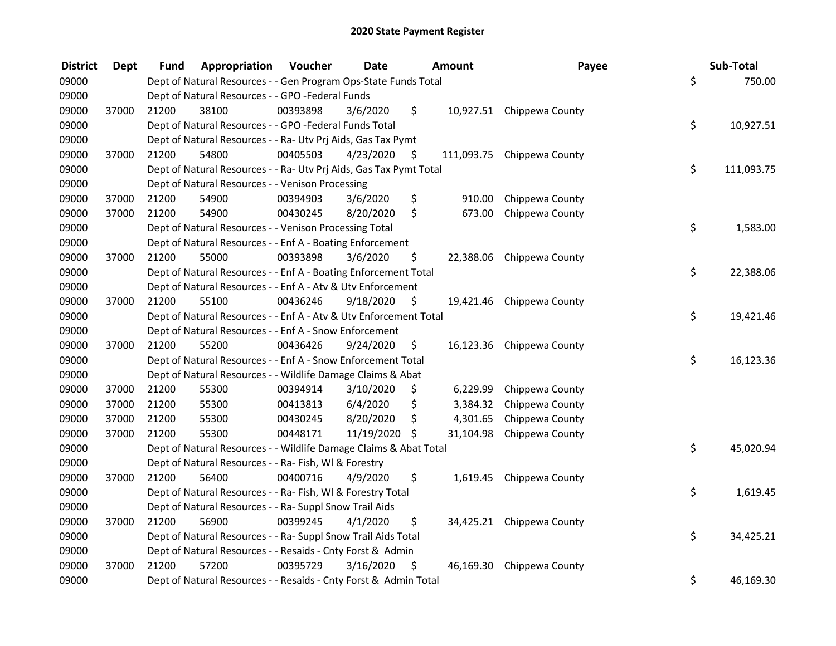| <b>District</b> | <b>Dept</b> | Fund  | Appropriation                                                      | <b>Voucher</b> | <b>Date</b> | Amount          | Payee                      | Sub-Total        |
|-----------------|-------------|-------|--------------------------------------------------------------------|----------------|-------------|-----------------|----------------------------|------------------|
| 09000           |             |       | Dept of Natural Resources - - Gen Program Ops-State Funds Total    |                |             |                 |                            | \$<br>750.00     |
| 09000           |             |       | Dept of Natural Resources - - GPO -Federal Funds                   |                |             |                 |                            |                  |
| 09000           | 37000       | 21200 | 38100                                                              | 00393898       | 3/6/2020    | \$              | 10,927.51 Chippewa County  |                  |
| 09000           |             |       | Dept of Natural Resources - - GPO -Federal Funds Total             |                |             |                 |                            | \$<br>10,927.51  |
| 09000           |             |       | Dept of Natural Resources - - Ra- Utv Prj Aids, Gas Tax Pymt       |                |             |                 |                            |                  |
| 09000           | 37000       | 21200 | 54800                                                              | 00405503       | 4/23/2020   | \$              | 111,093.75 Chippewa County |                  |
| 09000           |             |       | Dept of Natural Resources - - Ra- Utv Prj Aids, Gas Tax Pymt Total |                |             |                 |                            | \$<br>111,093.75 |
| 09000           |             |       | Dept of Natural Resources - - Venison Processing                   |                |             |                 |                            |                  |
| 09000           | 37000       | 21200 | 54900                                                              | 00394903       | 3/6/2020    | \$<br>910.00    | Chippewa County            |                  |
| 09000           | 37000       | 21200 | 54900                                                              | 00430245       | 8/20/2020   | \$<br>673.00    | Chippewa County            |                  |
| 09000           |             |       | Dept of Natural Resources - - Venison Processing Total             |                |             |                 |                            | \$<br>1,583.00   |
| 09000           |             |       | Dept of Natural Resources - - Enf A - Boating Enforcement          |                |             |                 |                            |                  |
| 09000           | 37000       | 21200 | 55000                                                              | 00393898       | 3/6/2020    | \$              | 22,388.06 Chippewa County  |                  |
| 09000           |             |       | Dept of Natural Resources - - Enf A - Boating Enforcement Total    |                |             |                 |                            | \$<br>22,388.06  |
| 09000           |             |       | Dept of Natural Resources - - Enf A - Atv & Utv Enforcement        |                |             |                 |                            |                  |
| 09000           | 37000       | 21200 | 55100                                                              | 00436246       | 9/18/2020   | \$              | 19,421.46 Chippewa County  |                  |
| 09000           |             |       | Dept of Natural Resources - - Enf A - Atv & Utv Enforcement Total  |                |             |                 |                            | \$<br>19,421.46  |
| 09000           |             |       | Dept of Natural Resources - - Enf A - Snow Enforcement             |                |             |                 |                            |                  |
| 09000           | 37000       | 21200 | 55200                                                              | 00436426       | 9/24/2020   | \$              | 16,123.36 Chippewa County  |                  |
| 09000           |             |       | Dept of Natural Resources - - Enf A - Snow Enforcement Total       |                |             |                 |                            | \$<br>16,123.36  |
| 09000           |             |       | Dept of Natural Resources - - Wildlife Damage Claims & Abat        |                |             |                 |                            |                  |
| 09000           | 37000       | 21200 | 55300                                                              | 00394914       | 3/10/2020   | \$<br>6,229.99  | Chippewa County            |                  |
| 09000           | 37000       | 21200 | 55300                                                              | 00413813       | 6/4/2020    | \$<br>3,384.32  | Chippewa County            |                  |
| 09000           | 37000       | 21200 | 55300                                                              | 00430245       | 8/20/2020   | \$<br>4,301.65  | Chippewa County            |                  |
| 09000           | 37000       | 21200 | 55300                                                              | 00448171       | 11/19/2020  | \$<br>31,104.98 | Chippewa County            |                  |
| 09000           |             |       | Dept of Natural Resources - - Wildlife Damage Claims & Abat Total  |                |             |                 |                            | \$<br>45,020.94  |
| 09000           |             |       | Dept of Natural Resources - - Ra- Fish, WI & Forestry              |                |             |                 |                            |                  |
| 09000           | 37000       | 21200 | 56400                                                              | 00400716       | 4/9/2020    | \$              | 1,619.45 Chippewa County   |                  |
| 09000           |             |       | Dept of Natural Resources - - Ra- Fish, WI & Forestry Total        |                |             |                 |                            | \$<br>1,619.45   |
| 09000           |             |       | Dept of Natural Resources - - Ra- Suppl Snow Trail Aids            |                |             |                 |                            |                  |
| 09000           | 37000       | 21200 | 56900                                                              | 00399245       | 4/1/2020    | \$              | 34,425.21 Chippewa County  |                  |
| 09000           |             |       | Dept of Natural Resources - - Ra- Suppl Snow Trail Aids Total      |                |             |                 |                            | \$<br>34,425.21  |
| 09000           |             |       | Dept of Natural Resources - - Resaids - Cnty Forst & Admin         |                |             |                 |                            |                  |
| 09000           | 37000       | 21200 | 57200                                                              | 00395729       | 3/16/2020   | \$              | 46,169.30 Chippewa County  |                  |
| 09000           |             |       | Dept of Natural Resources - - Resaids - Cnty Forst & Admin Total   |                |             |                 |                            | \$<br>46,169.30  |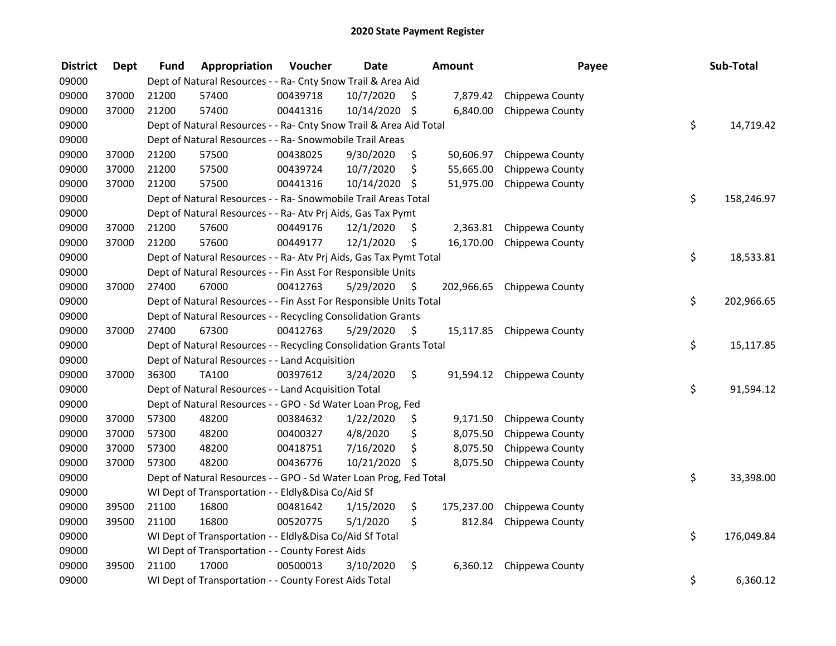| <b>District</b> | <b>Dept</b> | <b>Fund</b> | Appropriation                                                      | Voucher  | <b>Date</b>   |     | <b>Amount</b> | Payee                     | Sub-Total        |
|-----------------|-------------|-------------|--------------------------------------------------------------------|----------|---------------|-----|---------------|---------------------------|------------------|
| 09000           |             |             | Dept of Natural Resources - - Ra- Cnty Snow Trail & Area Aid       |          |               |     |               |                           |                  |
| 09000           | 37000       | 21200       | 57400                                                              | 00439718 | 10/7/2020     | \$. | 7,879.42      | Chippewa County           |                  |
| 09000           | 37000       | 21200       | 57400                                                              | 00441316 | 10/14/2020 \$ |     | 6,840.00      | Chippewa County           |                  |
| 09000           |             |             | Dept of Natural Resources - - Ra- Cnty Snow Trail & Area Aid Total |          |               |     |               |                           | \$<br>14,719.42  |
| 09000           |             |             | Dept of Natural Resources - - Ra- Snowmobile Trail Areas           |          |               |     |               |                           |                  |
| 09000           | 37000       | 21200       | 57500                                                              | 00438025 | 9/30/2020     | \$  | 50,606.97     | Chippewa County           |                  |
| 09000           | 37000       | 21200       | 57500                                                              | 00439724 | 10/7/2020     | \$  | 55,665.00     | Chippewa County           |                  |
| 09000           | 37000       | 21200       | 57500                                                              | 00441316 | 10/14/2020    | -\$ | 51,975.00     | Chippewa County           |                  |
| 09000           |             |             | Dept of Natural Resources - - Ra- Snowmobile Trail Areas Total     |          |               |     |               |                           | \$<br>158,246.97 |
| 09000           |             |             | Dept of Natural Resources - - Ra- Atv Prj Aids, Gas Tax Pymt       |          |               |     |               |                           |                  |
| 09000           | 37000       | 21200       | 57600                                                              | 00449176 | 12/1/2020     | \$  | 2,363.81      | Chippewa County           |                  |
| 09000           | 37000       | 21200       | 57600                                                              | 00449177 | 12/1/2020     | \$  | 16,170.00     | Chippewa County           |                  |
| 09000           |             |             | Dept of Natural Resources - - Ra- Atv Prj Aids, Gas Tax Pymt Total |          |               |     |               |                           | \$<br>18,533.81  |
| 09000           |             |             | Dept of Natural Resources - - Fin Asst For Responsible Units       |          |               |     |               |                           |                  |
| 09000           | 37000       | 27400       | 67000                                                              | 00412763 | 5/29/2020     | \$  | 202,966.65    | Chippewa County           |                  |
| 09000           |             |             | Dept of Natural Resources - - Fin Asst For Responsible Units Total |          |               |     |               |                           | \$<br>202,966.65 |
| 09000           |             |             | Dept of Natural Resources - - Recycling Consolidation Grants       |          |               |     |               |                           |                  |
| 09000           | 37000       | 27400       | 67300                                                              | 00412763 | 5/29/2020     | \$  | 15,117.85     | Chippewa County           |                  |
| 09000           |             |             | Dept of Natural Resources - - Recycling Consolidation Grants Total |          |               |     |               |                           | \$<br>15,117.85  |
| 09000           |             |             | Dept of Natural Resources - - Land Acquisition                     |          |               |     |               |                           |                  |
| 09000           | 37000       | 36300       | <b>TA100</b>                                                       | 00397612 | 3/24/2020     | \$  |               | 91,594.12 Chippewa County |                  |
| 09000           |             |             | Dept of Natural Resources - - Land Acquisition Total               |          |               |     |               |                           | \$<br>91,594.12  |
| 09000           |             |             | Dept of Natural Resources - - GPO - Sd Water Loan Prog, Fed        |          |               |     |               |                           |                  |
| 09000           | 37000       | 57300       | 48200                                                              | 00384632 | 1/22/2020     | \$  | 9,171.50      | Chippewa County           |                  |
| 09000           | 37000       | 57300       | 48200                                                              | 00400327 | 4/8/2020      | \$  | 8,075.50      | Chippewa County           |                  |
| 09000           | 37000       | 57300       | 48200                                                              | 00418751 | 7/16/2020     | \$  | 8,075.50      | Chippewa County           |                  |
| 09000           | 37000       | 57300       | 48200                                                              | 00436776 | 10/21/2020    | -\$ | 8,075.50      | Chippewa County           |                  |
| 09000           |             |             | Dept of Natural Resources - - GPO - Sd Water Loan Prog, Fed Total  |          |               |     |               |                           | \$<br>33,398.00  |
| 09000           |             |             | WI Dept of Transportation - - Eldly&Disa Co/Aid Sf                 |          |               |     |               |                           |                  |
| 09000           | 39500       | 21100       | 16800                                                              | 00481642 | 1/15/2020     | \$  | 175,237.00    | Chippewa County           |                  |
| 09000           | 39500       | 21100       | 16800                                                              | 00520775 | 5/1/2020      | \$  | 812.84        | Chippewa County           |                  |
| 09000           |             |             | WI Dept of Transportation - - Eldly&Disa Co/Aid Sf Total           |          |               |     |               |                           | \$<br>176,049.84 |
| 09000           |             |             | WI Dept of Transportation - - County Forest Aids                   |          |               |     |               |                           |                  |
| 09000           | 39500       | 21100       | 17000                                                              | 00500013 | 3/10/2020     | \$  | 6,360.12      | Chippewa County           |                  |
| 09000           |             |             | WI Dept of Transportation - - County Forest Aids Total             |          |               |     |               |                           | \$<br>6,360.12   |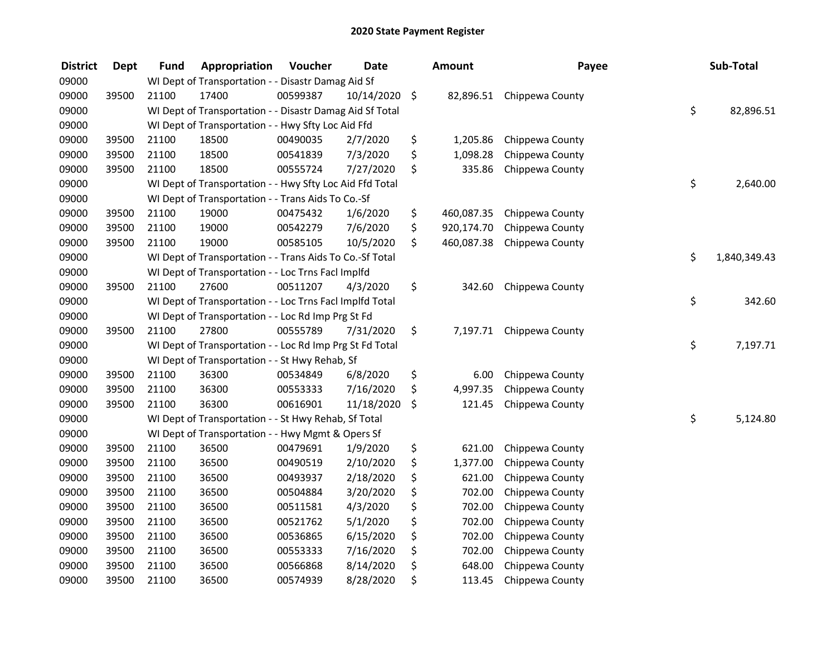| <b>District</b> | <b>Dept</b> | <b>Fund</b> | Appropriation                                            | Voucher  | <b>Date</b> | <b>Amount</b>    | Payee                     | Sub-Total          |
|-----------------|-------------|-------------|----------------------------------------------------------|----------|-------------|------------------|---------------------------|--------------------|
| 09000           |             |             | WI Dept of Transportation - - Disastr Damag Aid Sf       |          |             |                  |                           |                    |
| 09000           | 39500       | 21100       | 17400                                                    | 00599387 | 10/14/2020  | \$               | 82,896.51 Chippewa County |                    |
| 09000           |             |             | WI Dept of Transportation - - Disastr Damag Aid Sf Total |          |             |                  |                           | \$<br>82,896.51    |
| 09000           |             |             | WI Dept of Transportation - - Hwy Sfty Loc Aid Ffd       |          |             |                  |                           |                    |
| 09000           | 39500       | 21100       | 18500                                                    | 00490035 | 2/7/2020    | \$<br>1,205.86   | Chippewa County           |                    |
| 09000           | 39500       | 21100       | 18500                                                    | 00541839 | 7/3/2020    | \$<br>1,098.28   | Chippewa County           |                    |
| 09000           | 39500       | 21100       | 18500                                                    | 00555724 | 7/27/2020   | \$<br>335.86     | Chippewa County           |                    |
| 09000           |             |             | WI Dept of Transportation - - Hwy Sfty Loc Aid Ffd Total |          |             |                  |                           | \$<br>2,640.00     |
| 09000           |             |             | WI Dept of Transportation - - Trans Aids To Co.-Sf       |          |             |                  |                           |                    |
| 09000           | 39500       | 21100       | 19000                                                    | 00475432 | 1/6/2020    | \$<br>460,087.35 | Chippewa County           |                    |
| 09000           | 39500       | 21100       | 19000                                                    | 00542279 | 7/6/2020    | \$<br>920,174.70 | Chippewa County           |                    |
| 09000           | 39500       | 21100       | 19000                                                    | 00585105 | 10/5/2020   | \$<br>460,087.38 | Chippewa County           |                    |
| 09000           |             |             | WI Dept of Transportation - - Trans Aids To Co.-Sf Total |          |             |                  |                           | \$<br>1,840,349.43 |
| 09000           |             |             | WI Dept of Transportation - - Loc Trns FacI Implfd       |          |             |                  |                           |                    |
| 09000           | 39500       | 21100       | 27600                                                    | 00511207 | 4/3/2020    | \$<br>342.60     | Chippewa County           |                    |
| 09000           |             |             | WI Dept of Transportation - - Loc Trns Facl Implfd Total |          |             |                  |                           | \$<br>342.60       |
| 09000           |             |             | WI Dept of Transportation - - Loc Rd Imp Prg St Fd       |          |             |                  |                           |                    |
| 09000           | 39500       | 21100       | 27800                                                    | 00555789 | 7/31/2020   | \$<br>7,197.71   | Chippewa County           |                    |
| 09000           |             |             | WI Dept of Transportation - - Loc Rd Imp Prg St Fd Total |          |             |                  |                           | \$<br>7,197.71     |
| 09000           |             |             | WI Dept of Transportation - - St Hwy Rehab, Sf           |          |             |                  |                           |                    |
| 09000           | 39500       | 21100       | 36300                                                    | 00534849 | 6/8/2020    | \$<br>6.00       | Chippewa County           |                    |
| 09000           | 39500       | 21100       | 36300                                                    | 00553333 | 7/16/2020   | \$<br>4,997.35   | Chippewa County           |                    |
| 09000           | 39500       | 21100       | 36300                                                    | 00616901 | 11/18/2020  | \$<br>121.45     | Chippewa County           |                    |
| 09000           |             |             | WI Dept of Transportation - - St Hwy Rehab, Sf Total     |          |             |                  |                           | \$<br>5,124.80     |
| 09000           |             |             | WI Dept of Transportation - - Hwy Mgmt & Opers Sf        |          |             |                  |                           |                    |
| 09000           | 39500       | 21100       | 36500                                                    | 00479691 | 1/9/2020    | \$<br>621.00     | Chippewa County           |                    |
| 09000           | 39500       | 21100       | 36500                                                    | 00490519 | 2/10/2020   | \$<br>1,377.00   | Chippewa County           |                    |
| 09000           | 39500       | 21100       | 36500                                                    | 00493937 | 2/18/2020   | \$<br>621.00     | Chippewa County           |                    |
| 09000           | 39500       | 21100       | 36500                                                    | 00504884 | 3/20/2020   | \$<br>702.00     | Chippewa County           |                    |
| 09000           | 39500       | 21100       | 36500                                                    | 00511581 | 4/3/2020    | \$<br>702.00     | Chippewa County           |                    |
| 09000           | 39500       | 21100       | 36500                                                    | 00521762 | 5/1/2020    | \$<br>702.00     | Chippewa County           |                    |
| 09000           | 39500       | 21100       | 36500                                                    | 00536865 | 6/15/2020   | \$<br>702.00     | Chippewa County           |                    |
| 09000           | 39500       | 21100       | 36500                                                    | 00553333 | 7/16/2020   | \$<br>702.00     | Chippewa County           |                    |
| 09000           | 39500       | 21100       | 36500                                                    | 00566868 | 8/14/2020   | \$<br>648.00     | Chippewa County           |                    |
| 09000           | 39500       | 21100       | 36500                                                    | 00574939 | 8/28/2020   | \$<br>113.45     | Chippewa County           |                    |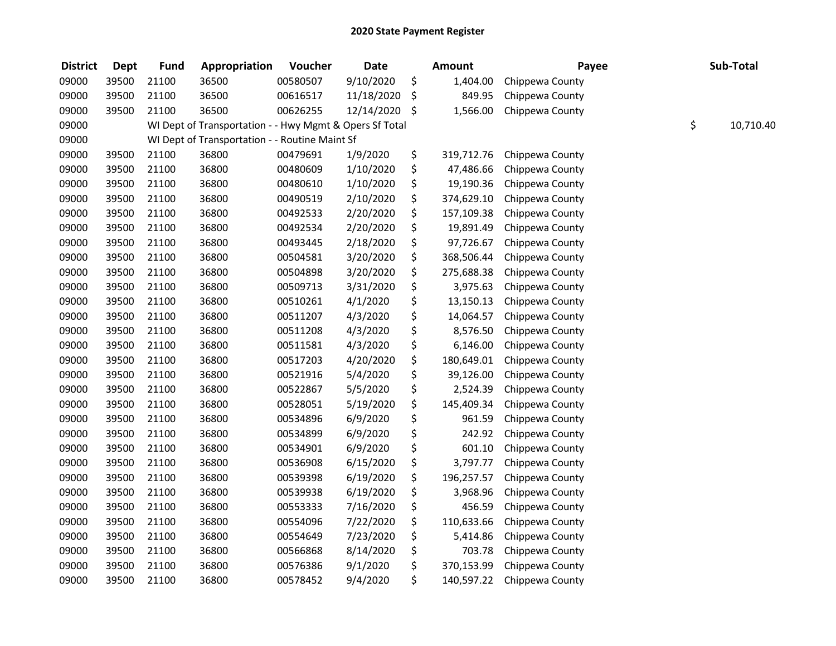| <b>District</b> | <b>Dept</b> | <b>Fund</b> | Appropriation                                           | Voucher  | <b>Date</b>   | <b>Amount</b>    | Payee           | Sub-Total       |
|-----------------|-------------|-------------|---------------------------------------------------------|----------|---------------|------------------|-----------------|-----------------|
| 09000           | 39500       | 21100       | 36500                                                   | 00580507 | 9/10/2020     | \$<br>1,404.00   | Chippewa County |                 |
| 09000           | 39500       | 21100       | 36500                                                   | 00616517 | 11/18/2020    | \$<br>849.95     | Chippewa County |                 |
| 09000           | 39500       | 21100       | 36500                                                   | 00626255 | 12/14/2020 \$ | 1,566.00         | Chippewa County |                 |
| 09000           |             |             | WI Dept of Transportation - - Hwy Mgmt & Opers Sf Total |          |               |                  |                 | \$<br>10,710.40 |
| 09000           |             |             | WI Dept of Transportation - - Routine Maint Sf          |          |               |                  |                 |                 |
| 09000           | 39500       | 21100       | 36800                                                   | 00479691 | 1/9/2020      | \$<br>319,712.76 | Chippewa County |                 |
| 09000           | 39500       | 21100       | 36800                                                   | 00480609 | 1/10/2020     | \$<br>47,486.66  | Chippewa County |                 |
| 09000           | 39500       | 21100       | 36800                                                   | 00480610 | 1/10/2020     | \$<br>19,190.36  | Chippewa County |                 |
| 09000           | 39500       | 21100       | 36800                                                   | 00490519 | 2/10/2020     | \$<br>374,629.10 | Chippewa County |                 |
| 09000           | 39500       | 21100       | 36800                                                   | 00492533 | 2/20/2020     | \$<br>157,109.38 | Chippewa County |                 |
| 09000           | 39500       | 21100       | 36800                                                   | 00492534 | 2/20/2020     | \$<br>19,891.49  | Chippewa County |                 |
| 09000           | 39500       | 21100       | 36800                                                   | 00493445 | 2/18/2020     | \$<br>97,726.67  | Chippewa County |                 |
| 09000           | 39500       | 21100       | 36800                                                   | 00504581 | 3/20/2020     | \$<br>368,506.44 | Chippewa County |                 |
| 09000           | 39500       | 21100       | 36800                                                   | 00504898 | 3/20/2020     | \$<br>275,688.38 | Chippewa County |                 |
| 09000           | 39500       | 21100       | 36800                                                   | 00509713 | 3/31/2020     | \$<br>3,975.63   | Chippewa County |                 |
| 09000           | 39500       | 21100       | 36800                                                   | 00510261 | 4/1/2020      | \$<br>13,150.13  | Chippewa County |                 |
| 09000           | 39500       | 21100       | 36800                                                   | 00511207 | 4/3/2020      | \$<br>14,064.57  | Chippewa County |                 |
| 09000           | 39500       | 21100       | 36800                                                   | 00511208 | 4/3/2020      | \$<br>8,576.50   | Chippewa County |                 |
| 09000           | 39500       | 21100       | 36800                                                   | 00511581 | 4/3/2020      | \$<br>6,146.00   | Chippewa County |                 |
| 09000           | 39500       | 21100       | 36800                                                   | 00517203 | 4/20/2020     | \$<br>180,649.01 | Chippewa County |                 |
| 09000           | 39500       | 21100       | 36800                                                   | 00521916 | 5/4/2020      | \$<br>39,126.00  | Chippewa County |                 |
| 09000           | 39500       | 21100       | 36800                                                   | 00522867 | 5/5/2020      | \$<br>2,524.39   | Chippewa County |                 |
| 09000           | 39500       | 21100       | 36800                                                   | 00528051 | 5/19/2020     | \$<br>145,409.34 | Chippewa County |                 |
| 09000           | 39500       | 21100       | 36800                                                   | 00534896 | 6/9/2020      | \$<br>961.59     | Chippewa County |                 |
| 09000           | 39500       | 21100       | 36800                                                   | 00534899 | 6/9/2020      | \$<br>242.92     | Chippewa County |                 |
| 09000           | 39500       | 21100       | 36800                                                   | 00534901 | 6/9/2020      | \$<br>601.10     | Chippewa County |                 |
| 09000           | 39500       | 21100       | 36800                                                   | 00536908 | 6/15/2020     | \$<br>3,797.77   | Chippewa County |                 |
| 09000           | 39500       | 21100       | 36800                                                   | 00539398 | 6/19/2020     | \$<br>196,257.57 | Chippewa County |                 |
| 09000           | 39500       | 21100       | 36800                                                   | 00539938 | 6/19/2020     | \$<br>3,968.96   | Chippewa County |                 |
| 09000           | 39500       | 21100       | 36800                                                   | 00553333 | 7/16/2020     | \$<br>456.59     | Chippewa County |                 |
| 09000           | 39500       | 21100       | 36800                                                   | 00554096 | 7/22/2020     | \$<br>110,633.66 | Chippewa County |                 |
| 09000           | 39500       | 21100       | 36800                                                   | 00554649 | 7/23/2020     | \$<br>5,414.86   | Chippewa County |                 |
| 09000           | 39500       | 21100       | 36800                                                   | 00566868 | 8/14/2020     | \$<br>703.78     | Chippewa County |                 |
| 09000           | 39500       | 21100       | 36800                                                   | 00576386 | 9/1/2020      | \$<br>370,153.99 | Chippewa County |                 |
| 09000           | 39500       | 21100       | 36800                                                   | 00578452 | 9/4/2020      | \$<br>140,597.22 | Chippewa County |                 |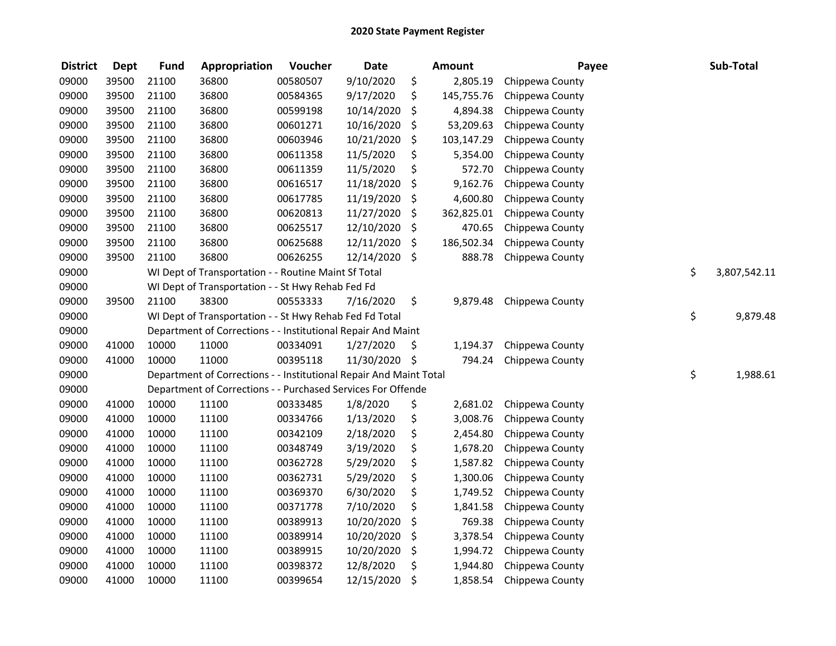| <b>District</b> | <b>Dept</b> | <b>Fund</b> | Appropriation                                                      | Voucher  | <b>Date</b> | <b>Amount</b>    | Payee           | Sub-Total          |
|-----------------|-------------|-------------|--------------------------------------------------------------------|----------|-------------|------------------|-----------------|--------------------|
| 09000           | 39500       | 21100       | 36800                                                              | 00580507 | 9/10/2020   | \$<br>2,805.19   | Chippewa County |                    |
| 09000           | 39500       | 21100       | 36800                                                              | 00584365 | 9/17/2020   | \$<br>145,755.76 | Chippewa County |                    |
| 09000           | 39500       | 21100       | 36800                                                              | 00599198 | 10/14/2020  | \$<br>4,894.38   | Chippewa County |                    |
| 09000           | 39500       | 21100       | 36800                                                              | 00601271 | 10/16/2020  | \$<br>53,209.63  | Chippewa County |                    |
| 09000           | 39500       | 21100       | 36800                                                              | 00603946 | 10/21/2020  | \$<br>103,147.29 | Chippewa County |                    |
| 09000           | 39500       | 21100       | 36800                                                              | 00611358 | 11/5/2020   | \$<br>5,354.00   | Chippewa County |                    |
| 09000           | 39500       | 21100       | 36800                                                              | 00611359 | 11/5/2020   | \$<br>572.70     | Chippewa County |                    |
| 09000           | 39500       | 21100       | 36800                                                              | 00616517 | 11/18/2020  | \$<br>9,162.76   | Chippewa County |                    |
| 09000           | 39500       | 21100       | 36800                                                              | 00617785 | 11/19/2020  | \$<br>4,600.80   | Chippewa County |                    |
| 09000           | 39500       | 21100       | 36800                                                              | 00620813 | 11/27/2020  | \$<br>362,825.01 | Chippewa County |                    |
| 09000           | 39500       | 21100       | 36800                                                              | 00625517 | 12/10/2020  | \$<br>470.65     | Chippewa County |                    |
| 09000           | 39500       | 21100       | 36800                                                              | 00625688 | 12/11/2020  | \$<br>186,502.34 | Chippewa County |                    |
| 09000           | 39500       | 21100       | 36800                                                              | 00626255 | 12/14/2020  | \$<br>888.78     | Chippewa County |                    |
| 09000           |             |             | WI Dept of Transportation - - Routine Maint Sf Total               |          |             |                  |                 | \$<br>3,807,542.11 |
| 09000           |             |             | WI Dept of Transportation - - St Hwy Rehab Fed Fd                  |          |             |                  |                 |                    |
| 09000           | 39500       | 21100       | 38300                                                              | 00553333 | 7/16/2020   | \$<br>9,879.48   | Chippewa County |                    |
| 09000           |             |             | WI Dept of Transportation - - St Hwy Rehab Fed Fd Total            |          |             |                  |                 | \$<br>9,879.48     |
| 09000           |             |             | Department of Corrections - - Institutional Repair And Maint       |          |             |                  |                 |                    |
| 09000           | 41000       | 10000       | 11000                                                              | 00334091 | 1/27/2020   | \$<br>1,194.37   | Chippewa County |                    |
| 09000           | 41000       | 10000       | 11000                                                              | 00395118 | 11/30/2020  | \$<br>794.24     | Chippewa County |                    |
| 09000           |             |             | Department of Corrections - - Institutional Repair And Maint Total |          |             |                  |                 | \$<br>1,988.61     |
| 09000           |             |             | Department of Corrections - - Purchased Services For Offende       |          |             |                  |                 |                    |
| 09000           | 41000       | 10000       | 11100                                                              | 00333485 | 1/8/2020    | \$<br>2,681.02   | Chippewa County |                    |
| 09000           | 41000       | 10000       | 11100                                                              | 00334766 | 1/13/2020   | \$<br>3,008.76   | Chippewa County |                    |
| 09000           | 41000       | 10000       | 11100                                                              | 00342109 | 2/18/2020   | \$<br>2,454.80   | Chippewa County |                    |
| 09000           | 41000       | 10000       | 11100                                                              | 00348749 | 3/19/2020   | \$<br>1,678.20   | Chippewa County |                    |
| 09000           | 41000       | 10000       | 11100                                                              | 00362728 | 5/29/2020   | \$<br>1,587.82   | Chippewa County |                    |
| 09000           | 41000       | 10000       | 11100                                                              | 00362731 | 5/29/2020   | \$<br>1,300.06   | Chippewa County |                    |
| 09000           | 41000       | 10000       | 11100                                                              | 00369370 | 6/30/2020   | \$<br>1,749.52   | Chippewa County |                    |
| 09000           | 41000       | 10000       | 11100                                                              | 00371778 | 7/10/2020   | \$<br>1,841.58   | Chippewa County |                    |
| 09000           | 41000       | 10000       | 11100                                                              | 00389913 | 10/20/2020  | \$<br>769.38     | Chippewa County |                    |
| 09000           | 41000       | 10000       | 11100                                                              | 00389914 | 10/20/2020  | \$<br>3,378.54   | Chippewa County |                    |
| 09000           | 41000       | 10000       | 11100                                                              | 00389915 | 10/20/2020  | \$<br>1,994.72   | Chippewa County |                    |
| 09000           | 41000       | 10000       | 11100                                                              | 00398372 | 12/8/2020   | \$<br>1,944.80   | Chippewa County |                    |
| 09000           | 41000       | 10000       | 11100                                                              | 00399654 | 12/15/2020  | \$<br>1,858.54   | Chippewa County |                    |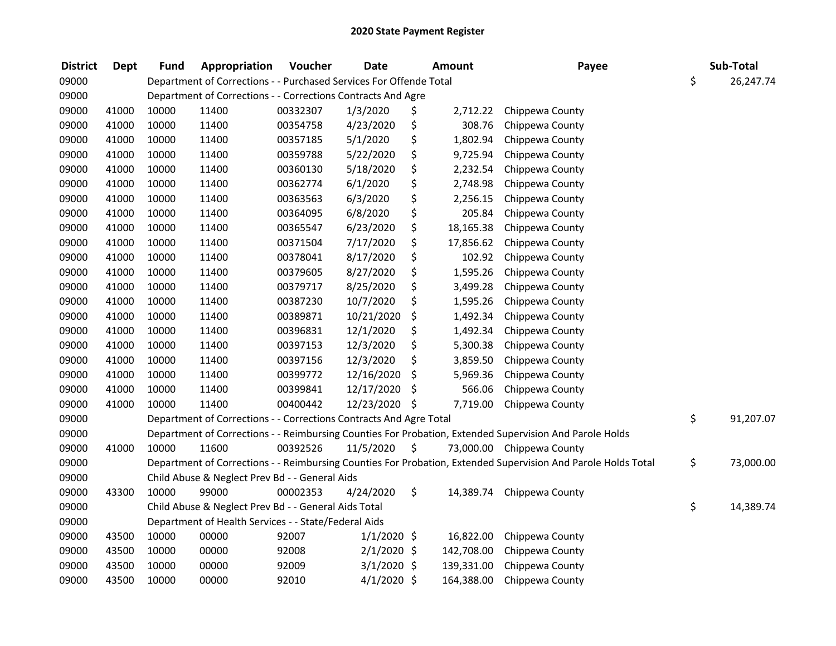| <b>District</b> | <b>Dept</b> | <b>Fund</b> | Appropriation                                                      | Voucher  | <b>Date</b>   | Amount          | Payee                                                                                                         | Sub-Total       |
|-----------------|-------------|-------------|--------------------------------------------------------------------|----------|---------------|-----------------|---------------------------------------------------------------------------------------------------------------|-----------------|
| 09000           |             |             | Department of Corrections - - Purchased Services For Offende Total |          |               |                 |                                                                                                               | \$<br>26,247.74 |
| 09000           |             |             | Department of Corrections - - Corrections Contracts And Agre       |          |               |                 |                                                                                                               |                 |
| 09000           | 41000       | 10000       | 11400                                                              | 00332307 | 1/3/2020      | \$<br>2,712.22  | Chippewa County                                                                                               |                 |
| 09000           | 41000       | 10000       | 11400                                                              | 00354758 | 4/23/2020     | \$<br>308.76    | Chippewa County                                                                                               |                 |
| 09000           | 41000       | 10000       | 11400                                                              | 00357185 | 5/1/2020      | \$<br>1,802.94  | Chippewa County                                                                                               |                 |
| 09000           | 41000       | 10000       | 11400                                                              | 00359788 | 5/22/2020     | \$<br>9,725.94  | Chippewa County                                                                                               |                 |
| 09000           | 41000       | 10000       | 11400                                                              | 00360130 | 5/18/2020     | \$<br>2,232.54  | Chippewa County                                                                                               |                 |
| 09000           | 41000       | 10000       | 11400                                                              | 00362774 | 6/1/2020      | \$<br>2,748.98  | Chippewa County                                                                                               |                 |
| 09000           | 41000       | 10000       | 11400                                                              | 00363563 | 6/3/2020      | \$<br>2,256.15  | Chippewa County                                                                                               |                 |
| 09000           | 41000       | 10000       | 11400                                                              | 00364095 | 6/8/2020      | \$<br>205.84    | Chippewa County                                                                                               |                 |
| 09000           | 41000       | 10000       | 11400                                                              | 00365547 | 6/23/2020     | \$<br>18,165.38 | Chippewa County                                                                                               |                 |
| 09000           | 41000       | 10000       | 11400                                                              | 00371504 | 7/17/2020     | \$<br>17,856.62 | Chippewa County                                                                                               |                 |
| 09000           | 41000       | 10000       | 11400                                                              | 00378041 | 8/17/2020     | \$<br>102.92    | Chippewa County                                                                                               |                 |
| 09000           | 41000       | 10000       | 11400                                                              | 00379605 | 8/27/2020     | \$<br>1,595.26  | Chippewa County                                                                                               |                 |
| 09000           | 41000       | 10000       | 11400                                                              | 00379717 | 8/25/2020     | \$<br>3,499.28  | Chippewa County                                                                                               |                 |
| 09000           | 41000       | 10000       | 11400                                                              | 00387230 | 10/7/2020     | \$<br>1,595.26  | Chippewa County                                                                                               |                 |
| 09000           | 41000       | 10000       | 11400                                                              | 00389871 | 10/21/2020    | \$<br>1,492.34  | Chippewa County                                                                                               |                 |
| 09000           | 41000       | 10000       | 11400                                                              | 00396831 | 12/1/2020     | \$<br>1,492.34  | Chippewa County                                                                                               |                 |
| 09000           | 41000       | 10000       | 11400                                                              | 00397153 | 12/3/2020     | \$<br>5,300.38  | Chippewa County                                                                                               |                 |
| 09000           | 41000       | 10000       | 11400                                                              | 00397156 | 12/3/2020     | \$<br>3,859.50  | Chippewa County                                                                                               |                 |
| 09000           | 41000       | 10000       | 11400                                                              | 00399772 | 12/16/2020    | \$<br>5,969.36  | Chippewa County                                                                                               |                 |
| 09000           | 41000       | 10000       | 11400                                                              | 00399841 | 12/17/2020    | \$<br>566.06    | Chippewa County                                                                                               |                 |
| 09000           | 41000       | 10000       | 11400                                                              | 00400442 | 12/23/2020 \$ | 7,719.00        | Chippewa County                                                                                               |                 |
| 09000           |             |             | Department of Corrections - - Corrections Contracts And Agre Total |          |               |                 |                                                                                                               | \$<br>91,207.07 |
| 09000           |             |             |                                                                    |          |               |                 | Department of Corrections - - Reimbursing Counties For Probation, Extended Supervision And Parole Holds       |                 |
| 09000           | 41000       | 10000       | 11600                                                              | 00392526 | 11/5/2020     | \$              | 73,000.00 Chippewa County                                                                                     |                 |
| 09000           |             |             |                                                                    |          |               |                 | Department of Corrections - - Reimbursing Counties For Probation, Extended Supervision And Parole Holds Total | \$<br>73,000.00 |
| 09000           |             |             | Child Abuse & Neglect Prev Bd - - General Aids                     |          |               |                 |                                                                                                               |                 |
| 09000           | 43300       | 10000       | 99000                                                              | 00002353 | 4/24/2020     | \$<br>14,389.74 | Chippewa County                                                                                               |                 |
| 09000           |             |             | Child Abuse & Neglect Prev Bd - - General Aids Total               |          |               |                 |                                                                                                               | \$<br>14,389.74 |
| 09000           |             |             | Department of Health Services - - State/Federal Aids               |          |               |                 |                                                                                                               |                 |
| 09000           | 43500       | 10000       | 00000                                                              | 92007    | $1/1/2020$ \$ | 16,822.00       | Chippewa County                                                                                               |                 |
| 09000           | 43500       | 10000       | 00000                                                              | 92008    | $2/1/2020$ \$ | 142,708.00      | Chippewa County                                                                                               |                 |
| 09000           | 43500       | 10000       | 00000                                                              | 92009    | $3/1/2020$ \$ | 139,331.00      | Chippewa County                                                                                               |                 |
| 09000           | 43500       | 10000       | 00000                                                              | 92010    | $4/1/2020$ \$ | 164,388.00      | Chippewa County                                                                                               |                 |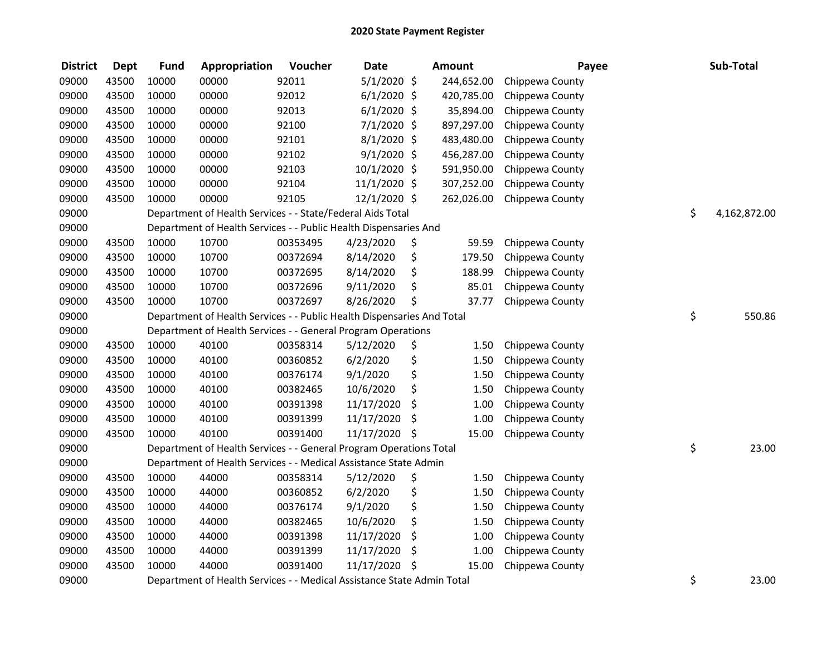| <b>District</b> | <b>Dept</b> | <b>Fund</b> | Appropriation                                                          | Voucher  | <b>Date</b>    | <b>Amount</b> | Payee           | Sub-Total          |
|-----------------|-------------|-------------|------------------------------------------------------------------------|----------|----------------|---------------|-----------------|--------------------|
| 09000           | 43500       | 10000       | 00000                                                                  | 92011    | $5/1/2020$ \$  | 244,652.00    | Chippewa County |                    |
| 09000           | 43500       | 10000       | 00000                                                                  | 92012    | $6/1/2020$ \$  | 420,785.00    | Chippewa County |                    |
| 09000           | 43500       | 10000       | 00000                                                                  | 92013    | $6/1/2020$ \$  | 35,894.00     | Chippewa County |                    |
| 09000           | 43500       | 10000       | 00000                                                                  | 92100    | $7/1/2020$ \$  | 897,297.00    | Chippewa County |                    |
| 09000           | 43500       | 10000       | 00000                                                                  | 92101    | $8/1/2020$ \$  | 483,480.00    | Chippewa County |                    |
| 09000           | 43500       | 10000       | 00000                                                                  | 92102    | $9/1/2020$ \$  | 456,287.00    | Chippewa County |                    |
| 09000           | 43500       | 10000       | 00000                                                                  | 92103    | $10/1/2020$ \$ | 591,950.00    | Chippewa County |                    |
| 09000           | 43500       | 10000       | 00000                                                                  | 92104    | 11/1/2020 \$   | 307,252.00    | Chippewa County |                    |
| 09000           | 43500       | 10000       | 00000                                                                  | 92105    | 12/1/2020 \$   | 262,026.00    | Chippewa County |                    |
| 09000           |             |             | Department of Health Services - - State/Federal Aids Total             |          |                |               |                 | \$<br>4,162,872.00 |
| 09000           |             |             | Department of Health Services - - Public Health Dispensaries And       |          |                |               |                 |                    |
| 09000           | 43500       | 10000       | 10700                                                                  | 00353495 | 4/23/2020      | \$<br>59.59   | Chippewa County |                    |
| 09000           | 43500       | 10000       | 10700                                                                  | 00372694 | 8/14/2020      | \$<br>179.50  | Chippewa County |                    |
| 09000           | 43500       | 10000       | 10700                                                                  | 00372695 | 8/14/2020      | \$<br>188.99  | Chippewa County |                    |
| 09000           | 43500       | 10000       | 10700                                                                  | 00372696 | 9/11/2020      | \$<br>85.01   | Chippewa County |                    |
| 09000           | 43500       | 10000       | 10700                                                                  | 00372697 | 8/26/2020      | \$<br>37.77   | Chippewa County |                    |
| 09000           |             |             | Department of Health Services - - Public Health Dispensaries And Total |          |                |               |                 | \$<br>550.86       |
| 09000           |             |             | Department of Health Services - - General Program Operations           |          |                |               |                 |                    |
| 09000           | 43500       | 10000       | 40100                                                                  | 00358314 | 5/12/2020      | \$<br>1.50    | Chippewa County |                    |
| 09000           | 43500       | 10000       | 40100                                                                  | 00360852 | 6/2/2020       | \$<br>1.50    | Chippewa County |                    |
| 09000           | 43500       | 10000       | 40100                                                                  | 00376174 | 9/1/2020       | \$<br>1.50    | Chippewa County |                    |
| 09000           | 43500       | 10000       | 40100                                                                  | 00382465 | 10/6/2020      | \$<br>1.50    | Chippewa County |                    |
| 09000           | 43500       | 10000       | 40100                                                                  | 00391398 | 11/17/2020     | \$<br>1.00    | Chippewa County |                    |
| 09000           | 43500       | 10000       | 40100                                                                  | 00391399 | 11/17/2020     | \$<br>1.00    | Chippewa County |                    |
| 09000           | 43500       | 10000       | 40100                                                                  | 00391400 | 11/17/2020     | \$<br>15.00   | Chippewa County |                    |
| 09000           |             |             | Department of Health Services - - General Program Operations Total     |          |                |               |                 | \$<br>23.00        |
| 09000           |             |             | Department of Health Services - - Medical Assistance State Admin       |          |                |               |                 |                    |
| 09000           | 43500       | 10000       | 44000                                                                  | 00358314 | 5/12/2020      | \$<br>1.50    | Chippewa County |                    |
| 09000           | 43500       | 10000       | 44000                                                                  | 00360852 | 6/2/2020       | \$<br>1.50    | Chippewa County |                    |
| 09000           | 43500       | 10000       | 44000                                                                  | 00376174 | 9/1/2020       | \$<br>1.50    | Chippewa County |                    |
| 09000           | 43500       | 10000       | 44000                                                                  | 00382465 | 10/6/2020      | \$<br>1.50    | Chippewa County |                    |
| 09000           | 43500       | 10000       | 44000                                                                  | 00391398 | 11/17/2020     | \$<br>1.00    | Chippewa County |                    |
| 09000           | 43500       | 10000       | 44000                                                                  | 00391399 | 11/17/2020     | \$<br>1.00    | Chippewa County |                    |
| 09000           | 43500       | 10000       | 44000                                                                  | 00391400 | 11/17/2020     | \$<br>15.00   | Chippewa County |                    |
| 09000           |             |             | Department of Health Services - - Medical Assistance State Admin Total |          |                |               |                 | \$<br>23.00        |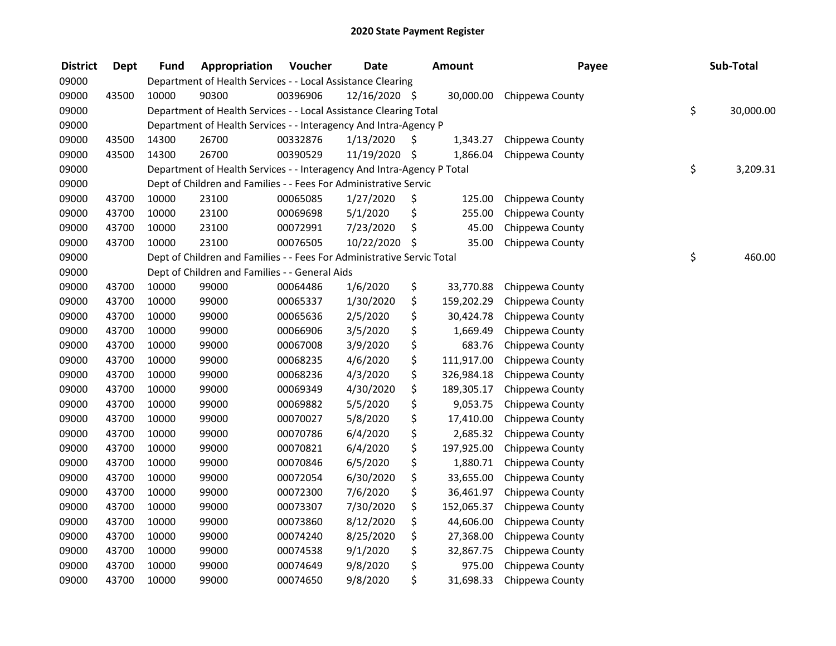| <b>District</b> | <b>Dept</b> | <b>Fund</b> | Appropriation                                                          | Voucher  | <b>Date</b>   | <b>Amount</b>    | Payee           | Sub-Total       |
|-----------------|-------------|-------------|------------------------------------------------------------------------|----------|---------------|------------------|-----------------|-----------------|
| 09000           |             |             | Department of Health Services - - Local Assistance Clearing            |          |               |                  |                 |                 |
| 09000           | 43500       | 10000       | 90300                                                                  | 00396906 | 12/16/2020 \$ | 30,000.00        | Chippewa County |                 |
| 09000           |             |             | Department of Health Services - - Local Assistance Clearing Total      |          |               |                  |                 | \$<br>30,000.00 |
| 09000           |             |             | Department of Health Services - - Interagency And Intra-Agency P       |          |               |                  |                 |                 |
| 09000           | 43500       | 14300       | 26700                                                                  | 00332876 | 1/13/2020     | \$<br>1,343.27   | Chippewa County |                 |
| 09000           | 43500       | 14300       | 26700                                                                  | 00390529 | 11/19/2020 \$ | 1,866.04         | Chippewa County |                 |
| 09000           |             |             | Department of Health Services - - Interagency And Intra-Agency P Total |          |               |                  |                 | \$<br>3,209.31  |
| 09000           |             |             | Dept of Children and Families - - Fees For Administrative Servic       |          |               |                  |                 |                 |
| 09000           | 43700       | 10000       | 23100                                                                  | 00065085 | 1/27/2020     | \$<br>125.00     | Chippewa County |                 |
| 09000           | 43700       | 10000       | 23100                                                                  | 00069698 | 5/1/2020      | \$<br>255.00     | Chippewa County |                 |
| 09000           | 43700       | 10000       | 23100                                                                  | 00072991 | 7/23/2020     | \$<br>45.00      | Chippewa County |                 |
| 09000           | 43700       | 10000       | 23100                                                                  | 00076505 | 10/22/2020    | \$<br>35.00      | Chippewa County |                 |
| 09000           |             |             | Dept of Children and Families - - Fees For Administrative Servic Total |          |               |                  |                 | \$<br>460.00    |
| 09000           |             |             | Dept of Children and Families - - General Aids                         |          |               |                  |                 |                 |
| 09000           | 43700       | 10000       | 99000                                                                  | 00064486 | 1/6/2020      | \$<br>33,770.88  | Chippewa County |                 |
| 09000           | 43700       | 10000       | 99000                                                                  | 00065337 | 1/30/2020     | \$<br>159,202.29 | Chippewa County |                 |
| 09000           | 43700       | 10000       | 99000                                                                  | 00065636 | 2/5/2020      | \$<br>30,424.78  | Chippewa County |                 |
| 09000           | 43700       | 10000       | 99000                                                                  | 00066906 | 3/5/2020      | \$<br>1,669.49   | Chippewa County |                 |
| 09000           | 43700       | 10000       | 99000                                                                  | 00067008 | 3/9/2020      | \$<br>683.76     | Chippewa County |                 |
| 09000           | 43700       | 10000       | 99000                                                                  | 00068235 | 4/6/2020      | \$<br>111,917.00 | Chippewa County |                 |
| 09000           | 43700       | 10000       | 99000                                                                  | 00068236 | 4/3/2020      | \$<br>326,984.18 | Chippewa County |                 |
| 09000           | 43700       | 10000       | 99000                                                                  | 00069349 | 4/30/2020     | \$<br>189,305.17 | Chippewa County |                 |
| 09000           | 43700       | 10000       | 99000                                                                  | 00069882 | 5/5/2020      | \$<br>9,053.75   | Chippewa County |                 |
| 09000           | 43700       | 10000       | 99000                                                                  | 00070027 | 5/8/2020      | \$<br>17,410.00  | Chippewa County |                 |
| 09000           | 43700       | 10000       | 99000                                                                  | 00070786 | 6/4/2020      | \$<br>2,685.32   | Chippewa County |                 |
| 09000           | 43700       | 10000       | 99000                                                                  | 00070821 | 6/4/2020      | \$<br>197,925.00 | Chippewa County |                 |
| 09000           | 43700       | 10000       | 99000                                                                  | 00070846 | 6/5/2020      | \$<br>1,880.71   | Chippewa County |                 |
| 09000           | 43700       | 10000       | 99000                                                                  | 00072054 | 6/30/2020     | \$<br>33,655.00  | Chippewa County |                 |
| 09000           | 43700       | 10000       | 99000                                                                  | 00072300 | 7/6/2020      | \$<br>36,461.97  | Chippewa County |                 |
| 09000           | 43700       | 10000       | 99000                                                                  | 00073307 | 7/30/2020     | \$<br>152,065.37 | Chippewa County |                 |
| 09000           | 43700       | 10000       | 99000                                                                  | 00073860 | 8/12/2020     | \$<br>44,606.00  | Chippewa County |                 |
| 09000           | 43700       | 10000       | 99000                                                                  | 00074240 | 8/25/2020     | \$<br>27,368.00  | Chippewa County |                 |
| 09000           | 43700       | 10000       | 99000                                                                  | 00074538 | 9/1/2020      | \$<br>32,867.75  | Chippewa County |                 |
| 09000           | 43700       | 10000       | 99000                                                                  | 00074649 | 9/8/2020      | \$<br>975.00     | Chippewa County |                 |
| 09000           | 43700       | 10000       | 99000                                                                  | 00074650 | 9/8/2020      | \$<br>31,698.33  | Chippewa County |                 |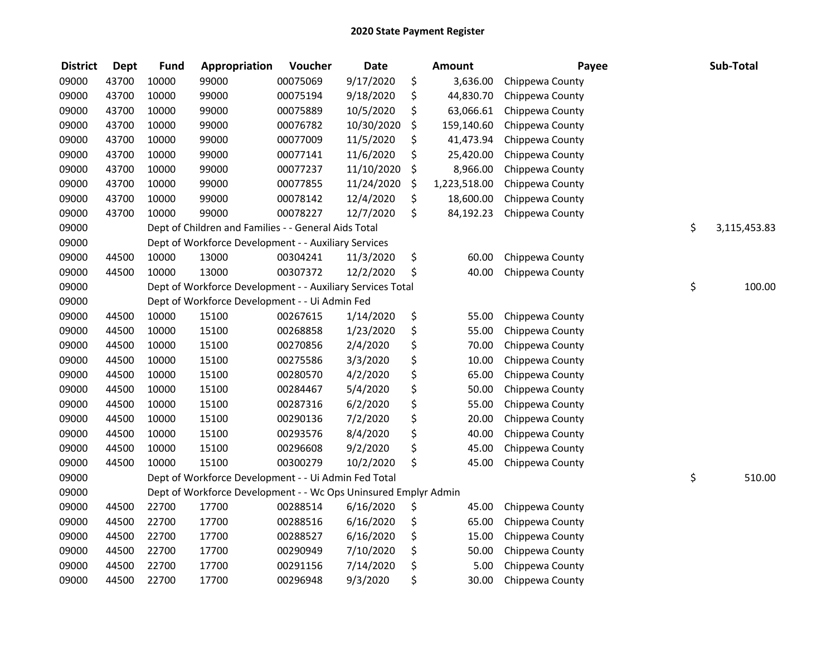| <b>District</b> | <b>Dept</b> | <b>Fund</b> | Appropriation                                                   | Voucher  | <b>Date</b> | <b>Amount</b>      | Payee           | Sub-Total          |
|-----------------|-------------|-------------|-----------------------------------------------------------------|----------|-------------|--------------------|-----------------|--------------------|
| 09000           | 43700       | 10000       | 99000                                                           | 00075069 | 9/17/2020   | \$<br>3,636.00     | Chippewa County |                    |
| 09000           | 43700       | 10000       | 99000                                                           | 00075194 | 9/18/2020   | \$<br>44,830.70    | Chippewa County |                    |
| 09000           | 43700       | 10000       | 99000                                                           | 00075889 | 10/5/2020   | \$<br>63,066.61    | Chippewa County |                    |
| 09000           | 43700       | 10000       | 99000                                                           | 00076782 | 10/30/2020  | \$<br>159,140.60   | Chippewa County |                    |
| 09000           | 43700       | 10000       | 99000                                                           | 00077009 | 11/5/2020   | \$<br>41,473.94    | Chippewa County |                    |
| 09000           | 43700       | 10000       | 99000                                                           | 00077141 | 11/6/2020   | \$<br>25,420.00    | Chippewa County |                    |
| 09000           | 43700       | 10000       | 99000                                                           | 00077237 | 11/10/2020  | \$<br>8,966.00     | Chippewa County |                    |
| 09000           | 43700       | 10000       | 99000                                                           | 00077855 | 11/24/2020  | \$<br>1,223,518.00 | Chippewa County |                    |
| 09000           | 43700       | 10000       | 99000                                                           | 00078142 | 12/4/2020   | \$<br>18,600.00    | Chippewa County |                    |
| 09000           | 43700       | 10000       | 99000                                                           | 00078227 | 12/7/2020   | \$<br>84,192.23    | Chippewa County |                    |
| 09000           |             |             | Dept of Children and Families - - General Aids Total            |          |             |                    |                 | \$<br>3,115,453.83 |
| 09000           |             |             | Dept of Workforce Development - - Auxiliary Services            |          |             |                    |                 |                    |
| 09000           | 44500       | 10000       | 13000                                                           | 00304241 | 11/3/2020   | \$<br>60.00        | Chippewa County |                    |
| 09000           | 44500       | 10000       | 13000                                                           | 00307372 | 12/2/2020   | \$<br>40.00        | Chippewa County |                    |
| 09000           |             |             | Dept of Workforce Development - - Auxiliary Services Total      |          |             |                    |                 | \$<br>100.00       |
| 09000           |             |             | Dept of Workforce Development - - Ui Admin Fed                  |          |             |                    |                 |                    |
| 09000           | 44500       | 10000       | 15100                                                           | 00267615 | 1/14/2020   | \$<br>55.00        | Chippewa County |                    |
| 09000           | 44500       | 10000       | 15100                                                           | 00268858 | 1/23/2020   | \$<br>55.00        | Chippewa County |                    |
| 09000           | 44500       | 10000       | 15100                                                           | 00270856 | 2/4/2020    | \$<br>70.00        | Chippewa County |                    |
| 09000           | 44500       | 10000       | 15100                                                           | 00275586 | 3/3/2020    | \$<br>10.00        | Chippewa County |                    |
| 09000           | 44500       | 10000       | 15100                                                           | 00280570 | 4/2/2020    | \$<br>65.00        | Chippewa County |                    |
| 09000           | 44500       | 10000       | 15100                                                           | 00284467 | 5/4/2020    | \$<br>50.00        | Chippewa County |                    |
| 09000           | 44500       | 10000       | 15100                                                           | 00287316 | 6/2/2020    | \$<br>55.00        | Chippewa County |                    |
| 09000           | 44500       | 10000       | 15100                                                           | 00290136 | 7/2/2020    | \$<br>20.00        | Chippewa County |                    |
| 09000           | 44500       | 10000       | 15100                                                           | 00293576 | 8/4/2020    | \$<br>40.00        | Chippewa County |                    |
| 09000           | 44500       | 10000       | 15100                                                           | 00296608 | 9/2/2020    | \$<br>45.00        | Chippewa County |                    |
| 09000           | 44500       | 10000       | 15100                                                           | 00300279 | 10/2/2020   | \$<br>45.00        | Chippewa County |                    |
| 09000           |             |             | Dept of Workforce Development - - Ui Admin Fed Total            |          |             |                    |                 | \$<br>510.00       |
| 09000           |             |             | Dept of Workforce Development - - Wc Ops Uninsured Emplyr Admin |          |             |                    |                 |                    |
| 09000           | 44500       | 22700       | 17700                                                           | 00288514 | 6/16/2020   | \$<br>45.00        | Chippewa County |                    |
| 09000           | 44500       | 22700       | 17700                                                           | 00288516 | 6/16/2020   | \$<br>65.00        | Chippewa County |                    |
| 09000           | 44500       | 22700       | 17700                                                           | 00288527 | 6/16/2020   | \$<br>15.00        | Chippewa County |                    |
| 09000           | 44500       | 22700       | 17700                                                           | 00290949 | 7/10/2020   | \$<br>50.00        | Chippewa County |                    |
| 09000           | 44500       | 22700       | 17700                                                           | 00291156 | 7/14/2020   | \$<br>5.00         | Chippewa County |                    |
| 09000           | 44500       | 22700       | 17700                                                           | 00296948 | 9/3/2020    | \$<br>30.00        | Chippewa County |                    |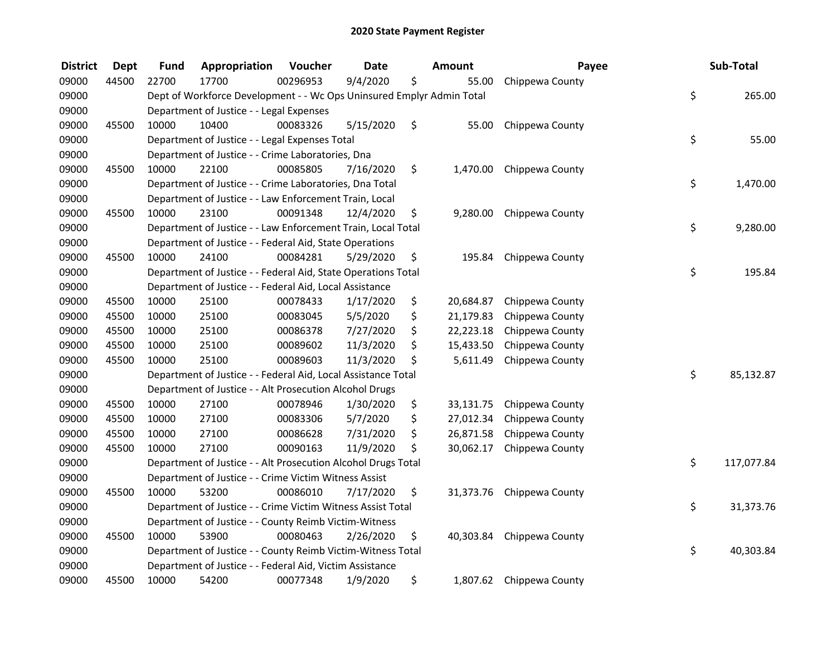| <b>District</b> | <b>Dept</b> | Fund  | Appropriation                                                         | Voucher  | <b>Date</b> | <b>Amount</b>   | Payee           | Sub-Total        |
|-----------------|-------------|-------|-----------------------------------------------------------------------|----------|-------------|-----------------|-----------------|------------------|
| 09000           | 44500       | 22700 | 17700                                                                 | 00296953 | 9/4/2020    | \$<br>55.00     | Chippewa County |                  |
| 09000           |             |       | Dept of Workforce Development - - Wc Ops Uninsured Emplyr Admin Total |          |             |                 |                 | \$<br>265.00     |
| 09000           |             |       | Department of Justice - - Legal Expenses                              |          |             |                 |                 |                  |
| 09000           | 45500       | 10000 | 10400                                                                 | 00083326 | 5/15/2020   | \$<br>55.00     | Chippewa County |                  |
| 09000           |             |       | Department of Justice - - Legal Expenses Total                        |          |             |                 |                 | \$<br>55.00      |
| 09000           |             |       | Department of Justice - - Crime Laboratories, Dna                     |          |             |                 |                 |                  |
| 09000           | 45500       | 10000 | 22100                                                                 | 00085805 | 7/16/2020   | \$<br>1,470.00  | Chippewa County |                  |
| 09000           |             |       | Department of Justice - - Crime Laboratories, Dna Total               |          |             |                 |                 | \$<br>1,470.00   |
| 09000           |             |       | Department of Justice - - Law Enforcement Train, Local                |          |             |                 |                 |                  |
| 09000           | 45500       | 10000 | 23100                                                                 | 00091348 | 12/4/2020   | \$<br>9,280.00  | Chippewa County |                  |
| 09000           |             |       | Department of Justice - - Law Enforcement Train, Local Total          |          |             |                 |                 | \$<br>9,280.00   |
| 09000           |             |       | Department of Justice - - Federal Aid, State Operations               |          |             |                 |                 |                  |
| 09000           | 45500       | 10000 | 24100                                                                 | 00084281 | 5/29/2020   | \$<br>195.84    | Chippewa County |                  |
| 09000           |             |       | Department of Justice - - Federal Aid, State Operations Total         |          |             |                 |                 | \$<br>195.84     |
| 09000           |             |       | Department of Justice - - Federal Aid, Local Assistance               |          |             |                 |                 |                  |
| 09000           | 45500       | 10000 | 25100                                                                 | 00078433 | 1/17/2020   | \$<br>20,684.87 | Chippewa County |                  |
| 09000           | 45500       | 10000 | 25100                                                                 | 00083045 | 5/5/2020    | \$<br>21,179.83 | Chippewa County |                  |
| 09000           | 45500       | 10000 | 25100                                                                 | 00086378 | 7/27/2020   | \$<br>22,223.18 | Chippewa County |                  |
| 09000           | 45500       | 10000 | 25100                                                                 | 00089602 | 11/3/2020   | \$<br>15,433.50 | Chippewa County |                  |
| 09000           | 45500       | 10000 | 25100                                                                 | 00089603 | 11/3/2020   | \$<br>5,611.49  | Chippewa County |                  |
| 09000           |             |       | Department of Justice - - Federal Aid, Local Assistance Total         |          |             |                 |                 | \$<br>85,132.87  |
| 09000           |             |       | Department of Justice - - Alt Prosecution Alcohol Drugs               |          |             |                 |                 |                  |
| 09000           | 45500       | 10000 | 27100                                                                 | 00078946 | 1/30/2020   | \$<br>33,131.75 | Chippewa County |                  |
| 09000           | 45500       | 10000 | 27100                                                                 | 00083306 | 5/7/2020    | \$<br>27,012.34 | Chippewa County |                  |
| 09000           | 45500       | 10000 | 27100                                                                 | 00086628 | 7/31/2020   | \$<br>26,871.58 | Chippewa County |                  |
| 09000           | 45500       | 10000 | 27100                                                                 | 00090163 | 11/9/2020   | \$<br>30,062.17 | Chippewa County |                  |
| 09000           |             |       | Department of Justice - - Alt Prosecution Alcohol Drugs Total         |          |             |                 |                 | \$<br>117,077.84 |
| 09000           |             |       | Department of Justice - - Crime Victim Witness Assist                 |          |             |                 |                 |                  |
| 09000           | 45500       | 10000 | 53200                                                                 | 00086010 | 7/17/2020   | \$<br>31,373.76 | Chippewa County |                  |
| 09000           |             |       | Department of Justice - - Crime Victim Witness Assist Total           |          |             |                 |                 | \$<br>31,373.76  |
| 09000           |             |       | Department of Justice - - County Reimb Victim-Witness                 |          |             |                 |                 |                  |
| 09000           | 45500       | 10000 | 53900                                                                 | 00080463 | 2/26/2020   | \$<br>40,303.84 | Chippewa County |                  |
| 09000           |             |       | Department of Justice - - County Reimb Victim-Witness Total           |          |             |                 |                 | \$<br>40,303.84  |
| 09000           |             |       | Department of Justice - - Federal Aid, Victim Assistance              |          |             |                 |                 |                  |
| 09000           | 45500       | 10000 | 54200                                                                 | 00077348 | 1/9/2020    | \$<br>1,807.62  | Chippewa County |                  |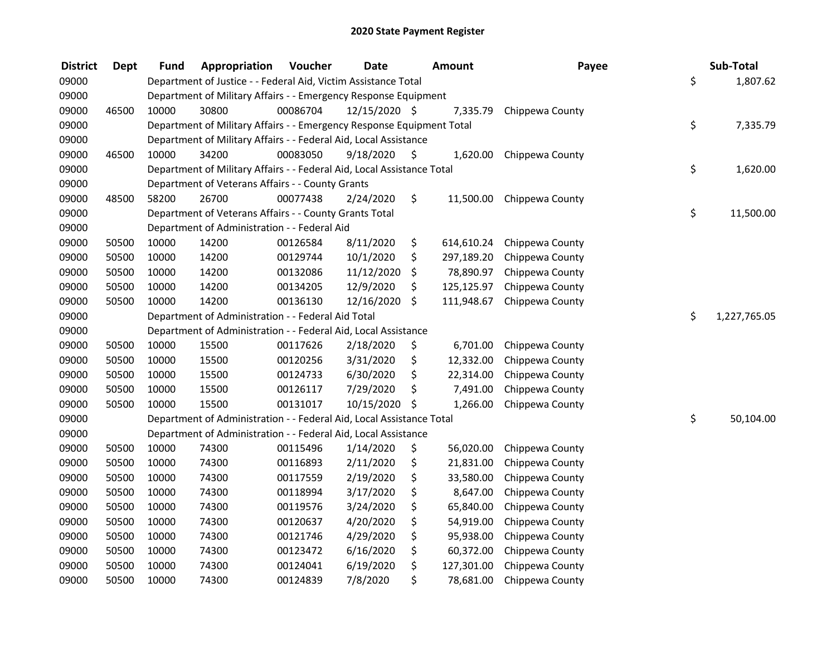| <b>District</b> | <b>Dept</b> | Fund  | Appropriation                                                          | Voucher  | <b>Date</b>   |    | Amount     | Payee           | Sub-Total          |
|-----------------|-------------|-------|------------------------------------------------------------------------|----------|---------------|----|------------|-----------------|--------------------|
| 09000           |             |       | Department of Justice - - Federal Aid, Victim Assistance Total         |          |               |    |            |                 | \$<br>1,807.62     |
| 09000           |             |       | Department of Military Affairs - - Emergency Response Equipment        |          |               |    |            |                 |                    |
| 09000           | 46500       | 10000 | 30800                                                                  | 00086704 | 12/15/2020 \$ |    | 7,335.79   | Chippewa County |                    |
| 09000           |             |       | Department of Military Affairs - - Emergency Response Equipment Total  |          |               |    |            |                 | \$<br>7,335.79     |
| 09000           |             |       | Department of Military Affairs - - Federal Aid, Local Assistance       |          |               |    |            |                 |                    |
| 09000           | 46500       | 10000 | 34200                                                                  | 00083050 | 9/18/2020     | -S | 1,620.00   | Chippewa County |                    |
| 09000           |             |       | Department of Military Affairs - - Federal Aid, Local Assistance Total |          |               |    |            |                 | \$<br>1,620.00     |
| 09000           |             |       | Department of Veterans Affairs - - County Grants                       |          |               |    |            |                 |                    |
| 09000           | 48500       | 58200 | 26700                                                                  | 00077438 | 2/24/2020     | \$ | 11,500.00  | Chippewa County |                    |
| 09000           |             |       | Department of Veterans Affairs - - County Grants Total                 |          |               |    |            |                 | \$<br>11,500.00    |
| 09000           |             |       | Department of Administration - - Federal Aid                           |          |               |    |            |                 |                    |
| 09000           | 50500       | 10000 | 14200                                                                  | 00126584 | 8/11/2020     | \$ | 614,610.24 | Chippewa County |                    |
| 09000           | 50500       | 10000 | 14200                                                                  | 00129744 | 10/1/2020     | \$ | 297,189.20 | Chippewa County |                    |
| 09000           | 50500       | 10000 | 14200                                                                  | 00132086 | 11/12/2020    | \$ | 78,890.97  | Chippewa County |                    |
| 09000           | 50500       | 10000 | 14200                                                                  | 00134205 | 12/9/2020     | \$ | 125,125.97 | Chippewa County |                    |
| 09000           | 50500       | 10000 | 14200                                                                  | 00136130 | 12/16/2020    | \$ | 111,948.67 | Chippewa County |                    |
| 09000           |             |       | Department of Administration - - Federal Aid Total                     |          |               |    |            |                 | \$<br>1,227,765.05 |
| 09000           |             |       | Department of Administration - - Federal Aid, Local Assistance         |          |               |    |            |                 |                    |
| 09000           | 50500       | 10000 | 15500                                                                  | 00117626 | 2/18/2020     | \$ | 6,701.00   | Chippewa County |                    |
| 09000           | 50500       | 10000 | 15500                                                                  | 00120256 | 3/31/2020     | \$ | 12,332.00  | Chippewa County |                    |
| 09000           | 50500       | 10000 | 15500                                                                  | 00124733 | 6/30/2020     | \$ | 22,314.00  | Chippewa County |                    |
| 09000           | 50500       | 10000 | 15500                                                                  | 00126117 | 7/29/2020     | \$ | 7,491.00   | Chippewa County |                    |
| 09000           | 50500       | 10000 | 15500                                                                  | 00131017 | 10/15/2020    | \$ | 1,266.00   | Chippewa County |                    |
| 09000           |             |       | Department of Administration - - Federal Aid, Local Assistance Total   |          |               |    |            |                 | \$<br>50,104.00    |
| 09000           |             |       | Department of Administration - - Federal Aid, Local Assistance         |          |               |    |            |                 |                    |
| 09000           | 50500       | 10000 | 74300                                                                  | 00115496 | 1/14/2020     | \$ | 56,020.00  | Chippewa County |                    |
| 09000           | 50500       | 10000 | 74300                                                                  | 00116893 | 2/11/2020     | \$ | 21,831.00  | Chippewa County |                    |
| 09000           | 50500       | 10000 | 74300                                                                  | 00117559 | 2/19/2020     | \$ | 33,580.00  | Chippewa County |                    |
| 09000           | 50500       | 10000 | 74300                                                                  | 00118994 | 3/17/2020     | \$ | 8,647.00   | Chippewa County |                    |
| 09000           | 50500       | 10000 | 74300                                                                  | 00119576 | 3/24/2020     | \$ | 65,840.00  | Chippewa County |                    |
| 09000           | 50500       | 10000 | 74300                                                                  | 00120637 | 4/20/2020     | \$ | 54,919.00  | Chippewa County |                    |
| 09000           | 50500       | 10000 | 74300                                                                  | 00121746 | 4/29/2020     | \$ | 95,938.00  | Chippewa County |                    |
| 09000           | 50500       | 10000 | 74300                                                                  | 00123472 | 6/16/2020     | \$ | 60,372.00  | Chippewa County |                    |
| 09000           | 50500       | 10000 | 74300                                                                  | 00124041 | 6/19/2020     | \$ | 127,301.00 | Chippewa County |                    |
| 09000           | 50500       | 10000 | 74300                                                                  | 00124839 | 7/8/2020      | \$ | 78,681.00  | Chippewa County |                    |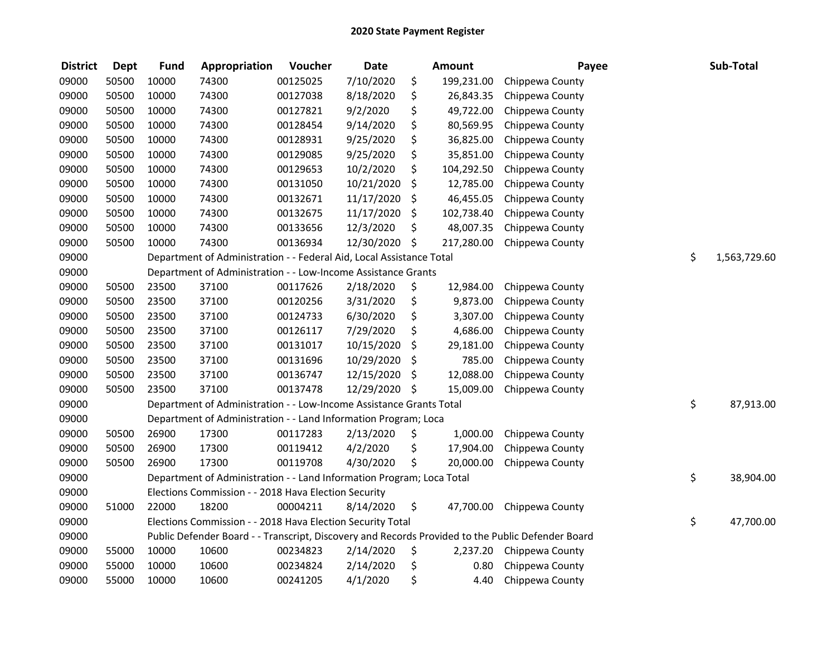| <b>District</b> | <b>Dept</b> | <b>Fund</b> | Appropriation                                                         | Voucher  | <b>Date</b> |     | <b>Amount</b> | Payee                                                                                             | Sub-Total          |
|-----------------|-------------|-------------|-----------------------------------------------------------------------|----------|-------------|-----|---------------|---------------------------------------------------------------------------------------------------|--------------------|
| 09000           | 50500       | 10000       | 74300                                                                 | 00125025 | 7/10/2020   | \$  | 199,231.00    | Chippewa County                                                                                   |                    |
| 09000           | 50500       | 10000       | 74300                                                                 | 00127038 | 8/18/2020   | \$  | 26,843.35     | Chippewa County                                                                                   |                    |
| 09000           | 50500       | 10000       | 74300                                                                 | 00127821 | 9/2/2020    | \$  | 49,722.00     | Chippewa County                                                                                   |                    |
| 09000           | 50500       | 10000       | 74300                                                                 | 00128454 | 9/14/2020   | \$  | 80,569.95     | Chippewa County                                                                                   |                    |
| 09000           | 50500       | 10000       | 74300                                                                 | 00128931 | 9/25/2020   | \$  | 36,825.00     | Chippewa County                                                                                   |                    |
| 09000           | 50500       | 10000       | 74300                                                                 | 00129085 | 9/25/2020   | \$  | 35,851.00     | Chippewa County                                                                                   |                    |
| 09000           | 50500       | 10000       | 74300                                                                 | 00129653 | 10/2/2020   | \$  | 104,292.50    | Chippewa County                                                                                   |                    |
| 09000           | 50500       | 10000       | 74300                                                                 | 00131050 | 10/21/2020  | \$  | 12,785.00     | Chippewa County                                                                                   |                    |
| 09000           | 50500       | 10000       | 74300                                                                 | 00132671 | 11/17/2020  | \$  | 46,455.05     | Chippewa County                                                                                   |                    |
| 09000           | 50500       | 10000       | 74300                                                                 | 00132675 | 11/17/2020  | \$  | 102,738.40    | Chippewa County                                                                                   |                    |
| 09000           | 50500       | 10000       | 74300                                                                 | 00133656 | 12/3/2020   | \$  | 48,007.35     | Chippewa County                                                                                   |                    |
| 09000           | 50500       | 10000       | 74300                                                                 | 00136934 | 12/30/2020  | \$  | 217,280.00    | Chippewa County                                                                                   |                    |
| 09000           |             |             | Department of Administration - - Federal Aid, Local Assistance Total  |          |             |     |               |                                                                                                   | \$<br>1,563,729.60 |
| 09000           |             |             | Department of Administration - - Low-Income Assistance Grants         |          |             |     |               |                                                                                                   |                    |
| 09000           | 50500       | 23500       | 37100                                                                 | 00117626 | 2/18/2020   | \$  | 12,984.00     | Chippewa County                                                                                   |                    |
| 09000           | 50500       | 23500       | 37100                                                                 | 00120256 | 3/31/2020   | \$  | 9,873.00      | Chippewa County                                                                                   |                    |
| 09000           | 50500       | 23500       | 37100                                                                 | 00124733 | 6/30/2020   | \$  | 3,307.00      | Chippewa County                                                                                   |                    |
| 09000           | 50500       | 23500       | 37100                                                                 | 00126117 | 7/29/2020   | \$  | 4,686.00      | Chippewa County                                                                                   |                    |
| 09000           | 50500       | 23500       | 37100                                                                 | 00131017 | 10/15/2020  | \$  | 29,181.00     | Chippewa County                                                                                   |                    |
| 09000           | 50500       | 23500       | 37100                                                                 | 00131696 | 10/29/2020  | \$  | 785.00        | Chippewa County                                                                                   |                    |
| 09000           | 50500       | 23500       | 37100                                                                 | 00136747 | 12/15/2020  | \$  | 12,088.00     | Chippewa County                                                                                   |                    |
| 09000           | 50500       | 23500       | 37100                                                                 | 00137478 | 12/29/2020  | -\$ | 15,009.00     | Chippewa County                                                                                   |                    |
| 09000           |             |             | Department of Administration - - Low-Income Assistance Grants Total   |          |             |     |               |                                                                                                   | \$<br>87,913.00    |
| 09000           |             |             | Department of Administration - - Land Information Program; Loca       |          |             |     |               |                                                                                                   |                    |
| 09000           | 50500       | 26900       | 17300                                                                 | 00117283 | 2/13/2020   | \$  | 1,000.00      | Chippewa County                                                                                   |                    |
| 09000           | 50500       | 26900       | 17300                                                                 | 00119412 | 4/2/2020    | \$  | 17,904.00     | Chippewa County                                                                                   |                    |
| 09000           | 50500       | 26900       | 17300                                                                 | 00119708 | 4/30/2020   | \$  | 20,000.00     | Chippewa County                                                                                   |                    |
| 09000           |             |             | Department of Administration - - Land Information Program; Loca Total |          |             |     |               |                                                                                                   | \$<br>38,904.00    |
| 09000           |             |             | Elections Commission - - 2018 Hava Election Security                  |          |             |     |               |                                                                                                   |                    |
| 09000           | 51000       | 22000       | 18200                                                                 | 00004211 | 8/14/2020   | \$  | 47,700.00     | Chippewa County                                                                                   |                    |
| 09000           |             |             | Elections Commission - - 2018 Hava Election Security Total            |          |             |     |               |                                                                                                   | \$<br>47,700.00    |
| 09000           |             |             |                                                                       |          |             |     |               | Public Defender Board - - Transcript, Discovery and Records Provided to the Public Defender Board |                    |
| 09000           | 55000       | 10000       | 10600                                                                 | 00234823 | 2/14/2020   | \$  | 2,237.20      | Chippewa County                                                                                   |                    |
| 09000           | 55000       | 10000       | 10600                                                                 | 00234824 | 2/14/2020   | \$  | 0.80          | Chippewa County                                                                                   |                    |
| 09000           | 55000       | 10000       | 10600                                                                 | 00241205 | 4/1/2020    | \$  | 4.40          | Chippewa County                                                                                   |                    |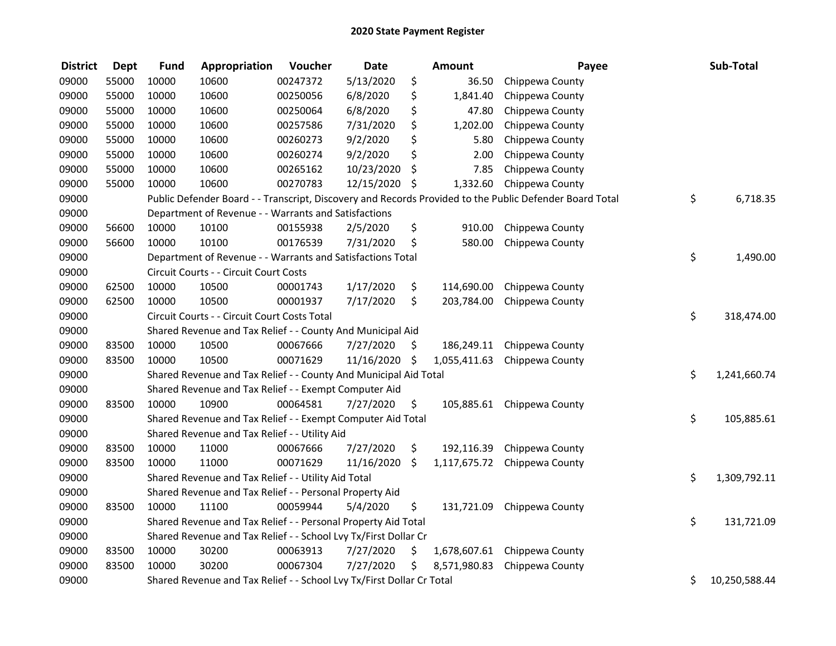| <b>District</b> | <b>Dept</b> | <b>Fund</b> | Appropriation                                                         | Voucher  | <b>Date</b> |      | Amount       | Payee                                                                                                   | Sub-Total           |
|-----------------|-------------|-------------|-----------------------------------------------------------------------|----------|-------------|------|--------------|---------------------------------------------------------------------------------------------------------|---------------------|
| 09000           | 55000       | 10000       | 10600                                                                 | 00247372 | 5/13/2020   | \$   | 36.50        | Chippewa County                                                                                         |                     |
| 09000           | 55000       | 10000       | 10600                                                                 | 00250056 | 6/8/2020    | \$   | 1,841.40     | Chippewa County                                                                                         |                     |
| 09000           | 55000       | 10000       | 10600                                                                 | 00250064 | 6/8/2020    | \$   | 47.80        | Chippewa County                                                                                         |                     |
| 09000           | 55000       | 10000       | 10600                                                                 | 00257586 | 7/31/2020   | \$   | 1,202.00     | Chippewa County                                                                                         |                     |
| 09000           | 55000       | 10000       | 10600                                                                 | 00260273 | 9/2/2020    | \$   | 5.80         | Chippewa County                                                                                         |                     |
| 09000           | 55000       | 10000       | 10600                                                                 | 00260274 | 9/2/2020    | \$   | 2.00         | Chippewa County                                                                                         |                     |
| 09000           | 55000       | 10000       | 10600                                                                 | 00265162 | 10/23/2020  | \$   | 7.85         | Chippewa County                                                                                         |                     |
| 09000           | 55000       | 10000       | 10600                                                                 | 00270783 | 12/15/2020  | - \$ | 1,332.60     | Chippewa County                                                                                         |                     |
| 09000           |             |             |                                                                       |          |             |      |              | Public Defender Board - - Transcript, Discovery and Records Provided to the Public Defender Board Total | \$<br>6,718.35      |
| 09000           |             |             | Department of Revenue - - Warrants and Satisfactions                  |          |             |      |              |                                                                                                         |                     |
| 09000           | 56600       | 10000       | 10100                                                                 | 00155938 | 2/5/2020    | \$   | 910.00       | Chippewa County                                                                                         |                     |
| 09000           | 56600       | 10000       | 10100                                                                 | 00176539 | 7/31/2020   | \$   | 580.00       | Chippewa County                                                                                         |                     |
| 09000           |             |             | Department of Revenue - - Warrants and Satisfactions Total            |          |             |      |              |                                                                                                         | \$<br>1,490.00      |
| 09000           |             |             | Circuit Courts - - Circuit Court Costs                                |          |             |      |              |                                                                                                         |                     |
| 09000           | 62500       | 10000       | 10500                                                                 | 00001743 | 1/17/2020   | \$   | 114,690.00   | Chippewa County                                                                                         |                     |
| 09000           | 62500       | 10000       | 10500                                                                 | 00001937 | 7/17/2020   | \$   | 203,784.00   | Chippewa County                                                                                         |                     |
| 09000           |             |             | Circuit Courts - - Circuit Court Costs Total                          |          |             |      |              |                                                                                                         | \$<br>318,474.00    |
| 09000           |             |             | Shared Revenue and Tax Relief - - County And Municipal Aid            |          |             |      |              |                                                                                                         |                     |
| 09000           | 83500       | 10000       | 10500                                                                 | 00067666 | 7/27/2020   | \$   | 186,249.11   | Chippewa County                                                                                         |                     |
| 09000           | 83500       | 10000       | 10500                                                                 | 00071629 | 11/16/2020  | \$   | 1,055,411.63 | Chippewa County                                                                                         |                     |
| 09000           |             |             | Shared Revenue and Tax Relief - - County And Municipal Aid Total      |          |             |      |              |                                                                                                         | \$<br>1,241,660.74  |
| 09000           |             |             | Shared Revenue and Tax Relief - - Exempt Computer Aid                 |          |             |      |              |                                                                                                         |                     |
| 09000           | 83500       | 10000       | 10900                                                                 | 00064581 | 7/27/2020   | \$.  | 105,885.61   | Chippewa County                                                                                         |                     |
| 09000           |             |             | Shared Revenue and Tax Relief - - Exempt Computer Aid Total           |          |             |      |              |                                                                                                         | \$<br>105,885.61    |
| 09000           |             |             | Shared Revenue and Tax Relief - - Utility Aid                         |          |             |      |              |                                                                                                         |                     |
| 09000           | 83500       | 10000       | 11000                                                                 | 00067666 | 7/27/2020   | \$   | 192,116.39   | Chippewa County                                                                                         |                     |
| 09000           | 83500       | 10000       | 11000                                                                 | 00071629 | 11/16/2020  | \$   | 1,117,675.72 | Chippewa County                                                                                         |                     |
| 09000           |             |             | Shared Revenue and Tax Relief - - Utility Aid Total                   |          |             |      |              |                                                                                                         | \$<br>1,309,792.11  |
| 09000           |             |             | Shared Revenue and Tax Relief - - Personal Property Aid               |          |             |      |              |                                                                                                         |                     |
| 09000           | 83500       | 10000       | 11100                                                                 | 00059944 | 5/4/2020    | \$   | 131,721.09   | Chippewa County                                                                                         |                     |
| 09000           |             |             | Shared Revenue and Tax Relief - - Personal Property Aid Total         |          |             |      |              |                                                                                                         | \$<br>131,721.09    |
| 09000           |             |             | Shared Revenue and Tax Relief - - School Lvy Tx/First Dollar Cr       |          |             |      |              |                                                                                                         |                     |
| 09000           | 83500       | 10000       | 30200                                                                 | 00063913 | 7/27/2020   | \$   |              | 1,678,607.61 Chippewa County                                                                            |                     |
| 09000           | 83500       | 10000       | 30200                                                                 | 00067304 | 7/27/2020   | \$   | 8,571,980.83 | Chippewa County                                                                                         |                     |
| 09000           |             |             | Shared Revenue and Tax Relief - - School Lvy Tx/First Dollar Cr Total |          |             |      |              |                                                                                                         | \$<br>10,250,588.44 |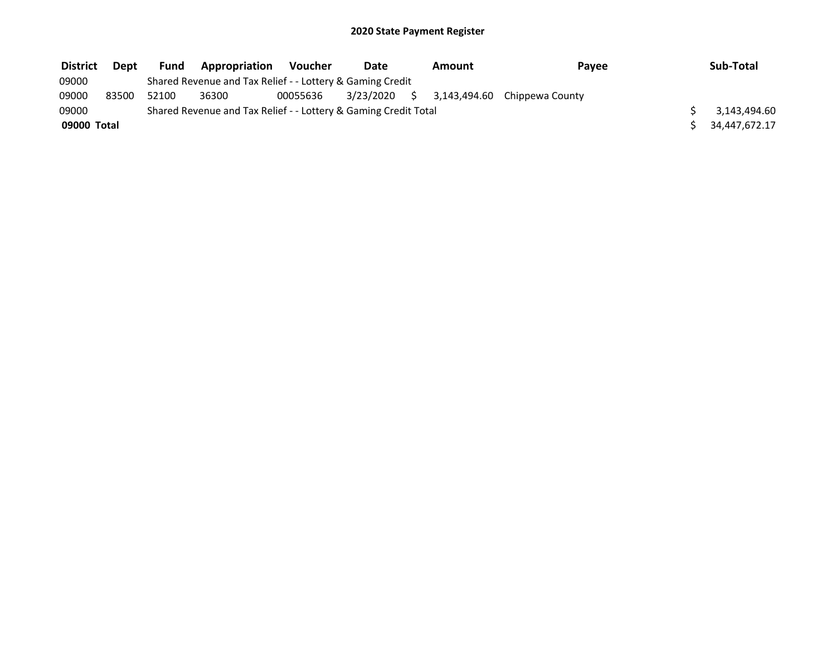| <b>District</b> | Dept  | Fund  | <b>Appropriation</b>                                            | <b>Voucher</b> | Date         | Amount | Payee                        | Sub-Total     |
|-----------------|-------|-------|-----------------------------------------------------------------|----------------|--------------|--------|------------------------------|---------------|
| 09000           |       |       | Shared Revenue and Tax Relief - - Lottery & Gaming Credit       |                |              |        |                              |               |
| 09000           | 83500 | 52100 | 36300                                                           | 00055636       | 3/23/2020 \$ |        | 3,143,494.60 Chippewa County |               |
| 09000           |       |       | Shared Revenue and Tax Relief - - Lottery & Gaming Credit Total |                |              |        |                              | 3,143,494.60  |
| 09000 Total     |       |       |                                                                 |                |              |        |                              | 34.447.672.17 |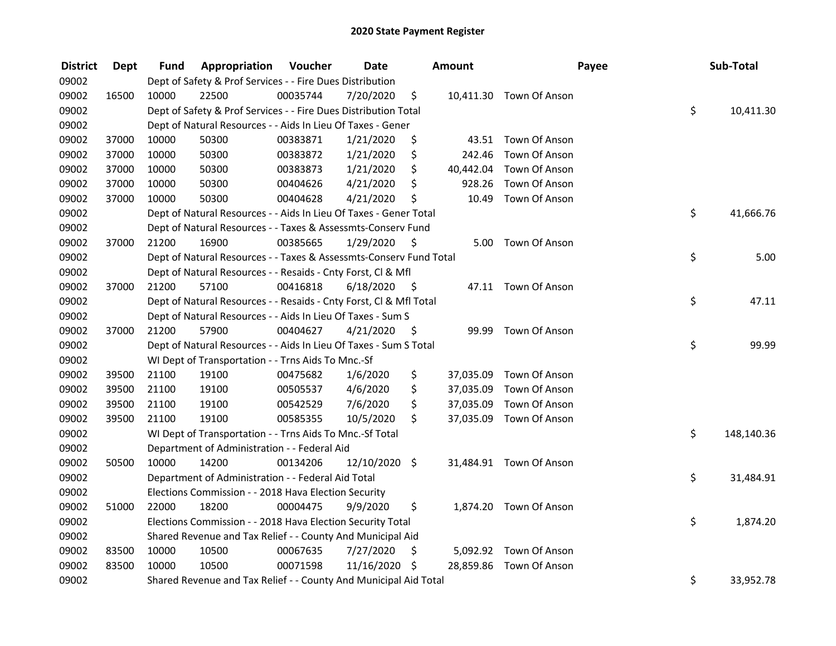| <b>District</b> | <b>Dept</b> | Fund  | Appropriation                                                      | Voucher  | <b>Date</b>   |      | Amount    |                         | Payee | Sub-Total  |
|-----------------|-------------|-------|--------------------------------------------------------------------|----------|---------------|------|-----------|-------------------------|-------|------------|
| 09002           |             |       | Dept of Safety & Prof Services - - Fire Dues Distribution          |          |               |      |           |                         |       |            |
| 09002           | 16500       | 10000 | 22500                                                              | 00035744 | 7/20/2020     | \$   |           | 10,411.30 Town Of Anson |       |            |
| 09002           |             |       | Dept of Safety & Prof Services - - Fire Dues Distribution Total    |          |               |      |           |                         | \$    | 10,411.30  |
| 09002           |             |       | Dept of Natural Resources - - Aids In Lieu Of Taxes - Gener        |          |               |      |           |                         |       |            |
| 09002           | 37000       | 10000 | 50300                                                              | 00383871 | 1/21/2020     | \$   |           | 43.51 Town Of Anson     |       |            |
| 09002           | 37000       | 10000 | 50300                                                              | 00383872 | 1/21/2020     | \$   | 242.46    | Town Of Anson           |       |            |
| 09002           | 37000       | 10000 | 50300                                                              | 00383873 | 1/21/2020     | \$   |           | 40,442.04 Town Of Anson |       |            |
| 09002           | 37000       | 10000 | 50300                                                              | 00404626 | 4/21/2020     | \$   |           | 928.26 Town Of Anson    |       |            |
| 09002           | 37000       | 10000 | 50300                                                              | 00404628 | 4/21/2020     | \$   | 10.49     | Town Of Anson           |       |            |
| 09002           |             |       | Dept of Natural Resources - - Aids In Lieu Of Taxes - Gener Total  |          |               |      |           |                         | \$    | 41,666.76  |
| 09002           |             |       | Dept of Natural Resources - - Taxes & Assessmts-Conserv Fund       |          |               |      |           |                         |       |            |
| 09002           | 37000       | 21200 | 16900                                                              | 00385665 | 1/29/2020     | -S   |           | 5.00 Town Of Anson      |       |            |
| 09002           |             |       | Dept of Natural Resources - - Taxes & Assessmts-Conserv Fund Total |          |               |      |           |                         | \$    | 5.00       |
| 09002           |             |       | Dept of Natural Resources - - Resaids - Cnty Forst, Cl & Mfl       |          |               |      |           |                         |       |            |
| 09002           | 37000       | 21200 | 57100                                                              | 00416818 | 6/18/2020     | - \$ |           | 47.11 Town Of Anson     |       |            |
| 09002           |             |       | Dept of Natural Resources - - Resaids - Cnty Forst, Cl & Mfl Total |          |               |      |           |                         | \$    | 47.11      |
| 09002           |             |       | Dept of Natural Resources - - Aids In Lieu Of Taxes - Sum S        |          |               |      |           |                         |       |            |
| 09002           | 37000       | 21200 | 57900                                                              | 00404627 | 4/21/2020     | - \$ | 99.99     | Town Of Anson           |       |            |
| 09002           |             |       | Dept of Natural Resources - - Aids In Lieu Of Taxes - Sum S Total  |          |               |      |           |                         | \$    | 99.99      |
| 09002           |             |       | WI Dept of Transportation - - Trns Aids To Mnc.-Sf                 |          |               |      |           |                         |       |            |
| 09002           | 39500       | 21100 | 19100                                                              | 00475682 | 1/6/2020      | \$   |           | 37,035.09 Town Of Anson |       |            |
| 09002           | 39500       | 21100 | 19100                                                              | 00505537 | 4/6/2020      | \$   | 37,035.09 | Town Of Anson           |       |            |
| 09002           | 39500       | 21100 | 19100                                                              | 00542529 | 7/6/2020      | \$   | 37,035.09 | Town Of Anson           |       |            |
| 09002           | 39500       | 21100 | 19100                                                              | 00585355 | 10/5/2020     | \$   |           | 37,035.09 Town Of Anson |       |            |
| 09002           |             |       | WI Dept of Transportation - - Trns Aids To Mnc.-Sf Total           |          |               |      |           |                         | \$    | 148,140.36 |
| 09002           |             |       | Department of Administration - - Federal Aid                       |          |               |      |           |                         |       |            |
| 09002           | 50500       | 10000 | 14200                                                              | 00134206 | 12/10/2020 \$ |      |           | 31,484.91 Town Of Anson |       |            |
| 09002           |             |       | Department of Administration - - Federal Aid Total                 |          |               |      |           |                         | \$    | 31,484.91  |
| 09002           |             |       | Elections Commission - - 2018 Hava Election Security               |          |               |      |           |                         |       |            |
| 09002           | 51000       | 22000 | 18200                                                              | 00004475 | 9/9/2020      | \$   |           | 1,874.20 Town Of Anson  |       |            |
| 09002           |             |       | Elections Commission - - 2018 Hava Election Security Total         |          |               |      |           |                         | \$    | 1,874.20   |
| 09002           |             |       | Shared Revenue and Tax Relief - - County And Municipal Aid         |          |               |      |           |                         |       |            |
| 09002           | 83500       | 10000 | 10500                                                              | 00067635 | 7/27/2020     | \$   |           | 5,092.92 Town Of Anson  |       |            |
| 09002           | 83500       | 10000 | 10500                                                              | 00071598 | 11/16/2020    | -\$  |           | 28,859.86 Town Of Anson |       |            |
| 09002           |             |       | Shared Revenue and Tax Relief - - County And Municipal Aid Total   |          |               |      |           |                         | \$    | 33,952.78  |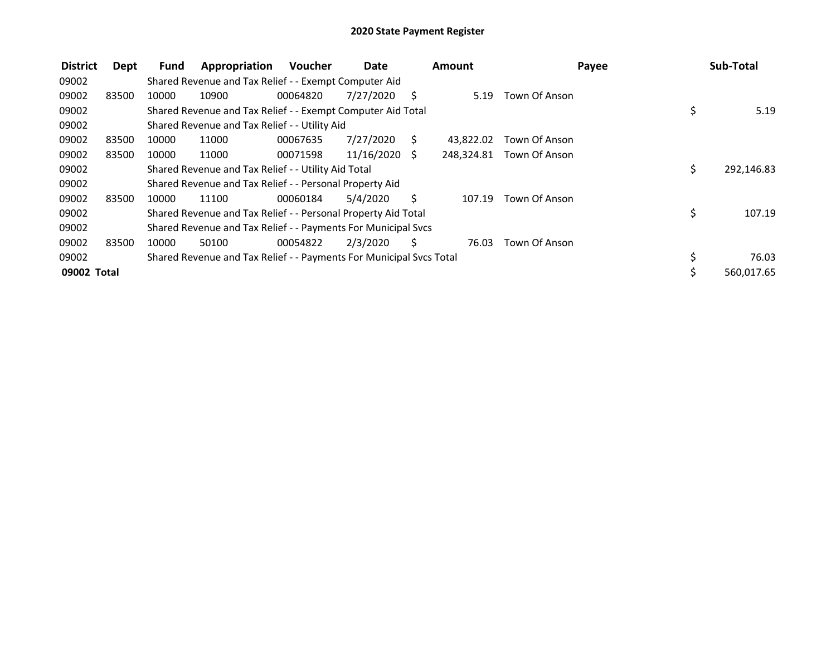| <b>District</b> | Dept  | Fund  | Appropriation                                                       | <b>Voucher</b> | Date       |              | <b>Amount</b> |                          | Payee | Sub-Total  |
|-----------------|-------|-------|---------------------------------------------------------------------|----------------|------------|--------------|---------------|--------------------------|-------|------------|
| 09002           |       |       | Shared Revenue and Tax Relief - - Exempt Computer Aid               |                |            |              |               |                          |       |            |
| 09002           | 83500 | 10000 | 10900                                                               | 00064820       | 7/27/2020  | S            | 5.19          | Town Of Anson            |       |            |
| 09002           |       |       | Shared Revenue and Tax Relief - - Exempt Computer Aid Total         |                |            |              |               |                          | \$    | 5.19       |
| 09002           |       |       | Shared Revenue and Tax Relief - - Utility Aid                       |                |            |              |               |                          |       |            |
| 09002           | 83500 | 10000 | 11000                                                               | 00067635       | 7/27/2020  | <sub>S</sub> | 43,822.02     | Town Of Anson            |       |            |
| 09002           | 83500 | 10000 | 11000                                                               | 00071598       | 11/16/2020 | S.           |               | 248,324.81 Town Of Anson |       |            |
| 09002           |       |       | Shared Revenue and Tax Relief - - Utility Aid Total                 |                |            |              |               |                          | \$    | 292,146.83 |
| 09002           |       |       | Shared Revenue and Tax Relief - - Personal Property Aid             |                |            |              |               |                          |       |            |
| 09002           | 83500 | 10000 | 11100                                                               | 00060184       | 5/4/2020   | Ś.           | 107.19        | Town Of Anson            |       |            |
| 09002           |       |       | Shared Revenue and Tax Relief - - Personal Property Aid Total       |                |            |              |               |                          | \$    | 107.19     |
| 09002           |       |       | Shared Revenue and Tax Relief - - Payments For Municipal Svcs       |                |            |              |               |                          |       |            |
| 09002           | 83500 | 10000 | 50100                                                               | 00054822       | 2/3/2020   | S            | 76.03         | Town Of Anson            |       |            |
| 09002           |       |       | Shared Revenue and Tax Relief - - Payments For Municipal Svcs Total |                |            |              |               |                          | \$    | 76.03      |
| 09002 Total     |       |       |                                                                     |                |            |              |               |                          | \$    | 560,017.65 |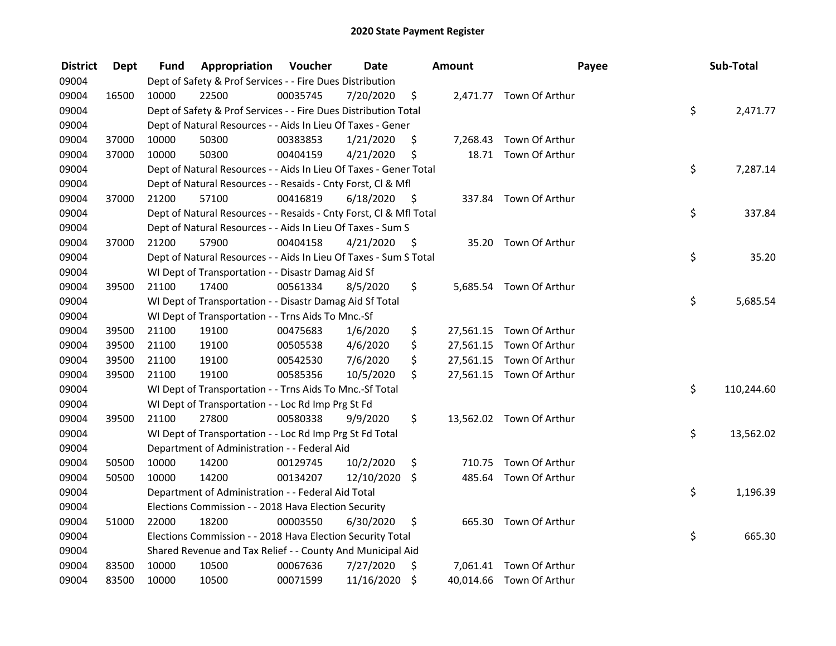| <b>District</b> | <b>Dept</b> | Fund  | Appropriation                                                      | Voucher  | <b>Date</b> |      | Amount    | Payee                    | Sub-Total        |
|-----------------|-------------|-------|--------------------------------------------------------------------|----------|-------------|------|-----------|--------------------------|------------------|
| 09004           |             |       | Dept of Safety & Prof Services - - Fire Dues Distribution          |          |             |      |           |                          |                  |
| 09004           | 16500       | 10000 | 22500                                                              | 00035745 | 7/20/2020   | \$   |           | 2,471.77 Town Of Arthur  |                  |
| 09004           |             |       | Dept of Safety & Prof Services - - Fire Dues Distribution Total    |          |             |      |           |                          | \$<br>2,471.77   |
| 09004           |             |       | Dept of Natural Resources - - Aids In Lieu Of Taxes - Gener        |          |             |      |           |                          |                  |
| 09004           | 37000       | 10000 | 50300                                                              | 00383853 | 1/21/2020   | \$   | 7,268.43  | Town Of Arthur           |                  |
| 09004           | 37000       | 10000 | 50300                                                              | 00404159 | 4/21/2020   | \$   |           | 18.71 Town Of Arthur     |                  |
| 09004           |             |       | Dept of Natural Resources - - Aids In Lieu Of Taxes - Gener Total  |          |             |      |           |                          | \$<br>7,287.14   |
| 09004           |             |       | Dept of Natural Resources - - Resaids - Cnty Forst, CI & Mfl       |          |             |      |           |                          |                  |
| 09004           | 37000       | 21200 | 57100                                                              | 00416819 | 6/18/2020   | - \$ |           | 337.84 Town Of Arthur    |                  |
| 09004           |             |       | Dept of Natural Resources - - Resaids - Cnty Forst, Cl & Mfl Total |          |             |      |           |                          | \$<br>337.84     |
| 09004           |             |       | Dept of Natural Resources - - Aids In Lieu Of Taxes - Sum S        |          |             |      |           |                          |                  |
| 09004           | 37000       | 21200 | 57900                                                              | 00404158 | 4/21/2020   | -\$  | 35.20     | Town Of Arthur           |                  |
| 09004           |             |       | Dept of Natural Resources - - Aids In Lieu Of Taxes - Sum S Total  |          |             |      |           |                          | \$<br>35.20      |
| 09004           |             |       | WI Dept of Transportation - - Disastr Damag Aid Sf                 |          |             |      |           |                          |                  |
| 09004           | 39500       | 21100 | 17400                                                              | 00561334 | 8/5/2020    | \$   |           | 5,685.54 Town Of Arthur  |                  |
| 09004           |             |       | WI Dept of Transportation - - Disastr Damag Aid Sf Total           |          |             |      |           |                          | \$<br>5,685.54   |
| 09004           |             |       | WI Dept of Transportation - - Trns Aids To Mnc.-Sf                 |          |             |      |           |                          |                  |
| 09004           | 39500       | 21100 | 19100                                                              | 00475683 | 1/6/2020    | \$   | 27,561.15 | Town Of Arthur           |                  |
| 09004           | 39500       | 21100 | 19100                                                              | 00505538 | 4/6/2020    | \$   | 27,561.15 | Town Of Arthur           |                  |
| 09004           | 39500       | 21100 | 19100                                                              | 00542530 | 7/6/2020    | \$   | 27,561.15 | Town Of Arthur           |                  |
| 09004           | 39500       | 21100 | 19100                                                              | 00585356 | 10/5/2020   | \$   |           | 27,561.15 Town Of Arthur |                  |
| 09004           |             |       | WI Dept of Transportation - - Trns Aids To Mnc.-Sf Total           |          |             |      |           |                          | \$<br>110,244.60 |
| 09004           |             |       | WI Dept of Transportation - - Loc Rd Imp Prg St Fd                 |          |             |      |           |                          |                  |
| 09004           | 39500       | 21100 | 27800                                                              | 00580338 | 9/9/2020    | \$   |           | 13,562.02 Town Of Arthur |                  |
| 09004           |             |       | WI Dept of Transportation - - Loc Rd Imp Prg St Fd Total           |          |             |      |           |                          | \$<br>13,562.02  |
| 09004           |             |       | Department of Administration - - Federal Aid                       |          |             |      |           |                          |                  |
| 09004           | 50500       | 10000 | 14200                                                              | 00129745 | 10/2/2020   | \$   | 710.75    | Town Of Arthur           |                  |
| 09004           | 50500       | 10000 | 14200                                                              | 00134207 | 12/10/2020  | \$   | 485.64    | Town Of Arthur           |                  |
| 09004           |             |       | Department of Administration - - Federal Aid Total                 |          |             |      |           |                          | \$<br>1,196.39   |
| 09004           |             |       | Elections Commission - - 2018 Hava Election Security               |          |             |      |           |                          |                  |
| 09004           | 51000       | 22000 | 18200                                                              | 00003550 | 6/30/2020   | \$   | 665.30    | Town Of Arthur           |                  |
| 09004           |             |       | Elections Commission - - 2018 Hava Election Security Total         |          |             |      |           |                          | \$<br>665.30     |
| 09004           |             |       | Shared Revenue and Tax Relief - - County And Municipal Aid         |          |             |      |           |                          |                  |
| 09004           | 83500       | 10000 | 10500                                                              | 00067636 | 7/27/2020   | \$   |           | 7,061.41 Town Of Arthur  |                  |
| 09004           | 83500       | 10000 | 10500                                                              | 00071599 | 11/16/2020  | \$   |           | 40,014.66 Town Of Arthur |                  |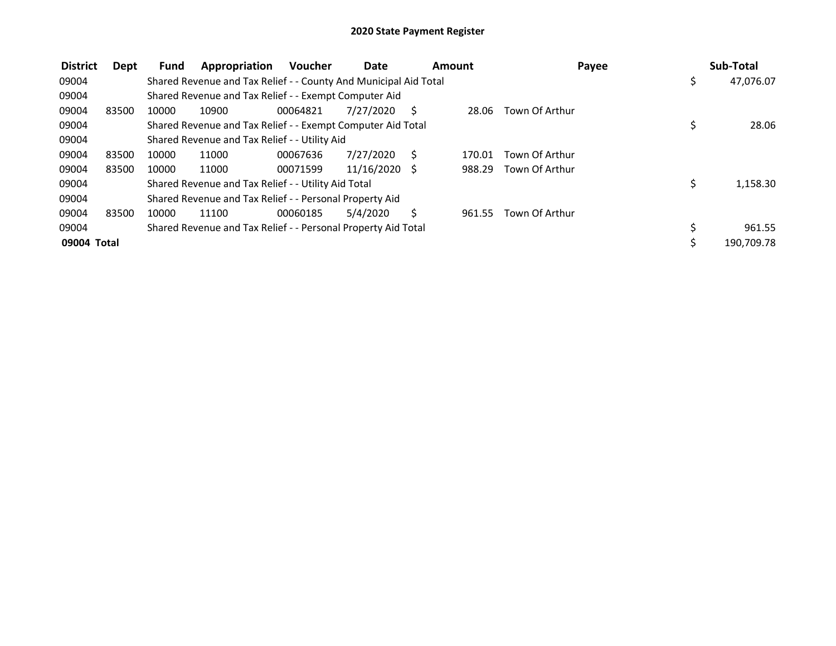| <b>District</b> | Dept  | Fund  | Appropriation                                                    | <b>Voucher</b> | Date            | Amount |        | Payee          | Sub-Total       |
|-----------------|-------|-------|------------------------------------------------------------------|----------------|-----------------|--------|--------|----------------|-----------------|
| 09004           |       |       | Shared Revenue and Tax Relief - - County And Municipal Aid Total |                |                 |        |        |                | \$<br>47,076.07 |
| 09004           |       |       | Shared Revenue and Tax Relief - - Exempt Computer Aid            |                |                 |        |        |                |                 |
| 09004           | 83500 | 10000 | 10900                                                            | 00064821       | 7/27/2020       | S      | 28.06  | Town Of Arthur |                 |
| 09004           |       |       | Shared Revenue and Tax Relief - - Exempt Computer Aid Total      |                |                 |        |        |                | \$<br>28.06     |
| 09004           |       |       | Shared Revenue and Tax Relief - - Utility Aid                    |                |                 |        |        |                |                 |
| 09004           | 83500 | 10000 | 11000                                                            | 00067636       | 7/27/2020       |        | 170.01 | Town Of Arthur |                 |
| 09004           | 83500 | 10000 | 11000                                                            | 00071599       | $11/16/2020$ \$ |        | 988.29 | Town Of Arthur |                 |
| 09004           |       |       | Shared Revenue and Tax Relief - - Utility Aid Total              |                |                 |        |        |                | \$<br>1,158.30  |
| 09004           |       |       | Shared Revenue and Tax Relief - - Personal Property Aid          |                |                 |        |        |                |                 |
| 09004           | 83500 | 10000 | 11100                                                            | 00060185       | 5/4/2020        | S      | 961.55 | Town Of Arthur |                 |
| 09004           |       |       | Shared Revenue and Tax Relief - - Personal Property Aid Total    |                |                 |        |        |                | 961.55          |
| 09004 Total     |       |       |                                                                  |                |                 |        |        |                | 190,709.78      |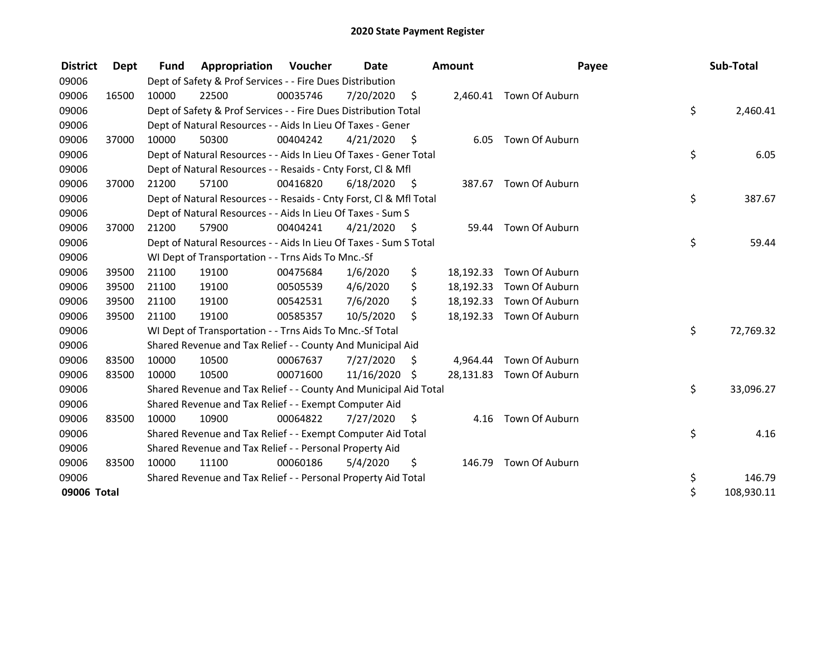| <b>District</b> | Dept  | <b>Fund</b> | Appropriation                                                      | Voucher  | <b>Date</b> |      | <b>Amount</b> | Payee                    | Sub-Total        |
|-----------------|-------|-------------|--------------------------------------------------------------------|----------|-------------|------|---------------|--------------------------|------------------|
| 09006           |       |             | Dept of Safety & Prof Services - - Fire Dues Distribution          |          |             |      |               |                          |                  |
| 09006           | 16500 | 10000       | 22500                                                              | 00035746 | 7/20/2020   | \$   |               | 2,460.41 Town Of Auburn  |                  |
| 09006           |       |             | Dept of Safety & Prof Services - - Fire Dues Distribution Total    |          |             |      |               |                          | \$<br>2,460.41   |
| 09006           |       |             | Dept of Natural Resources - - Aids In Lieu Of Taxes - Gener        |          |             |      |               |                          |                  |
| 09006           | 37000 | 10000       | 50300                                                              | 00404242 | 4/21/2020   | - \$ |               | 6.05 Town Of Auburn      |                  |
| 09006           |       |             | Dept of Natural Resources - - Aids In Lieu Of Taxes - Gener Total  |          |             |      |               |                          | \$<br>6.05       |
| 09006           |       |             | Dept of Natural Resources - - Resaids - Cnty Forst, CI & Mfl       |          |             |      |               |                          |                  |
| 09006           | 37000 | 21200       | 57100                                                              | 00416820 | 6/18/2020   | - \$ |               | 387.67 Town Of Auburn    |                  |
| 09006           |       |             | Dept of Natural Resources - - Resaids - Cnty Forst, CI & Mfl Total |          |             |      |               |                          | \$<br>387.67     |
| 09006           |       |             | Dept of Natural Resources - - Aids In Lieu Of Taxes - Sum S        |          |             |      |               |                          |                  |
| 09006           | 37000 | 21200       | 57900                                                              | 00404241 | 4/21/2020   | - \$ | 59.44         | Town Of Auburn           |                  |
| 09006           |       |             | Dept of Natural Resources - - Aids In Lieu Of Taxes - Sum S Total  |          |             |      |               |                          | \$<br>59.44      |
| 09006           |       |             | WI Dept of Transportation - - Trns Aids To Mnc.-Sf                 |          |             |      |               |                          |                  |
| 09006           | 39500 | 21100       | 19100                                                              | 00475684 | 1/6/2020    | \$   | 18,192.33     | Town Of Auburn           |                  |
| 09006           | 39500 | 21100       | 19100                                                              | 00505539 | 4/6/2020    | \$   |               | 18,192.33 Town Of Auburn |                  |
| 09006           | 39500 | 21100       | 19100                                                              | 00542531 | 7/6/2020    | \$   |               | 18,192.33 Town Of Auburn |                  |
| 09006           | 39500 | 21100       | 19100                                                              | 00585357 | 10/5/2020   | \$   |               | 18,192.33 Town Of Auburn |                  |
| 09006           |       |             | WI Dept of Transportation - - Trns Aids To Mnc.-Sf Total           |          |             |      |               |                          | \$<br>72,769.32  |
| 09006           |       |             | Shared Revenue and Tax Relief - - County And Municipal Aid         |          |             |      |               |                          |                  |
| 09006           | 83500 | 10000       | 10500                                                              | 00067637 | 7/27/2020   | \$   | 4,964.44      | Town Of Auburn           |                  |
| 09006           | 83500 | 10000       | 10500                                                              | 00071600 | 11/16/2020  | -S   |               | 28,131.83 Town Of Auburn |                  |
| 09006           |       |             | Shared Revenue and Tax Relief - - County And Municipal Aid Total   |          |             |      |               |                          | \$<br>33,096.27  |
| 09006           |       |             | Shared Revenue and Tax Relief - - Exempt Computer Aid              |          |             |      |               |                          |                  |
| 09006           | 83500 | 10000       | 10900                                                              | 00064822 | 7/27/2020   | S    | 4.16          | Town Of Auburn           |                  |
| 09006           |       |             | Shared Revenue and Tax Relief - - Exempt Computer Aid Total        |          |             |      |               |                          | \$<br>4.16       |
| 09006           |       |             | Shared Revenue and Tax Relief - - Personal Property Aid            |          |             |      |               |                          |                  |
| 09006           | 83500 | 10000       | 11100                                                              | 00060186 | 5/4/2020    | \$   | 146.79        | Town Of Auburn           |                  |
| 09006           |       |             | Shared Revenue and Tax Relief - - Personal Property Aid Total      |          |             |      |               |                          | \$<br>146.79     |
| 09006 Total     |       |             |                                                                    |          |             |      |               |                          | \$<br>108,930.11 |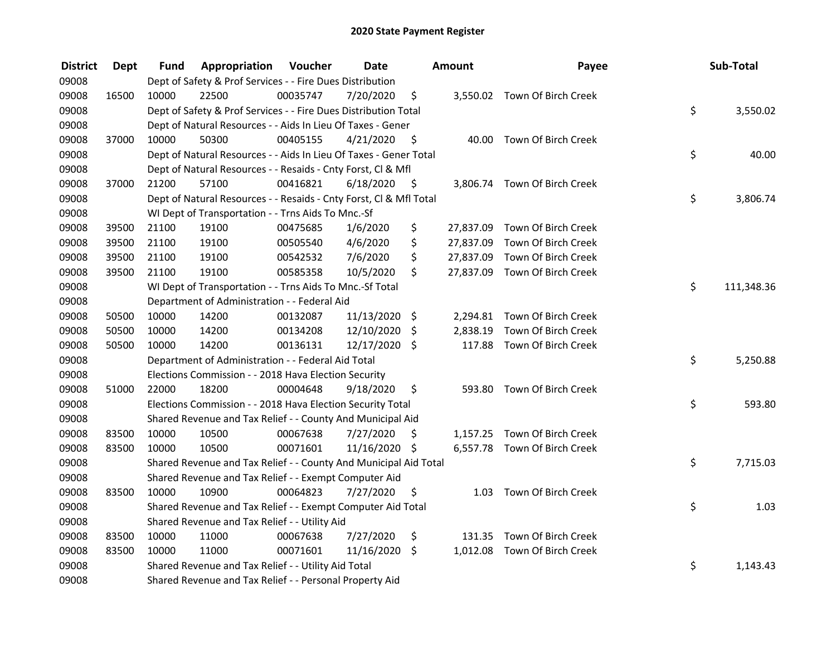| <b>District</b> | <b>Dept</b> | Fund  | <b>Appropriation Voucher</b>                                       |          | <b>Date</b>   |                     | Amount    | Payee                         | Sub-Total        |
|-----------------|-------------|-------|--------------------------------------------------------------------|----------|---------------|---------------------|-----------|-------------------------------|------------------|
| 09008           |             |       | Dept of Safety & Prof Services - - Fire Dues Distribution          |          |               |                     |           |                               |                  |
| 09008           | 16500       | 10000 | 22500                                                              | 00035747 | 7/20/2020     | \$                  |           | 3,550.02 Town Of Birch Creek  |                  |
| 09008           |             |       | Dept of Safety & Prof Services - - Fire Dues Distribution Total    |          |               |                     |           |                               | \$<br>3,550.02   |
| 09008           |             |       | Dept of Natural Resources - - Aids In Lieu Of Taxes - Gener        |          |               |                     |           |                               |                  |
| 09008           | 37000       | 10000 | 50300                                                              | 00405155 | 4/21/2020     | - \$                |           | 40.00 Town Of Birch Creek     |                  |
| 09008           |             |       | Dept of Natural Resources - - Aids In Lieu Of Taxes - Gener Total  |          |               |                     |           |                               | \$<br>40.00      |
| 09008           |             |       | Dept of Natural Resources - - Resaids - Cnty Forst, Cl & Mfl       |          |               |                     |           |                               |                  |
| 09008           | 37000       | 21200 | 57100                                                              | 00416821 | 6/18/2020     | $\ddot{\mathsf{s}}$ |           | 3,806.74 Town Of Birch Creek  |                  |
| 09008           |             |       | Dept of Natural Resources - - Resaids - Cnty Forst, Cl & Mfl Total |          |               |                     |           |                               | \$<br>3,806.74   |
| 09008           |             |       | WI Dept of Transportation - - Trns Aids To Mnc.-Sf                 |          |               |                     |           |                               |                  |
| 09008           | 39500       | 21100 | 19100                                                              | 00475685 | 1/6/2020      | \$                  |           | 27,837.09 Town Of Birch Creek |                  |
| 09008           | 39500       | 21100 | 19100                                                              | 00505540 | 4/6/2020      | \$                  | 27,837.09 | Town Of Birch Creek           |                  |
| 09008           | 39500       | 21100 | 19100                                                              | 00542532 | 7/6/2020      | \$                  | 27,837.09 | Town Of Birch Creek           |                  |
| 09008           | 39500       | 21100 | 19100                                                              | 00585358 | 10/5/2020     | \$                  |           | 27,837.09 Town Of Birch Creek |                  |
| 09008           |             |       | WI Dept of Transportation - - Trns Aids To Mnc.-Sf Total           |          |               |                     |           |                               | \$<br>111,348.36 |
| 09008           |             |       | Department of Administration - - Federal Aid                       |          |               |                     |           |                               |                  |
| 09008           | 50500       | 10000 | 14200                                                              | 00132087 | 11/13/2020 \$ |                     |           | 2,294.81 Town Of Birch Creek  |                  |
| 09008           | 50500       | 10000 | 14200                                                              | 00134208 | 12/10/2020    | \$                  | 2,838.19  | Town Of Birch Creek           |                  |
| 09008           | 50500       | 10000 | 14200                                                              | 00136131 | 12/17/2020 \$ |                     |           | 117.88 Town Of Birch Creek    |                  |
| 09008           |             |       | Department of Administration - - Federal Aid Total                 |          |               |                     |           |                               | \$<br>5,250.88   |
| 09008           |             |       | Elections Commission - - 2018 Hava Election Security               |          |               |                     |           |                               |                  |
| 09008           | 51000       | 22000 | 18200                                                              | 00004648 | 9/18/2020     | \$.                 |           | 593.80 Town Of Birch Creek    |                  |
| 09008           |             |       | Elections Commission - - 2018 Hava Election Security Total         |          |               |                     |           |                               | \$<br>593.80     |
| 09008           |             |       | Shared Revenue and Tax Relief - - County And Municipal Aid         |          |               |                     |           |                               |                  |
| 09008           | 83500       | 10000 | 10500                                                              | 00067638 | 7/27/2020     | S                   |           | 1,157.25 Town Of Birch Creek  |                  |
| 09008           | 83500       | 10000 | 10500                                                              | 00071601 | 11/16/2020 \$ |                     |           | 6,557.78 Town Of Birch Creek  |                  |
| 09008           |             |       | Shared Revenue and Tax Relief - - County And Municipal Aid Total   |          |               |                     |           |                               | \$<br>7,715.03   |
| 09008           |             |       | Shared Revenue and Tax Relief - - Exempt Computer Aid              |          |               |                     |           |                               |                  |
| 09008           | 83500       | 10000 | 10900                                                              | 00064823 | 7/27/2020     | \$                  |           | 1.03 Town Of Birch Creek      |                  |
| 09008           |             |       | Shared Revenue and Tax Relief - - Exempt Computer Aid Total        |          |               |                     |           |                               | \$<br>1.03       |
| 09008           |             |       | Shared Revenue and Tax Relief - - Utility Aid                      |          |               |                     |           |                               |                  |
| 09008           | 83500       | 10000 | 11000                                                              | 00067638 | 7/27/2020     | \$                  |           | 131.35 Town Of Birch Creek    |                  |
| 09008           | 83500       | 10000 | 11000                                                              | 00071601 | 11/16/2020    | \$                  |           | 1,012.08 Town Of Birch Creek  |                  |
| 09008           |             |       | Shared Revenue and Tax Relief - - Utility Aid Total                |          |               |                     |           |                               | \$<br>1,143.43   |
| 09008           |             |       | Shared Revenue and Tax Relief - - Personal Property Aid            |          |               |                     |           |                               |                  |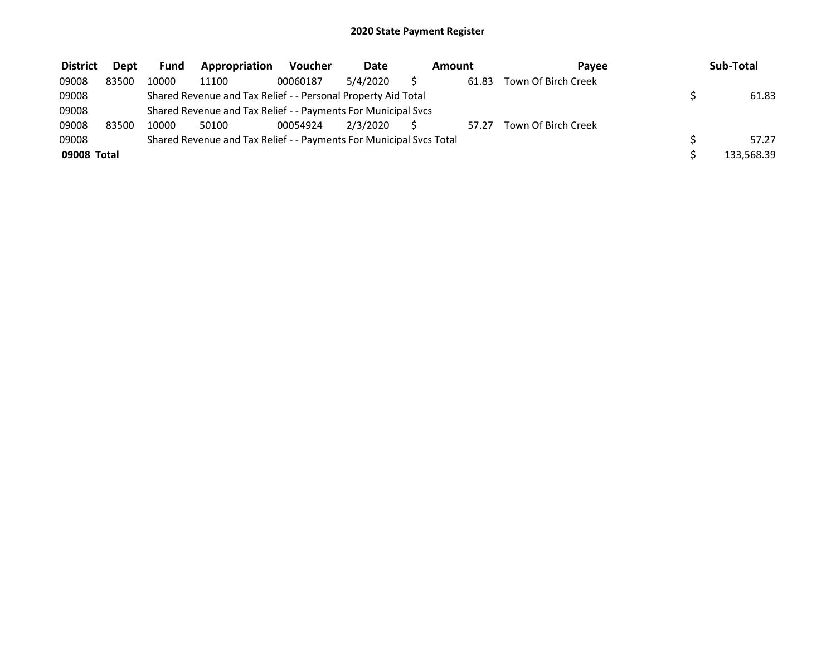| <b>District</b> | <b>Dept</b> | <b>Fund</b> | Appropriation                                                       | <b>Voucher</b> | <b>Date</b> | Amount |       | Pavee               | Sub-Total  |
|-----------------|-------------|-------------|---------------------------------------------------------------------|----------------|-------------|--------|-------|---------------------|------------|
| 09008           | 83500       | 10000       | 11100                                                               | 00060187       | 5/4/2020    |        | 61.83 | Town Of Birch Creek |            |
| 09008           |             |             | Shared Revenue and Tax Relief - - Personal Property Aid Total       |                |             |        |       |                     | 61.83      |
| 09008           |             |             | Shared Revenue and Tax Relief - - Payments For Municipal Svcs       |                |             |        |       |                     |            |
| 09008           | 83500       | 10000       | 50100                                                               | 00054924       | 2/3/2020    |        | 57.27 | Town Of Birch Creek |            |
| 09008           |             |             | Shared Revenue and Tax Relief - - Payments For Municipal Svcs Total |                |             |        |       |                     | 57.27      |
| 09008 Total     |             |             |                                                                     |                |             |        |       |                     | 133,568.39 |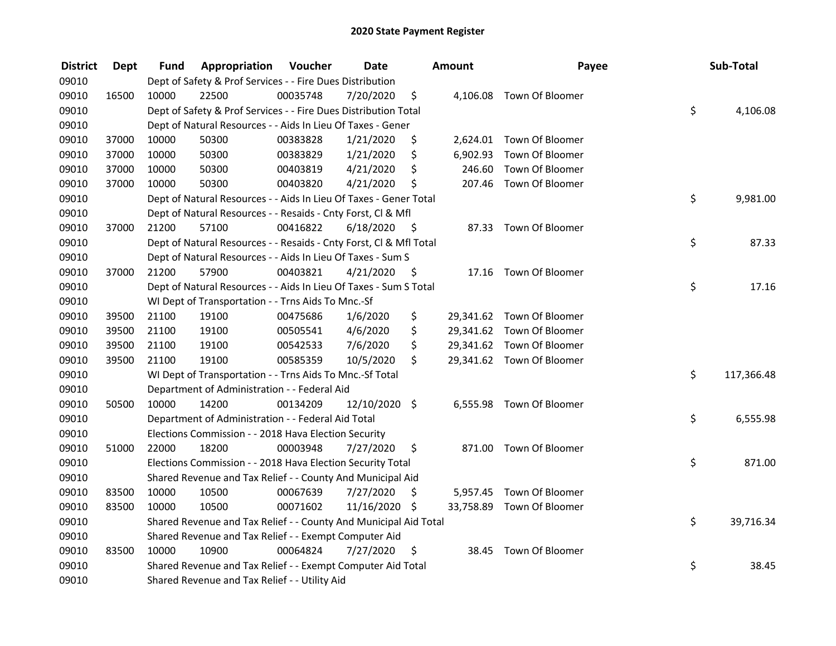| <b>District</b> | Dept  | Fund  | Appropriation                                                      | Voucher  | <b>Date</b>   |      | <b>Amount</b> | Payee                     | Sub-Total        |
|-----------------|-------|-------|--------------------------------------------------------------------|----------|---------------|------|---------------|---------------------------|------------------|
| 09010           |       |       | Dept of Safety & Prof Services - - Fire Dues Distribution          |          |               |      |               |                           |                  |
| 09010           | 16500 | 10000 | 22500                                                              | 00035748 | 7/20/2020     | \$   |               | 4,106.08 Town Of Bloomer  |                  |
| 09010           |       |       | Dept of Safety & Prof Services - - Fire Dues Distribution Total    |          |               |      |               |                           | \$<br>4,106.08   |
| 09010           |       |       | Dept of Natural Resources - - Aids In Lieu Of Taxes - Gener        |          |               |      |               |                           |                  |
| 09010           | 37000 | 10000 | 50300                                                              | 00383828 | 1/21/2020     | \$   |               | 2,624.01 Town Of Bloomer  |                  |
| 09010           | 37000 | 10000 | 50300                                                              | 00383829 | 1/21/2020     | \$   |               | 6,902.93 Town Of Bloomer  |                  |
| 09010           | 37000 | 10000 | 50300                                                              | 00403819 | 4/21/2020     | \$   |               | 246.60 Town Of Bloomer    |                  |
| 09010           | 37000 | 10000 | 50300                                                              | 00403820 | 4/21/2020     | \$   |               | 207.46 Town Of Bloomer    |                  |
| 09010           |       |       | Dept of Natural Resources - - Aids In Lieu Of Taxes - Gener Total  |          |               |      |               |                           | \$<br>9,981.00   |
| 09010           |       |       | Dept of Natural Resources - - Resaids - Cnty Forst, Cl & Mfl       |          |               |      |               |                           |                  |
| 09010           | 37000 | 21200 | 57100                                                              | 00416822 | 6/18/2020     | - \$ |               | 87.33 Town Of Bloomer     |                  |
| 09010           |       |       | Dept of Natural Resources - - Resaids - Cnty Forst, Cl & Mfl Total |          |               |      |               |                           | \$<br>87.33      |
| 09010           |       |       | Dept of Natural Resources - - Aids In Lieu Of Taxes - Sum S        |          |               |      |               |                           |                  |
| 09010           | 37000 | 21200 | 57900                                                              | 00403821 | 4/21/2020     | -\$  |               | 17.16 Town Of Bloomer     |                  |
| 09010           |       |       | Dept of Natural Resources - - Aids In Lieu Of Taxes - Sum S Total  |          |               |      |               |                           | \$<br>17.16      |
| 09010           |       |       | WI Dept of Transportation - - Trns Aids To Mnc.-Sf                 |          |               |      |               |                           |                  |
| 09010           | 39500 | 21100 | 19100                                                              | 00475686 | 1/6/2020      | \$   |               | 29,341.62 Town Of Bloomer |                  |
| 09010           | 39500 | 21100 | 19100                                                              | 00505541 | 4/6/2020      | \$   |               | 29,341.62 Town Of Bloomer |                  |
| 09010           | 39500 | 21100 | 19100                                                              | 00542533 | 7/6/2020      | \$   |               | 29,341.62 Town Of Bloomer |                  |
| 09010           | 39500 | 21100 | 19100                                                              | 00585359 | 10/5/2020     | \$   |               | 29,341.62 Town Of Bloomer |                  |
| 09010           |       |       | WI Dept of Transportation - - Trns Aids To Mnc.-Sf Total           |          |               |      |               |                           | \$<br>117,366.48 |
| 09010           |       |       | Department of Administration - - Federal Aid                       |          |               |      |               |                           |                  |
| 09010           | 50500 | 10000 | 14200                                                              | 00134209 | 12/10/2020 \$ |      |               | 6,555.98 Town Of Bloomer  |                  |
| 09010           |       |       | Department of Administration - - Federal Aid Total                 |          |               |      |               |                           | \$<br>6,555.98   |
| 09010           |       |       | Elections Commission - - 2018 Hava Election Security               |          |               |      |               |                           |                  |
| 09010           | 51000 | 22000 | 18200                                                              | 00003948 | 7/27/2020     | \$   |               | 871.00 Town Of Bloomer    |                  |
| 09010           |       |       | Elections Commission - - 2018 Hava Election Security Total         |          |               |      |               |                           | \$<br>871.00     |
| 09010           |       |       | Shared Revenue and Tax Relief - - County And Municipal Aid         |          |               |      |               |                           |                  |
| 09010           | 83500 | 10000 | 10500                                                              | 00067639 | 7/27/2020     | \$   |               | 5,957.45 Town Of Bloomer  |                  |
| 09010           | 83500 | 10000 | 10500                                                              | 00071602 | 11/16/2020 \$ |      |               | 33,758.89 Town Of Bloomer |                  |
| 09010           |       |       | Shared Revenue and Tax Relief - - County And Municipal Aid Total   |          |               |      |               |                           | \$<br>39,716.34  |
| 09010           |       |       | Shared Revenue and Tax Relief - - Exempt Computer Aid              |          |               |      |               |                           |                  |
| 09010           | 83500 | 10000 | 10900                                                              | 00064824 | 7/27/2020     | \$   | 38.45         | Town Of Bloomer           |                  |
| 09010           |       |       | Shared Revenue and Tax Relief - - Exempt Computer Aid Total        |          |               |      |               |                           | \$<br>38.45      |
| 09010           |       |       | Shared Revenue and Tax Relief - - Utility Aid                      |          |               |      |               |                           |                  |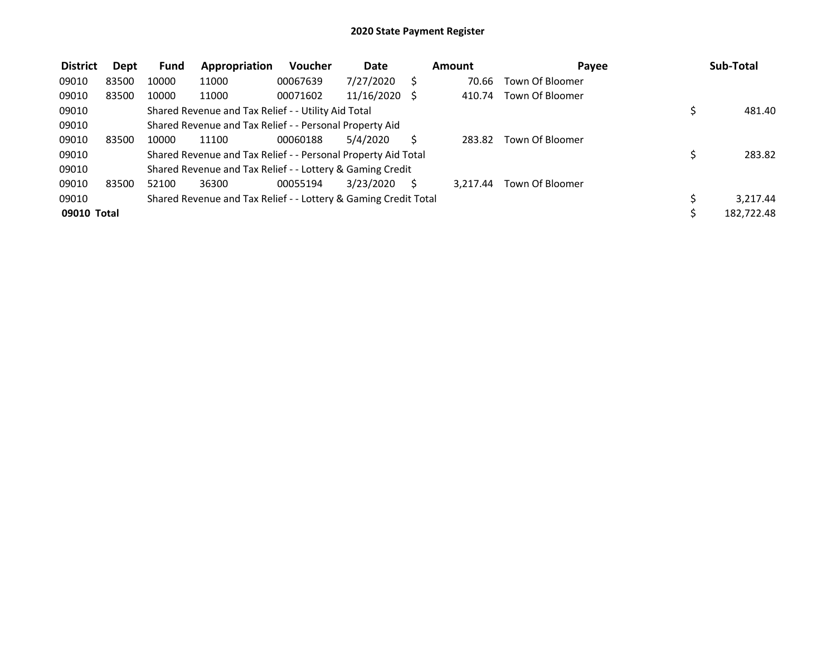| <b>District</b> | Dept  | <b>Fund</b> | Appropriation                                                   | <b>Voucher</b> | Date          |   | Amount   | Payee           |    | Sub-Total  |
|-----------------|-------|-------------|-----------------------------------------------------------------|----------------|---------------|---|----------|-----------------|----|------------|
| 09010           | 83500 | 10000       | 11000                                                           | 00067639       | 7/27/2020     |   | 70.66    | Town Of Bloomer |    |            |
| 09010           | 83500 | 10000       | 11000                                                           | 00071602       | 11/16/2020 \$ |   | 410.74   | Town Of Bloomer |    |            |
| 09010           |       |             | Shared Revenue and Tax Relief - - Utility Aid Total             |                |               |   |          |                 | \$ | 481.40     |
| 09010           |       |             | Shared Revenue and Tax Relief - - Personal Property Aid         |                |               |   |          |                 |    |            |
| 09010           | 83500 | 10000       | 11100                                                           | 00060188       | 5/4/2020      |   | 283.82   | Town Of Bloomer |    |            |
| 09010           |       |             | Shared Revenue and Tax Relief - - Personal Property Aid Total   |                |               |   |          |                 | S  | 283.82     |
| 09010           |       |             | Shared Revenue and Tax Relief - - Lottery & Gaming Credit       |                |               |   |          |                 |    |            |
| 09010           | 83500 | 52100       | 36300                                                           | 00055194       | 3/23/2020     | S | 3.217.44 | Town Of Bloomer |    |            |
| 09010           |       |             | Shared Revenue and Tax Relief - - Lottery & Gaming Credit Total |                |               |   |          |                 |    | 3,217.44   |
| 09010 Total     |       |             |                                                                 |                |               |   |          |                 |    | 182,722.48 |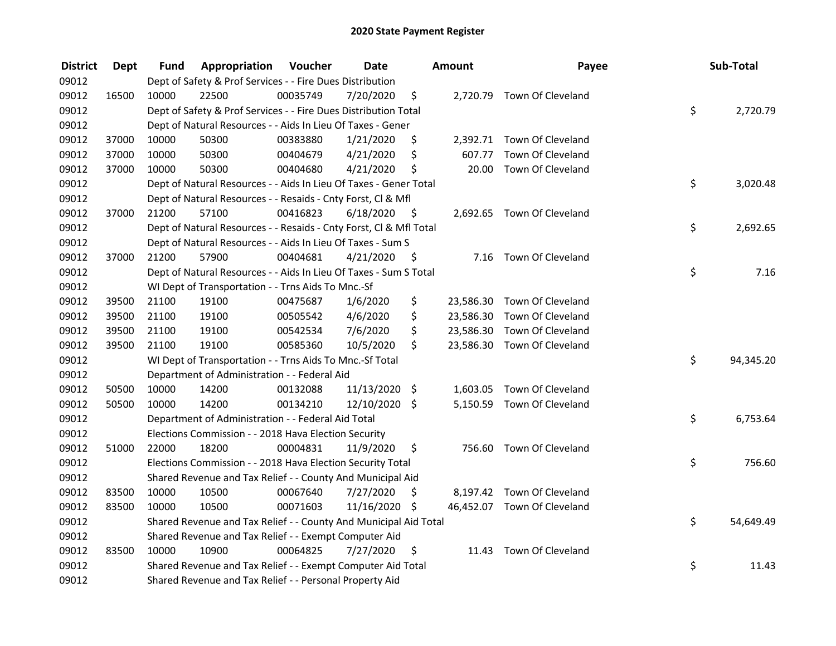| <b>District</b> | <b>Dept</b> | Fund  | Appropriation                                                      | Voucher  | <b>Date</b>     |      | <b>Amount</b> | Payee                       | Sub-Total       |
|-----------------|-------------|-------|--------------------------------------------------------------------|----------|-----------------|------|---------------|-----------------------------|-----------------|
| 09012           |             |       | Dept of Safety & Prof Services - - Fire Dues Distribution          |          |                 |      |               |                             |                 |
| 09012           | 16500       | 10000 | 22500                                                              | 00035749 | 7/20/2020       | \$   |               | 2,720.79 Town Of Cleveland  |                 |
| 09012           |             |       | Dept of Safety & Prof Services - - Fire Dues Distribution Total    |          |                 |      |               |                             | \$<br>2,720.79  |
| 09012           |             |       | Dept of Natural Resources - - Aids In Lieu Of Taxes - Gener        |          |                 |      |               |                             |                 |
| 09012           | 37000       | 10000 | 50300                                                              | 00383880 | 1/21/2020       | \$   |               | 2,392.71 Town Of Cleveland  |                 |
| 09012           | 37000       | 10000 | 50300                                                              | 00404679 | 4/21/2020       | \$   | 607.77        | Town Of Cleveland           |                 |
| 09012           | 37000       | 10000 | 50300                                                              | 00404680 | 4/21/2020       | \$   | 20.00         | Town Of Cleveland           |                 |
| 09012           |             |       | Dept of Natural Resources - - Aids In Lieu Of Taxes - Gener Total  |          |                 |      |               |                             | \$<br>3,020.48  |
| 09012           |             |       | Dept of Natural Resources - - Resaids - Cnty Forst, Cl & Mfl       |          |                 |      |               |                             |                 |
| 09012           | 37000       | 21200 | 57100                                                              | 00416823 | 6/18/2020       | - \$ |               | 2,692.65 Town Of Cleveland  |                 |
| 09012           |             |       | Dept of Natural Resources - - Resaids - Cnty Forst, Cl & Mfl Total |          |                 |      |               |                             | \$<br>2,692.65  |
| 09012           |             |       | Dept of Natural Resources - - Aids In Lieu Of Taxes - Sum S        |          |                 |      |               |                             |                 |
| 09012           | 37000       | 21200 | 57900                                                              | 00404681 | 4/21/2020       | -\$  |               | 7.16 Town Of Cleveland      |                 |
| 09012           |             |       | Dept of Natural Resources - - Aids In Lieu Of Taxes - Sum S Total  |          |                 |      |               |                             | \$<br>7.16      |
| 09012           |             |       | WI Dept of Transportation - - Trns Aids To Mnc.-Sf                 |          |                 |      |               |                             |                 |
| 09012           | 39500       | 21100 | 19100                                                              | 00475687 | 1/6/2020        | \$   |               | 23,586.30 Town Of Cleveland |                 |
| 09012           | 39500       | 21100 | 19100                                                              | 00505542 | 4/6/2020        | \$   |               | 23,586.30 Town Of Cleveland |                 |
| 09012           | 39500       | 21100 | 19100                                                              | 00542534 | 7/6/2020        | \$   |               | 23,586.30 Town Of Cleveland |                 |
| 09012           | 39500       | 21100 | 19100                                                              | 00585360 | 10/5/2020       | \$   |               | 23,586.30 Town Of Cleveland |                 |
| 09012           |             |       | WI Dept of Transportation - - Trns Aids To Mnc.-Sf Total           |          |                 |      |               |                             | \$<br>94,345.20 |
| 09012           |             |       | Department of Administration - - Federal Aid                       |          |                 |      |               |                             |                 |
| 09012           | 50500       | 10000 | 14200                                                              | 00132088 | $11/13/2020$ \$ |      |               | 1,603.05 Town Of Cleveland  |                 |
| 09012           | 50500       | 10000 | 14200                                                              | 00134210 | 12/10/2020 \$   |      |               | 5,150.59 Town Of Cleveland  |                 |
| 09012           |             |       | Department of Administration - - Federal Aid Total                 |          |                 |      |               |                             | \$<br>6,753.64  |
| 09012           |             |       | Elections Commission - - 2018 Hava Election Security               |          |                 |      |               |                             |                 |
| 09012           | 51000       | 22000 | 18200                                                              | 00004831 | 11/9/2020       | \$   |               | 756.60 Town Of Cleveland    |                 |
| 09012           |             |       | Elections Commission - - 2018 Hava Election Security Total         |          |                 |      |               |                             | \$<br>756.60    |
| 09012           |             |       | Shared Revenue and Tax Relief - - County And Municipal Aid         |          |                 |      |               |                             |                 |
| 09012           | 83500       | 10000 | 10500                                                              | 00067640 | 7/27/2020       | \$   |               | 8,197.42 Town Of Cleveland  |                 |
| 09012           | 83500       | 10000 | 10500                                                              | 00071603 | 11/16/2020 \$   |      |               | 46,452.07 Town Of Cleveland |                 |
| 09012           |             |       | Shared Revenue and Tax Relief - - County And Municipal Aid Total   |          |                 |      |               |                             | \$<br>54,649.49 |
| 09012           |             |       | Shared Revenue and Tax Relief - - Exempt Computer Aid              |          |                 |      |               |                             |                 |
| 09012           | 83500       | 10000 | 10900                                                              | 00064825 | 7/27/2020       | \$   | 11.43         | Town Of Cleveland           |                 |
| 09012           |             |       | Shared Revenue and Tax Relief - - Exempt Computer Aid Total        |          |                 |      |               |                             | \$<br>11.43     |
| 09012           |             |       | Shared Revenue and Tax Relief - - Personal Property Aid            |          |                 |      |               |                             |                 |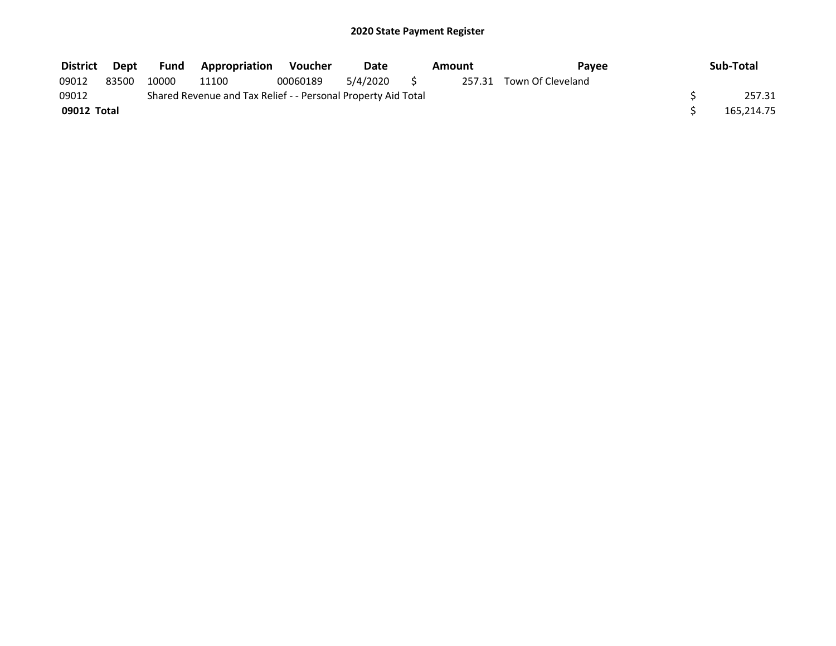| <b>District</b> | Dept  | <b>Fund</b> | <b>Appropriation</b>                                          | Voucher  | Date     | Amount | <b>Pavee</b>             | Sub-Total  |
|-----------------|-------|-------------|---------------------------------------------------------------|----------|----------|--------|--------------------------|------------|
| 09012           | 83500 | 10000       | 11100                                                         | 00060189 | 5/4/2020 |        | 257.31 Town Of Cleveland |            |
| 09012           |       |             | Shared Revenue and Tax Relief - - Personal Property Aid Total |          |          |        |                          | 257.31     |
| 09012 Total     |       |             |                                                               |          |          |        |                          | 165,214.75 |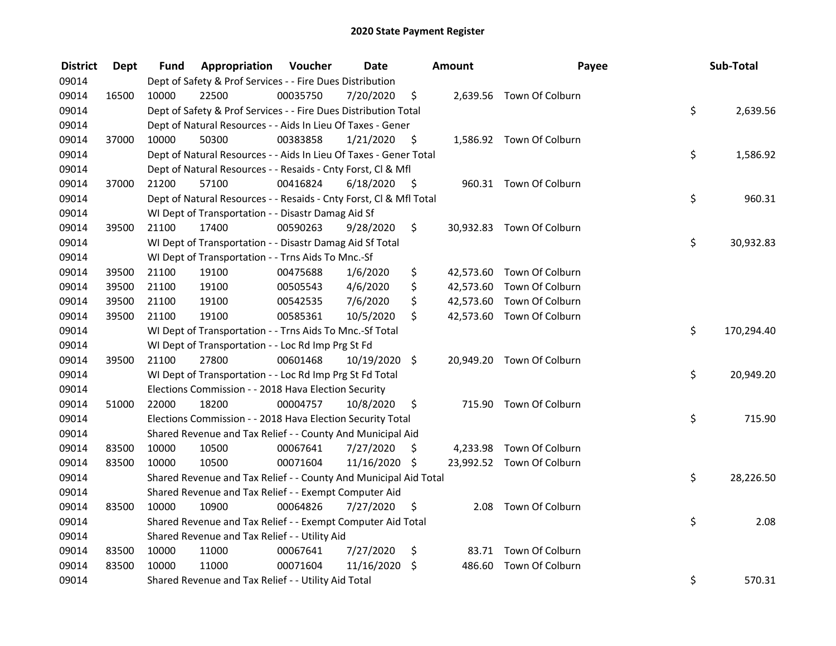| <b>District</b> | <b>Dept</b> | Fund  | Appropriation                                                      | Voucher  | <b>Date</b>   |      | <b>Amount</b> | Payee                     | Sub-Total        |
|-----------------|-------------|-------|--------------------------------------------------------------------|----------|---------------|------|---------------|---------------------------|------------------|
| 09014           |             |       | Dept of Safety & Prof Services - - Fire Dues Distribution          |          |               |      |               |                           |                  |
| 09014           | 16500       | 10000 | 22500                                                              | 00035750 | 7/20/2020     | \$   |               | 2,639.56 Town Of Colburn  |                  |
| 09014           |             |       | Dept of Safety & Prof Services - - Fire Dues Distribution Total    |          |               |      |               |                           | \$<br>2,639.56   |
| 09014           |             |       | Dept of Natural Resources - - Aids In Lieu Of Taxes - Gener        |          |               |      |               |                           |                  |
| 09014           | 37000       | 10000 | 50300                                                              | 00383858 | 1/21/2020     | \$   |               | 1,586.92 Town Of Colburn  |                  |
| 09014           |             |       | Dept of Natural Resources - - Aids In Lieu Of Taxes - Gener Total  |          |               |      |               |                           | \$<br>1,586.92   |
| 09014           |             |       | Dept of Natural Resources - - Resaids - Cnty Forst, Cl & Mfl       |          |               |      |               |                           |                  |
| 09014           | 37000       | 21200 | 57100                                                              | 00416824 | 6/18/2020     | - \$ |               | 960.31 Town Of Colburn    |                  |
| 09014           |             |       | Dept of Natural Resources - - Resaids - Cnty Forst, Cl & Mfl Total |          |               |      |               |                           | \$<br>960.31     |
| 09014           |             |       | WI Dept of Transportation - - Disastr Damag Aid Sf                 |          |               |      |               |                           |                  |
| 09014           | 39500       | 21100 | 17400                                                              | 00590263 | 9/28/2020     | \$   |               | 30,932.83 Town Of Colburn |                  |
| 09014           |             |       | WI Dept of Transportation - - Disastr Damag Aid Sf Total           |          |               |      |               |                           | \$<br>30,932.83  |
| 09014           |             |       | WI Dept of Transportation - - Trns Aids To Mnc.-Sf                 |          |               |      |               |                           |                  |
| 09014           | 39500       | 21100 | 19100                                                              | 00475688 | 1/6/2020      | \$   |               | 42,573.60 Town Of Colburn |                  |
| 09014           | 39500       | 21100 | 19100                                                              | 00505543 | 4/6/2020      | \$   |               | 42,573.60 Town Of Colburn |                  |
| 09014           | 39500       | 21100 | 19100                                                              | 00542535 | 7/6/2020      | \$   |               | 42,573.60 Town Of Colburn |                  |
| 09014           | 39500       | 21100 | 19100                                                              | 00585361 | 10/5/2020     | \$   |               | 42,573.60 Town Of Colburn |                  |
| 09014           |             |       | WI Dept of Transportation - - Trns Aids To Mnc.-Sf Total           |          |               |      |               |                           | \$<br>170,294.40 |
| 09014           |             |       | WI Dept of Transportation - - Loc Rd Imp Prg St Fd                 |          |               |      |               |                           |                  |
| 09014           | 39500       | 21100 | 27800                                                              | 00601468 | 10/19/2020 \$ |      |               | 20,949.20 Town Of Colburn |                  |
| 09014           |             |       | WI Dept of Transportation - - Loc Rd Imp Prg St Fd Total           |          |               |      |               |                           | \$<br>20,949.20  |
| 09014           |             |       | Elections Commission - - 2018 Hava Election Security               |          |               |      |               |                           |                  |
| 09014           | 51000       | 22000 | 18200                                                              | 00004757 | 10/8/2020     | \$.  |               | 715.90 Town Of Colburn    |                  |
| 09014           |             |       | Elections Commission - - 2018 Hava Election Security Total         |          |               |      |               |                           | \$<br>715.90     |
| 09014           |             |       | Shared Revenue and Tax Relief - - County And Municipal Aid         |          |               |      |               |                           |                  |
| 09014           | 83500       | 10000 | 10500                                                              | 00067641 | 7/27/2020     | S.   |               | 4,233.98 Town Of Colburn  |                  |
| 09014           | 83500       | 10000 | 10500                                                              | 00071604 | 11/16/2020 \$ |      |               | 23,992.52 Town Of Colburn |                  |
| 09014           |             |       | Shared Revenue and Tax Relief - - County And Municipal Aid Total   |          |               |      |               |                           | \$<br>28,226.50  |
| 09014           |             |       | Shared Revenue and Tax Relief - - Exempt Computer Aid              |          |               |      |               |                           |                  |
| 09014           | 83500       | 10000 | 10900                                                              | 00064826 | 7/27/2020     | \$   |               | 2.08 Town Of Colburn      |                  |
| 09014           |             |       | Shared Revenue and Tax Relief - - Exempt Computer Aid Total        |          |               |      |               |                           | \$<br>2.08       |
| 09014           |             |       | Shared Revenue and Tax Relief - - Utility Aid                      |          |               |      |               |                           |                  |
| 09014           | 83500       | 10000 | 11000                                                              | 00067641 | 7/27/2020     | \$   |               | 83.71 Town Of Colburn     |                  |
| 09014           | 83500       | 10000 | 11000                                                              | 00071604 | 11/16/2020 \$ |      | 486.60        | Town Of Colburn           |                  |
| 09014           |             |       | Shared Revenue and Tax Relief - - Utility Aid Total                |          |               |      |               |                           | \$<br>570.31     |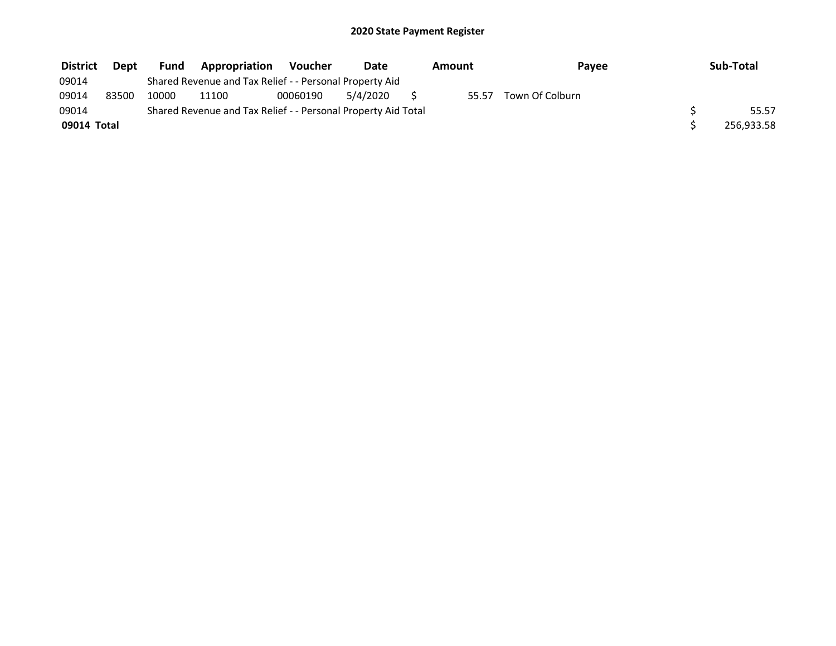| <b>District</b> | <b>Dept</b> | <b>Fund</b> | <b>Appropriation</b>                                          | Voucher  | Date     | Amount | Payee           | Sub-Total  |
|-----------------|-------------|-------------|---------------------------------------------------------------|----------|----------|--------|-----------------|------------|
| 09014           |             |             | Shared Revenue and Tax Relief - - Personal Property Aid       |          |          |        |                 |            |
| 09014           | 83500       | 10000       | 11100                                                         | 00060190 | 5/4/2020 | 55.57  | Town Of Colburn |            |
| 09014           |             |             | Shared Revenue and Tax Relief - - Personal Property Aid Total |          |          |        |                 | 55.57      |
| 09014 Total     |             |             |                                                               |          |          |        |                 | 256,933.58 |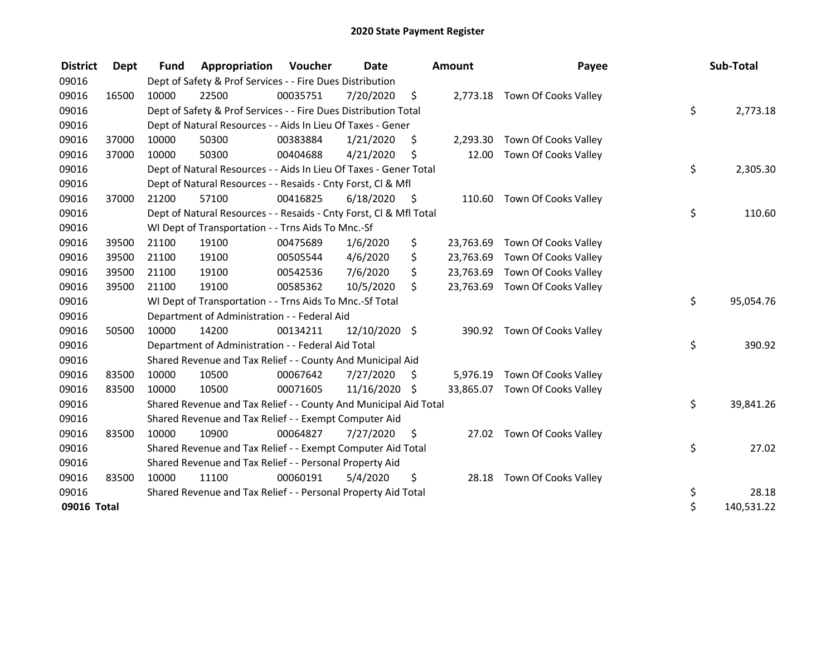| <b>District</b> | Dept  | <b>Fund</b> | Appropriation                                                      | Voucher  | <b>Date</b>   |      | Amount    | Payee                          | Sub-Total        |
|-----------------|-------|-------------|--------------------------------------------------------------------|----------|---------------|------|-----------|--------------------------------|------------------|
| 09016           |       |             | Dept of Safety & Prof Services - - Fire Dues Distribution          |          |               |      |           |                                |                  |
| 09016           | 16500 | 10000       | 22500                                                              | 00035751 | 7/20/2020     | \$   |           | 2,773.18 Town Of Cooks Valley  |                  |
| 09016           |       |             | Dept of Safety & Prof Services - - Fire Dues Distribution Total    |          |               |      |           |                                | \$<br>2,773.18   |
| 09016           |       |             | Dept of Natural Resources - - Aids In Lieu Of Taxes - Gener        |          |               |      |           |                                |                  |
| 09016           | 37000 | 10000       | 50300                                                              | 00383884 | 1/21/2020     | \$   | 2,293.30  | Town Of Cooks Valley           |                  |
| 09016           | 37000 | 10000       | 50300                                                              | 00404688 | 4/21/2020     | \$   | 12.00     | Town Of Cooks Valley           |                  |
| 09016           |       |             | Dept of Natural Resources - - Aids In Lieu Of Taxes - Gener Total  |          |               |      |           |                                | \$<br>2,305.30   |
| 09016           |       |             | Dept of Natural Resources - - Resaids - Cnty Forst, Cl & Mfl       |          |               |      |           |                                |                  |
| 09016           | 37000 | 21200       | 57100                                                              | 00416825 | 6/18/2020     | - \$ |           | 110.60 Town Of Cooks Valley    |                  |
| 09016           |       |             | Dept of Natural Resources - - Resaids - Cnty Forst, Cl & Mfl Total |          |               |      |           |                                | \$<br>110.60     |
| 09016           |       |             | WI Dept of Transportation - - Trns Aids To Mnc.-Sf                 |          |               |      |           |                                |                  |
| 09016           | 39500 | 21100       | 19100                                                              | 00475689 | 1/6/2020      | \$   | 23,763.69 | Town Of Cooks Valley           |                  |
| 09016           | 39500 | 21100       | 19100                                                              | 00505544 | 4/6/2020      | \$   | 23,763.69 | Town Of Cooks Valley           |                  |
| 09016           | 39500 | 21100       | 19100                                                              | 00542536 | 7/6/2020      | \$   | 23,763.69 | Town Of Cooks Valley           |                  |
| 09016           | 39500 | 21100       | 19100                                                              | 00585362 | 10/5/2020     | \$   |           | 23,763.69 Town Of Cooks Valley |                  |
| 09016           |       |             | WI Dept of Transportation - - Trns Aids To Mnc.-Sf Total           |          |               |      |           |                                | \$<br>95,054.76  |
| 09016           |       |             | Department of Administration - - Federal Aid                       |          |               |      |           |                                |                  |
| 09016           | 50500 | 10000       | 14200                                                              | 00134211 | 12/10/2020 \$ |      |           | 390.92 Town Of Cooks Valley    |                  |
| 09016           |       |             | Department of Administration - - Federal Aid Total                 |          |               |      |           |                                | \$<br>390.92     |
| 09016           |       |             | Shared Revenue and Tax Relief - - County And Municipal Aid         |          |               |      |           |                                |                  |
| 09016           | 83500 | 10000       | 10500                                                              | 00067642 | 7/27/2020     | S    | 5,976.19  | Town Of Cooks Valley           |                  |
| 09016           | 83500 | 10000       | 10500                                                              | 00071605 | 11/16/2020 \$ |      |           | 33,865.07 Town Of Cooks Valley |                  |
| 09016           |       |             | Shared Revenue and Tax Relief - - County And Municipal Aid Total   |          |               |      |           |                                | \$<br>39,841.26  |
| 09016           |       |             | Shared Revenue and Tax Relief - - Exempt Computer Aid              |          |               |      |           |                                |                  |
| 09016           | 83500 | 10000       | 10900                                                              | 00064827 | 7/27/2020     | \$   |           | 27.02 Town Of Cooks Valley     |                  |
| 09016           |       |             | Shared Revenue and Tax Relief - - Exempt Computer Aid Total        |          |               |      |           |                                | \$<br>27.02      |
| 09016           |       |             | Shared Revenue and Tax Relief - - Personal Property Aid            |          |               |      |           |                                |                  |
| 09016           | 83500 | 10000       | 11100                                                              | 00060191 | 5/4/2020      | \$   |           | 28.18 Town Of Cooks Valley     |                  |
| 09016           |       |             | Shared Revenue and Tax Relief - - Personal Property Aid Total      |          |               |      |           |                                | \$<br>28.18      |
| 09016 Total     |       |             |                                                                    |          |               |      |           |                                | \$<br>140,531.22 |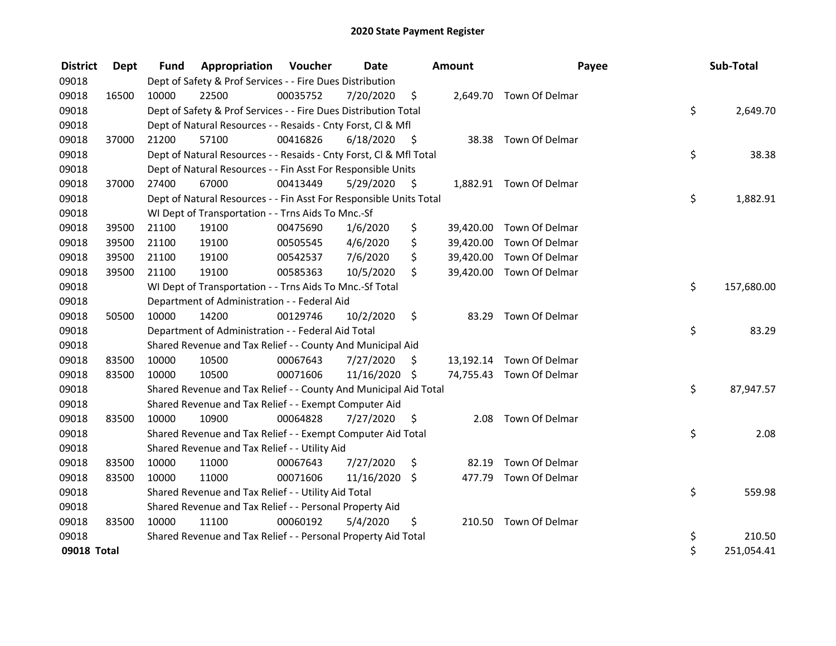| <b>District</b> | Dept  | <b>Fund</b> | <b>Appropriation Voucher</b>                                       |          | <b>Date</b>   |      | Amount    | Payee                    | Sub-Total        |
|-----------------|-------|-------------|--------------------------------------------------------------------|----------|---------------|------|-----------|--------------------------|------------------|
| 09018           |       |             | Dept of Safety & Prof Services - - Fire Dues Distribution          |          |               |      |           |                          |                  |
| 09018           | 16500 | 10000       | 22500                                                              | 00035752 | 7/20/2020     | \$   |           | 2,649.70 Town Of Delmar  |                  |
| 09018           |       |             | Dept of Safety & Prof Services - - Fire Dues Distribution Total    |          |               |      |           |                          | \$<br>2,649.70   |
| 09018           |       |             | Dept of Natural Resources - - Resaids - Cnty Forst, Cl & Mfl       |          |               |      |           |                          |                  |
| 09018           | 37000 | 21200       | 57100                                                              | 00416826 | 6/18/2020     | - \$ |           | 38.38 Town Of Delmar     |                  |
| 09018           |       |             | Dept of Natural Resources - - Resaids - Cnty Forst, Cl & Mfl Total |          |               |      |           |                          | \$<br>38.38      |
| 09018           |       |             | Dept of Natural Resources - - Fin Asst For Responsible Units       |          |               |      |           |                          |                  |
| 09018           | 37000 | 27400       | 67000                                                              | 00413449 | 5/29/2020     | - \$ |           | 1,882.91 Town Of Delmar  |                  |
| 09018           |       |             | Dept of Natural Resources - - Fin Asst For Responsible Units Total |          |               |      |           |                          | \$<br>1,882.91   |
| 09018           |       |             | WI Dept of Transportation - - Trns Aids To Mnc.-Sf                 |          |               |      |           |                          |                  |
| 09018           | 39500 | 21100       | 19100                                                              | 00475690 | 1/6/2020      | \$   | 39,420.00 | Town Of Delmar           |                  |
| 09018           | 39500 | 21100       | 19100                                                              | 00505545 | 4/6/2020      | \$   | 39,420.00 | Town Of Delmar           |                  |
| 09018           | 39500 | 21100       | 19100                                                              | 00542537 | 7/6/2020      | \$   | 39,420.00 | Town Of Delmar           |                  |
| 09018           | 39500 | 21100       | 19100                                                              | 00585363 | 10/5/2020     | \$   |           | 39,420.00 Town Of Delmar |                  |
| 09018           |       |             | WI Dept of Transportation - - Trns Aids To Mnc.-Sf Total           |          |               |      |           |                          | \$<br>157,680.00 |
| 09018           |       |             | Department of Administration - - Federal Aid                       |          |               |      |           |                          |                  |
| 09018           | 50500 | 10000       | 14200                                                              | 00129746 | 10/2/2020     | \$   | 83.29     | Town Of Delmar           |                  |
| 09018           |       |             | Department of Administration - - Federal Aid Total                 |          |               |      |           |                          | \$<br>83.29      |
| 09018           |       |             | Shared Revenue and Tax Relief - - County And Municipal Aid         |          |               |      |           |                          |                  |
| 09018           | 83500 | 10000       | 10500                                                              | 00067643 | 7/27/2020     | S    |           | 13,192.14 Town Of Delmar |                  |
| 09018           | 83500 | 10000       | 10500                                                              | 00071606 | 11/16/2020 \$ |      |           | 74,755.43 Town Of Delmar |                  |
| 09018           |       |             | Shared Revenue and Tax Relief - - County And Municipal Aid Total   |          |               |      |           |                          | \$<br>87,947.57  |
| 09018           |       |             | Shared Revenue and Tax Relief - - Exempt Computer Aid              |          |               |      |           |                          |                  |
| 09018           | 83500 | 10000       | 10900                                                              | 00064828 | 7/27/2020     | \$   | 2.08      | Town Of Delmar           |                  |
| 09018           |       |             | Shared Revenue and Tax Relief - - Exempt Computer Aid Total        |          |               |      |           |                          | \$<br>2.08       |
| 09018           |       |             | Shared Revenue and Tax Relief - - Utility Aid                      |          |               |      |           |                          |                  |
| 09018           | 83500 | 10000       | 11000                                                              | 00067643 | 7/27/2020     | \$   | 82.19     | Town Of Delmar           |                  |
| 09018           | 83500 | 10000       | 11000                                                              | 00071606 | 11/16/2020    | \$   | 477.79    | Town Of Delmar           |                  |
| 09018           |       |             | Shared Revenue and Tax Relief - - Utility Aid Total                |          |               |      |           |                          | \$<br>559.98     |
| 09018           |       |             | Shared Revenue and Tax Relief - - Personal Property Aid            |          |               |      |           |                          |                  |
| 09018           | 83500 | 10000       | 11100                                                              | 00060192 | 5/4/2020      | \$   |           | 210.50 Town Of Delmar    |                  |
| 09018           |       |             | Shared Revenue and Tax Relief - - Personal Property Aid Total      |          |               |      |           |                          | \$<br>210.50     |
| 09018 Total     |       |             |                                                                    |          |               |      |           |                          | \$<br>251,054.41 |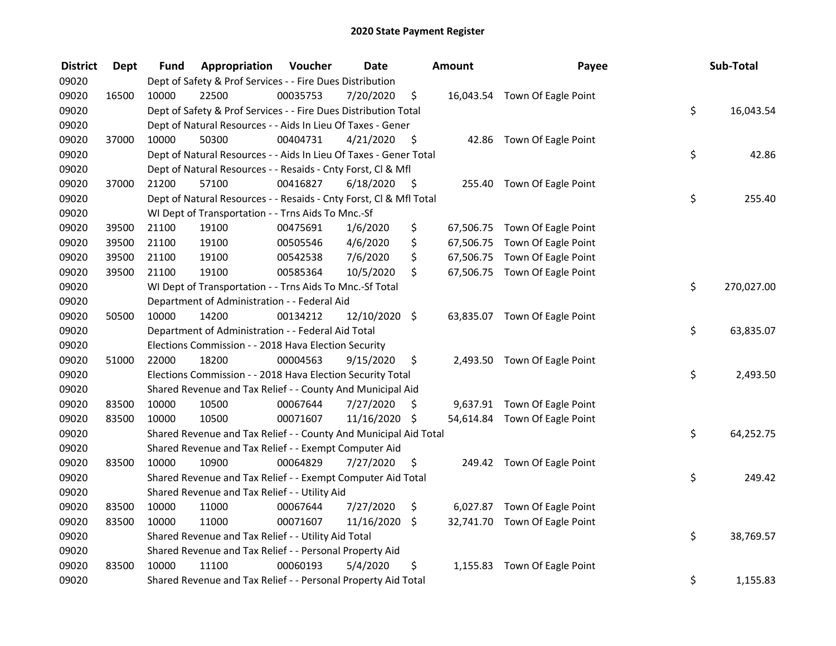| <b>District</b> | <b>Dept</b> | Fund  | Appropriation                                                      | Voucher  | <b>Date</b>   |      | Amount | Payee                         | Sub-Total        |
|-----------------|-------------|-------|--------------------------------------------------------------------|----------|---------------|------|--------|-------------------------------|------------------|
| 09020           |             |       | Dept of Safety & Prof Services - - Fire Dues Distribution          |          |               |      |        |                               |                  |
| 09020           | 16500       | 10000 | 22500                                                              | 00035753 | 7/20/2020     | \$   |        | 16,043.54 Town Of Eagle Point |                  |
| 09020           |             |       | Dept of Safety & Prof Services - - Fire Dues Distribution Total    |          |               |      |        |                               | \$<br>16,043.54  |
| 09020           |             |       | Dept of Natural Resources - - Aids In Lieu Of Taxes - Gener        |          |               |      |        |                               |                  |
| 09020           | 37000       | 10000 | 50300                                                              | 00404731 | 4/21/2020     | - \$ |        | 42.86 Town Of Eagle Point     |                  |
| 09020           |             |       | Dept of Natural Resources - - Aids In Lieu Of Taxes - Gener Total  |          |               |      |        |                               | \$<br>42.86      |
| 09020           |             |       | Dept of Natural Resources - - Resaids - Cnty Forst, Cl & Mfl       |          |               |      |        |                               |                  |
| 09020           | 37000       | 21200 | 57100                                                              | 00416827 | 6/18/2020     | - \$ |        | 255.40 Town Of Eagle Point    |                  |
| 09020           |             |       | Dept of Natural Resources - - Resaids - Cnty Forst, Cl & Mfl Total |          |               |      |        |                               | \$<br>255.40     |
| 09020           |             |       | WI Dept of Transportation - - Trns Aids To Mnc.-Sf                 |          |               |      |        |                               |                  |
| 09020           | 39500       | 21100 | 19100                                                              | 00475691 | 1/6/2020      | \$   |        | 67,506.75 Town Of Eagle Point |                  |
| 09020           | 39500       | 21100 | 19100                                                              | 00505546 | 4/6/2020      | \$   |        | 67,506.75 Town Of Eagle Point |                  |
| 09020           | 39500       | 21100 | 19100                                                              | 00542538 | 7/6/2020      | \$   |        | 67,506.75 Town Of Eagle Point |                  |
| 09020           | 39500       | 21100 | 19100                                                              | 00585364 | 10/5/2020     | \$   |        | 67,506.75 Town Of Eagle Point |                  |
| 09020           |             |       | WI Dept of Transportation - - Trns Aids To Mnc.-Sf Total           |          |               |      |        |                               | \$<br>270,027.00 |
| 09020           |             |       | Department of Administration - - Federal Aid                       |          |               |      |        |                               |                  |
| 09020           | 50500       | 10000 | 14200                                                              | 00134212 | 12/10/2020 \$ |      |        | 63,835.07 Town Of Eagle Point |                  |
| 09020           |             |       | Department of Administration - - Federal Aid Total                 |          |               |      |        |                               | \$<br>63,835.07  |
| 09020           |             |       | Elections Commission - - 2018 Hava Election Security               |          |               |      |        |                               |                  |
| 09020           | 51000       | 22000 | 18200                                                              | 00004563 | 9/15/2020     | \$   |        | 2,493.50 Town Of Eagle Point  |                  |
| 09020           |             |       | Elections Commission - - 2018 Hava Election Security Total         |          |               |      |        |                               | \$<br>2,493.50   |
| 09020           |             |       | Shared Revenue and Tax Relief - - County And Municipal Aid         |          |               |      |        |                               |                  |
| 09020           | 83500       | 10000 | 10500                                                              | 00067644 | 7/27/2020     | \$   |        | 9,637.91 Town Of Eagle Point  |                  |
| 09020           | 83500       | 10000 | 10500                                                              | 00071607 | 11/16/2020 \$ |      |        | 54,614.84 Town Of Eagle Point |                  |
| 09020           |             |       | Shared Revenue and Tax Relief - - County And Municipal Aid Total   |          |               |      |        |                               | \$<br>64,252.75  |
| 09020           |             |       | Shared Revenue and Tax Relief - - Exempt Computer Aid              |          |               |      |        |                               |                  |
| 09020           | 83500       | 10000 | 10900                                                              | 00064829 | 7/27/2020     | \$   |        | 249.42 Town Of Eagle Point    |                  |
| 09020           |             |       | Shared Revenue and Tax Relief - - Exempt Computer Aid Total        |          |               |      |        |                               | \$<br>249.42     |
| 09020           |             |       | Shared Revenue and Tax Relief - - Utility Aid                      |          |               |      |        |                               |                  |
| 09020           | 83500       | 10000 | 11000                                                              | 00067644 | 7/27/2020     | \$   |        | 6,027.87 Town Of Eagle Point  |                  |
| 09020           | 83500       | 10000 | 11000                                                              | 00071607 | 11/16/2020    | \$   |        | 32,741.70 Town Of Eagle Point |                  |
| 09020           |             |       | Shared Revenue and Tax Relief - - Utility Aid Total                |          |               |      |        |                               | \$<br>38,769.57  |
| 09020           |             |       | Shared Revenue and Tax Relief - - Personal Property Aid            |          |               |      |        |                               |                  |
| 09020           | 83500       | 10000 | 11100                                                              | 00060193 | 5/4/2020      | \$   |        | 1,155.83 Town Of Eagle Point  |                  |
| 09020           |             |       | Shared Revenue and Tax Relief - - Personal Property Aid Total      |          |               |      |        |                               | \$<br>1,155.83   |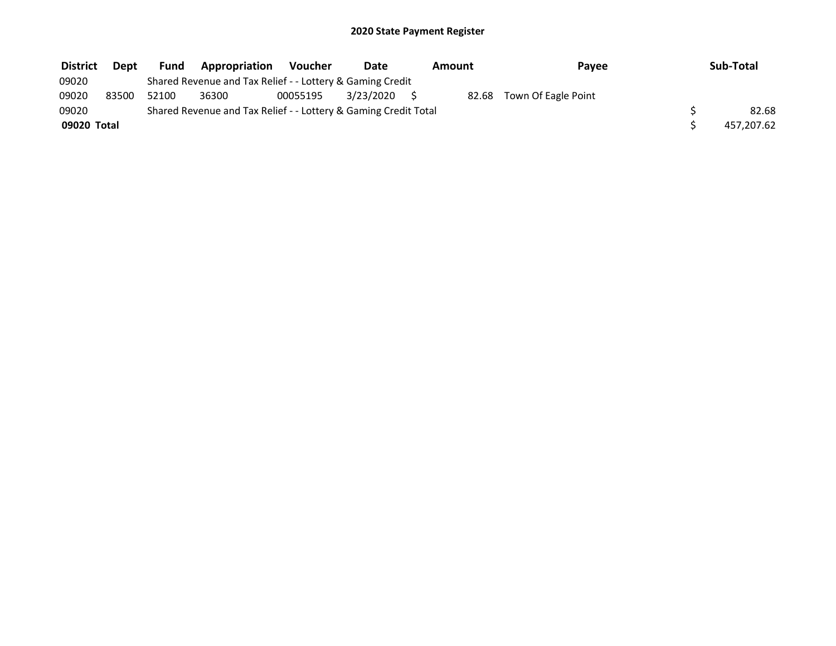| <b>District</b> | <b>Dept</b> | Fund  | Appropriation                                                   | <b>Voucher</b> | Date      | Amount | Payee               | Sub-Total  |
|-----------------|-------------|-------|-----------------------------------------------------------------|----------------|-----------|--------|---------------------|------------|
| 09020           |             |       | Shared Revenue and Tax Relief - - Lottery & Gaming Credit       |                |           |        |                     |            |
| 09020           | 83500       | 52100 | 36300                                                           | 00055195       | 3/23/2020 | 82.68  | Town Of Eagle Point |            |
| 09020           |             |       | Shared Revenue and Tax Relief - - Lottery & Gaming Credit Total |                |           |        |                     | 82.68      |
| 09020 Total     |             |       |                                                                 |                |           |        |                     | 457,207.62 |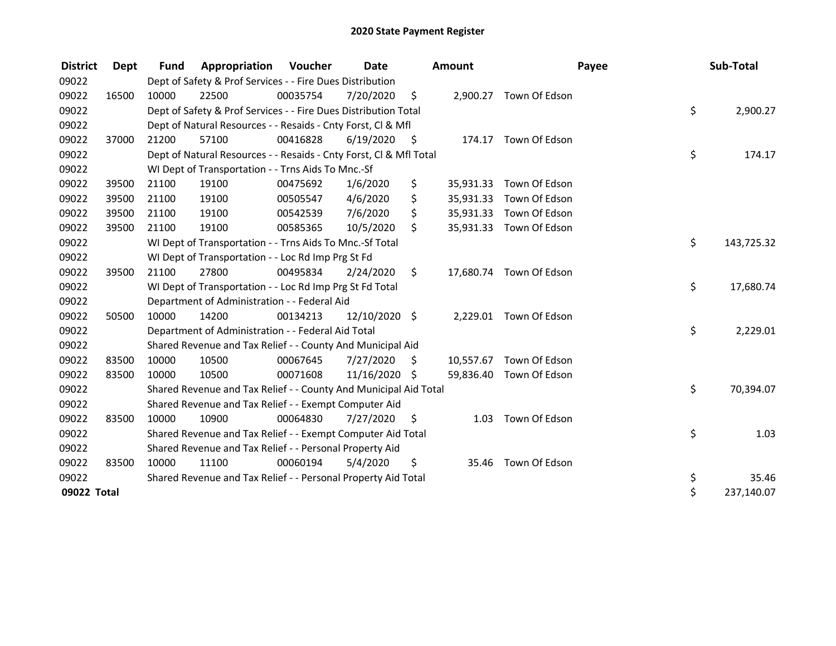| <b>District</b> | Dept  | <b>Fund</b> | Appropriation                                                      | <b>Voucher</b> | <b>Date</b>   |                     | Amount    |                         | Payee | Sub-Total  |
|-----------------|-------|-------------|--------------------------------------------------------------------|----------------|---------------|---------------------|-----------|-------------------------|-------|------------|
| 09022           |       |             | Dept of Safety & Prof Services - - Fire Dues Distribution          |                |               |                     |           |                         |       |            |
| 09022           | 16500 | 10000       | 22500                                                              | 00035754       | 7/20/2020     | \$                  |           | 2,900.27 Town Of Edson  |       |            |
| 09022           |       |             | Dept of Safety & Prof Services - - Fire Dues Distribution Total    |                |               |                     |           |                         | \$    | 2,900.27   |
| 09022           |       |             | Dept of Natural Resources - - Resaids - Cnty Forst, CI & Mfl       |                |               |                     |           |                         |       |            |
| 09022           | 37000 | 21200       | 57100                                                              | 00416828       | 6/19/2020     | $\ddot{\mathsf{S}}$ |           | 174.17 Town Of Edson    |       |            |
| 09022           |       |             | Dept of Natural Resources - - Resaids - Cnty Forst, CI & Mfl Total |                |               |                     |           |                         | \$    | 174.17     |
| 09022           |       |             | WI Dept of Transportation - - Trns Aids To Mnc.-Sf                 |                |               |                     |           |                         |       |            |
| 09022           | 39500 | 21100       | 19100                                                              | 00475692       | 1/6/2020      | \$                  | 35,931.33 | Town Of Edson           |       |            |
| 09022           | 39500 | 21100       | 19100                                                              | 00505547       | 4/6/2020      | \$                  | 35,931.33 | Town Of Edson           |       |            |
| 09022           | 39500 | 21100       | 19100                                                              | 00542539       | 7/6/2020      | \$                  | 35,931.33 | Town Of Edson           |       |            |
| 09022           | 39500 | 21100       | 19100                                                              | 00585365       | 10/5/2020     | \$                  |           | 35,931.33 Town Of Edson |       |            |
| 09022           |       |             | WI Dept of Transportation - - Trns Aids To Mnc.-Sf Total           |                |               |                     |           |                         | \$    | 143,725.32 |
| 09022           |       |             | WI Dept of Transportation - - Loc Rd Imp Prg St Fd                 |                |               |                     |           |                         |       |            |
| 09022           | 39500 | 21100       | 27800                                                              | 00495834       | 2/24/2020     | \$                  | 17,680.74 | Town Of Edson           |       |            |
| 09022           |       |             | WI Dept of Transportation - - Loc Rd Imp Prg St Fd Total           |                |               |                     |           |                         | \$    | 17,680.74  |
| 09022           |       |             | Department of Administration - - Federal Aid                       |                |               |                     |           |                         |       |            |
| 09022           | 50500 | 10000       | 14200                                                              | 00134213       | 12/10/2020 \$ |                     |           | 2,229.01 Town Of Edson  |       |            |
| 09022           |       |             | Department of Administration - - Federal Aid Total                 |                |               |                     |           |                         | \$    | 2,229.01   |
| 09022           |       |             | Shared Revenue and Tax Relief - - County And Municipal Aid         |                |               |                     |           |                         |       |            |
| 09022           | 83500 | 10000       | 10500                                                              | 00067645       | 7/27/2020     | \$                  |           | 10,557.67 Town Of Edson |       |            |
| 09022           | 83500 | 10000       | 10500                                                              | 00071608       | 11/16/2020    | \$                  |           | 59,836.40 Town Of Edson |       |            |
| 09022           |       |             | Shared Revenue and Tax Relief - - County And Municipal Aid Total   |                |               |                     |           |                         | \$    | 70,394.07  |
| 09022           |       |             | Shared Revenue and Tax Relief - - Exempt Computer Aid              |                |               |                     |           |                         |       |            |
| 09022           | 83500 | 10000       | 10900                                                              | 00064830       | 7/27/2020     | S                   | 1.03      | Town Of Edson           |       |            |
| 09022           |       |             | Shared Revenue and Tax Relief - - Exempt Computer Aid Total        |                |               |                     |           |                         | \$    | 1.03       |
| 09022           |       |             | Shared Revenue and Tax Relief - - Personal Property Aid            |                |               |                     |           |                         |       |            |
| 09022           | 83500 | 10000       | 11100                                                              | 00060194       | 5/4/2020      | \$                  | 35.46     | Town Of Edson           |       |            |
| 09022           |       |             | Shared Revenue and Tax Relief - - Personal Property Aid Total      |                |               |                     |           |                         | \$    | 35.46      |
| 09022 Total     |       |             |                                                                    |                |               |                     |           |                         | \$    | 237,140.07 |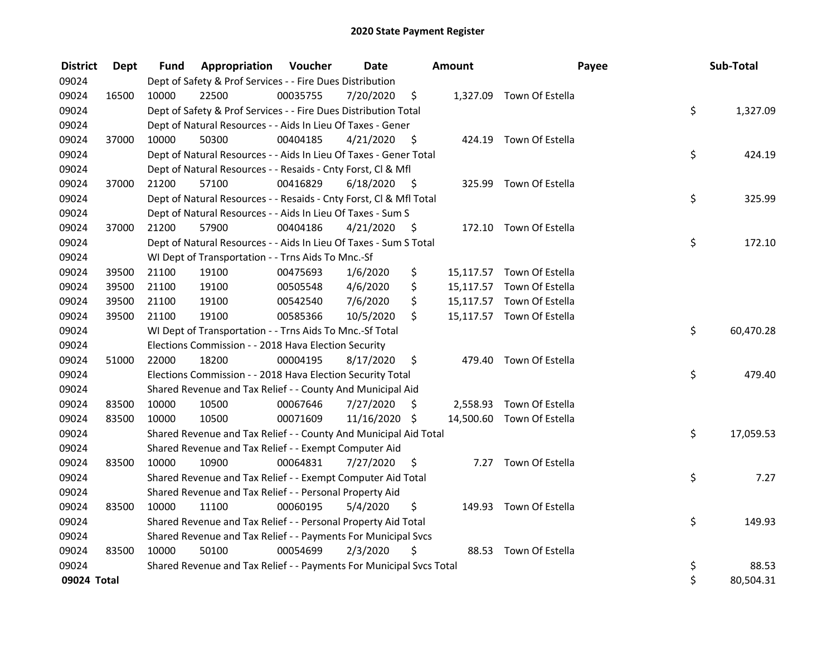| <b>District</b> | <b>Dept</b> | Fund  | Appropriation                                                       | Voucher  | <b>Date</b>   |      | Amount | Payee                     | Sub-Total       |
|-----------------|-------------|-------|---------------------------------------------------------------------|----------|---------------|------|--------|---------------------------|-----------------|
| 09024           |             |       | Dept of Safety & Prof Services - - Fire Dues Distribution           |          |               |      |        |                           |                 |
| 09024           | 16500       | 10000 | 22500                                                               | 00035755 | 7/20/2020     | \$   |        | 1,327.09 Town Of Estella  |                 |
| 09024           |             |       | Dept of Safety & Prof Services - - Fire Dues Distribution Total     |          |               |      |        |                           | \$<br>1,327.09  |
| 09024           |             |       | Dept of Natural Resources - - Aids In Lieu Of Taxes - Gener         |          |               |      |        |                           |                 |
| 09024           | 37000       | 10000 | 50300                                                               | 00404185 | 4/21/2020     | \$   |        | 424.19 Town Of Estella    |                 |
| 09024           |             |       | Dept of Natural Resources - - Aids In Lieu Of Taxes - Gener Total   |          |               |      |        |                           | \$<br>424.19    |
| 09024           |             |       | Dept of Natural Resources - - Resaids - Cnty Forst, Cl & Mfl        |          |               |      |        |                           |                 |
| 09024           | 37000       | 21200 | 57100                                                               | 00416829 | 6/18/2020     | - \$ |        | 325.99 Town Of Estella    |                 |
| 09024           |             |       | Dept of Natural Resources - - Resaids - Cnty Forst, Cl & Mfl Total  |          |               |      |        |                           | \$<br>325.99    |
| 09024           |             |       | Dept of Natural Resources - - Aids In Lieu Of Taxes - Sum S         |          |               |      |        |                           |                 |
| 09024           | 37000       | 21200 | 57900                                                               | 00404186 | 4/21/2020     | - \$ |        | 172.10 Town Of Estella    |                 |
| 09024           |             |       | Dept of Natural Resources - - Aids In Lieu Of Taxes - Sum S Total   |          |               |      |        |                           | \$<br>172.10    |
| 09024           |             |       | WI Dept of Transportation - - Trns Aids To Mnc.-Sf                  |          |               |      |        |                           |                 |
| 09024           | 39500       | 21100 | 19100                                                               | 00475693 | 1/6/2020      | \$   |        | 15,117.57 Town Of Estella |                 |
| 09024           | 39500       | 21100 | 19100                                                               | 00505548 | 4/6/2020      | \$   |        | 15,117.57 Town Of Estella |                 |
| 09024           | 39500       | 21100 | 19100                                                               | 00542540 | 7/6/2020      | \$   |        | 15,117.57 Town Of Estella |                 |
| 09024           | 39500       | 21100 | 19100                                                               | 00585366 | 10/5/2020     | \$.  |        | 15,117.57 Town Of Estella |                 |
| 09024           |             |       | WI Dept of Transportation - - Trns Aids To Mnc.-Sf Total            |          |               |      |        |                           | \$<br>60,470.28 |
| 09024           |             |       | Elections Commission - - 2018 Hava Election Security                |          |               |      |        |                           |                 |
| 09024           | 51000       | 22000 | 18200                                                               | 00004195 | 8/17/2020     | \$   | 479.40 | Town Of Estella           |                 |
| 09024           |             |       | Elections Commission - - 2018 Hava Election Security Total          |          |               |      |        |                           | \$<br>479.40    |
| 09024           |             |       | Shared Revenue and Tax Relief - - County And Municipal Aid          |          |               |      |        |                           |                 |
| 09024           | 83500       | 10000 | 10500                                                               | 00067646 | 7/27/2020     | \$   |        | 2,558.93 Town Of Estella  |                 |
| 09024           | 83500       | 10000 | 10500                                                               | 00071609 | 11/16/2020 \$ |      |        | 14,500.60 Town Of Estella |                 |
| 09024           |             |       | Shared Revenue and Tax Relief - - County And Municipal Aid Total    |          |               |      |        |                           | \$<br>17,059.53 |
| 09024           |             |       | Shared Revenue and Tax Relief - - Exempt Computer Aid               |          |               |      |        |                           |                 |
| 09024           | 83500       | 10000 | 10900                                                               | 00064831 | 7/27/2020     | S    |        | 7.27 Town Of Estella      |                 |
| 09024           |             |       | Shared Revenue and Tax Relief - - Exempt Computer Aid Total         |          |               |      |        |                           | \$<br>7.27      |
| 09024           |             |       | Shared Revenue and Tax Relief - - Personal Property Aid             |          |               |      |        |                           |                 |
| 09024           | 83500       | 10000 | 11100                                                               | 00060195 | 5/4/2020      | \$   |        | 149.93 Town Of Estella    |                 |
| 09024           |             |       | Shared Revenue and Tax Relief - - Personal Property Aid Total       |          |               |      |        |                           | \$<br>149.93    |
| 09024           |             |       | Shared Revenue and Tax Relief - - Payments For Municipal Svcs       |          |               |      |        |                           |                 |
| 09024           | 83500       | 10000 | 50100                                                               | 00054699 | 2/3/2020      | \$   |        | 88.53 Town Of Estella     |                 |
| 09024           |             |       | Shared Revenue and Tax Relief - - Payments For Municipal Svcs Total |          |               |      |        |                           | \$<br>88.53     |
| 09024 Total     |             |       |                                                                     |          |               |      |        |                           | \$<br>80,504.31 |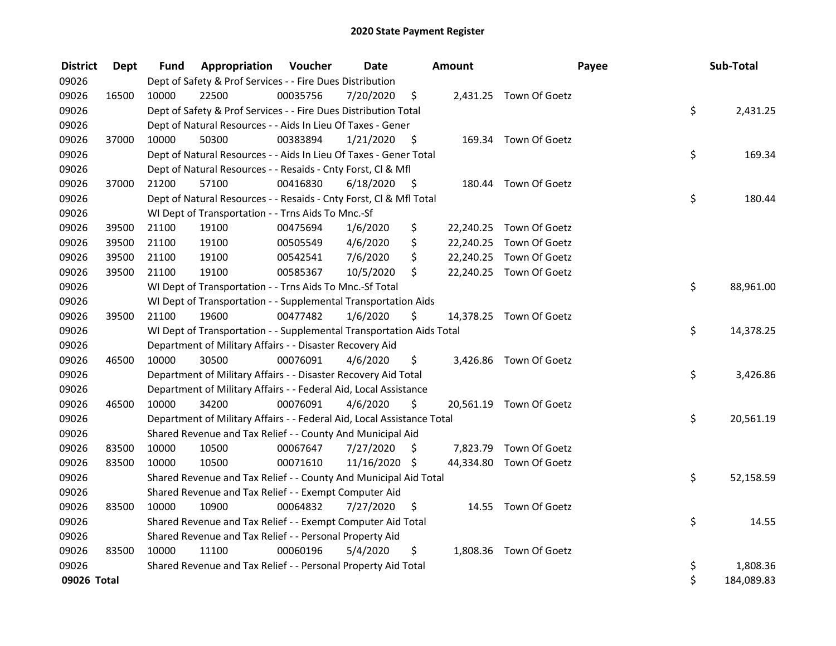| <b>District</b> | <b>Dept</b> | Fund  | Appropriation                                                          | Voucher  | <b>Date</b>   |      | Amount |                         | Payee | Sub-Total  |
|-----------------|-------------|-------|------------------------------------------------------------------------|----------|---------------|------|--------|-------------------------|-------|------------|
| 09026           |             |       | Dept of Safety & Prof Services - - Fire Dues Distribution              |          |               |      |        |                         |       |            |
| 09026           | 16500       | 10000 | 22500                                                                  | 00035756 | 7/20/2020     | \$   |        | 2,431.25 Town Of Goetz  |       |            |
| 09026           |             |       | Dept of Safety & Prof Services - - Fire Dues Distribution Total        |          |               |      |        |                         | \$    | 2,431.25   |
| 09026           |             |       | Dept of Natural Resources - - Aids In Lieu Of Taxes - Gener            |          |               |      |        |                         |       |            |
| 09026           | 37000       | 10000 | 50300                                                                  | 00383894 | 1/21/2020     | \$   |        | 169.34 Town Of Goetz    |       |            |
| 09026           |             |       | Dept of Natural Resources - - Aids In Lieu Of Taxes - Gener Total      |          |               |      |        |                         | \$    | 169.34     |
| 09026           |             |       | Dept of Natural Resources - - Resaids - Cnty Forst, Cl & Mfl           |          |               |      |        |                         |       |            |
| 09026           | 37000       | 21200 | 57100                                                                  | 00416830 | 6/18/2020     | - \$ |        | 180.44 Town Of Goetz    |       |            |
| 09026           |             |       | Dept of Natural Resources - - Resaids - Cnty Forst, Cl & Mfl Total     |          |               |      |        |                         | \$    | 180.44     |
| 09026           |             |       | WI Dept of Transportation - - Trns Aids To Mnc.-Sf                     |          |               |      |        |                         |       |            |
| 09026           | 39500       | 21100 | 19100                                                                  | 00475694 | 1/6/2020      | \$   |        | 22,240.25 Town Of Goetz |       |            |
| 09026           | 39500       | 21100 | 19100                                                                  | 00505549 | 4/6/2020      | \$   |        | 22,240.25 Town Of Goetz |       |            |
| 09026           | 39500       | 21100 | 19100                                                                  | 00542541 | 7/6/2020      | \$   |        | 22,240.25 Town Of Goetz |       |            |
| 09026           | 39500       | 21100 | 19100                                                                  | 00585367 | 10/5/2020     | \$   |        | 22,240.25 Town Of Goetz |       |            |
| 09026           |             |       | WI Dept of Transportation - - Trns Aids To Mnc.-Sf Total               |          |               |      |        |                         | \$    | 88,961.00  |
| 09026           |             |       | WI Dept of Transportation - - Supplemental Transportation Aids         |          |               |      |        |                         |       |            |
| 09026           | 39500       | 21100 | 19600                                                                  | 00477482 | 1/6/2020      | \$   |        | 14,378.25 Town Of Goetz |       |            |
| 09026           |             |       | WI Dept of Transportation - - Supplemental Transportation Aids Total   |          |               |      |        |                         | \$    | 14,378.25  |
| 09026           |             |       | Department of Military Affairs - - Disaster Recovery Aid               |          |               |      |        |                         |       |            |
| 09026           | 46500       | 10000 | 30500                                                                  | 00076091 | 4/6/2020      | \$   |        | 3,426.86 Town Of Goetz  |       |            |
| 09026           |             |       | Department of Military Affairs - - Disaster Recovery Aid Total         |          |               |      |        |                         | \$    | 3,426.86   |
| 09026           |             |       | Department of Military Affairs - - Federal Aid, Local Assistance       |          |               |      |        |                         |       |            |
| 09026           | 46500       | 10000 | 34200                                                                  | 00076091 | 4/6/2020      | \$   |        | 20,561.19 Town Of Goetz |       |            |
| 09026           |             |       | Department of Military Affairs - - Federal Aid, Local Assistance Total |          |               |      |        |                         | \$    | 20,561.19  |
| 09026           |             |       | Shared Revenue and Tax Relief - - County And Municipal Aid             |          |               |      |        |                         |       |            |
| 09026           | 83500       | 10000 | 10500                                                                  | 00067647 | 7/27/2020     | S    |        | 7,823.79 Town Of Goetz  |       |            |
| 09026           | 83500       | 10000 | 10500                                                                  | 00071610 | 11/16/2020 \$ |      |        | 44,334.80 Town Of Goetz |       |            |
| 09026           |             |       | Shared Revenue and Tax Relief - - County And Municipal Aid Total       |          |               |      |        |                         | \$    | 52,158.59  |
| 09026           |             |       | Shared Revenue and Tax Relief - - Exempt Computer Aid                  |          |               |      |        |                         |       |            |
| 09026           | 83500       | 10000 | 10900                                                                  | 00064832 | 7/27/2020     | \$   |        | 14.55 Town Of Goetz     |       |            |
| 09026           |             |       | Shared Revenue and Tax Relief - - Exempt Computer Aid Total            |          |               |      |        |                         | \$    | 14.55      |
| 09026           |             |       | Shared Revenue and Tax Relief - - Personal Property Aid                |          |               |      |        |                         |       |            |
| 09026           | 83500       | 10000 | 11100                                                                  | 00060196 | 5/4/2020      | \$   |        | 1,808.36 Town Of Goetz  |       |            |
| 09026           |             |       | Shared Revenue and Tax Relief - - Personal Property Aid Total          |          |               |      |        |                         | \$    | 1,808.36   |
| 09026 Total     |             |       |                                                                        |          |               |      |        |                         | \$    | 184,089.83 |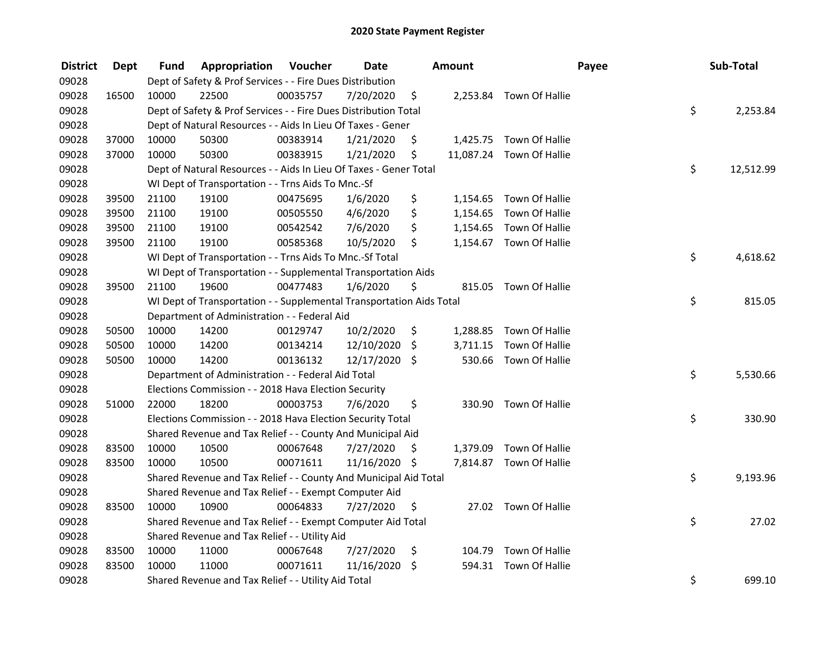| <b>District</b> | Dept  | Fund  | Appropriation                                                        | Voucher  | <b>Date</b>   |    | Amount   |                          | Payee | Sub-Total       |
|-----------------|-------|-------|----------------------------------------------------------------------|----------|---------------|----|----------|--------------------------|-------|-----------------|
| 09028           |       |       | Dept of Safety & Prof Services - - Fire Dues Distribution            |          |               |    |          |                          |       |                 |
| 09028           | 16500 | 10000 | 22500                                                                | 00035757 | 7/20/2020     | \$ |          | 2,253.84 Town Of Hallie  |       |                 |
| 09028           |       |       | Dept of Safety & Prof Services - - Fire Dues Distribution Total      |          |               |    |          |                          |       | \$<br>2,253.84  |
| 09028           |       |       | Dept of Natural Resources - - Aids In Lieu Of Taxes - Gener          |          |               |    |          |                          |       |                 |
| 09028           | 37000 | 10000 | 50300                                                                | 00383914 | 1/21/2020     | \$ |          | 1,425.75 Town Of Hallie  |       |                 |
| 09028           | 37000 | 10000 | 50300                                                                | 00383915 | 1/21/2020     | \$ |          | 11,087.24 Town Of Hallie |       |                 |
| 09028           |       |       | Dept of Natural Resources - - Aids In Lieu Of Taxes - Gener Total    |          |               |    |          |                          |       | \$<br>12,512.99 |
| 09028           |       |       | WI Dept of Transportation - - Trns Aids To Mnc.-Sf                   |          |               |    |          |                          |       |                 |
| 09028           | 39500 | 21100 | 19100                                                                | 00475695 | 1/6/2020      | \$ |          | 1,154.65 Town Of Hallie  |       |                 |
| 09028           | 39500 | 21100 | 19100                                                                | 00505550 | 4/6/2020      | \$ | 1,154.65 | Town Of Hallie           |       |                 |
| 09028           | 39500 | 21100 | 19100                                                                | 00542542 | 7/6/2020      | \$ |          | 1,154.65 Town Of Hallie  |       |                 |
| 09028           | 39500 | 21100 | 19100                                                                | 00585368 | 10/5/2020     | \$ |          | 1,154.67 Town Of Hallie  |       |                 |
| 09028           |       |       | WI Dept of Transportation - - Trns Aids To Mnc.-Sf Total             |          |               |    |          |                          |       | \$<br>4,618.62  |
| 09028           |       |       | WI Dept of Transportation - - Supplemental Transportation Aids       |          |               |    |          |                          |       |                 |
| 09028           | 39500 | 21100 | 19600                                                                | 00477483 | 1/6/2020      | \$ | 815.05   | Town Of Hallie           |       |                 |
| 09028           |       |       | WI Dept of Transportation - - Supplemental Transportation Aids Total |          |               |    |          |                          |       | \$<br>815.05    |
| 09028           |       |       | Department of Administration - - Federal Aid                         |          |               |    |          |                          |       |                 |
| 09028           | 50500 | 10000 | 14200                                                                | 00129747 | 10/2/2020     | \$ | 1,288.85 | Town Of Hallie           |       |                 |
| 09028           | 50500 | 10000 | 14200                                                                | 00134214 | 12/10/2020    | \$ |          | 3,711.15 Town Of Hallie  |       |                 |
| 09028           | 50500 | 10000 | 14200                                                                | 00136132 | 12/17/2020 \$ |    |          | 530.66 Town Of Hallie    |       |                 |
| 09028           |       |       | Department of Administration - - Federal Aid Total                   |          |               |    |          |                          |       | \$<br>5,530.66  |
| 09028           |       |       | Elections Commission - - 2018 Hava Election Security                 |          |               |    |          |                          |       |                 |
| 09028           | 51000 | 22000 | 18200                                                                | 00003753 | 7/6/2020      | \$ |          | 330.90 Town Of Hallie    |       |                 |
| 09028           |       |       | Elections Commission - - 2018 Hava Election Security Total           |          |               |    |          |                          |       | \$<br>330.90    |
| 09028           |       |       | Shared Revenue and Tax Relief - - County And Municipal Aid           |          |               |    |          |                          |       |                 |
| 09028           | 83500 | 10000 | 10500                                                                | 00067648 | 7/27/2020     | S  |          | 1,379.09 Town Of Hallie  |       |                 |
| 09028           | 83500 | 10000 | 10500                                                                | 00071611 | 11/16/2020 \$ |    |          | 7,814.87 Town Of Hallie  |       |                 |
| 09028           |       |       | Shared Revenue and Tax Relief - - County And Municipal Aid Total     |          |               |    |          |                          |       | \$<br>9,193.96  |
| 09028           |       |       | Shared Revenue and Tax Relief - - Exempt Computer Aid                |          |               |    |          |                          |       |                 |
| 09028           | 83500 | 10000 | 10900                                                                | 00064833 | 7/27/2020     | \$ |          | 27.02 Town Of Hallie     |       |                 |
| 09028           |       |       | Shared Revenue and Tax Relief - - Exempt Computer Aid Total          |          |               |    |          |                          |       | \$<br>27.02     |
| 09028           |       |       | Shared Revenue and Tax Relief - - Utility Aid                        |          |               |    |          |                          |       |                 |
| 09028           | 83500 | 10000 | 11000                                                                | 00067648 | 7/27/2020     | \$ |          | 104.79 Town Of Hallie    |       |                 |
| 09028           | 83500 | 10000 | 11000                                                                | 00071611 | 11/16/2020 \$ |    | 594.31   | Town Of Hallie           |       |                 |
| 09028           |       |       | Shared Revenue and Tax Relief - - Utility Aid Total                  |          |               |    |          |                          |       | \$<br>699.10    |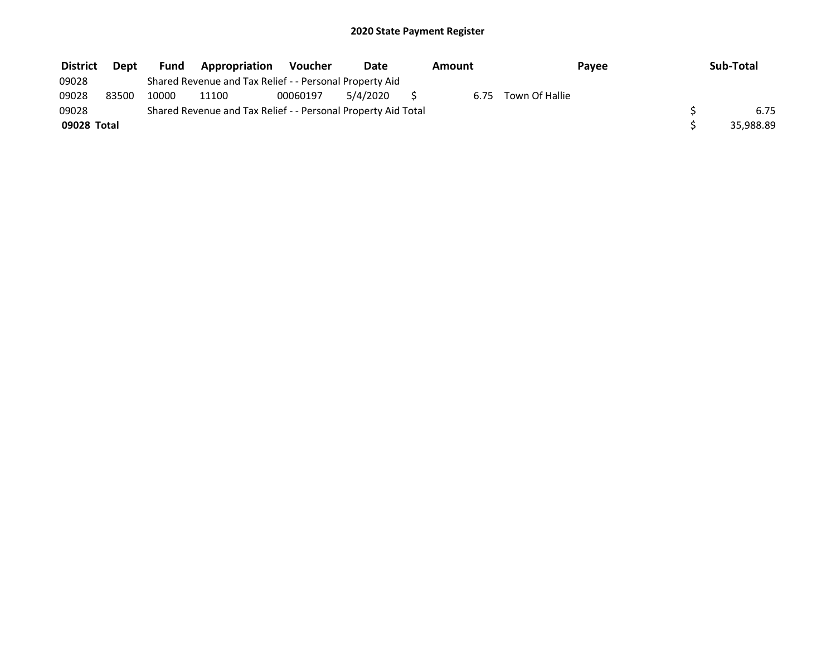| <b>District</b> | Dept  | Fund  | <b>Appropriation</b>                                          | <b>Voucher</b> | Date     | Amount |                | Payee | Sub-Total |
|-----------------|-------|-------|---------------------------------------------------------------|----------------|----------|--------|----------------|-------|-----------|
| 09028           |       |       | Shared Revenue and Tax Relief - - Personal Property Aid       |                |          |        |                |       |           |
| 09028           | 83500 | 10000 | 11100                                                         | 00060197       | 5/4/2020 | 6.75   | Town Of Hallie |       |           |
| 09028           |       |       | Shared Revenue and Tax Relief - - Personal Property Aid Total |                |          |        |                |       | 6.75      |
| 09028 Total     |       |       |                                                               |                |          |        |                |       | 35,988.89 |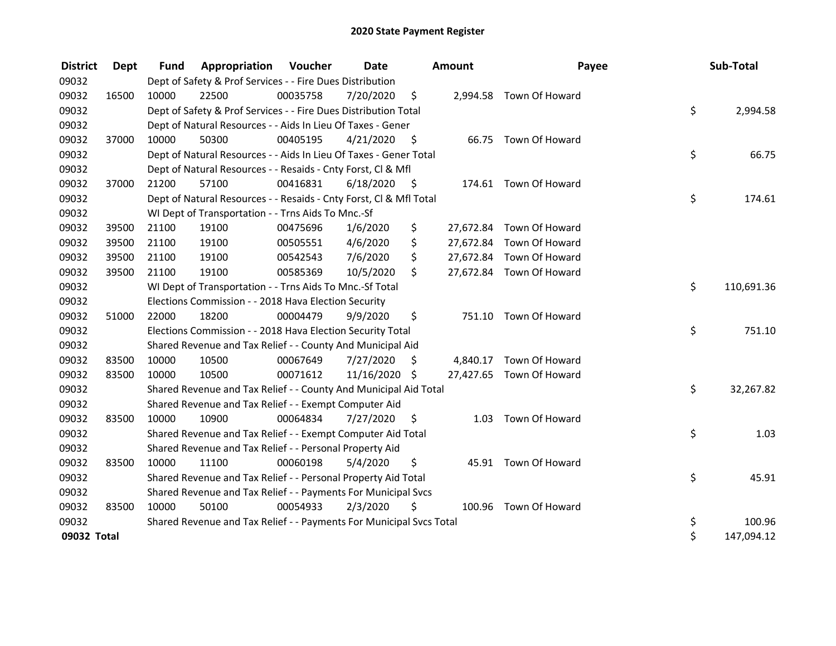| <b>District</b> | Dept  | <b>Fund</b> | <b>Appropriation Voucher</b>                                        |          | Date          |      | Amount    | Payee                    | Sub-Total        |
|-----------------|-------|-------------|---------------------------------------------------------------------|----------|---------------|------|-----------|--------------------------|------------------|
| 09032           |       |             | Dept of Safety & Prof Services - - Fire Dues Distribution           |          |               |      |           |                          |                  |
| 09032           | 16500 | 10000       | 22500                                                               | 00035758 | 7/20/2020     | \$   |           | 2,994.58 Town Of Howard  |                  |
| 09032           |       |             | Dept of Safety & Prof Services - - Fire Dues Distribution Total     |          |               |      |           |                          | \$<br>2,994.58   |
| 09032           |       |             | Dept of Natural Resources - - Aids In Lieu Of Taxes - Gener         |          |               |      |           |                          |                  |
| 09032           | 37000 | 10000       | 50300                                                               | 00405195 | 4/21/2020     | \$   |           | 66.75 Town Of Howard     |                  |
| 09032           |       |             | Dept of Natural Resources - - Aids In Lieu Of Taxes - Gener Total   |          |               |      |           |                          | \$<br>66.75      |
| 09032           |       |             | Dept of Natural Resources - - Resaids - Cnty Forst, Cl & Mfl        |          |               |      |           |                          |                  |
| 09032           | 37000 | 21200       | 57100                                                               | 00416831 | 6/18/2020     | - \$ |           | 174.61 Town Of Howard    |                  |
| 09032           |       |             | Dept of Natural Resources - - Resaids - Cnty Forst, Cl & Mfl Total  |          |               |      |           |                          | \$<br>174.61     |
| 09032           |       |             | WI Dept of Transportation - - Trns Aids To Mnc.-Sf                  |          |               |      |           |                          |                  |
| 09032           | 39500 | 21100       | 19100                                                               | 00475696 | 1/6/2020      | \$   |           | 27,672.84 Town Of Howard |                  |
| 09032           | 39500 | 21100       | 19100                                                               | 00505551 | 4/6/2020      | \$   | 27,672.84 | Town Of Howard           |                  |
| 09032           | 39500 | 21100       | 19100                                                               | 00542543 | 7/6/2020      | \$   |           | 27,672.84 Town Of Howard |                  |
| 09032           | 39500 | 21100       | 19100                                                               | 00585369 | 10/5/2020     | \$   |           | 27,672.84 Town Of Howard |                  |
| 09032           |       |             | WI Dept of Transportation - - Trns Aids To Mnc.-Sf Total            |          |               |      |           |                          | \$<br>110,691.36 |
| 09032           |       |             | Elections Commission - - 2018 Hava Election Security                |          |               |      |           |                          |                  |
| 09032           | 51000 | 22000       | 18200                                                               | 00004479 | 9/9/2020      | \$   |           | 751.10 Town Of Howard    |                  |
| 09032           |       |             | Elections Commission - - 2018 Hava Election Security Total          |          |               |      |           |                          | \$<br>751.10     |
| 09032           |       |             | Shared Revenue and Tax Relief - - County And Municipal Aid          |          |               |      |           |                          |                  |
| 09032           | 83500 | 10000       | 10500                                                               | 00067649 | 7/27/2020     | \$   | 4,840.17  | Town Of Howard           |                  |
| 09032           | 83500 | 10000       | 10500                                                               | 00071612 | 11/16/2020 \$ |      |           | 27,427.65 Town Of Howard |                  |
| 09032           |       |             | Shared Revenue and Tax Relief - - County And Municipal Aid Total    |          |               |      |           |                          | \$<br>32,267.82  |
| 09032           |       |             | Shared Revenue and Tax Relief - - Exempt Computer Aid               |          |               |      |           |                          |                  |
| 09032           | 83500 | 10000       | 10900                                                               | 00064834 | 7/27/2020     | S    | 1.03      | Town Of Howard           |                  |
| 09032           |       |             | Shared Revenue and Tax Relief - - Exempt Computer Aid Total         |          |               |      |           |                          | \$<br>1.03       |
| 09032           |       |             | Shared Revenue and Tax Relief - - Personal Property Aid             |          |               |      |           |                          |                  |
| 09032           | 83500 | 10000       | 11100                                                               | 00060198 | 5/4/2020      | \$   | 45.91     | Town Of Howard           |                  |
| 09032           |       |             | Shared Revenue and Tax Relief - - Personal Property Aid Total       |          |               |      |           |                          | \$<br>45.91      |
| 09032           |       |             | Shared Revenue and Tax Relief - - Payments For Municipal Svcs       |          |               |      |           |                          |                  |
| 09032           | 83500 | 10000       | 50100                                                               | 00054933 | 2/3/2020      | \$   |           | 100.96 Town Of Howard    |                  |
| 09032           |       |             | Shared Revenue and Tax Relief - - Payments For Municipal Svcs Total |          |               |      |           |                          | \$<br>100.96     |
| 09032 Total     |       |             |                                                                     |          |               |      |           |                          | \$<br>147,094.12 |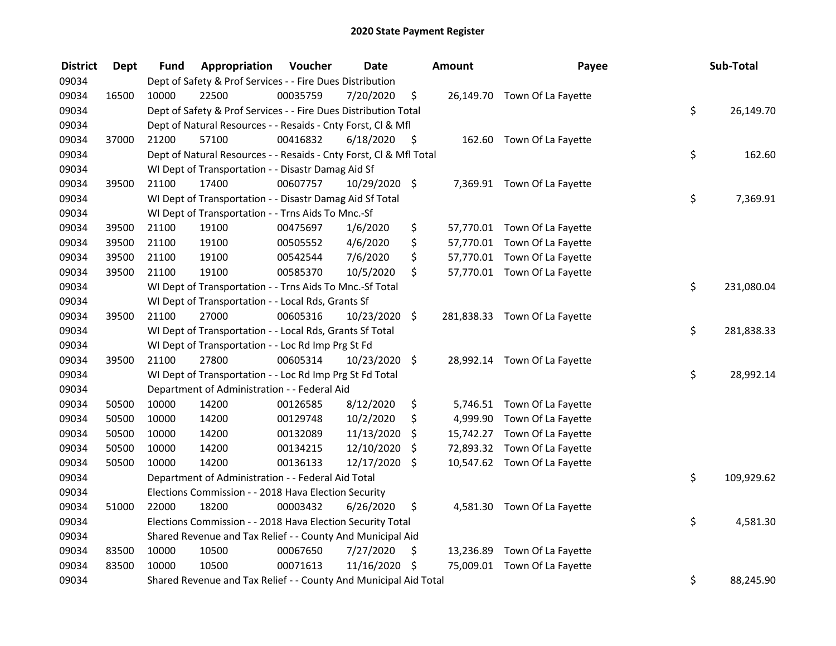| <b>District</b> | <b>Dept</b> | <b>Fund</b> | Appropriation                                                      | Voucher  | <b>Date</b>   |      | Amount   | Payee                         | Sub-Total        |
|-----------------|-------------|-------------|--------------------------------------------------------------------|----------|---------------|------|----------|-------------------------------|------------------|
| 09034           |             |             | Dept of Safety & Prof Services - - Fire Dues Distribution          |          |               |      |          |                               |                  |
| 09034           | 16500       | 10000       | 22500                                                              | 00035759 | 7/20/2020     | \$   |          | 26,149.70 Town Of La Fayette  |                  |
| 09034           |             |             | Dept of Safety & Prof Services - - Fire Dues Distribution Total    |          |               |      |          |                               | \$<br>26,149.70  |
| 09034           |             |             | Dept of Natural Resources - - Resaids - Cnty Forst, Cl & Mfl       |          |               |      |          |                               |                  |
| 09034           | 37000       | 21200       | 57100                                                              | 00416832 | 6/18/2020     | - \$ |          | 162.60 Town Of La Fayette     |                  |
| 09034           |             |             | Dept of Natural Resources - - Resaids - Cnty Forst, Cl & Mfl Total |          |               |      |          |                               | \$<br>162.60     |
| 09034           |             |             | WI Dept of Transportation - - Disastr Damag Aid Sf                 |          |               |      |          |                               |                  |
| 09034           | 39500       | 21100       | 17400                                                              | 00607757 | 10/29/2020 \$ |      |          | 7,369.91 Town Of La Fayette   |                  |
| 09034           |             |             | WI Dept of Transportation - - Disastr Damag Aid Sf Total           |          |               |      |          |                               | \$<br>7,369.91   |
| 09034           |             |             | WI Dept of Transportation - - Trns Aids To Mnc.-Sf                 |          |               |      |          |                               |                  |
| 09034           | 39500       | 21100       | 19100                                                              | 00475697 | 1/6/2020      | \$   |          | 57,770.01 Town Of La Fayette  |                  |
| 09034           | 39500       | 21100       | 19100                                                              | 00505552 | 4/6/2020      | \$   |          | 57,770.01 Town Of La Fayette  |                  |
| 09034           | 39500       | 21100       | 19100                                                              | 00542544 | 7/6/2020      | \$   |          | 57,770.01 Town Of La Fayette  |                  |
| 09034           | 39500       | 21100       | 19100                                                              | 00585370 | 10/5/2020     | \$   |          | 57,770.01 Town Of La Fayette  |                  |
| 09034           |             |             | WI Dept of Transportation - - Trns Aids To Mnc.-Sf Total           |          |               |      |          |                               | \$<br>231,080.04 |
| 09034           |             |             | WI Dept of Transportation - - Local Rds, Grants Sf                 |          |               |      |          |                               |                  |
| 09034           | 39500       | 21100       | 27000                                                              | 00605316 | 10/23/2020 \$ |      |          | 281,838.33 Town Of La Fayette |                  |
| 09034           |             |             | WI Dept of Transportation - - Local Rds, Grants Sf Total           |          |               |      |          |                               | \$<br>281,838.33 |
| 09034           |             |             | WI Dept of Transportation - - Loc Rd Imp Prg St Fd                 |          |               |      |          |                               |                  |
| 09034           | 39500       | 21100       | 27800                                                              | 00605314 | 10/23/2020 \$ |      |          | 28,992.14 Town Of La Fayette  |                  |
| 09034           |             |             | WI Dept of Transportation - - Loc Rd Imp Prg St Fd Total           |          |               |      |          |                               | \$<br>28,992.14  |
| 09034           |             |             | Department of Administration - - Federal Aid                       |          |               |      |          |                               |                  |
| 09034           | 50500       | 10000       | 14200                                                              | 00126585 | 8/12/2020     | \$   |          | 5,746.51 Town Of La Fayette   |                  |
| 09034           | 50500       | 10000       | 14200                                                              | 00129748 | 10/2/2020     | \$   | 4,999.90 | Town Of La Fayette            |                  |
| 09034           | 50500       | 10000       | 14200                                                              | 00132089 | 11/13/2020    | \$   |          | 15,742.27 Town Of La Fayette  |                  |
| 09034           | 50500       | 10000       | 14200                                                              | 00134215 | 12/10/2020    | \$   |          | 72,893.32 Town Of La Fayette  |                  |
| 09034           | 50500       | 10000       | 14200                                                              | 00136133 | 12/17/2020    | \$   |          | 10,547.62 Town Of La Fayette  |                  |
| 09034           |             |             | Department of Administration - - Federal Aid Total                 |          |               |      |          |                               | \$<br>109,929.62 |
| 09034           |             |             | Elections Commission - - 2018 Hava Election Security               |          |               |      |          |                               |                  |
| 09034           | 51000       | 22000       | 18200                                                              | 00003432 | 6/26/2020     | \$   |          | 4,581.30 Town Of La Fayette   |                  |
| 09034           |             |             | Elections Commission - - 2018 Hava Election Security Total         |          |               |      |          |                               | \$<br>4,581.30   |
| 09034           |             |             | Shared Revenue and Tax Relief - - County And Municipal Aid         |          |               |      |          |                               |                  |
| 09034           | 83500       | 10000       | 10500                                                              | 00067650 | 7/27/2020     | \$   |          | 13,236.89 Town Of La Fayette  |                  |
| 09034           | 83500       | 10000       | 10500                                                              | 00071613 | 11/16/2020 \$ |      |          | 75,009.01 Town Of La Fayette  |                  |
| 09034           |             |             | Shared Revenue and Tax Relief - - County And Municipal Aid Total   |          |               |      |          |                               | \$<br>88,245.90  |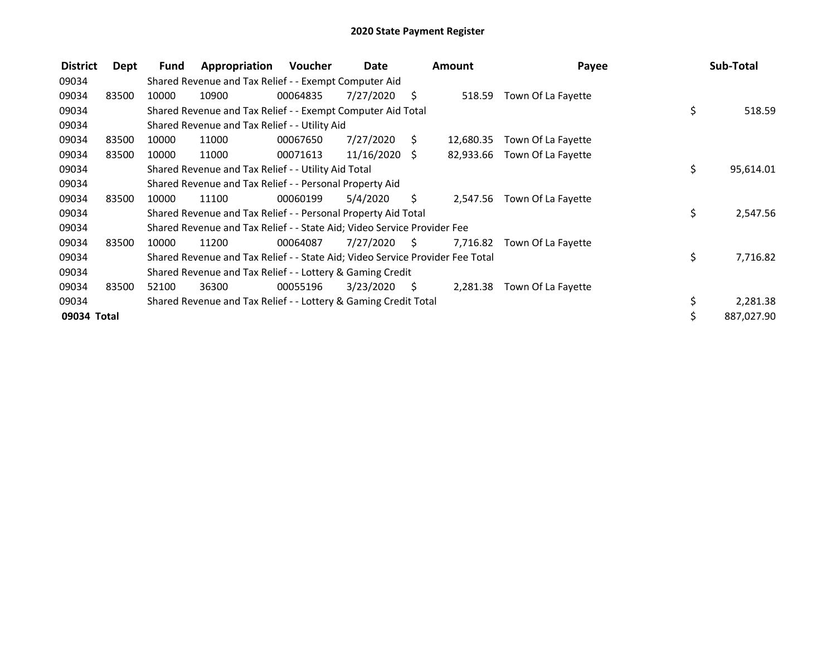| <b>District</b> | Dept  | <b>Fund</b> | Appropriation                                                                 | <b>Voucher</b> | Date            |      | <b>Amount</b> | Payee              | Sub-Total       |
|-----------------|-------|-------------|-------------------------------------------------------------------------------|----------------|-----------------|------|---------------|--------------------|-----------------|
| 09034           |       |             | Shared Revenue and Tax Relief - - Exempt Computer Aid                         |                |                 |      |               |                    |                 |
| 09034           | 83500 | 10000       | 10900                                                                         | 00064835       | 7/27/2020       | S    | 518.59        | Town Of La Fayette |                 |
| 09034           |       |             | Shared Revenue and Tax Relief - - Exempt Computer Aid Total                   |                |                 |      |               |                    | \$<br>518.59    |
| 09034           |       |             | Shared Revenue and Tax Relief - - Utility Aid                                 |                |                 |      |               |                    |                 |
| 09034           | 83500 | 10000       | 11000                                                                         | 00067650       | 7/27/2020       | S    | 12,680.35     | Town Of La Fayette |                 |
| 09034           | 83500 | 10000       | 11000                                                                         | 00071613       | $11/16/2020$ \$ |      | 82,933.66     | Town Of La Fayette |                 |
| 09034           |       |             | Shared Revenue and Tax Relief - - Utility Aid Total                           |                |                 |      |               |                    | \$<br>95,614.01 |
| 09034           |       |             | Shared Revenue and Tax Relief - - Personal Property Aid                       |                |                 |      |               |                    |                 |
| 09034           | 83500 | 10000       | 11100                                                                         | 00060199       | 5/4/2020        | S.   | 2.547.56      | Town Of La Fayette |                 |
| 09034           |       |             | Shared Revenue and Tax Relief - - Personal Property Aid Total                 |                |                 |      |               |                    | \$<br>2,547.56  |
| 09034           |       |             | Shared Revenue and Tax Relief - - State Aid; Video Service Provider Fee       |                |                 |      |               |                    |                 |
| 09034           | 83500 | 10000       | 11200                                                                         | 00064087       | 7/27/2020       | - S  | 7,716.82      | Town Of La Fayette |                 |
| 09034           |       |             | Shared Revenue and Tax Relief - - State Aid; Video Service Provider Fee Total |                |                 |      |               |                    | \$<br>7,716.82  |
| 09034           |       |             | Shared Revenue and Tax Relief - - Lottery & Gaming Credit                     |                |                 |      |               |                    |                 |
| 09034           | 83500 | 52100       | 36300                                                                         | 00055196       | 3/23/2020       | - \$ | 2,281.38      | Town Of La Fayette |                 |
| 09034           |       |             | Shared Revenue and Tax Relief - - Lottery & Gaming Credit Total               |                |                 |      |               |                    | 2,281.38        |
| 09034 Total     |       |             |                                                                               |                |                 |      |               |                    | 887,027.90      |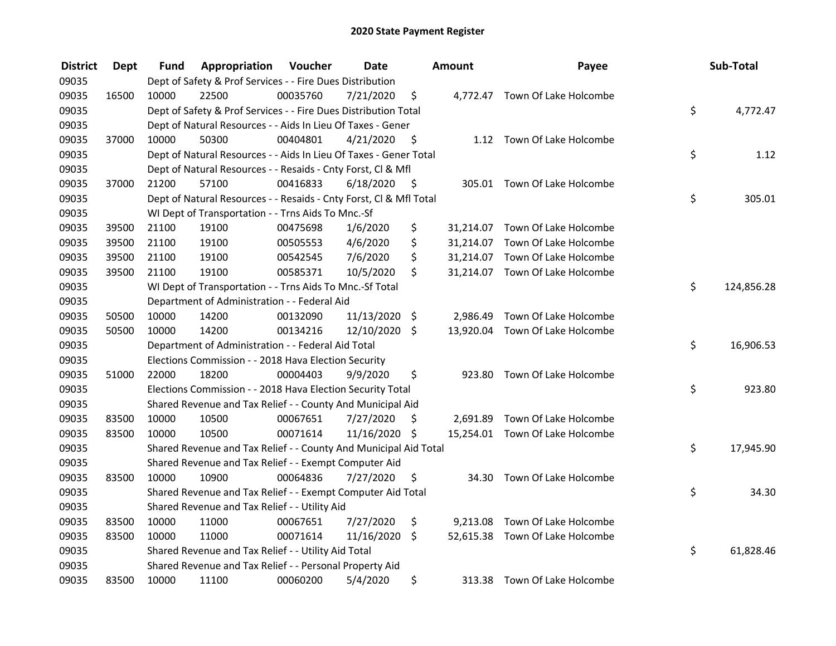| <b>District</b> | <b>Dept</b> | Fund  | Appropriation                                                      | Voucher  | <b>Date</b>   |                    | Amount   | Payee                           | Sub-Total        |
|-----------------|-------------|-------|--------------------------------------------------------------------|----------|---------------|--------------------|----------|---------------------------------|------------------|
| 09035           |             |       | Dept of Safety & Prof Services - - Fire Dues Distribution          |          |               |                    |          |                                 |                  |
| 09035           | 16500       | 10000 | 22500                                                              | 00035760 | 7/21/2020     | \$                 |          | 4,772.47 Town Of Lake Holcombe  |                  |
| 09035           |             |       | Dept of Safety & Prof Services - - Fire Dues Distribution Total    |          |               |                    |          |                                 | \$<br>4,772.47   |
| 09035           |             |       | Dept of Natural Resources - - Aids In Lieu Of Taxes - Gener        |          |               |                    |          |                                 |                  |
| 09035           | 37000       | 10000 | 50300                                                              | 00404801 | 4/21/2020     | - \$               |          | 1.12 Town Of Lake Holcombe      |                  |
| 09035           |             |       | Dept of Natural Resources - - Aids In Lieu Of Taxes - Gener Total  |          |               |                    |          |                                 | \$<br>1.12       |
| 09035           |             |       | Dept of Natural Resources - - Resaids - Cnty Forst, Cl & Mfl       |          |               |                    |          |                                 |                  |
| 09035           | 37000       | 21200 | 57100                                                              | 00416833 | 6/18/2020     | - \$               |          | 305.01 Town Of Lake Holcombe    |                  |
| 09035           |             |       | Dept of Natural Resources - - Resaids - Cnty Forst, Cl & Mfl Total |          |               |                    |          |                                 | \$<br>305.01     |
| 09035           |             |       | WI Dept of Transportation - - Trns Aids To Mnc.-Sf                 |          |               |                    |          |                                 |                  |
| 09035           | 39500       | 21100 | 19100                                                              | 00475698 | 1/6/2020      | \$                 |          | 31,214.07 Town Of Lake Holcombe |                  |
| 09035           | 39500       | 21100 | 19100                                                              | 00505553 | 4/6/2020      | \$                 |          | 31,214.07 Town Of Lake Holcombe |                  |
| 09035           | 39500       | 21100 | 19100                                                              | 00542545 | 7/6/2020      | \$                 |          | 31,214.07 Town Of Lake Holcombe |                  |
| 09035           | 39500       | 21100 | 19100                                                              | 00585371 | 10/5/2020     | \$                 |          | 31,214.07 Town Of Lake Holcombe |                  |
| 09035           |             |       | WI Dept of Transportation - - Trns Aids To Mnc.-Sf Total           |          |               |                    |          |                                 | \$<br>124,856.28 |
| 09035           |             |       | Department of Administration - - Federal Aid                       |          |               |                    |          |                                 |                  |
| 09035           | 50500       | 10000 | 14200                                                              | 00132090 | 11/13/2020 \$ |                    | 2,986.49 | Town Of Lake Holcombe           |                  |
| 09035           | 50500       | 10000 | 14200                                                              | 00134216 | 12/10/2020 \$ |                    |          | 13,920.04 Town Of Lake Holcombe |                  |
| 09035           |             |       | Department of Administration - - Federal Aid Total                 |          |               |                    |          |                                 | \$<br>16,906.53  |
| 09035           |             |       | Elections Commission - - 2018 Hava Election Security               |          |               |                    |          |                                 |                  |
| 09035           | 51000       | 22000 | 18200                                                              | 00004403 | 9/9/2020      | \$                 | 923.80   | Town Of Lake Holcombe           |                  |
| 09035           |             |       | Elections Commission - - 2018 Hava Election Security Total         |          |               |                    |          |                                 | \$<br>923.80     |
| 09035           |             |       | Shared Revenue and Tax Relief - - County And Municipal Aid         |          |               |                    |          |                                 |                  |
| 09035           | 83500       | 10000 | 10500                                                              | 00067651 | 7/27/2020     | S                  |          | 2,691.89 Town Of Lake Holcombe  |                  |
| 09035           | 83500       | 10000 | 10500                                                              | 00071614 | 11/16/2020    | - \$               |          | 15,254.01 Town Of Lake Holcombe |                  |
| 09035           |             |       | Shared Revenue and Tax Relief - - County And Municipal Aid Total   |          |               |                    |          |                                 | \$<br>17,945.90  |
| 09035           |             |       | Shared Revenue and Tax Relief - - Exempt Computer Aid              |          |               |                    |          |                                 |                  |
| 09035           | 83500       | 10000 | 10900                                                              | 00064836 | 7/27/2020     | \$                 |          | 34.30 Town Of Lake Holcombe     |                  |
| 09035           |             |       | Shared Revenue and Tax Relief - - Exempt Computer Aid Total        |          |               |                    |          |                                 | \$<br>34.30      |
| 09035           |             |       | Shared Revenue and Tax Relief - - Utility Aid                      |          |               |                    |          |                                 |                  |
| 09035           | 83500       | 10000 | 11000                                                              | 00067651 | 7/27/2020     | \$                 |          | 9,213.08 Town Of Lake Holcombe  |                  |
| 09035           | 83500       | 10000 | 11000                                                              | 00071614 | 11/16/2020    | $\ddot{\varsigma}$ |          | 52,615.38 Town Of Lake Holcombe |                  |
| 09035           |             |       | Shared Revenue and Tax Relief - - Utility Aid Total                |          |               |                    |          |                                 | \$<br>61,828.46  |
| 09035           |             |       | Shared Revenue and Tax Relief - - Personal Property Aid            |          |               |                    |          |                                 |                  |
| 09035           | 83500       | 10000 | 11100                                                              | 00060200 | 5/4/2020      | \$                 | 313.38   | Town Of Lake Holcombe           |                  |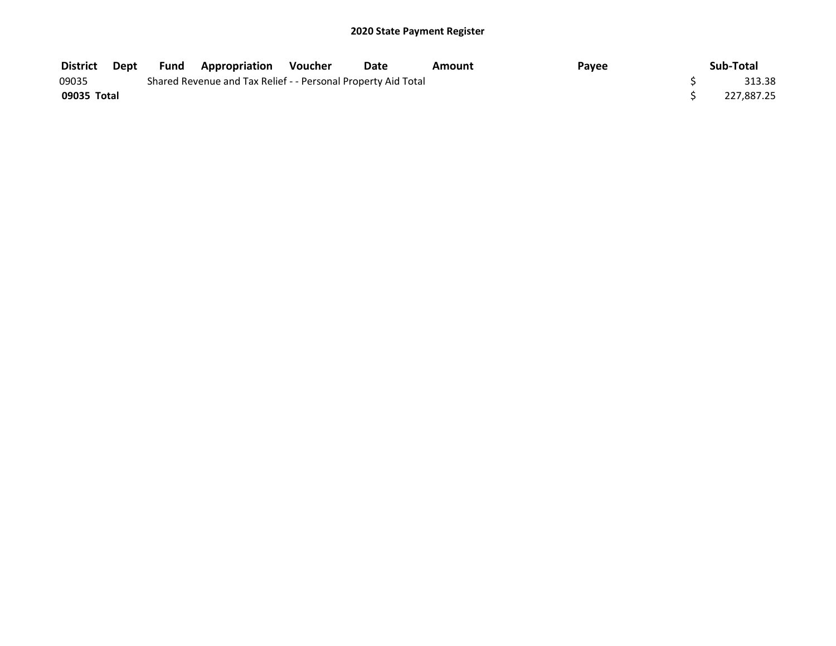| District    | Dept | <b>Fund</b> | <b>Appropriation Voucher</b>                                  | Date | Amount | Payee | Sub-Total  |
|-------------|------|-------------|---------------------------------------------------------------|------|--------|-------|------------|
| 09035       |      |             | Shared Revenue and Tax Relief - - Personal Property Aid Total |      |        |       | 313.38     |
| 09035 Total |      |             |                                                               |      |        |       | 227.887.25 |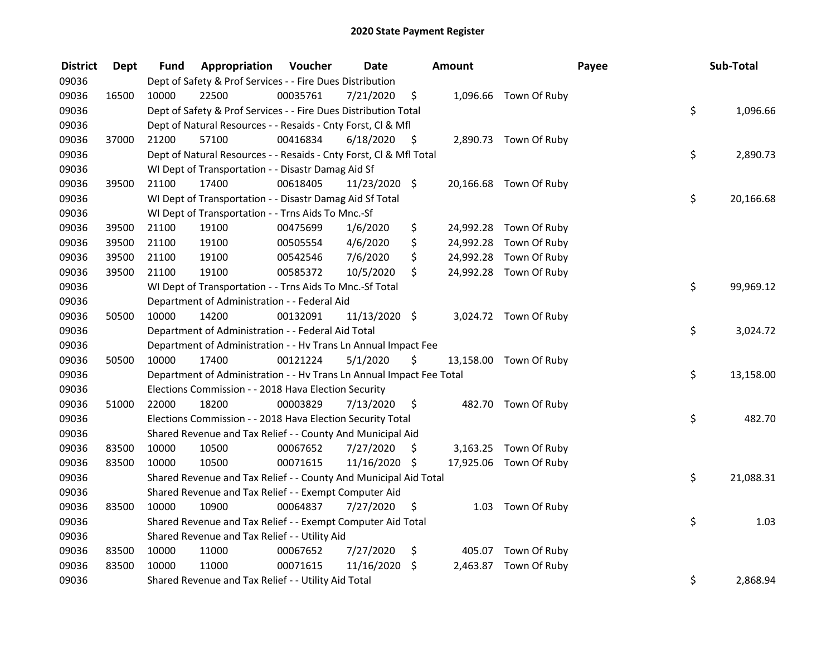| <b>District</b> | <b>Dept</b> | Fund  | Appropriation                                                        | Voucher  | <b>Date</b>     |      | Amount |                        | Payee | Sub-Total |
|-----------------|-------------|-------|----------------------------------------------------------------------|----------|-----------------|------|--------|------------------------|-------|-----------|
| 09036           |             |       | Dept of Safety & Prof Services - - Fire Dues Distribution            |          |                 |      |        |                        |       |           |
| 09036           | 16500       | 10000 | 22500                                                                | 00035761 | 7/21/2020       | \$   |        | 1,096.66 Town Of Ruby  |       |           |
| 09036           |             |       | Dept of Safety & Prof Services - - Fire Dues Distribution Total      |          |                 |      |        |                        | \$    | 1,096.66  |
| 09036           |             |       | Dept of Natural Resources - - Resaids - Cnty Forst, Cl & Mfl         |          |                 |      |        |                        |       |           |
| 09036           | 37000       | 21200 | 57100                                                                | 00416834 | 6/18/2020       | - \$ |        | 2,890.73 Town Of Ruby  |       |           |
| 09036           |             |       | Dept of Natural Resources - - Resaids - Cnty Forst, CI & Mfl Total   |          |                 |      |        |                        | \$    | 2,890.73  |
| 09036           |             |       | WI Dept of Transportation - - Disastr Damag Aid Sf                   |          |                 |      |        |                        |       |           |
| 09036           | 39500       | 21100 | 17400                                                                | 00618405 | $11/23/2020$ \$ |      |        | 20,166.68 Town Of Ruby |       |           |
| 09036           |             |       | WI Dept of Transportation - - Disastr Damag Aid Sf Total             |          |                 |      |        |                        | \$    | 20,166.68 |
| 09036           |             |       | WI Dept of Transportation - - Trns Aids To Mnc.-Sf                   |          |                 |      |        |                        |       |           |
| 09036           | 39500       | 21100 | 19100                                                                | 00475699 | 1/6/2020        | \$   |        | 24,992.28 Town Of Ruby |       |           |
| 09036           | 39500       | 21100 | 19100                                                                | 00505554 | 4/6/2020        | \$   |        | 24,992.28 Town Of Ruby |       |           |
| 09036           | 39500       | 21100 | 19100                                                                | 00542546 | 7/6/2020        | \$   |        | 24,992.28 Town Of Ruby |       |           |
| 09036           | 39500       | 21100 | 19100                                                                | 00585372 | 10/5/2020       | \$   |        | 24,992.28 Town Of Ruby |       |           |
| 09036           |             |       | WI Dept of Transportation - - Trns Aids To Mnc.-Sf Total             |          |                 |      |        |                        | \$    | 99,969.12 |
| 09036           |             |       | Department of Administration - - Federal Aid                         |          |                 |      |        |                        |       |           |
| 09036           | 50500       | 10000 | 14200                                                                | 00132091 | 11/13/2020 \$   |      |        | 3,024.72 Town Of Ruby  |       |           |
| 09036           |             |       | Department of Administration - - Federal Aid Total                   |          |                 |      |        |                        | \$    | 3,024.72  |
| 09036           |             |       | Department of Administration - - Hv Trans Ln Annual Impact Fee       |          |                 |      |        |                        |       |           |
| 09036           | 50500       | 10000 | 17400                                                                | 00121224 | 5/1/2020        | \$   |        | 13,158.00 Town Of Ruby |       |           |
| 09036           |             |       | Department of Administration - - Hv Trans Ln Annual Impact Fee Total |          |                 |      |        |                        | \$    | 13,158.00 |
| 09036           |             |       | Elections Commission - - 2018 Hava Election Security                 |          |                 |      |        |                        |       |           |
| 09036           | 51000       | 22000 | 18200                                                                | 00003829 | 7/13/2020       | \$   |        | 482.70 Town Of Ruby    |       |           |
| 09036           |             |       | Elections Commission - - 2018 Hava Election Security Total           |          |                 |      |        |                        | \$    | 482.70    |
| 09036           |             |       | Shared Revenue and Tax Relief - - County And Municipal Aid           |          |                 |      |        |                        |       |           |
| 09036           | 83500       | 10000 | 10500                                                                | 00067652 | 7/27/2020       | S    |        | 3,163.25 Town Of Ruby  |       |           |
| 09036           | 83500       | 10000 | 10500                                                                | 00071615 | 11/16/2020 \$   |      |        | 17,925.06 Town Of Ruby |       |           |
| 09036           |             |       | Shared Revenue and Tax Relief - - County And Municipal Aid Total     |          |                 |      |        |                        | \$    | 21,088.31 |
| 09036           |             |       | Shared Revenue and Tax Relief - - Exempt Computer Aid                |          |                 |      |        |                        |       |           |
| 09036           | 83500       | 10000 | 10900                                                                | 00064837 | 7/27/2020       | \$   |        | 1.03 Town Of Ruby      |       |           |
| 09036           |             |       | Shared Revenue and Tax Relief - - Exempt Computer Aid Total          |          |                 |      |        |                        | \$    | 1.03      |
| 09036           |             |       | Shared Revenue and Tax Relief - - Utility Aid                        |          |                 |      |        |                        |       |           |
| 09036           | 83500       | 10000 | 11000                                                                | 00067652 | 7/27/2020       | \$   |        | 405.07 Town Of Ruby    |       |           |
| 09036           | 83500       | 10000 | 11000                                                                | 00071615 | 11/16/2020      | \$   |        | 2,463.87 Town Of Ruby  |       |           |
| 09036           |             |       | Shared Revenue and Tax Relief - - Utility Aid Total                  |          |                 |      |        |                        | \$    | 2,868.94  |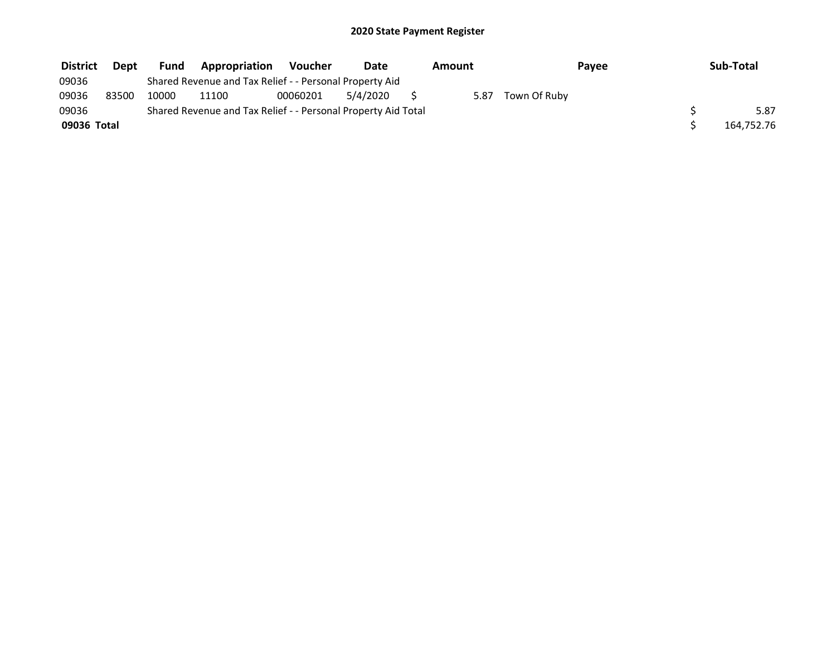| <b>District</b> | <b>Dept</b> | <b>Fund</b> | Appropriation                                                 | Voucher  | Date     | Amount |              | Pavee | Sub-Total  |
|-----------------|-------------|-------------|---------------------------------------------------------------|----------|----------|--------|--------------|-------|------------|
| 09036           |             |             | Shared Revenue and Tax Relief - - Personal Property Aid       |          |          |        |              |       |            |
| 09036           | 83500       | 10000       | 11100                                                         | 00060201 | 5/4/2020 | 5.87   | Town Of Ruby |       |            |
| 09036           |             |             | Shared Revenue and Tax Relief - - Personal Property Aid Total |          |          |        |              |       | 5.87       |
| 09036 Total     |             |             |                                                               |          |          |        |              |       | 164,752.76 |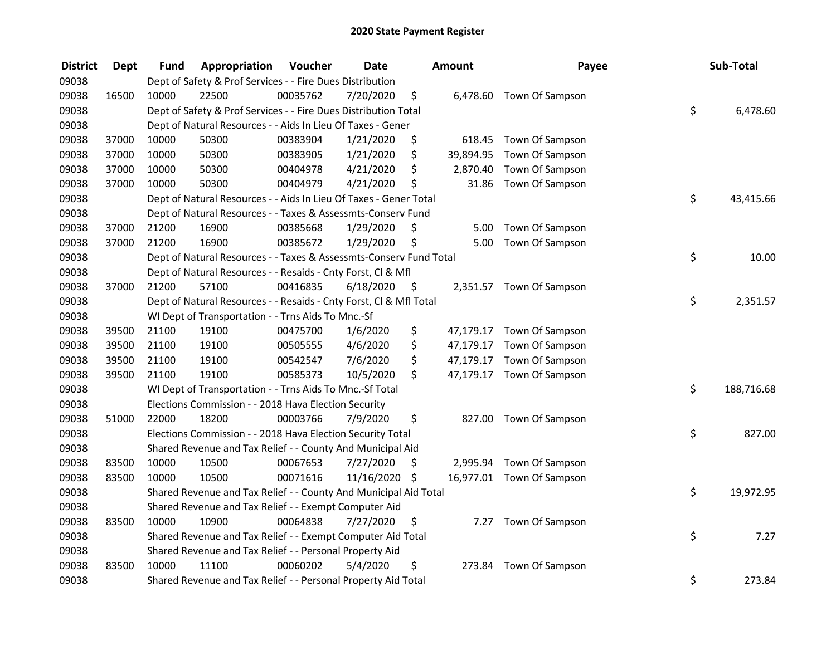| <b>District</b> | <b>Dept</b> | <b>Fund</b> | Appropriation                                                      | Voucher  | <b>Date</b>   | Amount          | Payee                     | Sub-Total        |
|-----------------|-------------|-------------|--------------------------------------------------------------------|----------|---------------|-----------------|---------------------------|------------------|
| 09038           |             |             | Dept of Safety & Prof Services - - Fire Dues Distribution          |          |               |                 |                           |                  |
| 09038           | 16500       | 10000       | 22500                                                              | 00035762 | 7/20/2020     | \$              | 6,478.60 Town Of Sampson  |                  |
| 09038           |             |             | Dept of Safety & Prof Services - - Fire Dues Distribution Total    |          |               |                 |                           | \$<br>6,478.60   |
| 09038           |             |             | Dept of Natural Resources - - Aids In Lieu Of Taxes - Gener        |          |               |                 |                           |                  |
| 09038           | 37000       | 10000       | 50300                                                              | 00383904 | 1/21/2020     | \$<br>618.45    | Town Of Sampson           |                  |
| 09038           | 37000       | 10000       | 50300                                                              | 00383905 | 1/21/2020     | \$<br>39,894.95 | Town Of Sampson           |                  |
| 09038           | 37000       | 10000       | 50300                                                              | 00404978 | 4/21/2020     | \$<br>2,870.40  | Town Of Sampson           |                  |
| 09038           | 37000       | 10000       | 50300                                                              | 00404979 | 4/21/2020     | \$<br>31.86     | Town Of Sampson           |                  |
| 09038           |             |             | Dept of Natural Resources - - Aids In Lieu Of Taxes - Gener Total  |          |               |                 |                           | \$<br>43,415.66  |
| 09038           |             |             | Dept of Natural Resources - - Taxes & Assessmts-Conserv Fund       |          |               |                 |                           |                  |
| 09038           | 37000       | 21200       | 16900                                                              | 00385668 | 1/29/2020     | \$<br>5.00      | Town Of Sampson           |                  |
| 09038           | 37000       | 21200       | 16900                                                              | 00385672 | 1/29/2020     | \$<br>5.00      | Town Of Sampson           |                  |
| 09038           |             |             | Dept of Natural Resources - - Taxes & Assessmts-Conserv Fund Total |          |               |                 |                           | \$<br>10.00      |
| 09038           |             |             | Dept of Natural Resources - - Resaids - Cnty Forst, CI & Mfl       |          |               |                 |                           |                  |
| 09038           | 37000       | 21200       | 57100                                                              | 00416835 | 6/18/2020     | \$              | 2,351.57 Town Of Sampson  |                  |
| 09038           |             |             | Dept of Natural Resources - - Resaids - Cnty Forst, Cl & Mfl Total |          |               |                 |                           | \$<br>2,351.57   |
| 09038           |             |             | WI Dept of Transportation - - Trns Aids To Mnc.-Sf                 |          |               |                 |                           |                  |
| 09038           | 39500       | 21100       | 19100                                                              | 00475700 | 1/6/2020      | \$<br>47,179.17 | Town Of Sampson           |                  |
| 09038           | 39500       | 21100       | 19100                                                              | 00505555 | 4/6/2020      | \$              | 47,179.17 Town Of Sampson |                  |
| 09038           | 39500       | 21100       | 19100                                                              | 00542547 | 7/6/2020      | \$              | 47,179.17 Town Of Sampson |                  |
| 09038           | 39500       | 21100       | 19100                                                              | 00585373 | 10/5/2020     | \$              | 47,179.17 Town Of Sampson |                  |
| 09038           |             |             | WI Dept of Transportation - - Trns Aids To Mnc.-Sf Total           |          |               |                 |                           | \$<br>188,716.68 |
| 09038           |             |             | Elections Commission - - 2018 Hava Election Security               |          |               |                 |                           |                  |
| 09038           | 51000       | 22000       | 18200                                                              | 00003766 | 7/9/2020      | \$              | 827.00 Town Of Sampson    |                  |
| 09038           |             |             | Elections Commission - - 2018 Hava Election Security Total         |          |               |                 |                           | \$<br>827.00     |
| 09038           |             |             | Shared Revenue and Tax Relief - - County And Municipal Aid         |          |               |                 |                           |                  |
| 09038           | 83500       | 10000       | 10500                                                              | 00067653 | 7/27/2020     | \$              | 2,995.94 Town Of Sampson  |                  |
| 09038           | 83500       | 10000       | 10500                                                              | 00071616 | 11/16/2020 \$ |                 | 16,977.01 Town Of Sampson |                  |
| 09038           |             |             | Shared Revenue and Tax Relief - - County And Municipal Aid Total   |          |               |                 |                           | \$<br>19,972.95  |
| 09038           |             |             | Shared Revenue and Tax Relief - - Exempt Computer Aid              |          |               |                 |                           |                  |
| 09038           | 83500       | 10000       | 10900                                                              | 00064838 | 7/27/2020     | \$<br>7.27      | Town Of Sampson           |                  |
| 09038           |             |             | Shared Revenue and Tax Relief - - Exempt Computer Aid Total        |          |               |                 |                           | \$<br>7.27       |
| 09038           |             |             | Shared Revenue and Tax Relief - - Personal Property Aid            |          |               |                 |                           |                  |
| 09038           | 83500       | 10000       | 11100                                                              | 00060202 | 5/4/2020      | \$<br>273.84    | Town Of Sampson           |                  |
| 09038           |             |             | Shared Revenue and Tax Relief - - Personal Property Aid Total      |          |               |                 |                           | \$<br>273.84     |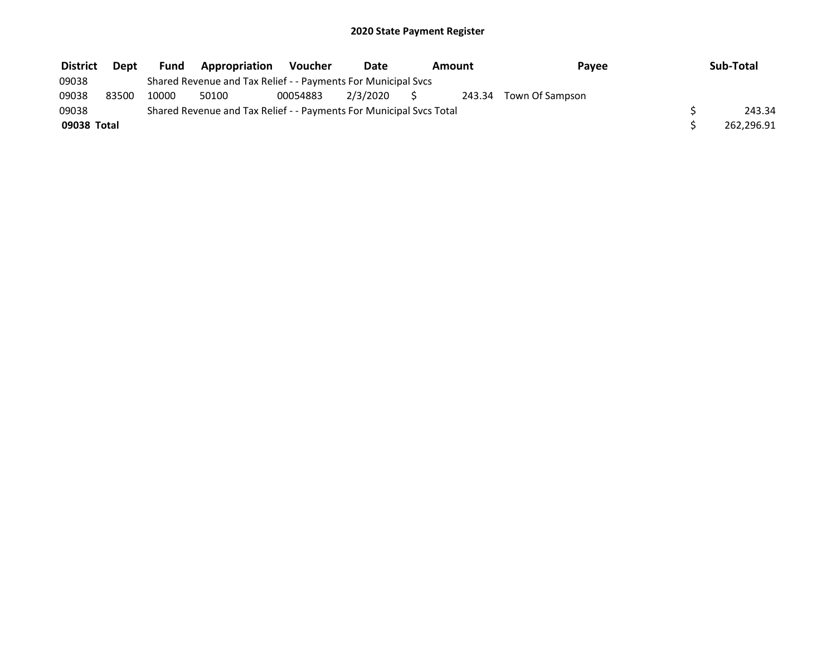| <b>District</b> | Dept  | Fund  | <b>Appropriation</b>                                                | Voucher  | Date     | Amount | Payee                  | Sub-Total  |
|-----------------|-------|-------|---------------------------------------------------------------------|----------|----------|--------|------------------------|------------|
| 09038           |       |       | Shared Revenue and Tax Relief - - Payments For Municipal Svcs       |          |          |        |                        |            |
| 09038           | 83500 | 10000 | 50100                                                               | 00054883 | 2/3/2020 | $\sim$ | 243.34 Town Of Sampson |            |
| 09038           |       |       | Shared Revenue and Tax Relief - - Payments For Municipal Svcs Total |          |          |        |                        | 243.34     |
| 09038 Total     |       |       |                                                                     |          |          |        |                        | 262,296.91 |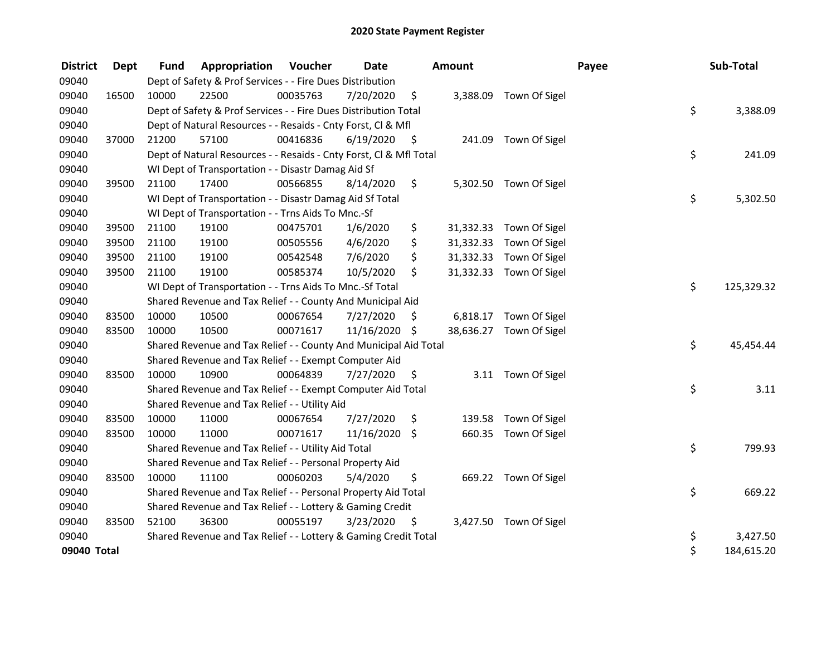| <b>District</b> | Dept  | <b>Fund</b> | <b>Appropriation Voucher</b>                                       |          | Date          |      | <b>Amount</b> |                         | Payee | Sub-Total  |
|-----------------|-------|-------------|--------------------------------------------------------------------|----------|---------------|------|---------------|-------------------------|-------|------------|
| 09040           |       |             | Dept of Safety & Prof Services - - Fire Dues Distribution          |          |               |      |               |                         |       |            |
| 09040           | 16500 | 10000       | 22500                                                              | 00035763 | 7/20/2020     | \$   |               | 3,388.09 Town Of Sigel  |       |            |
| 09040           |       |             | Dept of Safety & Prof Services - - Fire Dues Distribution Total    |          |               |      |               |                         | \$    | 3,388.09   |
| 09040           |       |             | Dept of Natural Resources - - Resaids - Cnty Forst, CI & Mfl       |          |               |      |               |                         |       |            |
| 09040           | 37000 | 21200       | 57100                                                              | 00416836 | 6/19/2020     | - \$ | 241.09        | Town Of Sigel           |       |            |
| 09040           |       |             | Dept of Natural Resources - - Resaids - Cnty Forst, Cl & Mfl Total |          |               |      |               |                         | \$    | 241.09     |
| 09040           |       |             | WI Dept of Transportation - - Disastr Damag Aid Sf                 |          |               |      |               |                         |       |            |
| 09040           | 39500 | 21100       | 17400                                                              | 00566855 | 8/14/2020     | \$   |               | 5,302.50 Town Of Sigel  |       |            |
| 09040           |       |             | WI Dept of Transportation - - Disastr Damag Aid Sf Total           |          |               |      |               |                         | \$    | 5,302.50   |
| 09040           |       |             | WI Dept of Transportation - - Trns Aids To Mnc.-Sf                 |          |               |      |               |                         |       |            |
| 09040           | 39500 | 21100       | 19100                                                              | 00475701 | 1/6/2020      | \$   |               | 31,332.33 Town Of Sigel |       |            |
| 09040           | 39500 | 21100       | 19100                                                              | 00505556 | 4/6/2020      | \$   | 31,332.33     | Town Of Sigel           |       |            |
| 09040           | 39500 | 21100       | 19100                                                              | 00542548 | 7/6/2020      | \$   |               | 31,332.33 Town Of Sigel |       |            |
| 09040           | 39500 | 21100       | 19100                                                              | 00585374 | 10/5/2020     | \$   |               | 31,332.33 Town Of Sigel |       |            |
| 09040           |       |             | WI Dept of Transportation - - Trns Aids To Mnc.-Sf Total           |          |               |      |               |                         | \$    | 125,329.32 |
| 09040           |       |             | Shared Revenue and Tax Relief - - County And Municipal Aid         |          |               |      |               |                         |       |            |
| 09040           | 83500 | 10000       | 10500                                                              | 00067654 | 7/27/2020     | \$   | 6,818.17      | Town Of Sigel           |       |            |
| 09040           | 83500 | 10000       | 10500                                                              | 00071617 | 11/16/2020 \$ |      |               | 38,636.27 Town Of Sigel |       |            |
| 09040           |       |             | Shared Revenue and Tax Relief - - County And Municipal Aid Total   |          |               |      |               |                         | \$    | 45,454.44  |
| 09040           |       |             | Shared Revenue and Tax Relief - - Exempt Computer Aid              |          |               |      |               |                         |       |            |
| 09040           | 83500 | 10000       | 10900                                                              | 00064839 | 7/27/2020     | \$   |               | 3.11 Town Of Sigel      |       |            |
| 09040           |       |             | Shared Revenue and Tax Relief - - Exempt Computer Aid Total        |          |               |      |               |                         | \$    | 3.11       |
| 09040           |       |             | Shared Revenue and Tax Relief - - Utility Aid                      |          |               |      |               |                         |       |            |
| 09040           | 83500 | 10000       | 11000                                                              | 00067654 | 7/27/2020     | \$   | 139.58        | Town Of Sigel           |       |            |
| 09040           | 83500 | 10000       | 11000                                                              | 00071617 | 11/16/2020    | \$   | 660.35        | Town Of Sigel           |       |            |
| 09040           |       |             | Shared Revenue and Tax Relief - - Utility Aid Total                |          |               |      |               |                         | \$    | 799.93     |
| 09040           |       |             | Shared Revenue and Tax Relief - - Personal Property Aid            |          |               |      |               |                         |       |            |
| 09040           | 83500 | 10000       | 11100                                                              | 00060203 | 5/4/2020      | \$   |               | 669.22 Town Of Sigel    |       |            |
| 09040           |       |             | Shared Revenue and Tax Relief - - Personal Property Aid Total      |          |               |      |               |                         | \$    | 669.22     |
| 09040           |       |             | Shared Revenue and Tax Relief - - Lottery & Gaming Credit          |          |               |      |               |                         |       |            |
| 09040           | 83500 | 52100       | 36300                                                              | 00055197 | 3/23/2020     | \$   |               | 3,427.50 Town Of Sigel  |       |            |
| 09040           |       |             | Shared Revenue and Tax Relief - - Lottery & Gaming Credit Total    |          |               |      |               |                         | \$    | 3,427.50   |
| 09040 Total     |       |             |                                                                    |          |               |      |               |                         | \$    | 184,615.20 |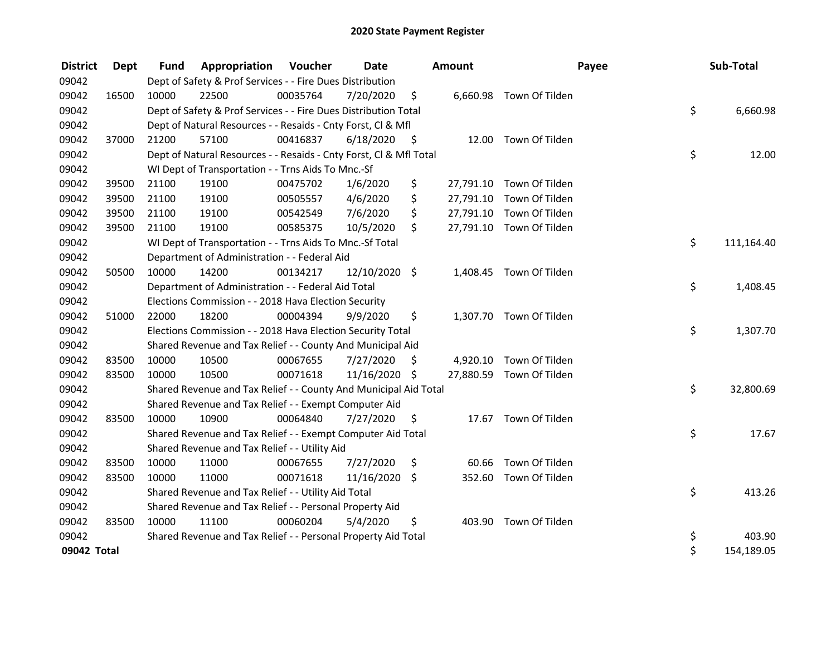| <b>District</b> | Dept  | <b>Fund</b> | Appropriation                                                      | Voucher  | <b>Date</b>   |      | <b>Amount</b> |                          | Payee | Sub-Total  |
|-----------------|-------|-------------|--------------------------------------------------------------------|----------|---------------|------|---------------|--------------------------|-------|------------|
| 09042           |       |             | Dept of Safety & Prof Services - - Fire Dues Distribution          |          |               |      |               |                          |       |            |
| 09042           | 16500 | 10000       | 22500                                                              | 00035764 | 7/20/2020     | \$   |               | 6,660.98 Town Of Tilden  |       |            |
| 09042           |       |             | Dept of Safety & Prof Services - - Fire Dues Distribution Total    |          |               |      |               |                          | \$    | 6,660.98   |
| 09042           |       |             | Dept of Natural Resources - - Resaids - Cnty Forst, Cl & Mfl       |          |               |      |               |                          |       |            |
| 09042           | 37000 | 21200       | 57100                                                              | 00416837 | 6/18/2020     | - \$ | 12.00         | Town Of Tilden           |       |            |
| 09042           |       |             | Dept of Natural Resources - - Resaids - Cnty Forst, Cl & Mfl Total |          |               |      |               |                          | \$    | 12.00      |
| 09042           |       |             | WI Dept of Transportation - - Trns Aids To Mnc.-Sf                 |          |               |      |               |                          |       |            |
| 09042           | 39500 | 21100       | 19100                                                              | 00475702 | 1/6/2020      | \$   | 27,791.10     | Town Of Tilden           |       |            |
| 09042           | 39500 | 21100       | 19100                                                              | 00505557 | 4/6/2020      | \$   | 27,791.10     | Town Of Tilden           |       |            |
| 09042           | 39500 | 21100       | 19100                                                              | 00542549 | 7/6/2020      | \$   | 27,791.10     | Town Of Tilden           |       |            |
| 09042           | 39500 | 21100       | 19100                                                              | 00585375 | 10/5/2020     | \$   |               | 27,791.10 Town Of Tilden |       |            |
| 09042           |       |             | WI Dept of Transportation - - Trns Aids To Mnc.-Sf Total           |          |               |      |               |                          | \$    | 111,164.40 |
| 09042           |       |             | Department of Administration - - Federal Aid                       |          |               |      |               |                          |       |            |
| 09042           | 50500 | 10000       | 14200                                                              | 00134217 | 12/10/2020 \$ |      |               | 1,408.45 Town Of Tilden  |       |            |
| 09042           |       |             | Department of Administration - - Federal Aid Total                 |          |               |      |               |                          | \$    | 1,408.45   |
| 09042           |       |             | Elections Commission - - 2018 Hava Election Security               |          |               |      |               |                          |       |            |
| 09042           | 51000 | 22000       | 18200                                                              | 00004394 | 9/9/2020      | \$   | 1,307.70      | Town Of Tilden           |       |            |
| 09042           |       |             | Elections Commission - - 2018 Hava Election Security Total         |          |               |      |               |                          | \$    | 1,307.70   |
| 09042           |       |             | Shared Revenue and Tax Relief - - County And Municipal Aid         |          |               |      |               |                          |       |            |
| 09042           | 83500 | 10000       | 10500                                                              | 00067655 | 7/27/2020     | S    | 4,920.10      | Town Of Tilden           |       |            |
| 09042           | 83500 | 10000       | 10500                                                              | 00071618 | 11/16/2020 \$ |      |               | 27,880.59 Town Of Tilden |       |            |
| 09042           |       |             | Shared Revenue and Tax Relief - - County And Municipal Aid Total   |          |               |      |               |                          | \$    | 32,800.69  |
| 09042           |       |             | Shared Revenue and Tax Relief - - Exempt Computer Aid              |          |               |      |               |                          |       |            |
| 09042           | 83500 | 10000       | 10900                                                              | 00064840 | 7/27/2020     | \$   |               | 17.67 Town Of Tilden     |       |            |
| 09042           |       |             | Shared Revenue and Tax Relief - - Exempt Computer Aid Total        |          |               |      |               |                          | \$    | 17.67      |
| 09042           |       |             | Shared Revenue and Tax Relief - - Utility Aid                      |          |               |      |               |                          |       |            |
| 09042           | 83500 | 10000       | 11000                                                              | 00067655 | 7/27/2020     | \$   | 60.66         | Town Of Tilden           |       |            |
| 09042           | 83500 | 10000       | 11000                                                              | 00071618 | 11/16/2020    | \$   | 352.60        | Town Of Tilden           |       |            |
| 09042           |       |             | Shared Revenue and Tax Relief - - Utility Aid Total                |          |               |      |               |                          | \$    | 413.26     |
| 09042           |       |             | Shared Revenue and Tax Relief - - Personal Property Aid            |          |               |      |               |                          |       |            |
| 09042           | 83500 | 10000       | 11100                                                              | 00060204 | 5/4/2020      | \$   | 403.90        | Town Of Tilden           |       |            |
| 09042           |       |             | Shared Revenue and Tax Relief - - Personal Property Aid Total      |          |               |      |               |                          | \$    | 403.90     |
| 09042 Total     |       |             |                                                                    |          |               |      |               |                          | \$    | 154,189.05 |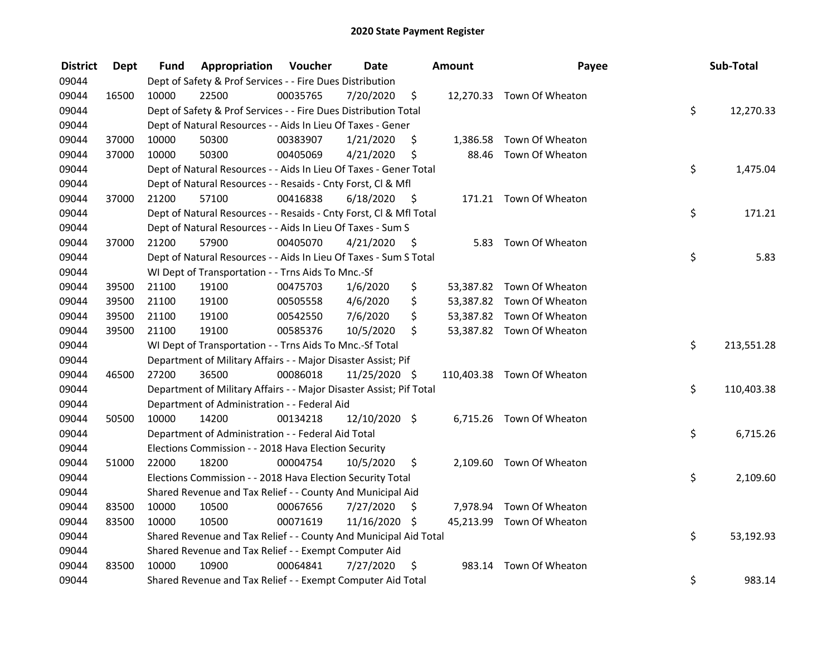| <b>District</b> | <b>Dept</b> | Fund  | Appropriation                                                       | Voucher  | <b>Date</b>     |      | <b>Amount</b> | Payee                      | Sub-Total        |
|-----------------|-------------|-------|---------------------------------------------------------------------|----------|-----------------|------|---------------|----------------------------|------------------|
| 09044           |             |       | Dept of Safety & Prof Services - - Fire Dues Distribution           |          |                 |      |               |                            |                  |
| 09044           | 16500       | 10000 | 22500                                                               | 00035765 | 7/20/2020       | \$   |               | 12,270.33 Town Of Wheaton  |                  |
| 09044           |             |       | Dept of Safety & Prof Services - - Fire Dues Distribution Total     |          |                 |      |               |                            | \$<br>12,270.33  |
| 09044           |             |       | Dept of Natural Resources - - Aids In Lieu Of Taxes - Gener         |          |                 |      |               |                            |                  |
| 09044           | 37000       | 10000 | 50300                                                               | 00383907 | 1/21/2020       | \$   | 1,386.58      | Town Of Wheaton            |                  |
| 09044           | 37000       | 10000 | 50300                                                               | 00405069 | 4/21/2020       | \$   | 88.46         | Town Of Wheaton            |                  |
| 09044           |             |       | Dept of Natural Resources - - Aids In Lieu Of Taxes - Gener Total   |          |                 |      |               |                            | \$<br>1,475.04   |
| 09044           |             |       | Dept of Natural Resources - - Resaids - Cnty Forst, CI & Mfl        |          |                 |      |               |                            |                  |
| 09044           | 37000       | 21200 | 57100                                                               | 00416838 | 6/18/2020       | - \$ |               | 171.21 Town Of Wheaton     |                  |
| 09044           |             |       | Dept of Natural Resources - - Resaids - Cnty Forst, Cl & Mfl Total  |          |                 |      |               |                            | \$<br>171.21     |
| 09044           |             |       | Dept of Natural Resources - - Aids In Lieu Of Taxes - Sum S         |          |                 |      |               |                            |                  |
| 09044           | 37000       | 21200 | 57900                                                               | 00405070 | 4/21/2020       | -Ş   | 5.83          | Town Of Wheaton            |                  |
| 09044           |             |       | Dept of Natural Resources - - Aids In Lieu Of Taxes - Sum S Total   |          |                 |      |               |                            | \$<br>5.83       |
| 09044           |             |       | WI Dept of Transportation - - Trns Aids To Mnc.-Sf                  |          |                 |      |               |                            |                  |
| 09044           | 39500       | 21100 | 19100                                                               | 00475703 | 1/6/2020        | \$   |               | 53,387.82 Town Of Wheaton  |                  |
| 09044           | 39500       | 21100 | 19100                                                               | 00505558 | 4/6/2020        | \$   |               | 53,387.82 Town Of Wheaton  |                  |
| 09044           | 39500       | 21100 | 19100                                                               | 00542550 | 7/6/2020        | \$   |               | 53,387.82 Town Of Wheaton  |                  |
| 09044           | 39500       | 21100 | 19100                                                               | 00585376 | 10/5/2020       | \$   |               | 53,387.82 Town Of Wheaton  |                  |
| 09044           |             |       | WI Dept of Transportation - - Trns Aids To Mnc.-Sf Total            |          |                 |      |               |                            | \$<br>213,551.28 |
| 09044           |             |       | Department of Military Affairs - - Major Disaster Assist; Pif       |          |                 |      |               |                            |                  |
| 09044           | 46500       | 27200 | 36500                                                               | 00086018 | 11/25/2020 \$   |      |               | 110,403.38 Town Of Wheaton |                  |
| 09044           |             |       | Department of Military Affairs - - Major Disaster Assist; Pif Total |          |                 |      |               |                            | \$<br>110,403.38 |
| 09044           |             |       | Department of Administration - - Federal Aid                        |          |                 |      |               |                            |                  |
| 09044           | 50500       | 10000 | 14200                                                               | 00134218 | $12/10/2020$ \$ |      |               | 6,715.26 Town Of Wheaton   |                  |
| 09044           |             |       | Department of Administration - - Federal Aid Total                  |          |                 |      |               |                            | \$<br>6,715.26   |
| 09044           |             |       | Elections Commission - - 2018 Hava Election Security                |          |                 |      |               |                            |                  |
| 09044           | 51000       | 22000 | 18200                                                               | 00004754 | 10/5/2020       | \$   |               | 2,109.60 Town Of Wheaton   |                  |
| 09044           |             |       | Elections Commission - - 2018 Hava Election Security Total          |          |                 |      |               |                            | \$<br>2,109.60   |
| 09044           |             |       | Shared Revenue and Tax Relief - - County And Municipal Aid          |          |                 |      |               |                            |                  |
| 09044           | 83500       | 10000 | 10500                                                               | 00067656 | 7/27/2020       | \$   | 7,978.94      | Town Of Wheaton            |                  |
| 09044           | 83500       | 10000 | 10500                                                               | 00071619 | 11/16/2020 \$   |      |               | 45,213.99 Town Of Wheaton  |                  |
| 09044           |             |       | Shared Revenue and Tax Relief - - County And Municipal Aid Total    |          |                 |      |               |                            | \$<br>53,192.93  |
| 09044           |             |       | Shared Revenue and Tax Relief - - Exempt Computer Aid               |          |                 |      |               |                            |                  |
| 09044           | 83500       | 10000 | 10900                                                               | 00064841 | 7/27/2020       | -\$  | 983.14        | Town Of Wheaton            |                  |
| 09044           |             |       | Shared Revenue and Tax Relief - - Exempt Computer Aid Total         |          |                 |      |               |                            | \$<br>983.14     |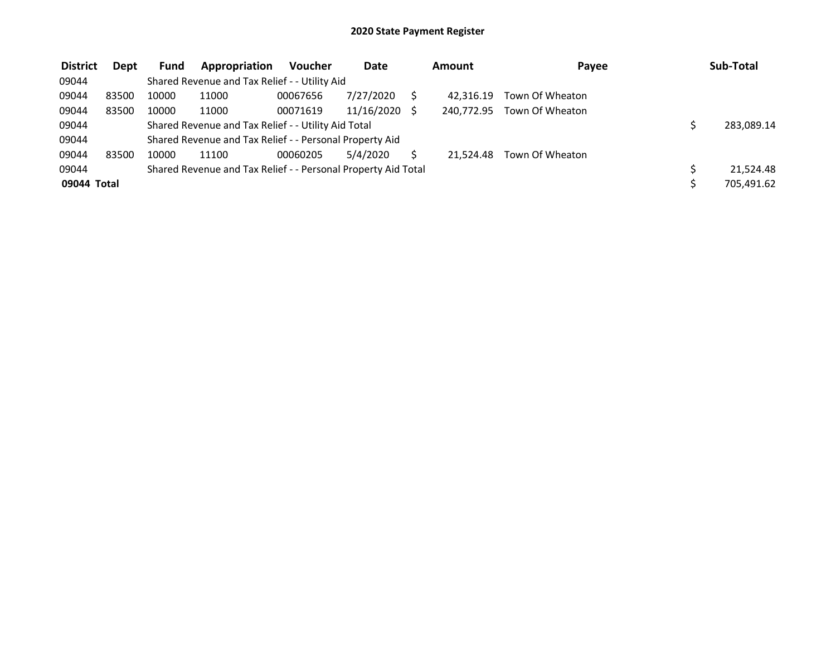| <b>District</b> | <b>Dept</b> | <b>Fund</b> | Appropriation                                                 | <b>Voucher</b> | Date       | Amount     | Payee           | Sub-Total  |
|-----------------|-------------|-------------|---------------------------------------------------------------|----------------|------------|------------|-----------------|------------|
| 09044           |             |             | Shared Revenue and Tax Relief - - Utility Aid                 |                |            |            |                 |            |
| 09044           | 83500       | 10000       | 11000                                                         | 00067656       | 7/27/2020  | 42.316.19  | Town Of Wheaton |            |
| 09044           | 83500       | 10000       | 11000                                                         | 00071619       | 11/16/2020 | 240.772.95 | Town Of Wheaton |            |
| 09044           |             |             | Shared Revenue and Tax Relief - - Utility Aid Total           |                |            |            |                 | 283,089.14 |
| 09044           |             |             | Shared Revenue and Tax Relief - - Personal Property Aid       |                |            |            |                 |            |
| 09044           | 83500       | 10000       | 11100                                                         | 00060205       | 5/4/2020   | 21.524.48  | Town Of Wheaton |            |
| 09044           |             |             | Shared Revenue and Tax Relief - - Personal Property Aid Total |                |            |            |                 | 21,524.48  |
| 09044 Total     |             |             |                                                               |                |            |            |                 | 705,491.62 |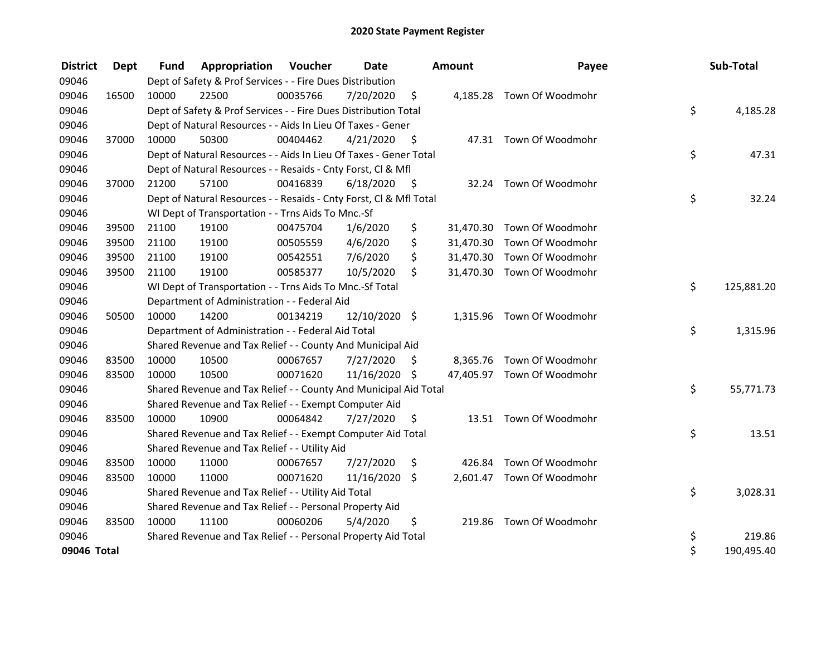| <b>District</b> | Dept  | <b>Fund</b> | <b>Appropriation Voucher</b>                                       |          | <b>Date</b>   |      | Amount    | Payee                      | Sub-Total        |
|-----------------|-------|-------------|--------------------------------------------------------------------|----------|---------------|------|-----------|----------------------------|------------------|
| 09046           |       |             | Dept of Safety & Prof Services - - Fire Dues Distribution          |          |               |      |           |                            |                  |
| 09046           | 16500 | 10000       | 22500                                                              | 00035766 | 7/20/2020     | \$   |           | 4,185.28 Town Of Woodmohr  |                  |
| 09046           |       |             | Dept of Safety & Prof Services - - Fire Dues Distribution Total    |          |               |      |           |                            | \$<br>4,185.28   |
| 09046           |       |             | Dept of Natural Resources - - Aids In Lieu Of Taxes - Gener        |          |               |      |           |                            |                  |
| 09046           | 37000 | 10000       | 50300                                                              | 00404462 | 4/21/2020     | \$   |           | 47.31 Town Of Woodmohr     |                  |
| 09046           |       |             | Dept of Natural Resources - - Aids In Lieu Of Taxes - Gener Total  |          |               |      |           |                            | \$<br>47.31      |
| 09046           |       |             | Dept of Natural Resources - - Resaids - Cnty Forst, Cl & Mfl       |          |               |      |           |                            |                  |
| 09046           | 37000 | 21200       | 57100                                                              | 00416839 | 6/18/2020     | - \$ | 32.24     | Town Of Woodmohr           |                  |
| 09046           |       |             | Dept of Natural Resources - - Resaids - Cnty Forst, Cl & Mfl Total |          |               |      |           |                            | \$<br>32.24      |
| 09046           |       |             | WI Dept of Transportation - - Trns Aids To Mnc.-Sf                 |          |               |      |           |                            |                  |
| 09046           | 39500 | 21100       | 19100                                                              | 00475704 | 1/6/2020      | \$   |           | 31,470.30 Town Of Woodmohr |                  |
| 09046           | 39500 | 21100       | 19100                                                              | 00505559 | 4/6/2020      | \$   | 31,470.30 | Town Of Woodmohr           |                  |
| 09046           | 39500 | 21100       | 19100                                                              | 00542551 | 7/6/2020      | \$   | 31,470.30 | Town Of Woodmohr           |                  |
| 09046           | 39500 | 21100       | 19100                                                              | 00585377 | 10/5/2020     | \$   |           | 31,470.30 Town Of Woodmohr |                  |
| 09046           |       |             | WI Dept of Transportation - - Trns Aids To Mnc.-Sf Total           |          |               |      |           |                            | \$<br>125,881.20 |
| 09046           |       |             | Department of Administration - - Federal Aid                       |          |               |      |           |                            |                  |
| 09046           | 50500 | 10000       | 14200                                                              | 00134219 | 12/10/2020 \$ |      | 1,315.96  | Town Of Woodmohr           |                  |
| 09046           |       |             | Department of Administration - - Federal Aid Total                 |          |               |      |           |                            | \$<br>1,315.96   |
| 09046           |       |             | Shared Revenue and Tax Relief - - County And Municipal Aid         |          |               |      |           |                            |                  |
| 09046           | 83500 | 10000       | 10500                                                              | 00067657 | 7/27/2020     | S    |           | 8,365.76 Town Of Woodmohr  |                  |
| 09046           | 83500 | 10000       | 10500                                                              | 00071620 | 11/16/2020 \$ |      |           | 47,405.97 Town Of Woodmohr |                  |
| 09046           |       |             | Shared Revenue and Tax Relief - - County And Municipal Aid Total   |          |               |      |           |                            | \$<br>55,771.73  |
| 09046           |       |             | Shared Revenue and Tax Relief - - Exempt Computer Aid              |          |               |      |           |                            |                  |
| 09046           | 83500 | 10000       | 10900                                                              | 00064842 | 7/27/2020     | \$   |           | 13.51 Town Of Woodmohr     |                  |
| 09046           |       |             | Shared Revenue and Tax Relief - - Exempt Computer Aid Total        |          |               |      |           |                            | \$<br>13.51      |
| 09046           |       |             | Shared Revenue and Tax Relief - - Utility Aid                      |          |               |      |           |                            |                  |
| 09046           | 83500 | 10000       | 11000                                                              | 00067657 | 7/27/2020     | \$   | 426.84    | Town Of Woodmohr           |                  |
| 09046           | 83500 | 10000       | 11000                                                              | 00071620 | 11/16/2020    | \$   |           | 2,601.47 Town Of Woodmohr  |                  |
| 09046           |       |             | Shared Revenue and Tax Relief - - Utility Aid Total                |          |               |      |           |                            | \$<br>3,028.31   |
| 09046           |       |             | Shared Revenue and Tax Relief - - Personal Property Aid            |          |               |      |           |                            |                  |
| 09046           | 83500 | 10000       | 11100                                                              | 00060206 | 5/4/2020      | \$   |           | 219.86 Town Of Woodmohr    |                  |
| 09046           |       |             | Shared Revenue and Tax Relief - - Personal Property Aid Total      |          |               |      |           |                            | \$<br>219.86     |
| 09046 Total     |       |             |                                                                    |          |               |      |           |                            | \$<br>190,495.40 |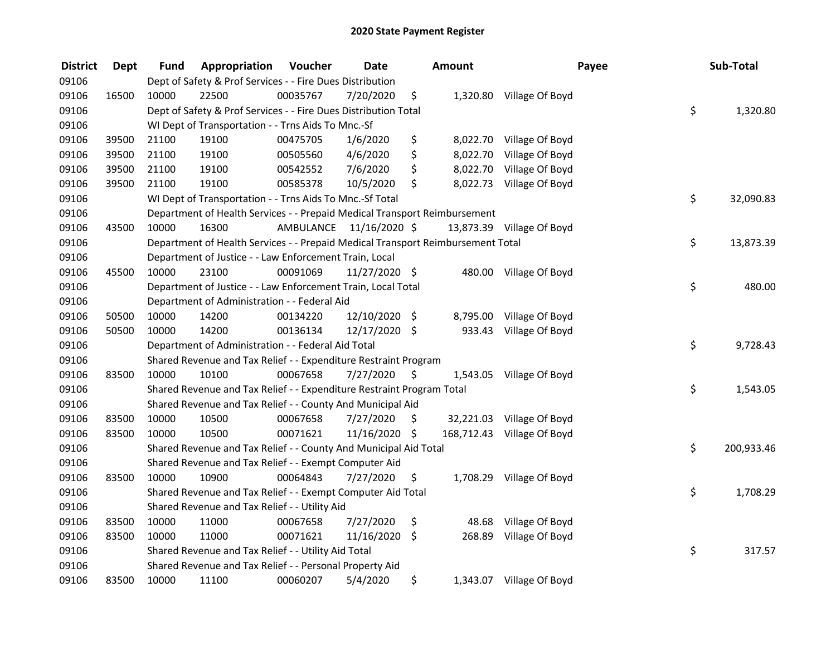| <b>District</b> | <b>Dept</b> | Fund  | Appropriation                                                                   | Voucher   | <b>Date</b>   |                     | <b>Amount</b> |                           | Payee | Sub-Total        |
|-----------------|-------------|-------|---------------------------------------------------------------------------------|-----------|---------------|---------------------|---------------|---------------------------|-------|------------------|
| 09106           |             |       | Dept of Safety & Prof Services - - Fire Dues Distribution                       |           |               |                     |               |                           |       |                  |
| 09106           | 16500       | 10000 | 22500                                                                           | 00035767  | 7/20/2020     | \$                  |               | 1,320.80 Village Of Boyd  |       |                  |
| 09106           |             |       | Dept of Safety & Prof Services - - Fire Dues Distribution Total                 |           |               |                     |               |                           |       | \$<br>1,320.80   |
| 09106           |             |       | WI Dept of Transportation - - Trns Aids To Mnc.-Sf                              |           |               |                     |               |                           |       |                  |
| 09106           | 39500       | 21100 | 19100                                                                           | 00475705  | 1/6/2020      | \$                  | 8,022.70      | Village Of Boyd           |       |                  |
| 09106           | 39500       | 21100 | 19100                                                                           | 00505560  | 4/6/2020      | \$                  | 8,022.70      | Village Of Boyd           |       |                  |
| 09106           | 39500       | 21100 | 19100                                                                           | 00542552  | 7/6/2020      | \$                  | 8,022.70      | Village Of Boyd           |       |                  |
| 09106           | 39500       | 21100 | 19100                                                                           | 00585378  | 10/5/2020     | \$                  | 8,022.73      | Village Of Boyd           |       |                  |
| 09106           |             |       | WI Dept of Transportation - - Trns Aids To Mnc.-Sf Total                        |           |               |                     |               |                           |       | \$<br>32,090.83  |
| 09106           |             |       | Department of Health Services - - Prepaid Medical Transport Reimbursement       |           |               |                     |               |                           |       |                  |
| 09106           | 43500       | 10000 | 16300                                                                           | AMBULANCE | 11/16/2020 \$ |                     |               | 13,873.39 Village Of Boyd |       |                  |
| 09106           |             |       | Department of Health Services - - Prepaid Medical Transport Reimbursement Total |           |               |                     |               |                           |       | \$<br>13,873.39  |
| 09106           |             |       | Department of Justice - - Law Enforcement Train, Local                          |           |               |                     |               |                           |       |                  |
| 09106           | 45500       | 10000 | 23100                                                                           | 00091069  | 11/27/2020 \$ |                     | 480.00        | Village Of Boyd           |       |                  |
| 09106           |             |       | Department of Justice - - Law Enforcement Train, Local Total                    |           |               |                     |               |                           |       | \$<br>480.00     |
| 09106           |             |       | Department of Administration - - Federal Aid                                    |           |               |                     |               |                           |       |                  |
| 09106           | 50500       | 10000 | 14200                                                                           | 00134220  | 12/10/2020 \$ |                     | 8,795.00      | Village Of Boyd           |       |                  |
| 09106           | 50500       | 10000 | 14200                                                                           | 00136134  | 12/17/2020 \$ |                     | 933.43        | Village Of Boyd           |       |                  |
| 09106           |             |       | Department of Administration - - Federal Aid Total                              |           |               |                     |               |                           |       | \$<br>9,728.43   |
| 09106           |             |       | Shared Revenue and Tax Relief - - Expenditure Restraint Program                 |           |               |                     |               |                           |       |                  |
| 09106           | 83500       | 10000 | 10100                                                                           | 00067658  | 7/27/2020     | $\ddot{\mathsf{s}}$ |               | 1,543.05 Village Of Boyd  |       |                  |
| 09106           |             |       | Shared Revenue and Tax Relief - - Expenditure Restraint Program Total           |           |               |                     |               |                           |       | \$<br>1,543.05   |
| 09106           |             |       | Shared Revenue and Tax Relief - - County And Municipal Aid                      |           |               |                     |               |                           |       |                  |
| 09106           | 83500       | 10000 | 10500                                                                           | 00067658  | 7/27/2020     | S.                  |               | 32,221.03 Village Of Boyd |       |                  |
| 09106           | 83500       | 10000 | 10500                                                                           | 00071621  | 11/16/2020 \$ |                     | 168,712.43    | Village Of Boyd           |       |                  |
| 09106           |             |       | Shared Revenue and Tax Relief - - County And Municipal Aid Total                |           |               |                     |               |                           |       | \$<br>200,933.46 |
| 09106           |             |       | Shared Revenue and Tax Relief - - Exempt Computer Aid                           |           |               |                     |               |                           |       |                  |
| 09106           | 83500       | 10000 | 10900                                                                           | 00064843  | 7/27/2020     | \$                  | 1,708.29      | Village Of Boyd           |       |                  |
| 09106           |             |       | Shared Revenue and Tax Relief - - Exempt Computer Aid Total                     |           |               |                     |               |                           |       | \$<br>1,708.29   |
| 09106           |             |       | Shared Revenue and Tax Relief - - Utility Aid                                   |           |               |                     |               |                           |       |                  |
| 09106           | 83500       | 10000 | 11000                                                                           | 00067658  | 7/27/2020     | \$                  | 48.68         | Village Of Boyd           |       |                  |
| 09106           | 83500       | 10000 | 11000                                                                           | 00071621  | 11/16/2020    | $\zeta$             | 268.89        | Village Of Boyd           |       |                  |
| 09106           |             |       | Shared Revenue and Tax Relief - - Utility Aid Total                             |           |               |                     |               |                           |       | \$<br>317.57     |
| 09106           |             |       | Shared Revenue and Tax Relief - - Personal Property Aid                         |           |               |                     |               |                           |       |                  |
| 09106           | 83500       | 10000 | 11100                                                                           | 00060207  | 5/4/2020      | \$                  |               | 1,343.07 Village Of Boyd  |       |                  |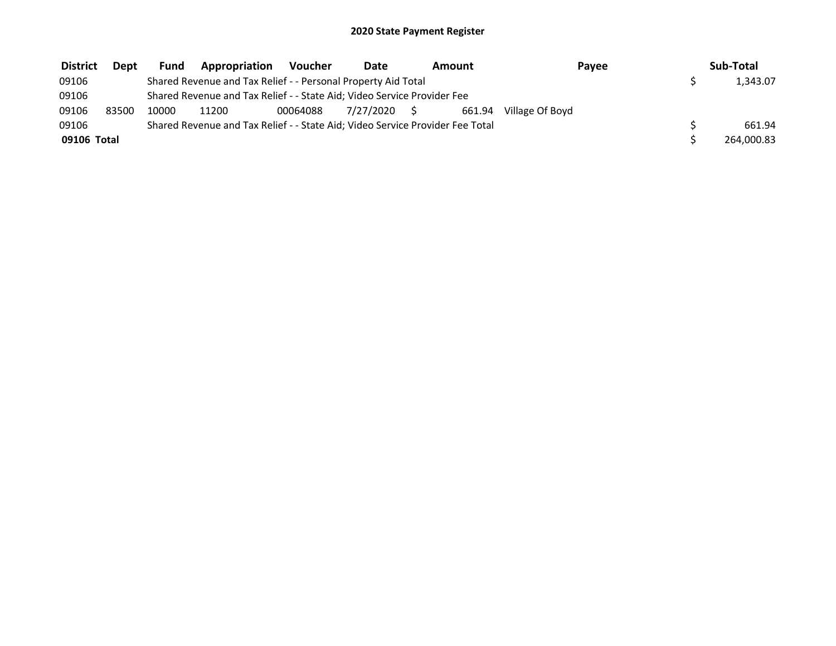| <b>District</b> | <b>Dept</b> | Fund  | Appropriation                                                                 | Voucher  | Date         | Amount |        | Payee           | Sub-Total  |
|-----------------|-------------|-------|-------------------------------------------------------------------------------|----------|--------------|--------|--------|-----------------|------------|
| 09106           |             |       | Shared Revenue and Tax Relief - - Personal Property Aid Total                 |          |              |        |        |                 | 1,343.07   |
| 09106           |             |       | Shared Revenue and Tax Relief - - State Aid; Video Service Provider Fee       |          |              |        |        |                 |            |
| 09106           | 83500       | 10000 | 11200                                                                         | 00064088 | 7/27/2020 \$ |        | 661.94 | Village Of Boyd |            |
| 09106           |             |       | Shared Revenue and Tax Relief - - State Aid; Video Service Provider Fee Total |          |              |        |        |                 | 661.94     |
| 09106 Total     |             |       |                                                                               |          |              |        |        |                 | 264,000.83 |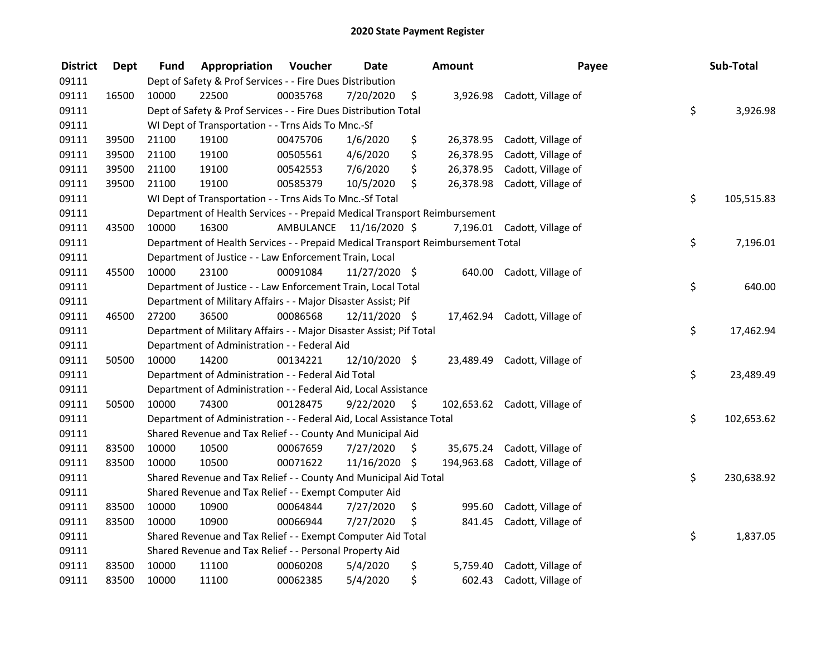| <b>District</b> | <b>Dept</b> | Fund  | Appropriation                                                                   | Voucher   | <b>Date</b>   |                     | Amount     | Payee                         | Sub-Total        |
|-----------------|-------------|-------|---------------------------------------------------------------------------------|-----------|---------------|---------------------|------------|-------------------------------|------------------|
| 09111           |             |       | Dept of Safety & Prof Services - - Fire Dues Distribution                       |           |               |                     |            |                               |                  |
| 09111           | 16500       | 10000 | 22500                                                                           | 00035768  | 7/20/2020     | \$                  | 3,926.98   | Cadott, Village of            |                  |
| 09111           |             |       | Dept of Safety & Prof Services - - Fire Dues Distribution Total                 |           |               |                     |            |                               | \$<br>3,926.98   |
| 09111           |             |       | WI Dept of Transportation - - Trns Aids To Mnc.-Sf                              |           |               |                     |            |                               |                  |
| 09111           | 39500       | 21100 | 19100                                                                           | 00475706  | 1/6/2020      | \$                  | 26,378.95  | Cadott, Village of            |                  |
| 09111           | 39500       | 21100 | 19100                                                                           | 00505561  | 4/6/2020      | \$                  | 26,378.95  | Cadott, Village of            |                  |
| 09111           | 39500       | 21100 | 19100                                                                           | 00542553  | 7/6/2020      | \$                  | 26,378.95  | Cadott, Village of            |                  |
| 09111           | 39500       | 21100 | 19100                                                                           | 00585379  | 10/5/2020     | \$                  | 26,378.98  | Cadott, Village of            |                  |
| 09111           |             |       | WI Dept of Transportation - - Trns Aids To Mnc.-Sf Total                        |           |               |                     |            |                               | \$<br>105,515.83 |
| 09111           |             |       | Department of Health Services - - Prepaid Medical Transport Reimbursement       |           |               |                     |            |                               |                  |
| 09111           | 43500       | 10000 | 16300                                                                           | AMBULANCE | 11/16/2020 \$ |                     |            | 7,196.01 Cadott, Village of   |                  |
| 09111           |             |       | Department of Health Services - - Prepaid Medical Transport Reimbursement Total |           |               |                     |            |                               | \$<br>7,196.01   |
| 09111           |             |       | Department of Justice - - Law Enforcement Train, Local                          |           |               |                     |            |                               |                  |
| 09111           | 45500       | 10000 | 23100                                                                           | 00091084  | 11/27/2020 \$ |                     | 640.00     | Cadott, Village of            |                  |
| 09111           |             |       | Department of Justice - - Law Enforcement Train, Local Total                    |           |               |                     |            |                               | \$<br>640.00     |
| 09111           |             |       | Department of Military Affairs - - Major Disaster Assist; Pif                   |           |               |                     |            |                               |                  |
| 09111           | 46500       | 27200 | 36500                                                                           | 00086568  | 12/11/2020 \$ |                     | 17,462.94  | Cadott, Village of            |                  |
| 09111           |             |       | Department of Military Affairs - - Major Disaster Assist; Pif Total             |           |               |                     |            |                               | \$<br>17,462.94  |
| 09111           |             |       | Department of Administration - - Federal Aid                                    |           |               |                     |            |                               |                  |
| 09111           | 50500       | 10000 | 14200                                                                           | 00134221  | 12/10/2020 \$ |                     |            | 23,489.49 Cadott, Village of  |                  |
| 09111           |             |       | Department of Administration - - Federal Aid Total                              |           |               |                     |            |                               | \$<br>23,489.49  |
| 09111           |             |       | Department of Administration - - Federal Aid, Local Assistance                  |           |               |                     |            |                               |                  |
| 09111           | 50500       | 10000 | 74300                                                                           | 00128475  | 9/22/2020     | $\ddot{\mathsf{s}}$ |            | 102,653.62 Cadott, Village of |                  |
| 09111           |             |       | Department of Administration - - Federal Aid, Local Assistance Total            |           |               |                     |            |                               | \$<br>102,653.62 |
| 09111           |             |       | Shared Revenue and Tax Relief - - County And Municipal Aid                      |           |               |                     |            |                               |                  |
| 09111           | 83500       | 10000 | 10500                                                                           | 00067659  | 7/27/2020     | \$                  | 35,675.24  | Cadott, Village of            |                  |
| 09111           | 83500       | 10000 | 10500                                                                           | 00071622  | 11/16/2020 \$ |                     | 194,963.68 | Cadott, Village of            |                  |
| 09111           |             |       | Shared Revenue and Tax Relief - - County And Municipal Aid Total                |           |               |                     |            |                               | \$<br>230,638.92 |
| 09111           |             |       | Shared Revenue and Tax Relief - - Exempt Computer Aid                           |           |               |                     |            |                               |                  |
| 09111           | 83500       | 10000 | 10900                                                                           | 00064844  | 7/27/2020     | \$                  | 995.60     | Cadott, Village of            |                  |
| 09111           | 83500       | 10000 | 10900                                                                           | 00066944  | 7/27/2020     | \$                  | 841.45     | Cadott, Village of            |                  |
| 09111           |             |       | Shared Revenue and Tax Relief - - Exempt Computer Aid Total                     |           |               |                     |            |                               | \$<br>1,837.05   |
| 09111           |             |       | Shared Revenue and Tax Relief - - Personal Property Aid                         |           |               |                     |            |                               |                  |
| 09111           | 83500       | 10000 | 11100                                                                           | 00060208  | 5/4/2020      | \$                  | 5,759.40   | Cadott, Village of            |                  |
| 09111           | 83500       | 10000 | 11100                                                                           | 00062385  | 5/4/2020      | \$                  | 602.43     | Cadott, Village of            |                  |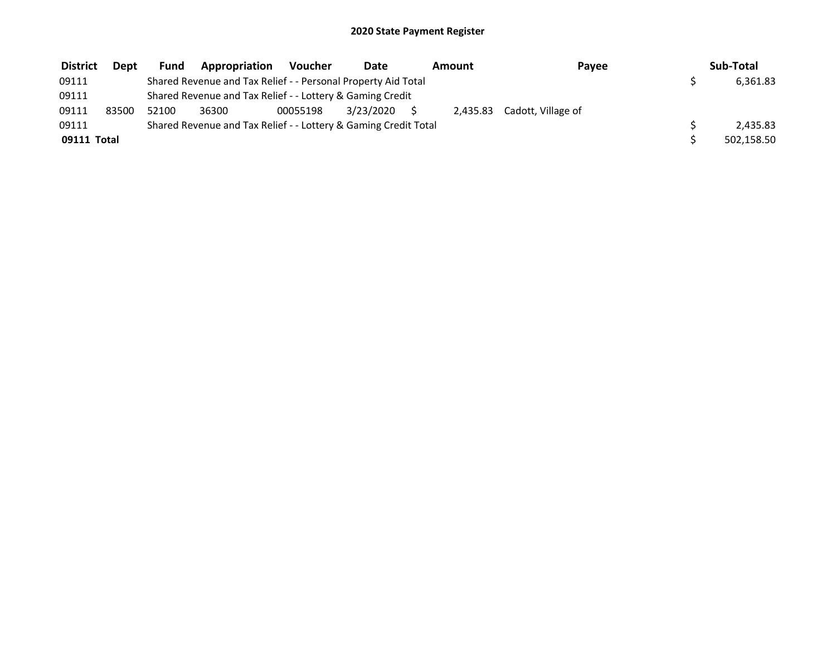| <b>District</b> | <b>Dept</b> | <b>Fund</b> | Appropriation                                                   | <b>Voucher</b> | Date      | Amount | Payee                       | Sub-Total  |
|-----------------|-------------|-------------|-----------------------------------------------------------------|----------------|-----------|--------|-----------------------------|------------|
| 09111           |             |             | Shared Revenue and Tax Relief - - Personal Property Aid Total   |                |           |        |                             | 6,361.83   |
| 09111           |             |             | Shared Revenue and Tax Relief - - Lottery & Gaming Credit       |                |           |        |                             |            |
| 09111           | 83500       | 52100       | 36300                                                           | 00055198       | 3/23/2020 |        | 2,435.83 Cadott, Village of |            |
| 09111           |             |             | Shared Revenue and Tax Relief - - Lottery & Gaming Credit Total |                |           |        |                             | 2.435.83   |
| 09111 Total     |             |             |                                                                 |                |           |        |                             | 502,158.50 |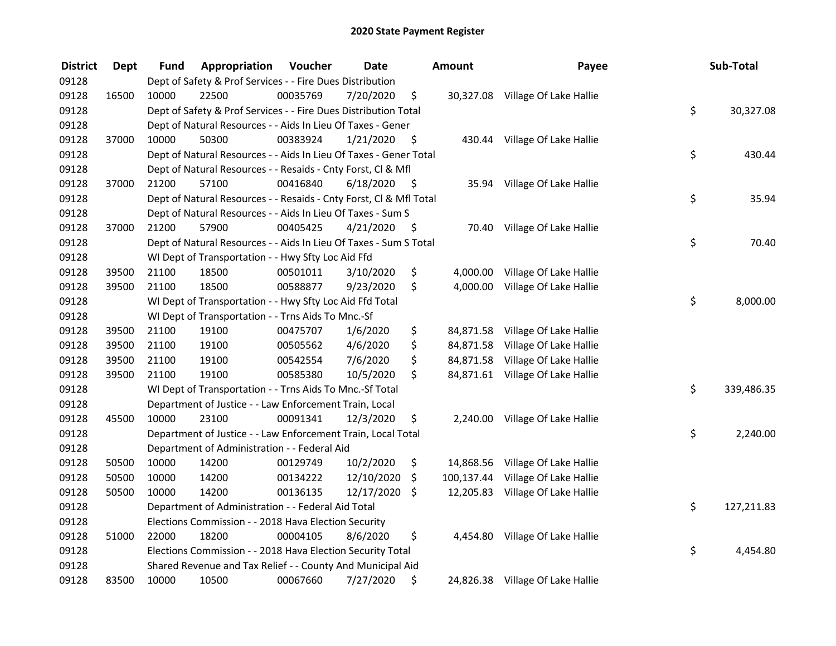| <b>District</b> | <b>Dept</b> | Fund  | Appropriation                                                      | <b>Voucher</b> | <b>Date</b> |      | Amount    | Payee                             | Sub-Total        |
|-----------------|-------------|-------|--------------------------------------------------------------------|----------------|-------------|------|-----------|-----------------------------------|------------------|
| 09128           |             |       | Dept of Safety & Prof Services - - Fire Dues Distribution          |                |             |      |           |                                   |                  |
| 09128           | 16500       | 10000 | 22500                                                              | 00035769       | 7/20/2020   | \$   |           | 30,327.08 Village Of Lake Hallie  |                  |
| 09128           |             |       | Dept of Safety & Prof Services - - Fire Dues Distribution Total    |                |             |      |           |                                   | \$<br>30,327.08  |
| 09128           |             |       | Dept of Natural Resources - - Aids In Lieu Of Taxes - Gener        |                |             |      |           |                                   |                  |
| 09128           | 37000       | 10000 | 50300                                                              | 00383924       | 1/21/2020   | \$   |           | 430.44 Village Of Lake Hallie     |                  |
| 09128           |             |       | Dept of Natural Resources - - Aids In Lieu Of Taxes - Gener Total  |                |             |      |           |                                   | \$<br>430.44     |
| 09128           |             |       | Dept of Natural Resources - - Resaids - Cnty Forst, Cl & Mfl       |                |             |      |           |                                   |                  |
| 09128           | 37000       | 21200 | 57100                                                              | 00416840       | 6/18/2020   | - \$ |           | 35.94 Village Of Lake Hallie      |                  |
| 09128           |             |       | Dept of Natural Resources - - Resaids - Cnty Forst, Cl & Mfl Total |                |             |      |           |                                   | \$<br>35.94      |
| 09128           |             |       | Dept of Natural Resources - - Aids In Lieu Of Taxes - Sum S        |                |             |      |           |                                   |                  |
| 09128           | 37000       | 21200 | 57900                                                              | 00405425       | 4/21/2020   | \$   |           | 70.40 Village Of Lake Hallie      |                  |
| 09128           |             |       | Dept of Natural Resources - - Aids In Lieu Of Taxes - Sum S Total  |                |             |      |           |                                   | \$<br>70.40      |
| 09128           |             |       | WI Dept of Transportation - - Hwy Sfty Loc Aid Ffd                 |                |             |      |           |                                   |                  |
| 09128           | 39500       | 21100 | 18500                                                              | 00501011       | 3/10/2020   | \$   | 4,000.00  | Village Of Lake Hallie            |                  |
| 09128           | 39500       | 21100 | 18500                                                              | 00588877       | 9/23/2020   | \$   | 4,000.00  | Village Of Lake Hallie            |                  |
| 09128           |             |       | WI Dept of Transportation - - Hwy Sfty Loc Aid Ffd Total           |                |             |      |           |                                   | \$<br>8,000.00   |
| 09128           |             |       | WI Dept of Transportation - - Trns Aids To Mnc.-Sf                 |                |             |      |           |                                   |                  |
| 09128           | 39500       | 21100 | 19100                                                              | 00475707       | 1/6/2020    | \$   | 84,871.58 | Village Of Lake Hallie            |                  |
| 09128           | 39500       | 21100 | 19100                                                              | 00505562       | 4/6/2020    | \$   |           | 84,871.58 Village Of Lake Hallie  |                  |
| 09128           | 39500       | 21100 | 19100                                                              | 00542554       | 7/6/2020    | \$   |           | 84,871.58 Village Of Lake Hallie  |                  |
| 09128           | 39500       | 21100 | 19100                                                              | 00585380       | 10/5/2020   | \$   |           | 84,871.61 Village Of Lake Hallie  |                  |
| 09128           |             |       | WI Dept of Transportation - - Trns Aids To Mnc.-Sf Total           |                |             |      |           |                                   | \$<br>339,486.35 |
| 09128           |             |       | Department of Justice - - Law Enforcement Train, Local             |                |             |      |           |                                   |                  |
| 09128           | 45500       | 10000 | 23100                                                              | 00091341       | 12/3/2020   | \$   |           | 2,240.00 Village Of Lake Hallie   |                  |
| 09128           |             |       | Department of Justice - - Law Enforcement Train, Local Total       |                |             |      |           |                                   | \$<br>2,240.00   |
| 09128           |             |       | Department of Administration - - Federal Aid                       |                |             |      |           |                                   |                  |
| 09128           | 50500       | 10000 | 14200                                                              | 00129749       | 10/2/2020   | \$   |           | 14,868.56 Village Of Lake Hallie  |                  |
| 09128           | 50500       | 10000 | 14200                                                              | 00134222       | 12/10/2020  | \$   |           | 100,137.44 Village Of Lake Hallie |                  |
| 09128           | 50500       | 10000 | 14200                                                              | 00136135       | 12/17/2020  | \$   |           | 12,205.83 Village Of Lake Hallie  |                  |
| 09128           |             |       | Department of Administration - - Federal Aid Total                 |                |             |      |           |                                   | \$<br>127,211.83 |
| 09128           |             |       | Elections Commission - - 2018 Hava Election Security               |                |             |      |           |                                   |                  |
| 09128           | 51000       | 22000 | 18200                                                              | 00004105       | 8/6/2020    | \$   |           | 4,454.80 Village Of Lake Hallie   |                  |
| 09128           |             |       | Elections Commission - - 2018 Hava Election Security Total         |                |             |      |           |                                   | \$<br>4,454.80   |
| 09128           |             |       | Shared Revenue and Tax Relief - - County And Municipal Aid         |                |             |      |           |                                   |                  |
| 09128           | 83500       | 10000 | 10500                                                              | 00067660       | 7/27/2020   | \$   |           | 24,826.38 Village Of Lake Hallie  |                  |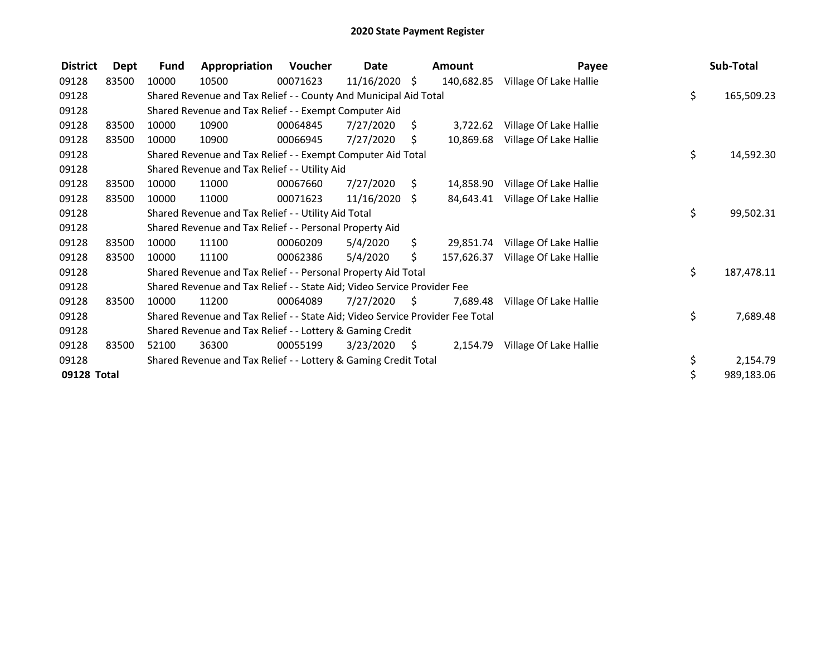| <b>District</b> | <b>Dept</b> | <b>Fund</b> | Appropriation                                                                 | Voucher  | Date            |      | Amount     | Payee                  | Sub-Total        |
|-----------------|-------------|-------------|-------------------------------------------------------------------------------|----------|-----------------|------|------------|------------------------|------------------|
| 09128           | 83500       | 10000       | 10500                                                                         | 00071623 | $11/16/2020$ \$ |      | 140,682.85 | Village Of Lake Hallie |                  |
| 09128           |             |             | Shared Revenue and Tax Relief - - County And Municipal Aid Total              |          |                 |      |            |                        | \$<br>165,509.23 |
| 09128           |             |             | Shared Revenue and Tax Relief - - Exempt Computer Aid                         |          |                 |      |            |                        |                  |
| 09128           | 83500       | 10000       | 10900                                                                         | 00064845 | 7/27/2020       | S.   | 3,722.62   | Village Of Lake Hallie |                  |
| 09128           | 83500       | 10000       | 10900                                                                         | 00066945 | 7/27/2020       | Ŝ.   | 10,869.68  | Village Of Lake Hallie |                  |
| 09128           |             |             | Shared Revenue and Tax Relief - - Exempt Computer Aid Total                   |          |                 |      |            |                        | \$<br>14,592.30  |
| 09128           |             |             | Shared Revenue and Tax Relief - - Utility Aid                                 |          |                 |      |            |                        |                  |
| 09128           | 83500       | 10000       | 11000                                                                         | 00067660 | 7/27/2020       | S.   | 14,858.90  | Village Of Lake Hallie |                  |
| 09128           | 83500       | 10000       | 11000                                                                         | 00071623 | 11/16/2020      | S.   | 84,643.41  | Village Of Lake Hallie |                  |
| 09128           |             |             | Shared Revenue and Tax Relief - - Utility Aid Total                           |          |                 |      |            |                        | \$<br>99,502.31  |
| 09128           |             |             | Shared Revenue and Tax Relief - - Personal Property Aid                       |          |                 |      |            |                        |                  |
| 09128           | 83500       | 10000       | 11100                                                                         | 00060209 | 5/4/2020        | Ś.   | 29,851.74  | Village Of Lake Hallie |                  |
| 09128           | 83500       | 10000       | 11100                                                                         | 00062386 | 5/4/2020        | \$.  | 157,626.37 | Village Of Lake Hallie |                  |
| 09128           |             |             | Shared Revenue and Tax Relief - - Personal Property Aid Total                 |          |                 |      |            |                        | \$<br>187,478.11 |
| 09128           |             |             | Shared Revenue and Tax Relief - - State Aid; Video Service Provider Fee       |          |                 |      |            |                        |                  |
| 09128           | 83500       | 10000       | 11200                                                                         | 00064089 | 7/27/2020       | - S  | 7.689.48   | Village Of Lake Hallie |                  |
| 09128           |             |             | Shared Revenue and Tax Relief - - State Aid; Video Service Provider Fee Total |          |                 |      |            |                        | \$<br>7,689.48   |
| 09128           |             |             | Shared Revenue and Tax Relief - - Lottery & Gaming Credit                     |          |                 |      |            |                        |                  |
| 09128           | 83500       | 52100       | 36300                                                                         | 00055199 | 3/23/2020       | - \$ | 2,154.79   | Village Of Lake Hallie |                  |
| 09128           |             |             | Shared Revenue and Tax Relief - - Lottery & Gaming Credit Total               |          |                 |      |            |                        | \$<br>2,154.79   |
| 09128 Total     |             |             |                                                                               |          |                 |      |            |                        | \$<br>989,183.06 |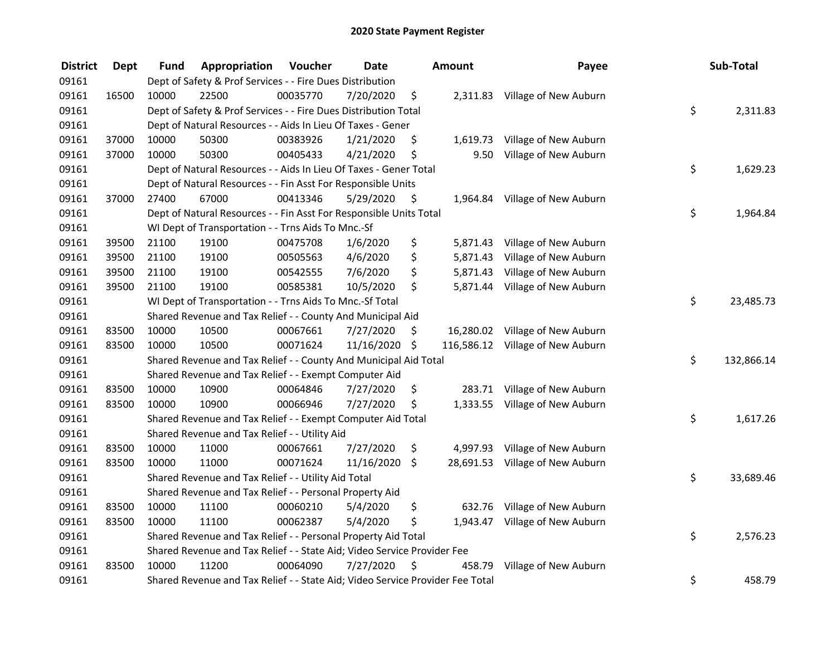| <b>District</b> | <b>Dept</b> | <b>Fund</b> | Appropriation                                                                 | Voucher  | <b>Date</b> | <b>Amount</b>    | Payee                          | Sub-Total        |
|-----------------|-------------|-------------|-------------------------------------------------------------------------------|----------|-------------|------------------|--------------------------------|------------------|
| 09161           |             |             | Dept of Safety & Prof Services - - Fire Dues Distribution                     |          |             |                  |                                |                  |
| 09161           | 16500       | 10000       | 22500                                                                         | 00035770 | 7/20/2020   | \$               | 2,311.83 Village of New Auburn |                  |
| 09161           |             |             | Dept of Safety & Prof Services - - Fire Dues Distribution Total               |          |             |                  |                                | \$<br>2,311.83   |
| 09161           |             |             | Dept of Natural Resources - - Aids In Lieu Of Taxes - Gener                   |          |             |                  |                                |                  |
| 09161           | 37000       | 10000       | 50300                                                                         | 00383926 | 1/21/2020   | \$<br>1,619.73   | Village of New Auburn          |                  |
| 09161           | 37000       | 10000       | 50300                                                                         | 00405433 | 4/21/2020   | \$<br>9.50       | Village of New Auburn          |                  |
| 09161           |             |             | Dept of Natural Resources - - Aids In Lieu Of Taxes - Gener Total             |          |             |                  |                                | \$<br>1,629.23   |
| 09161           |             |             | Dept of Natural Resources - - Fin Asst For Responsible Units                  |          |             |                  |                                |                  |
| 09161           | 37000       | 27400       | 67000                                                                         | 00413346 | 5/29/2020   | \$               | 1,964.84 Village of New Auburn |                  |
| 09161           |             |             | Dept of Natural Resources - - Fin Asst For Responsible Units Total            |          |             |                  |                                | \$<br>1,964.84   |
| 09161           |             |             | WI Dept of Transportation - - Trns Aids To Mnc.-Sf                            |          |             |                  |                                |                  |
| 09161           | 39500       | 21100       | 19100                                                                         | 00475708 | 1/6/2020    | \$<br>5,871.43   | Village of New Auburn          |                  |
| 09161           | 39500       | 21100       | 19100                                                                         | 00505563 | 4/6/2020    | \$<br>5,871.43   | Village of New Auburn          |                  |
| 09161           | 39500       | 21100       | 19100                                                                         | 00542555 | 7/6/2020    | \$<br>5,871.43   | Village of New Auburn          |                  |
| 09161           | 39500       | 21100       | 19100                                                                         | 00585381 | 10/5/2020   | \$<br>5,871.44   | Village of New Auburn          |                  |
| 09161           |             |             | WI Dept of Transportation - - Trns Aids To Mnc.-Sf Total                      |          |             |                  |                                | \$<br>23,485.73  |
| 09161           |             |             | Shared Revenue and Tax Relief - - County And Municipal Aid                    |          |             |                  |                                |                  |
| 09161           | 83500       | 10000       | 10500                                                                         | 00067661 | 7/27/2020   | \$<br>16,280.02  | Village of New Auburn          |                  |
| 09161           | 83500       | 10000       | 10500                                                                         | 00071624 | 11/16/2020  | \$<br>116,586.12 | Village of New Auburn          |                  |
| 09161           |             |             | Shared Revenue and Tax Relief - - County And Municipal Aid Total              |          |             |                  |                                | \$<br>132,866.14 |
| 09161           |             |             | Shared Revenue and Tax Relief - - Exempt Computer Aid                         |          |             |                  |                                |                  |
| 09161           | 83500       | 10000       | 10900                                                                         | 00064846 | 7/27/2020   | \$<br>283.71     | Village of New Auburn          |                  |
| 09161           | 83500       | 10000       | 10900                                                                         | 00066946 | 7/27/2020   | \$               | 1,333.55 Village of New Auburn |                  |
| 09161           |             |             | Shared Revenue and Tax Relief - - Exempt Computer Aid Total                   |          |             |                  |                                | \$<br>1,617.26   |
| 09161           |             |             | Shared Revenue and Tax Relief - - Utility Aid                                 |          |             |                  |                                |                  |
| 09161           | 83500       | 10000       | 11000                                                                         | 00067661 | 7/27/2020   | \$<br>4,997.93   | Village of New Auburn          |                  |
| 09161           | 83500       | 10000       | 11000                                                                         | 00071624 | 11/16/2020  | \$<br>28,691.53  | Village of New Auburn          |                  |
| 09161           |             |             | Shared Revenue and Tax Relief - - Utility Aid Total                           |          |             |                  |                                | \$<br>33,689.46  |
| 09161           |             |             | Shared Revenue and Tax Relief - - Personal Property Aid                       |          |             |                  |                                |                  |
| 09161           | 83500       | 10000       | 11100                                                                         | 00060210 | 5/4/2020    | \$<br>632.76     | Village of New Auburn          |                  |
| 09161           | 83500       | 10000       | 11100                                                                         | 00062387 | 5/4/2020    | \$<br>1,943.47   | Village of New Auburn          |                  |
| 09161           |             |             | Shared Revenue and Tax Relief - - Personal Property Aid Total                 |          |             |                  |                                | \$<br>2,576.23   |
| 09161           |             |             | Shared Revenue and Tax Relief - - State Aid; Video Service Provider Fee       |          |             |                  |                                |                  |
| 09161           | 83500       | 10000       | 11200                                                                         | 00064090 | 7/27/2020   | \$<br>458.79     | Village of New Auburn          |                  |
| 09161           |             |             | Shared Revenue and Tax Relief - - State Aid; Video Service Provider Fee Total |          |             |                  |                                | \$<br>458.79     |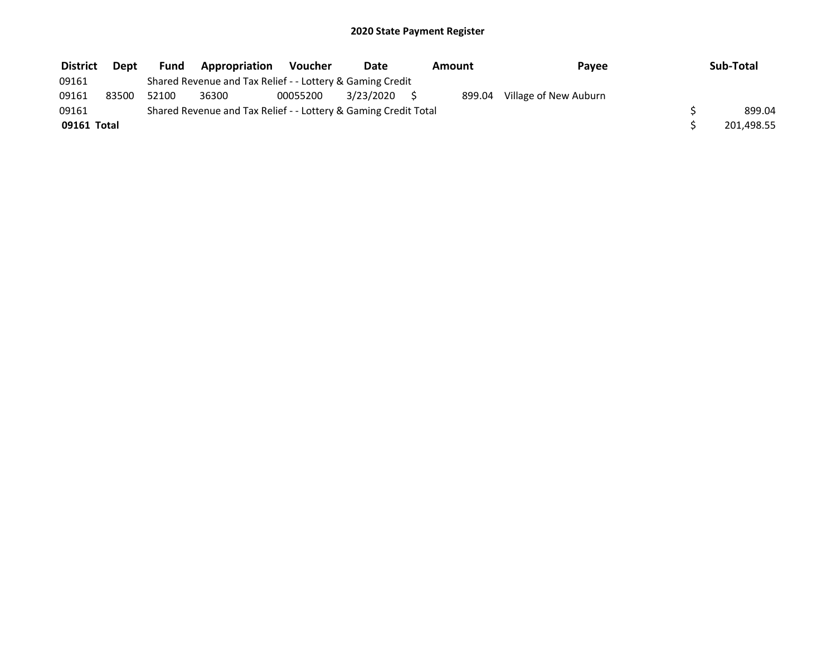| <b>District</b> | <b>Dept</b> | <b>Fund</b> | Appropriation                                                   | <b>Voucher</b> | Date      | Amount | Payee                 | Sub-Total  |
|-----------------|-------------|-------------|-----------------------------------------------------------------|----------------|-----------|--------|-----------------------|------------|
| 09161           |             |             | Shared Revenue and Tax Relief - - Lottery & Gaming Credit       |                |           |        |                       |            |
| 09161           | 83500       | 52100       | 36300                                                           | 00055200       | 3/23/2020 | 899.04 | Village of New Auburn |            |
| 09161           |             |             | Shared Revenue and Tax Relief - - Lottery & Gaming Credit Total |                |           |        |                       | 899.04     |
| 09161 Total     |             |             |                                                                 |                |           |        |                       | 201,498.55 |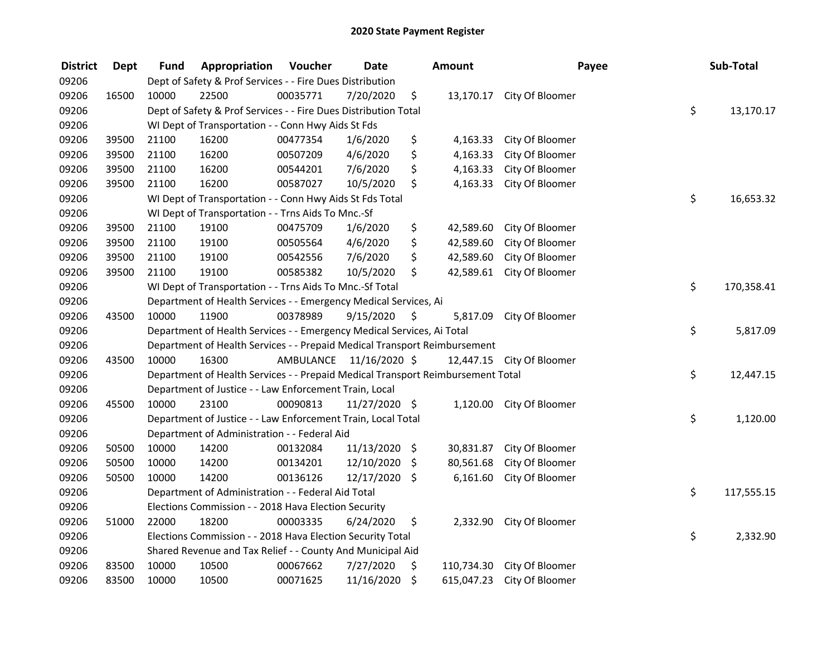| <b>District</b> | <b>Dept</b> | Fund  | Appropriation                                                                   | Voucher  | <b>Date</b>             | <b>Amount</b>    |                           | Payee | Sub-Total        |
|-----------------|-------------|-------|---------------------------------------------------------------------------------|----------|-------------------------|------------------|---------------------------|-------|------------------|
| 09206           |             |       | Dept of Safety & Prof Services - - Fire Dues Distribution                       |          |                         |                  |                           |       |                  |
| 09206           | 16500       | 10000 | 22500                                                                           | 00035771 | 7/20/2020               | \$               | 13,170.17 City Of Bloomer |       |                  |
| 09206           |             |       | Dept of Safety & Prof Services - - Fire Dues Distribution Total                 |          |                         |                  |                           |       | \$<br>13,170.17  |
| 09206           |             |       | WI Dept of Transportation - - Conn Hwy Aids St Fds                              |          |                         |                  |                           |       |                  |
| 09206           | 39500       | 21100 | 16200                                                                           | 00477354 | 1/6/2020                | \$<br>4,163.33   | City Of Bloomer           |       |                  |
| 09206           | 39500       | 21100 | 16200                                                                           | 00507209 | 4/6/2020                | \$<br>4,163.33   | City Of Bloomer           |       |                  |
| 09206           | 39500       | 21100 | 16200                                                                           | 00544201 | 7/6/2020                | \$<br>4,163.33   | City Of Bloomer           |       |                  |
| 09206           | 39500       | 21100 | 16200                                                                           | 00587027 | 10/5/2020               | \$<br>4,163.33   | City Of Bloomer           |       |                  |
| 09206           |             |       | WI Dept of Transportation - - Conn Hwy Aids St Fds Total                        |          |                         |                  |                           |       | \$<br>16,653.32  |
| 09206           |             |       | WI Dept of Transportation - - Trns Aids To Mnc.-Sf                              |          |                         |                  |                           |       |                  |
| 09206           | 39500       | 21100 | 19100                                                                           | 00475709 | 1/6/2020                | \$<br>42,589.60  | City Of Bloomer           |       |                  |
| 09206           | 39500       | 21100 | 19100                                                                           | 00505564 | 4/6/2020                | \$<br>42,589.60  | City Of Bloomer           |       |                  |
| 09206           | 39500       | 21100 | 19100                                                                           | 00542556 | 7/6/2020                | \$<br>42,589.60  | City Of Bloomer           |       |                  |
| 09206           | 39500       | 21100 | 19100                                                                           | 00585382 | 10/5/2020               | \$<br>42,589.61  | City Of Bloomer           |       |                  |
| 09206           |             |       | WI Dept of Transportation - - Trns Aids To Mnc.-Sf Total                        |          |                         |                  |                           |       | \$<br>170,358.41 |
| 09206           |             |       | Department of Health Services - - Emergency Medical Services, Ai                |          |                         |                  |                           |       |                  |
| 09206           | 43500       | 10000 | 11900                                                                           | 00378989 | 9/15/2020               | \$<br>5,817.09   | City Of Bloomer           |       |                  |
| 09206           |             |       | Department of Health Services - - Emergency Medical Services, Ai Total          |          |                         |                  |                           |       | \$<br>5,817.09   |
| 09206           |             |       | Department of Health Services - - Prepaid Medical Transport Reimbursement       |          |                         |                  |                           |       |                  |
| 09206           | 43500       | 10000 | 16300                                                                           |          | AMBULANCE 11/16/2020 \$ |                  | 12,447.15 City Of Bloomer |       |                  |
| 09206           |             |       | Department of Health Services - - Prepaid Medical Transport Reimbursement Total |          |                         |                  |                           |       | \$<br>12,447.15  |
| 09206           |             |       | Department of Justice - - Law Enforcement Train, Local                          |          |                         |                  |                           |       |                  |
| 09206           | 45500       | 10000 | 23100                                                                           | 00090813 | 11/27/2020 \$           | 1,120.00         | City Of Bloomer           |       |                  |
| 09206           |             |       | Department of Justice - - Law Enforcement Train, Local Total                    |          |                         |                  |                           |       | \$<br>1,120.00   |
| 09206           |             |       | Department of Administration - - Federal Aid                                    |          |                         |                  |                           |       |                  |
| 09206           | 50500       | 10000 | 14200                                                                           | 00132084 | 11/13/2020 \$           |                  | 30,831.87 City Of Bloomer |       |                  |
| 09206           | 50500       | 10000 | 14200                                                                           | 00134201 | 12/10/2020              | \$<br>80,561.68  | City Of Bloomer           |       |                  |
| 09206           | 50500       | 10000 | 14200                                                                           | 00136126 | 12/17/2020 \$           | 6,161.60         | City Of Bloomer           |       |                  |
| 09206           |             |       | Department of Administration - - Federal Aid Total                              |          |                         |                  |                           |       | \$<br>117,555.15 |
| 09206           |             |       | Elections Commission - - 2018 Hava Election Security                            |          |                         |                  |                           |       |                  |
| 09206           | 51000       | 22000 | 18200                                                                           | 00003335 | 6/24/2020               | \$               | 2,332.90 City Of Bloomer  |       |                  |
| 09206           |             |       | Elections Commission - - 2018 Hava Election Security Total                      |          |                         |                  |                           |       | \$<br>2,332.90   |
| 09206           |             |       | Shared Revenue and Tax Relief - - County And Municipal Aid                      |          |                         |                  |                           |       |                  |
| 09206           | 83500       | 10000 | 10500                                                                           | 00067662 | 7/27/2020               | \$<br>110,734.30 | City Of Bloomer           |       |                  |
| 09206           | 83500       | 10000 | 10500                                                                           | 00071625 | 11/16/2020              | \$<br>615,047.23 | City Of Bloomer           |       |                  |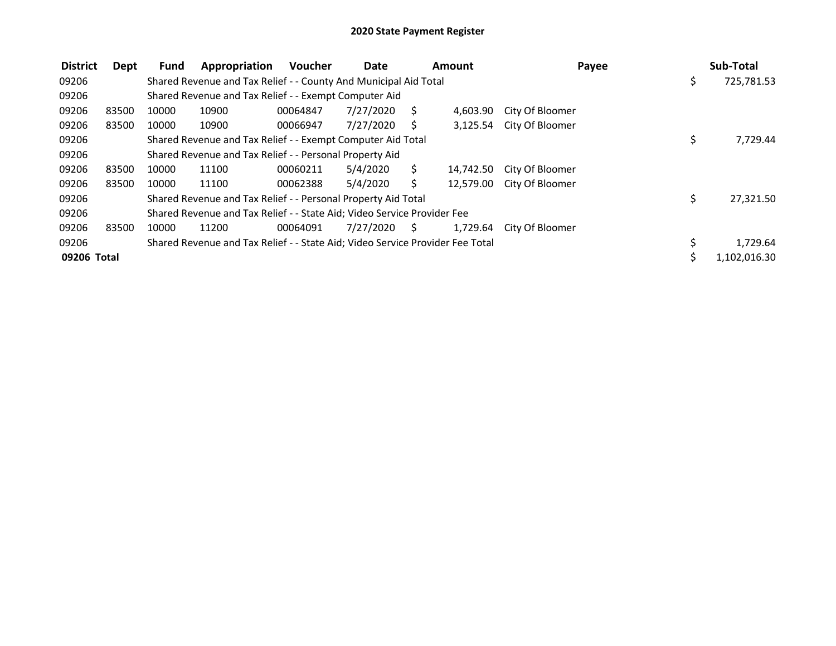| <b>District</b> | Dept  | <b>Fund</b> | Appropriation                                                                 | <b>Voucher</b> | Date      |      | <b>Amount</b> |                 | Payee | Sub-Total    |
|-----------------|-------|-------------|-------------------------------------------------------------------------------|----------------|-----------|------|---------------|-----------------|-------|--------------|
| 09206           |       |             | Shared Revenue and Tax Relief - - County And Municipal Aid Total              |                |           |      |               |                 | \$.   | 725,781.53   |
| 09206           |       |             | Shared Revenue and Tax Relief - - Exempt Computer Aid                         |                |           |      |               |                 |       |              |
| 09206           | 83500 | 10000       | 10900                                                                         | 00064847       | 7/27/2020 | S.   | 4,603.90      | City Of Bloomer |       |              |
| 09206           | 83500 | 10000       | 10900                                                                         | 00066947       | 7/27/2020 | S    | 3,125.54      | City Of Bloomer |       |              |
| 09206           |       |             | Shared Revenue and Tax Relief - - Exempt Computer Aid Total                   |                |           |      |               |                 | \$    | 7,729.44     |
| 09206           |       |             | Shared Revenue and Tax Relief - - Personal Property Aid                       |                |           |      |               |                 |       |              |
| 09206           | 83500 | 10000       | 11100                                                                         | 00060211       | 5/4/2020  | S.   | 14,742.50     | City Of Bloomer |       |              |
| 09206           | 83500 | 10000       | 11100                                                                         | 00062388       | 5/4/2020  | S.   | 12,579.00     | City Of Bloomer |       |              |
| 09206           |       |             | Shared Revenue and Tax Relief - - Personal Property Aid Total                 |                |           |      |               |                 | \$    | 27,321.50    |
| 09206           |       |             | Shared Revenue and Tax Relief - - State Aid; Video Service Provider Fee       |                |           |      |               |                 |       |              |
| 09206           | 83500 | 10000       | 11200                                                                         | 00064091       | 7/27/2020 | - \$ | 1,729.64      | City Of Bloomer |       |              |
| 09206           |       |             | Shared Revenue and Tax Relief - - State Aid; Video Service Provider Fee Total |                |           |      |               |                 |       | 1,729.64     |
| 09206 Total     |       |             |                                                                               |                |           |      |               |                 |       | 1,102,016.30 |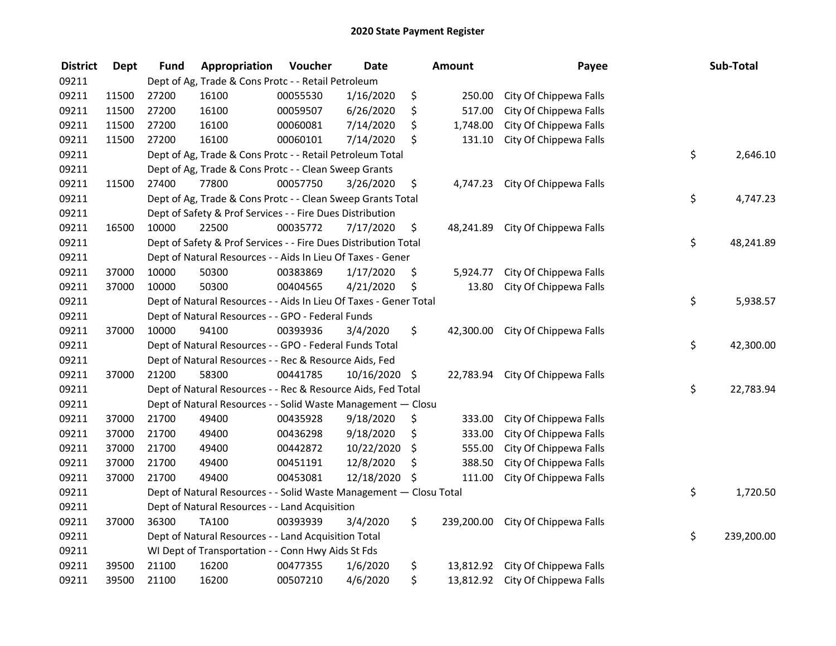| <b>District</b> | <b>Dept</b> | <b>Fund</b> | Appropriation                                                      | Voucher  | <b>Date</b>   | <b>Amount</b>   | Payee                             | Sub-Total        |
|-----------------|-------------|-------------|--------------------------------------------------------------------|----------|---------------|-----------------|-----------------------------------|------------------|
| 09211           |             |             | Dept of Ag, Trade & Cons Protc - - Retail Petroleum                |          |               |                 |                                   |                  |
| 09211           | 11500       | 27200       | 16100                                                              | 00055530 | 1/16/2020     | \$<br>250.00    | City Of Chippewa Falls            |                  |
| 09211           | 11500       | 27200       | 16100                                                              | 00059507 | 6/26/2020     | \$<br>517.00    | City Of Chippewa Falls            |                  |
| 09211           | 11500       | 27200       | 16100                                                              | 00060081 | 7/14/2020     | \$<br>1,748.00  | City Of Chippewa Falls            |                  |
| 09211           | 11500       | 27200       | 16100                                                              | 00060101 | 7/14/2020     | \$<br>131.10    | City Of Chippewa Falls            |                  |
| 09211           |             |             | Dept of Ag, Trade & Cons Protc - - Retail Petroleum Total          |          |               |                 |                                   | \$<br>2,646.10   |
| 09211           |             |             | Dept of Ag, Trade & Cons Protc - - Clean Sweep Grants              |          |               |                 |                                   |                  |
| 09211           | 11500       | 27400       | 77800                                                              | 00057750 | 3/26/2020     | \$              | 4,747.23 City Of Chippewa Falls   |                  |
| 09211           |             |             | Dept of Ag, Trade & Cons Protc - - Clean Sweep Grants Total        |          |               |                 |                                   | \$<br>4,747.23   |
| 09211           |             |             | Dept of Safety & Prof Services - - Fire Dues Distribution          |          |               |                 |                                   |                  |
| 09211           | 16500       | 10000       | 22500                                                              | 00035772 | 7/17/2020     | \$<br>48,241.89 | City Of Chippewa Falls            |                  |
| 09211           |             |             | Dept of Safety & Prof Services - - Fire Dues Distribution Total    |          |               |                 |                                   | \$<br>48,241.89  |
| 09211           |             |             | Dept of Natural Resources - - Aids In Lieu Of Taxes - Gener        |          |               |                 |                                   |                  |
| 09211           | 37000       | 10000       | 50300                                                              | 00383869 | 1/17/2020     | \$<br>5,924.77  | City Of Chippewa Falls            |                  |
| 09211           | 37000       | 10000       | 50300                                                              | 00404565 | 4/21/2020     | \$<br>13.80     | City Of Chippewa Falls            |                  |
| 09211           |             |             | Dept of Natural Resources - - Aids In Lieu Of Taxes - Gener Total  |          |               |                 |                                   | \$<br>5,938.57   |
| 09211           |             |             | Dept of Natural Resources - - GPO - Federal Funds                  |          |               |                 |                                   |                  |
| 09211           | 37000       | 10000       | 94100                                                              | 00393936 | 3/4/2020      | \$<br>42,300.00 | City Of Chippewa Falls            |                  |
| 09211           |             |             | Dept of Natural Resources - - GPO - Federal Funds Total            |          |               |                 |                                   | \$<br>42,300.00  |
| 09211           |             |             | Dept of Natural Resources - - Rec & Resource Aids, Fed             |          |               |                 |                                   |                  |
| 09211           | 37000       | 21200       | 58300                                                              | 00441785 | 10/16/2020 \$ |                 | 22,783.94 City Of Chippewa Falls  |                  |
| 09211           |             |             | Dept of Natural Resources - - Rec & Resource Aids, Fed Total       |          |               |                 |                                   | \$<br>22,783.94  |
| 09211           |             |             | Dept of Natural Resources - - Solid Waste Management - Closu       |          |               |                 |                                   |                  |
| 09211           | 37000       | 21700       | 49400                                                              | 00435928 | 9/18/2020     | \$<br>333.00    | City Of Chippewa Falls            |                  |
| 09211           | 37000       | 21700       | 49400                                                              | 00436298 | 9/18/2020     | \$<br>333.00    | City Of Chippewa Falls            |                  |
| 09211           | 37000       | 21700       | 49400                                                              | 00442872 | 10/22/2020    | \$<br>555.00    | City Of Chippewa Falls            |                  |
| 09211           | 37000       | 21700       | 49400                                                              | 00451191 | 12/8/2020     | \$<br>388.50    | City Of Chippewa Falls            |                  |
| 09211           | 37000       | 21700       | 49400                                                              | 00453081 | 12/18/2020 \$ | 111.00          | City Of Chippewa Falls            |                  |
| 09211           |             |             | Dept of Natural Resources - - Solid Waste Management - Closu Total |          |               |                 |                                   | \$<br>1,720.50   |
| 09211           |             |             | Dept of Natural Resources - - Land Acquisition                     |          |               |                 |                                   |                  |
| 09211           | 37000       | 36300       | <b>TA100</b>                                                       | 00393939 | 3/4/2020      | \$              | 239,200.00 City Of Chippewa Falls |                  |
| 09211           |             |             | Dept of Natural Resources - - Land Acquisition Total               |          |               |                 |                                   | \$<br>239,200.00 |
| 09211           |             |             | WI Dept of Transportation - - Conn Hwy Aids St Fds                 |          |               |                 |                                   |                  |
| 09211           | 39500       | 21100       | 16200                                                              | 00477355 | 1/6/2020      | \$              | 13,812.92 City Of Chippewa Falls  |                  |
| 09211           | 39500       | 21100       | 16200                                                              | 00507210 | 4/6/2020      | \$              | 13,812.92 City Of Chippewa Falls  |                  |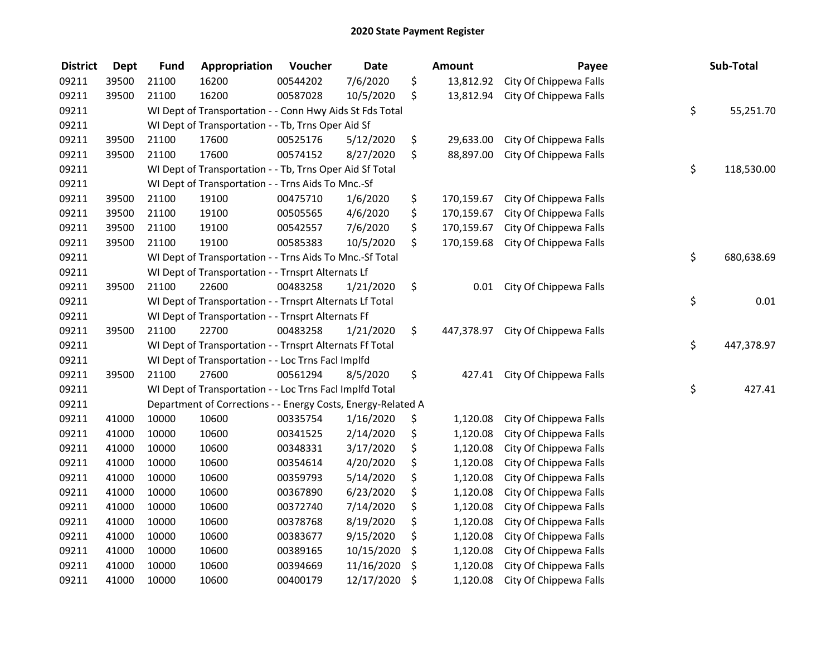| <b>District</b> | Dept  | <b>Fund</b> | Appropriation                                                | Voucher  | <b>Date</b> | <b>Amount</b>    | Payee                  | Sub-Total        |
|-----------------|-------|-------------|--------------------------------------------------------------|----------|-------------|------------------|------------------------|------------------|
| 09211           | 39500 | 21100       | 16200                                                        | 00544202 | 7/6/2020    | \$<br>13,812.92  | City Of Chippewa Falls |                  |
| 09211           | 39500 | 21100       | 16200                                                        | 00587028 | 10/5/2020   | \$<br>13,812.94  | City Of Chippewa Falls |                  |
| 09211           |       |             | WI Dept of Transportation - - Conn Hwy Aids St Fds Total     |          |             |                  |                        | \$<br>55,251.70  |
| 09211           |       |             | WI Dept of Transportation - - Tb, Trns Oper Aid Sf           |          |             |                  |                        |                  |
| 09211           | 39500 | 21100       | 17600                                                        | 00525176 | 5/12/2020   | \$<br>29,633.00  | City Of Chippewa Falls |                  |
| 09211           | 39500 | 21100       | 17600                                                        | 00574152 | 8/27/2020   | \$<br>88,897.00  | City Of Chippewa Falls |                  |
| 09211           |       |             | WI Dept of Transportation - - Tb, Trns Oper Aid Sf Total     |          |             |                  |                        | \$<br>118,530.00 |
| 09211           |       |             | WI Dept of Transportation - - Trns Aids To Mnc.-Sf           |          |             |                  |                        |                  |
| 09211           | 39500 | 21100       | 19100                                                        | 00475710 | 1/6/2020    | \$<br>170,159.67 | City Of Chippewa Falls |                  |
| 09211           | 39500 | 21100       | 19100                                                        | 00505565 | 4/6/2020    | \$<br>170,159.67 | City Of Chippewa Falls |                  |
| 09211           | 39500 | 21100       | 19100                                                        | 00542557 | 7/6/2020    | \$<br>170,159.67 | City Of Chippewa Falls |                  |
| 09211           | 39500 | 21100       | 19100                                                        | 00585383 | 10/5/2020   | \$<br>170,159.68 | City Of Chippewa Falls |                  |
| 09211           |       |             | WI Dept of Transportation - - Trns Aids To Mnc.-Sf Total     |          |             |                  |                        | \$<br>680,638.69 |
| 09211           |       |             | WI Dept of Transportation - - Trnsprt Alternats Lf           |          |             |                  |                        |                  |
| 09211           | 39500 | 21100       | 22600                                                        | 00483258 | 1/21/2020   | \$<br>0.01       | City Of Chippewa Falls |                  |
| 09211           |       |             | WI Dept of Transportation - - Trnsprt Alternats Lf Total     |          |             |                  |                        | \$<br>0.01       |
| 09211           |       |             | WI Dept of Transportation - - Trnsprt Alternats Ff           |          |             |                  |                        |                  |
| 09211           | 39500 | 21100       | 22700                                                        | 00483258 | 1/21/2020   | \$<br>447,378.97 | City Of Chippewa Falls |                  |
| 09211           |       |             | WI Dept of Transportation - - Trnsprt Alternats Ff Total     |          |             |                  |                        | \$<br>447,378.97 |
| 09211           |       |             | WI Dept of Transportation - - Loc Trns FacI Implfd           |          |             |                  |                        |                  |
| 09211           | 39500 | 21100       | 27600                                                        | 00561294 | 8/5/2020    | \$<br>427.41     | City Of Chippewa Falls |                  |
| 09211           |       |             | WI Dept of Transportation - - Loc Trns Facl Implfd Total     |          |             |                  |                        | \$<br>427.41     |
| 09211           |       |             | Department of Corrections - - Energy Costs, Energy-Related A |          |             |                  |                        |                  |
| 09211           | 41000 | 10000       | 10600                                                        | 00335754 | 1/16/2020   | \$<br>1,120.08   | City Of Chippewa Falls |                  |
| 09211           | 41000 | 10000       | 10600                                                        | 00341525 | 2/14/2020   | \$<br>1,120.08   | City Of Chippewa Falls |                  |
| 09211           | 41000 | 10000       | 10600                                                        | 00348331 | 3/17/2020   | \$<br>1,120.08   | City Of Chippewa Falls |                  |
| 09211           | 41000 | 10000       | 10600                                                        | 00354614 | 4/20/2020   | \$<br>1,120.08   | City Of Chippewa Falls |                  |
| 09211           | 41000 | 10000       | 10600                                                        | 00359793 | 5/14/2020   | \$<br>1,120.08   | City Of Chippewa Falls |                  |
| 09211           | 41000 | 10000       | 10600                                                        | 00367890 | 6/23/2020   | \$<br>1,120.08   | City Of Chippewa Falls |                  |
| 09211           | 41000 | 10000       | 10600                                                        | 00372740 | 7/14/2020   | \$<br>1,120.08   | City Of Chippewa Falls |                  |
| 09211           | 41000 | 10000       | 10600                                                        | 00378768 | 8/19/2020   | \$<br>1,120.08   | City Of Chippewa Falls |                  |
| 09211           | 41000 | 10000       | 10600                                                        | 00383677 | 9/15/2020   | \$<br>1,120.08   | City Of Chippewa Falls |                  |
| 09211           | 41000 | 10000       | 10600                                                        | 00389165 | 10/15/2020  | \$<br>1,120.08   | City Of Chippewa Falls |                  |
| 09211           | 41000 | 10000       | 10600                                                        | 00394669 | 11/16/2020  | \$<br>1,120.08   | City Of Chippewa Falls |                  |
| 09211           | 41000 | 10000       | 10600                                                        | 00400179 | 12/17/2020  | \$<br>1,120.08   | City Of Chippewa Falls |                  |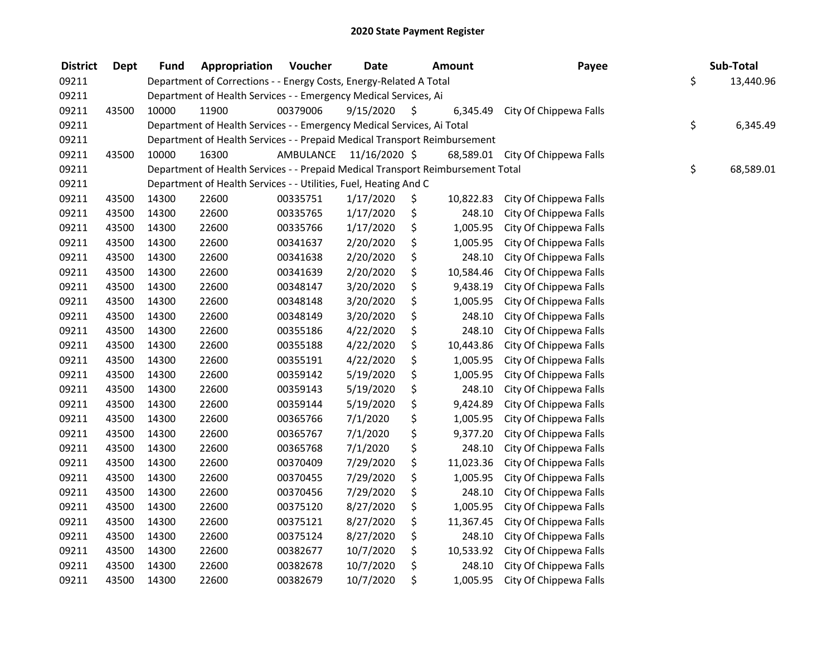| <b>District</b> | <b>Dept</b> | <b>Fund</b> | Appropriation                                                                   | Voucher   | <b>Date</b>   |     | Amount    | Payee                  | Sub-Total       |
|-----------------|-------------|-------------|---------------------------------------------------------------------------------|-----------|---------------|-----|-----------|------------------------|-----------------|
| 09211           |             |             | Department of Corrections - - Energy Costs, Energy-Related A Total              |           |               |     |           |                        | \$<br>13,440.96 |
| 09211           |             |             | Department of Health Services - - Emergency Medical Services, Ai                |           |               |     |           |                        |                 |
| 09211           | 43500       | 10000       | 11900                                                                           | 00379006  | 9/15/2020     | \$. | 6,345.49  | City Of Chippewa Falls |                 |
| 09211           |             |             | Department of Health Services - - Emergency Medical Services, Ai Total          |           |               |     |           |                        | \$<br>6,345.49  |
| 09211           |             |             | Department of Health Services - - Prepaid Medical Transport Reimbursement       |           |               |     |           |                        |                 |
| 09211           | 43500       | 10000       | 16300                                                                           | AMBULANCE | 11/16/2020 \$ |     | 68,589.01 | City Of Chippewa Falls |                 |
| 09211           |             |             | Department of Health Services - - Prepaid Medical Transport Reimbursement Total |           |               |     |           |                        | \$<br>68,589.01 |
| 09211           |             |             | Department of Health Services - - Utilities, Fuel, Heating And C                |           |               |     |           |                        |                 |
| 09211           | 43500       | 14300       | 22600                                                                           | 00335751  | 1/17/2020     | \$  | 10,822.83 | City Of Chippewa Falls |                 |
| 09211           | 43500       | 14300       | 22600                                                                           | 00335765  | 1/17/2020     | \$  | 248.10    | City Of Chippewa Falls |                 |
| 09211           | 43500       | 14300       | 22600                                                                           | 00335766  | 1/17/2020     | \$  | 1,005.95  | City Of Chippewa Falls |                 |
| 09211           | 43500       | 14300       | 22600                                                                           | 00341637  | 2/20/2020     | \$  | 1,005.95  | City Of Chippewa Falls |                 |
| 09211           | 43500       | 14300       | 22600                                                                           | 00341638  | 2/20/2020     | \$  | 248.10    | City Of Chippewa Falls |                 |
| 09211           | 43500       | 14300       | 22600                                                                           | 00341639  | 2/20/2020     | \$  | 10,584.46 | City Of Chippewa Falls |                 |
| 09211           | 43500       | 14300       | 22600                                                                           | 00348147  | 3/20/2020     | \$  | 9,438.19  | City Of Chippewa Falls |                 |
| 09211           | 43500       | 14300       | 22600                                                                           | 00348148  | 3/20/2020     | \$  | 1,005.95  | City Of Chippewa Falls |                 |
| 09211           | 43500       | 14300       | 22600                                                                           | 00348149  | 3/20/2020     | \$  | 248.10    | City Of Chippewa Falls |                 |
| 09211           | 43500       | 14300       | 22600                                                                           | 00355186  | 4/22/2020     | \$  | 248.10    | City Of Chippewa Falls |                 |
| 09211           | 43500       | 14300       | 22600                                                                           | 00355188  | 4/22/2020     | \$  | 10,443.86 | City Of Chippewa Falls |                 |
| 09211           | 43500       | 14300       | 22600                                                                           | 00355191  | 4/22/2020     | \$  | 1,005.95  | City Of Chippewa Falls |                 |
| 09211           | 43500       | 14300       | 22600                                                                           | 00359142  | 5/19/2020     | \$  | 1,005.95  | City Of Chippewa Falls |                 |
| 09211           | 43500       | 14300       | 22600                                                                           | 00359143  | 5/19/2020     | \$  | 248.10    | City Of Chippewa Falls |                 |
| 09211           | 43500       | 14300       | 22600                                                                           | 00359144  | 5/19/2020     | \$  | 9,424.89  | City Of Chippewa Falls |                 |
| 09211           | 43500       | 14300       | 22600                                                                           | 00365766  | 7/1/2020      | \$  | 1,005.95  | City Of Chippewa Falls |                 |
| 09211           | 43500       | 14300       | 22600                                                                           | 00365767  | 7/1/2020      | \$  | 9,377.20  | City Of Chippewa Falls |                 |
| 09211           | 43500       | 14300       | 22600                                                                           | 00365768  | 7/1/2020      | \$  | 248.10    | City Of Chippewa Falls |                 |
| 09211           | 43500       | 14300       | 22600                                                                           | 00370409  | 7/29/2020     | \$  | 11,023.36 | City Of Chippewa Falls |                 |
| 09211           | 43500       | 14300       | 22600                                                                           | 00370455  | 7/29/2020     | \$  | 1,005.95  | City Of Chippewa Falls |                 |
| 09211           | 43500       | 14300       | 22600                                                                           | 00370456  | 7/29/2020     | \$  | 248.10    | City Of Chippewa Falls |                 |
| 09211           | 43500       | 14300       | 22600                                                                           | 00375120  | 8/27/2020     | \$  | 1,005.95  | City Of Chippewa Falls |                 |
| 09211           | 43500       | 14300       | 22600                                                                           | 00375121  | 8/27/2020     | \$  | 11,367.45 | City Of Chippewa Falls |                 |
| 09211           | 43500       | 14300       | 22600                                                                           | 00375124  | 8/27/2020     | \$  | 248.10    | City Of Chippewa Falls |                 |
| 09211           | 43500       | 14300       | 22600                                                                           | 00382677  | 10/7/2020     | \$  | 10,533.92 | City Of Chippewa Falls |                 |
| 09211           | 43500       | 14300       | 22600                                                                           | 00382678  | 10/7/2020     | \$  | 248.10    | City Of Chippewa Falls |                 |
| 09211           | 43500       | 14300       | 22600                                                                           | 00382679  | 10/7/2020     | \$  | 1,005.95  | City Of Chippewa Falls |                 |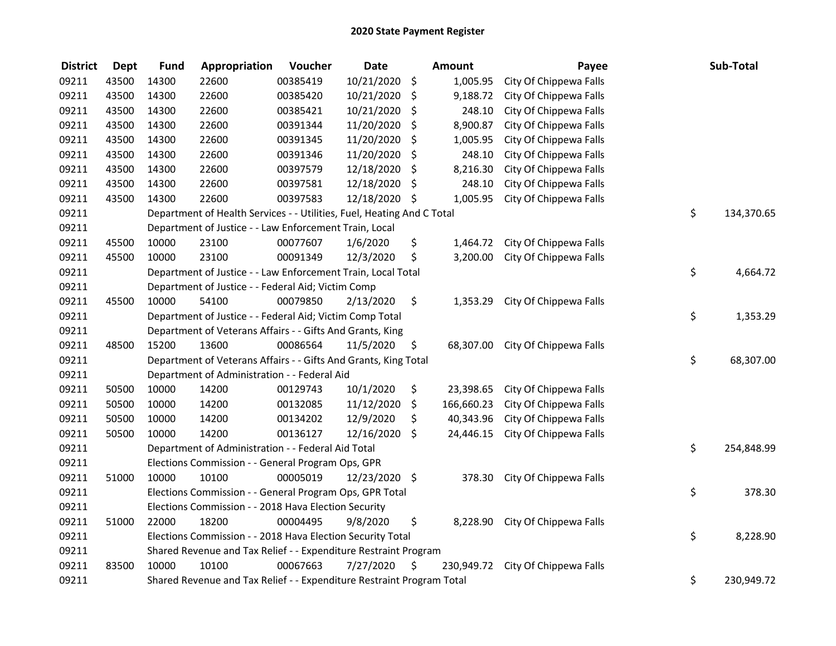| <b>District</b> | <b>Dept</b> | <b>Fund</b> | Appropriation                                                          | Voucher  | <b>Date</b>   |         | <b>Amount</b> | Payee                  | Sub-Total        |
|-----------------|-------------|-------------|------------------------------------------------------------------------|----------|---------------|---------|---------------|------------------------|------------------|
| 09211           | 43500       | 14300       | 22600                                                                  | 00385419 | 10/21/2020    | \$      | 1,005.95      | City Of Chippewa Falls |                  |
| 09211           | 43500       | 14300       | 22600                                                                  | 00385420 | 10/21/2020    | \$      | 9,188.72      | City Of Chippewa Falls |                  |
| 09211           | 43500       | 14300       | 22600                                                                  | 00385421 | 10/21/2020    | \$      | 248.10        | City Of Chippewa Falls |                  |
| 09211           | 43500       | 14300       | 22600                                                                  | 00391344 | 11/20/2020    | \$      | 8,900.87      | City Of Chippewa Falls |                  |
| 09211           | 43500       | 14300       | 22600                                                                  | 00391345 | 11/20/2020    | \$      | 1,005.95      | City Of Chippewa Falls |                  |
| 09211           | 43500       | 14300       | 22600                                                                  | 00391346 | 11/20/2020    | \$      | 248.10        | City Of Chippewa Falls |                  |
| 09211           | 43500       | 14300       | 22600                                                                  | 00397579 | 12/18/2020    | \$      | 8,216.30      | City Of Chippewa Falls |                  |
| 09211           | 43500       | 14300       | 22600                                                                  | 00397581 | 12/18/2020    | \$      | 248.10        | City Of Chippewa Falls |                  |
| 09211           | 43500       | 14300       | 22600                                                                  | 00397583 | 12/18/2020    | - \$    | 1,005.95      | City Of Chippewa Falls |                  |
| 09211           |             |             | Department of Health Services - - Utilities, Fuel, Heating And C Total |          |               |         |               |                        | \$<br>134,370.65 |
| 09211           |             |             | Department of Justice - - Law Enforcement Train, Local                 |          |               |         |               |                        |                  |
| 09211           | 45500       | 10000       | 23100                                                                  | 00077607 | 1/6/2020      | \$      | 1,464.72      | City Of Chippewa Falls |                  |
| 09211           | 45500       | 10000       | 23100                                                                  | 00091349 | 12/3/2020     | \$      | 3,200.00      | City Of Chippewa Falls |                  |
| 09211           |             |             | Department of Justice - - Law Enforcement Train, Local Total           |          |               |         |               |                        | \$<br>4,664.72   |
| 09211           |             |             | Department of Justice - - Federal Aid; Victim Comp                     |          |               |         |               |                        |                  |
| 09211           | 45500       | 10000       | 54100                                                                  | 00079850 | 2/13/2020     | \$      | 1,353.29      | City Of Chippewa Falls |                  |
| 09211           |             |             | Department of Justice - - Federal Aid; Victim Comp Total               |          |               |         |               |                        | \$<br>1,353.29   |
| 09211           |             |             | Department of Veterans Affairs - - Gifts And Grants, King              |          |               |         |               |                        |                  |
| 09211           | 48500       | 15200       | 13600                                                                  | 00086564 | 11/5/2020     | \$      | 68,307.00     | City Of Chippewa Falls |                  |
| 09211           |             |             | Department of Veterans Affairs - - Gifts And Grants, King Total        |          |               |         |               |                        | \$<br>68,307.00  |
| 09211           |             |             | Department of Administration - - Federal Aid                           |          |               |         |               |                        |                  |
| 09211           | 50500       | 10000       | 14200                                                                  | 00129743 | 10/1/2020     | \$      | 23,398.65     | City Of Chippewa Falls |                  |
| 09211           | 50500       | 10000       | 14200                                                                  | 00132085 | 11/12/2020    | $\zeta$ | 166,660.23    | City Of Chippewa Falls |                  |
| 09211           | 50500       | 10000       | 14200                                                                  | 00134202 | 12/9/2020     | \$      | 40,343.96     | City Of Chippewa Falls |                  |
| 09211           | 50500       | 10000       | 14200                                                                  | 00136127 | 12/16/2020    | \$      | 24,446.15     | City Of Chippewa Falls |                  |
| 09211           |             |             | Department of Administration - - Federal Aid Total                     |          |               |         |               |                        | \$<br>254,848.99 |
| 09211           |             |             | Elections Commission - - General Program Ops, GPR                      |          |               |         |               |                        |                  |
| 09211           | 51000       | 10000       | 10100                                                                  | 00005019 | 12/23/2020 \$ |         | 378.30        | City Of Chippewa Falls |                  |
| 09211           |             |             | Elections Commission - - General Program Ops, GPR Total                |          |               |         |               |                        | \$<br>378.30     |
| 09211           |             |             | Elections Commission - - 2018 Hava Election Security                   |          |               |         |               |                        |                  |
| 09211           | 51000       | 22000       | 18200                                                                  | 00004495 | 9/8/2020      | \$      | 8,228.90      | City Of Chippewa Falls |                  |
| 09211           |             |             | Elections Commission - - 2018 Hava Election Security Total             |          |               |         |               |                        | \$<br>8,228.90   |
| 09211           |             |             | Shared Revenue and Tax Relief - - Expenditure Restraint Program        |          |               |         |               |                        |                  |
| 09211           | 83500       | 10000       | 10100                                                                  | 00067663 | 7/27/2020     | \$      | 230,949.72    | City Of Chippewa Falls |                  |
| 09211           |             |             | Shared Revenue and Tax Relief - - Expenditure Restraint Program Total  |          |               |         |               |                        | \$<br>230,949.72 |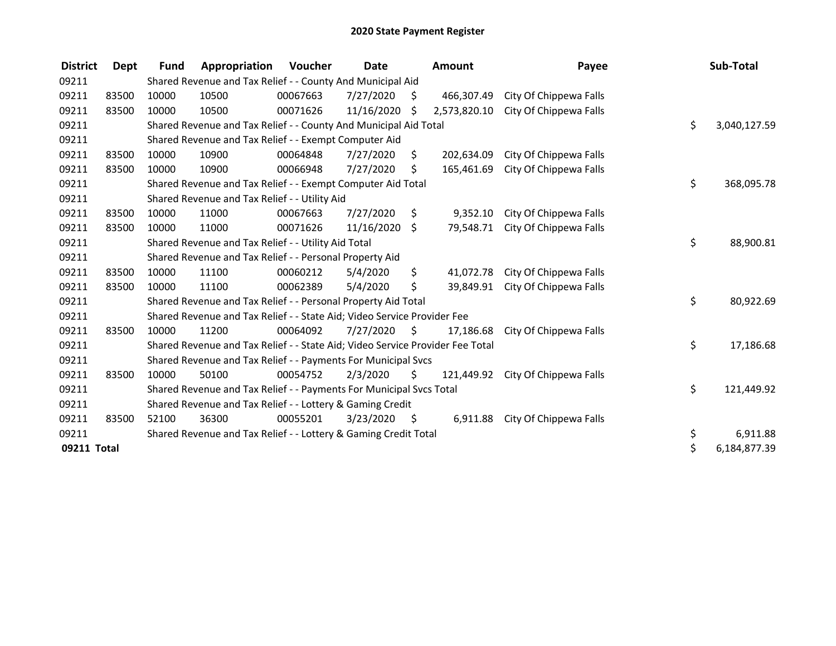| <b>District</b> | Dept  | <b>Fund</b> | Appropriation                                                                 | <b>Voucher</b> | <b>Date</b> |      | <b>Amount</b> | Payee                  | Sub-Total          |
|-----------------|-------|-------------|-------------------------------------------------------------------------------|----------------|-------------|------|---------------|------------------------|--------------------|
| 09211           |       |             | Shared Revenue and Tax Relief - - County And Municipal Aid                    |                |             |      |               |                        |                    |
| 09211           | 83500 | 10000       | 10500                                                                         | 00067663       | 7/27/2020   | \$   | 466,307.49    | City Of Chippewa Falls |                    |
| 09211           | 83500 | 10000       | 10500                                                                         | 00071626       | 11/16/2020  | S    | 2,573,820.10  | City Of Chippewa Falls |                    |
| 09211           |       |             | Shared Revenue and Tax Relief - - County And Municipal Aid Total              |                |             |      |               |                        | \$<br>3,040,127.59 |
| 09211           |       |             | Shared Revenue and Tax Relief - - Exempt Computer Aid                         |                |             |      |               |                        |                    |
| 09211           | 83500 | 10000       | 10900                                                                         | 00064848       | 7/27/2020   | S.   | 202.634.09    | City Of Chippewa Falls |                    |
| 09211           | 83500 | 10000       | 10900                                                                         | 00066948       | 7/27/2020   | S    | 165,461.69    | City Of Chippewa Falls |                    |
| 09211           |       |             | Shared Revenue and Tax Relief - - Exempt Computer Aid Total                   |                |             |      |               |                        | \$<br>368,095.78   |
| 09211           |       |             | Shared Revenue and Tax Relief - - Utility Aid                                 |                |             |      |               |                        |                    |
| 09211           | 83500 | 10000       | 11000                                                                         | 00067663       | 7/27/2020   | \$.  | 9,352.10      | City Of Chippewa Falls |                    |
| 09211           | 83500 | 10000       | 11000                                                                         | 00071626       | 11/16/2020  | Ŝ.   | 79,548.71     | City Of Chippewa Falls |                    |
| 09211           |       |             | Shared Revenue and Tax Relief - - Utility Aid Total                           |                |             |      |               |                        | \$<br>88,900.81    |
| 09211           |       |             | Shared Revenue and Tax Relief - - Personal Property Aid                       |                |             |      |               |                        |                    |
| 09211           | 83500 | 10000       | 11100                                                                         | 00060212       | 5/4/2020    | \$   | 41,072.78     | City Of Chippewa Falls |                    |
| 09211           | 83500 | 10000       | 11100                                                                         | 00062389       | 5/4/2020    | \$   | 39,849.91     | City Of Chippewa Falls |                    |
| 09211           |       |             | Shared Revenue and Tax Relief - - Personal Property Aid Total                 |                |             |      |               |                        | \$<br>80,922.69    |
| 09211           |       |             | Shared Revenue and Tax Relief - - State Aid; Video Service Provider Fee       |                |             |      |               |                        |                    |
| 09211           | 83500 | 10000       | 11200                                                                         | 00064092       | 7/27/2020   | S.   | 17,186.68     | City Of Chippewa Falls |                    |
| 09211           |       |             | Shared Revenue and Tax Relief - - State Aid; Video Service Provider Fee Total |                |             |      |               |                        | \$<br>17,186.68    |
| 09211           |       |             | Shared Revenue and Tax Relief - - Payments For Municipal Svcs                 |                |             |      |               |                        |                    |
| 09211           | 83500 | 10000       | 50100                                                                         | 00054752       | 2/3/2020    | \$   | 121,449.92    | City Of Chippewa Falls |                    |
| 09211           |       |             | Shared Revenue and Tax Relief - - Payments For Municipal Svcs Total           |                |             |      |               |                        | \$<br>121,449.92   |
| 09211           |       |             | Shared Revenue and Tax Relief - - Lottery & Gaming Credit                     |                |             |      |               |                        |                    |
| 09211           | 83500 | 52100       | 36300                                                                         | 00055201       | 3/23/2020   | - \$ | 6,911.88      | City Of Chippewa Falls |                    |
| 09211           |       |             | Shared Revenue and Tax Relief - - Lottery & Gaming Credit Total               |                |             |      |               |                        | \$<br>6,911.88     |
| 09211 Total     |       |             |                                                                               |                |             |      |               |                        | \$<br>6,184,877.39 |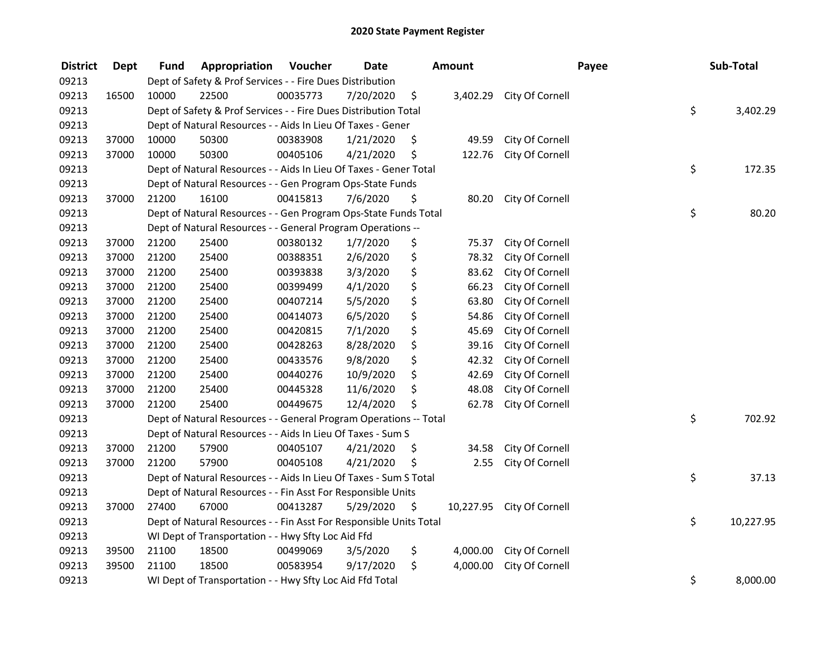| <b>District</b> | <b>Dept</b> | Fund  | Appropriation                                                      | Voucher  | <b>Date</b> | <b>Amount</b>   |                 | Payee | Sub-Total       |
|-----------------|-------------|-------|--------------------------------------------------------------------|----------|-------------|-----------------|-----------------|-------|-----------------|
| 09213           |             |       | Dept of Safety & Prof Services - - Fire Dues Distribution          |          |             |                 |                 |       |                 |
| 09213           | 16500       | 10000 | 22500                                                              | 00035773 | 7/20/2020   | \$<br>3,402.29  | City Of Cornell |       |                 |
| 09213           |             |       | Dept of Safety & Prof Services - - Fire Dues Distribution Total    |          |             |                 |                 |       | \$<br>3,402.29  |
| 09213           |             |       | Dept of Natural Resources - - Aids In Lieu Of Taxes - Gener        |          |             |                 |                 |       |                 |
| 09213           | 37000       | 10000 | 50300                                                              | 00383908 | 1/21/2020   | \$<br>49.59     | City Of Cornell |       |                 |
| 09213           | 37000       | 10000 | 50300                                                              | 00405106 | 4/21/2020   | \$<br>122.76    | City Of Cornell |       |                 |
| 09213           |             |       | Dept of Natural Resources - - Aids In Lieu Of Taxes - Gener Total  |          |             |                 |                 |       | \$<br>172.35    |
| 09213           |             |       | Dept of Natural Resources - - Gen Program Ops-State Funds          |          |             |                 |                 |       |                 |
| 09213           | 37000       | 21200 | 16100                                                              | 00415813 | 7/6/2020    | \$<br>80.20     | City Of Cornell |       |                 |
| 09213           |             |       | Dept of Natural Resources - - Gen Program Ops-State Funds Total    |          |             |                 |                 |       | \$<br>80.20     |
| 09213           |             |       | Dept of Natural Resources - - General Program Operations --        |          |             |                 |                 |       |                 |
| 09213           | 37000       | 21200 | 25400                                                              | 00380132 | 1/7/2020    | \$<br>75.37     | City Of Cornell |       |                 |
| 09213           | 37000       | 21200 | 25400                                                              | 00388351 | 2/6/2020    | \$<br>78.32     | City Of Cornell |       |                 |
| 09213           | 37000       | 21200 | 25400                                                              | 00393838 | 3/3/2020    | \$<br>83.62     | City Of Cornell |       |                 |
| 09213           | 37000       | 21200 | 25400                                                              | 00399499 | 4/1/2020    | \$<br>66.23     | City Of Cornell |       |                 |
| 09213           | 37000       | 21200 | 25400                                                              | 00407214 | 5/5/2020    | \$<br>63.80     | City Of Cornell |       |                 |
| 09213           | 37000       | 21200 | 25400                                                              | 00414073 | 6/5/2020    | \$<br>54.86     | City Of Cornell |       |                 |
| 09213           | 37000       | 21200 | 25400                                                              | 00420815 | 7/1/2020    | \$<br>45.69     | City Of Cornell |       |                 |
| 09213           | 37000       | 21200 | 25400                                                              | 00428263 | 8/28/2020   | \$<br>39.16     | City Of Cornell |       |                 |
| 09213           | 37000       | 21200 | 25400                                                              | 00433576 | 9/8/2020    | \$<br>42.32     | City Of Cornell |       |                 |
| 09213           | 37000       | 21200 | 25400                                                              | 00440276 | 10/9/2020   | \$<br>42.69     | City Of Cornell |       |                 |
| 09213           | 37000       | 21200 | 25400                                                              | 00445328 | 11/6/2020   | \$<br>48.08     | City Of Cornell |       |                 |
| 09213           | 37000       | 21200 | 25400                                                              | 00449675 | 12/4/2020   | \$<br>62.78     | City Of Cornell |       |                 |
| 09213           |             |       | Dept of Natural Resources - - General Program Operations -- Total  |          |             |                 |                 |       | \$<br>702.92    |
| 09213           |             |       | Dept of Natural Resources - - Aids In Lieu Of Taxes - Sum S        |          |             |                 |                 |       |                 |
| 09213           | 37000       | 21200 | 57900                                                              | 00405107 | 4/21/2020   | \$<br>34.58     | City Of Cornell |       |                 |
| 09213           | 37000       | 21200 | 57900                                                              | 00405108 | 4/21/2020   | \$<br>2.55      | City Of Cornell |       |                 |
| 09213           |             |       | Dept of Natural Resources - - Aids In Lieu Of Taxes - Sum S Total  |          |             |                 |                 |       | \$<br>37.13     |
| 09213           |             |       | Dept of Natural Resources - - Fin Asst For Responsible Units       |          |             |                 |                 |       |                 |
| 09213           | 37000       | 27400 | 67000                                                              | 00413287 | 5/29/2020   | \$<br>10,227.95 | City Of Cornell |       |                 |
| 09213           |             |       | Dept of Natural Resources - - Fin Asst For Responsible Units Total |          |             |                 |                 |       | \$<br>10,227.95 |
| 09213           |             |       | WI Dept of Transportation - - Hwy Sfty Loc Aid Ffd                 |          |             |                 |                 |       |                 |
| 09213           | 39500       | 21100 | 18500                                                              | 00499069 | 3/5/2020    | \$<br>4,000.00  | City Of Cornell |       |                 |
| 09213           | 39500       | 21100 | 18500                                                              | 00583954 | 9/17/2020   | \$<br>4,000.00  | City Of Cornell |       |                 |
| 09213           |             |       | WI Dept of Transportation - - Hwy Sfty Loc Aid Ffd Total           |          |             |                 |                 |       | \$<br>8,000.00  |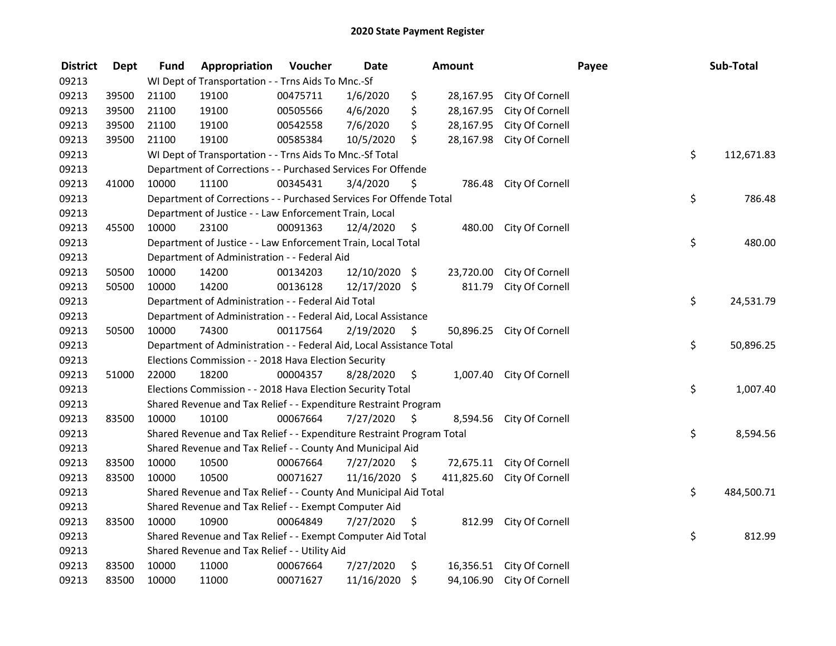| <b>District</b> | <b>Dept</b> | <b>Fund</b> | Appropriation                                                         | Voucher  | <b>Date</b>   |                     | <b>Amount</b> |                           | Payee | Sub-Total  |
|-----------------|-------------|-------------|-----------------------------------------------------------------------|----------|---------------|---------------------|---------------|---------------------------|-------|------------|
| 09213           |             |             | WI Dept of Transportation - - Trns Aids To Mnc.-Sf                    |          |               |                     |               |                           |       |            |
| 09213           | 39500       | 21100       | 19100                                                                 | 00475711 | 1/6/2020      | \$                  | 28,167.95     | City Of Cornell           |       |            |
| 09213           | 39500       | 21100       | 19100                                                                 | 00505566 | 4/6/2020      | \$                  | 28,167.95     | City Of Cornell           |       |            |
| 09213           | 39500       | 21100       | 19100                                                                 | 00542558 | 7/6/2020      | \$                  | 28,167.95     | City Of Cornell           |       |            |
| 09213           | 39500       | 21100       | 19100                                                                 | 00585384 | 10/5/2020     | \$                  | 28,167.98     | City Of Cornell           |       |            |
| 09213           |             |             | WI Dept of Transportation - - Trns Aids To Mnc.-Sf Total              |          |               |                     |               |                           | \$    | 112,671.83 |
| 09213           |             |             | Department of Corrections - - Purchased Services For Offende          |          |               |                     |               |                           |       |            |
| 09213           | 41000       | 10000       | 11100                                                                 | 00345431 | 3/4/2020      | \$.                 | 786.48        | City Of Cornell           |       |            |
| 09213           |             |             | Department of Corrections - - Purchased Services For Offende Total    |          |               |                     |               |                           | \$    | 786.48     |
| 09213           |             |             | Department of Justice - - Law Enforcement Train, Local                |          |               |                     |               |                           |       |            |
| 09213           | 45500       | 10000       | 23100                                                                 | 00091363 | 12/4/2020     | \$.                 | 480.00        | City Of Cornell           |       |            |
| 09213           |             |             | Department of Justice - - Law Enforcement Train, Local Total          |          |               |                     |               |                           | \$    | 480.00     |
| 09213           |             |             | Department of Administration - - Federal Aid                          |          |               |                     |               |                           |       |            |
| 09213           | 50500       | 10000       | 14200                                                                 | 00134203 | 12/10/2020 \$ |                     | 23,720.00     | City Of Cornell           |       |            |
| 09213           | 50500       | 10000       | 14200                                                                 | 00136128 | 12/17/2020 \$ |                     | 811.79        | City Of Cornell           |       |            |
| 09213           |             |             | Department of Administration - - Federal Aid Total                    |          |               |                     |               |                           | \$    | 24,531.79  |
| 09213           |             |             | Department of Administration - - Federal Aid, Local Assistance        |          |               |                     |               |                           |       |            |
| 09213           | 50500       | 10000       | 74300                                                                 | 00117564 | 2/19/2020     | $\zeta$             | 50,896.25     | City Of Cornell           |       |            |
| 09213           |             |             | Department of Administration - - Federal Aid, Local Assistance Total  |          |               |                     |               |                           | \$    | 50,896.25  |
| 09213           |             |             | Elections Commission - - 2018 Hava Election Security                  |          |               |                     |               |                           |       |            |
| 09213           | 51000       | 22000       | 18200                                                                 | 00004357 | 8/28/2020     | $\ddot{\mathsf{S}}$ |               | 1,007.40 City Of Cornell  |       |            |
| 09213           |             |             | Elections Commission - - 2018 Hava Election Security Total            |          |               |                     |               |                           | \$    | 1,007.40   |
| 09213           |             |             | Shared Revenue and Tax Relief - - Expenditure Restraint Program       |          |               |                     |               |                           |       |            |
| 09213           | 83500       | 10000       | 10100                                                                 | 00067664 | 7/27/2020     | - S                 | 8,594.56      | City Of Cornell           |       |            |
| 09213           |             |             | Shared Revenue and Tax Relief - - Expenditure Restraint Program Total |          |               |                     |               |                           | \$    | 8,594.56   |
| 09213           |             |             | Shared Revenue and Tax Relief - - County And Municipal Aid            |          |               |                     |               |                           |       |            |
| 09213           | 83500       | 10000       | 10500                                                                 | 00067664 | 7/27/2020     | Ŝ.                  | 72,675.11     | City Of Cornell           |       |            |
| 09213           | 83500       | 10000       | 10500                                                                 | 00071627 | 11/16/2020 \$ |                     | 411,825.60    | City Of Cornell           |       |            |
| 09213           |             |             | Shared Revenue and Tax Relief - - County And Municipal Aid Total      |          |               |                     |               |                           | \$    | 484,500.71 |
| 09213           |             |             | Shared Revenue and Tax Relief - - Exempt Computer Aid                 |          |               |                     |               |                           |       |            |
| 09213           | 83500       | 10000       | 10900                                                                 | 00064849 | 7/27/2020     | \$                  | 812.99        | City Of Cornell           |       |            |
| 09213           |             |             | Shared Revenue and Tax Relief - - Exempt Computer Aid Total           |          |               |                     |               |                           | \$    | 812.99     |
| 09213           |             |             | Shared Revenue and Tax Relief - - Utility Aid                         |          |               |                     |               |                           |       |            |
| 09213           | 83500       | 10000       | 11000                                                                 | 00067664 | 7/27/2020     | \$                  |               | 16,356.51 City Of Cornell |       |            |
| 09213           | 83500       | 10000       | 11000                                                                 | 00071627 | 11/16/2020    | \$                  | 94,106.90     | City Of Cornell           |       |            |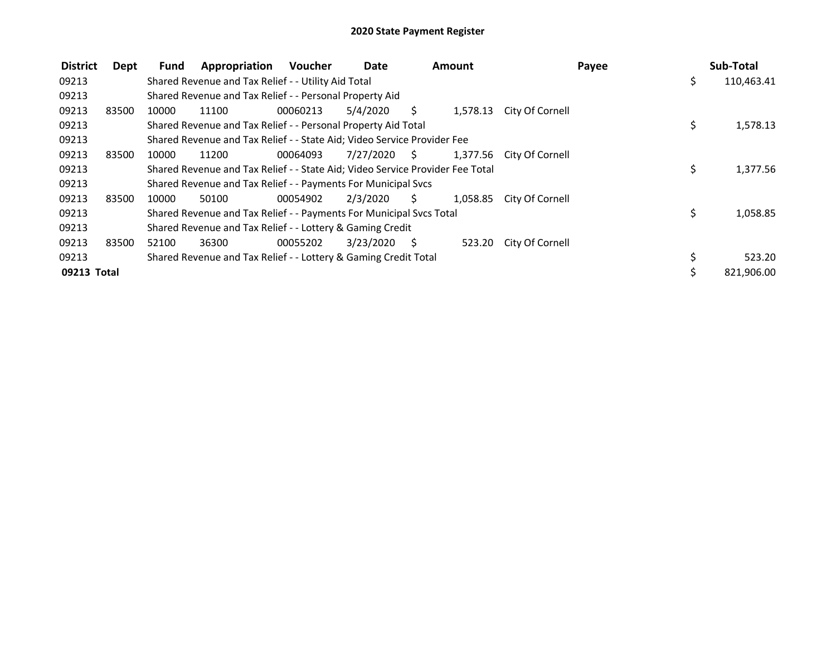| <b>District</b> | Dept  | <b>Fund</b> | Appropriation                                                                 | Voucher  | Date         |     | <b>Amount</b> |                          | Payee | Sub-Total  |
|-----------------|-------|-------------|-------------------------------------------------------------------------------|----------|--------------|-----|---------------|--------------------------|-------|------------|
| 09213           |       |             | Shared Revenue and Tax Relief - - Utility Aid Total                           |          |              |     |               |                          | \$    | 110,463.41 |
| 09213           |       |             | Shared Revenue and Tax Relief - - Personal Property Aid                       |          |              |     |               |                          |       |            |
| 09213           | 83500 | 10000       | 11100                                                                         | 00060213 | 5/4/2020     | S   | 1,578.13      | City Of Cornell          |       |            |
| 09213           |       |             | Shared Revenue and Tax Relief - - Personal Property Aid Total                 |          |              |     |               |                          | \$    | 1,578.13   |
| 09213           |       |             | Shared Revenue and Tax Relief - - State Aid; Video Service Provider Fee       |          |              |     |               |                          |       |            |
| 09213           | 83500 | 10000       | 11200                                                                         | 00064093 | 7/27/2020 \$ |     |               | 1,377.56 City Of Cornell |       |            |
| 09213           |       |             | Shared Revenue and Tax Relief - - State Aid; Video Service Provider Fee Total |          |              |     |               |                          | \$.   | 1,377.56   |
| 09213           |       |             | Shared Revenue and Tax Relief - - Payments For Municipal Svcs                 |          |              |     |               |                          |       |            |
| 09213           | 83500 | 10000       | 50100                                                                         | 00054902 | 2/3/2020     | S.  | 1,058.85      | City Of Cornell          |       |            |
| 09213           |       |             | Shared Revenue and Tax Relief - - Payments For Municipal Svcs Total           |          |              |     |               |                          | \$    | 1,058.85   |
| 09213           |       |             | Shared Revenue and Tax Relief - - Lottery & Gaming Credit                     |          |              |     |               |                          |       |            |
| 09213           | 83500 | 52100       | 36300                                                                         | 00055202 | 3/23/2020    | - S |               | 523.20 City Of Cornell   |       |            |
| 09213           |       |             | Shared Revenue and Tax Relief - - Lottery & Gaming Credit Total               |          |              |     |               |                          | \$    | 523.20     |
| 09213 Total     |       |             |                                                                               |          |              |     |               |                          | Ś.    | 821,906.00 |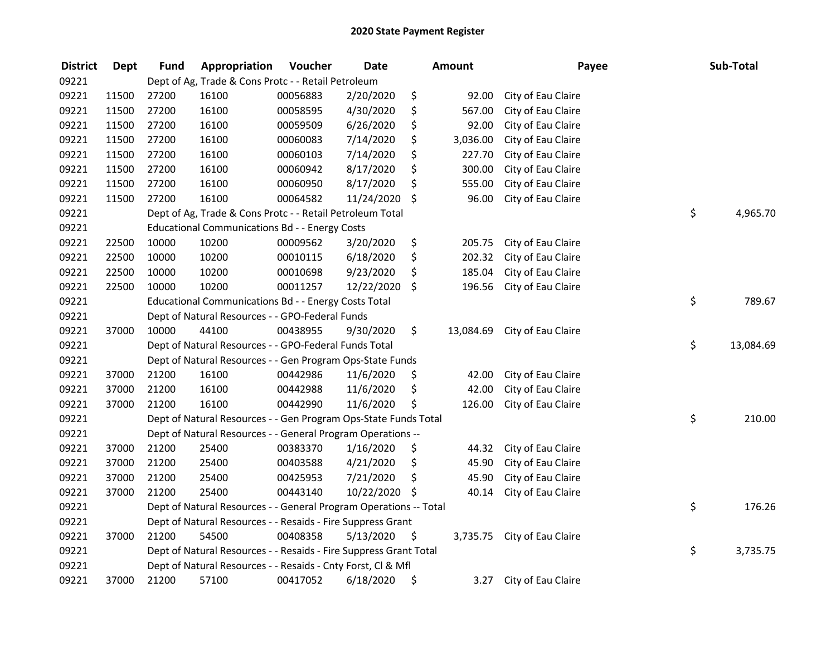| <b>District</b> | <b>Dept</b> | <b>Fund</b> | Appropriation                                                     | Voucher  | <b>Date</b> |                     | <b>Amount</b> | Payee              | Sub-Total       |
|-----------------|-------------|-------------|-------------------------------------------------------------------|----------|-------------|---------------------|---------------|--------------------|-----------------|
| 09221           |             |             | Dept of Ag, Trade & Cons Protc - - Retail Petroleum               |          |             |                     |               |                    |                 |
| 09221           | 11500       | 27200       | 16100                                                             | 00056883 | 2/20/2020   | \$                  | 92.00         | City of Eau Claire |                 |
| 09221           | 11500       | 27200       | 16100                                                             | 00058595 | 4/30/2020   | \$                  | 567.00        | City of Eau Claire |                 |
| 09221           | 11500       | 27200       | 16100                                                             | 00059509 | 6/26/2020   | \$                  | 92.00         | City of Eau Claire |                 |
| 09221           | 11500       | 27200       | 16100                                                             | 00060083 | 7/14/2020   | \$                  | 3,036.00      | City of Eau Claire |                 |
| 09221           | 11500       | 27200       | 16100                                                             | 00060103 | 7/14/2020   | \$                  | 227.70        | City of Eau Claire |                 |
| 09221           | 11500       | 27200       | 16100                                                             | 00060942 | 8/17/2020   | \$                  | 300.00        | City of Eau Claire |                 |
| 09221           | 11500       | 27200       | 16100                                                             | 00060950 | 8/17/2020   | \$                  | 555.00        | City of Eau Claire |                 |
| 09221           | 11500       | 27200       | 16100                                                             | 00064582 | 11/24/2020  | $\ddot{\mathsf{S}}$ | 96.00         | City of Eau Claire |                 |
| 09221           |             |             | Dept of Ag, Trade & Cons Protc - - Retail Petroleum Total         |          |             |                     |               |                    | \$<br>4,965.70  |
| 09221           |             |             | <b>Educational Communications Bd - - Energy Costs</b>             |          |             |                     |               |                    |                 |
| 09221           | 22500       | 10000       | 10200                                                             | 00009562 | 3/20/2020   | \$                  | 205.75        | City of Eau Claire |                 |
| 09221           | 22500       | 10000       | 10200                                                             | 00010115 | 6/18/2020   | \$                  | 202.32        | City of Eau Claire |                 |
| 09221           | 22500       | 10000       | 10200                                                             | 00010698 | 9/23/2020   | \$                  | 185.04        | City of Eau Claire |                 |
| 09221           | 22500       | 10000       | 10200                                                             | 00011257 | 12/22/2020  | \$                  | 196.56        | City of Eau Claire |                 |
| 09221           |             |             | Educational Communications Bd - - Energy Costs Total              |          |             |                     |               |                    | \$<br>789.67    |
| 09221           |             |             | Dept of Natural Resources - - GPO-Federal Funds                   |          |             |                     |               |                    |                 |
| 09221           | 37000       | 10000       | 44100                                                             | 00438955 | 9/30/2020   | \$                  | 13,084.69     | City of Eau Claire |                 |
| 09221           |             |             | Dept of Natural Resources - - GPO-Federal Funds Total             |          |             |                     |               |                    | \$<br>13,084.69 |
| 09221           |             |             | Dept of Natural Resources - - Gen Program Ops-State Funds         |          |             |                     |               |                    |                 |
| 09221           | 37000       | 21200       | 16100                                                             | 00442986 | 11/6/2020   | \$                  | 42.00         | City of Eau Claire |                 |
| 09221           | 37000       | 21200       | 16100                                                             | 00442988 | 11/6/2020   | \$                  | 42.00         | City of Eau Claire |                 |
| 09221           | 37000       | 21200       | 16100                                                             | 00442990 | 11/6/2020   | \$                  | 126.00        | City of Eau Claire |                 |
| 09221           |             |             | Dept of Natural Resources - - Gen Program Ops-State Funds Total   |          |             |                     |               |                    | \$<br>210.00    |
| 09221           |             |             | Dept of Natural Resources - - General Program Operations --       |          |             |                     |               |                    |                 |
| 09221           | 37000       | 21200       | 25400                                                             | 00383370 | 1/16/2020   | \$                  | 44.32         | City of Eau Claire |                 |
| 09221           | 37000       | 21200       | 25400                                                             | 00403588 | 4/21/2020   | \$                  | 45.90         | City of Eau Claire |                 |
| 09221           | 37000       | 21200       | 25400                                                             | 00425953 | 7/21/2020   | \$                  | 45.90         | City of Eau Claire |                 |
| 09221           | 37000       | 21200       | 25400                                                             | 00443140 | 10/22/2020  | -\$                 | 40.14         | City of Eau Claire |                 |
| 09221           |             |             | Dept of Natural Resources - - General Program Operations -- Total |          |             |                     |               |                    | \$<br>176.26    |
| 09221           |             |             | Dept of Natural Resources - - Resaids - Fire Suppress Grant       |          |             |                     |               |                    |                 |
| 09221           | 37000       | 21200       | 54500                                                             | 00408358 | 5/13/2020   | \$                  | 3,735.75      | City of Eau Claire |                 |
| 09221           |             |             | Dept of Natural Resources - - Resaids - Fire Suppress Grant Total |          |             |                     |               |                    | \$<br>3,735.75  |
| 09221           |             |             | Dept of Natural Resources - - Resaids - Cnty Forst, Cl & Mfl      |          |             |                     |               |                    |                 |
| 09221           | 37000       | 21200       | 57100                                                             | 00417052 | 6/18/2020   | \$                  | 3.27          | City of Eau Claire |                 |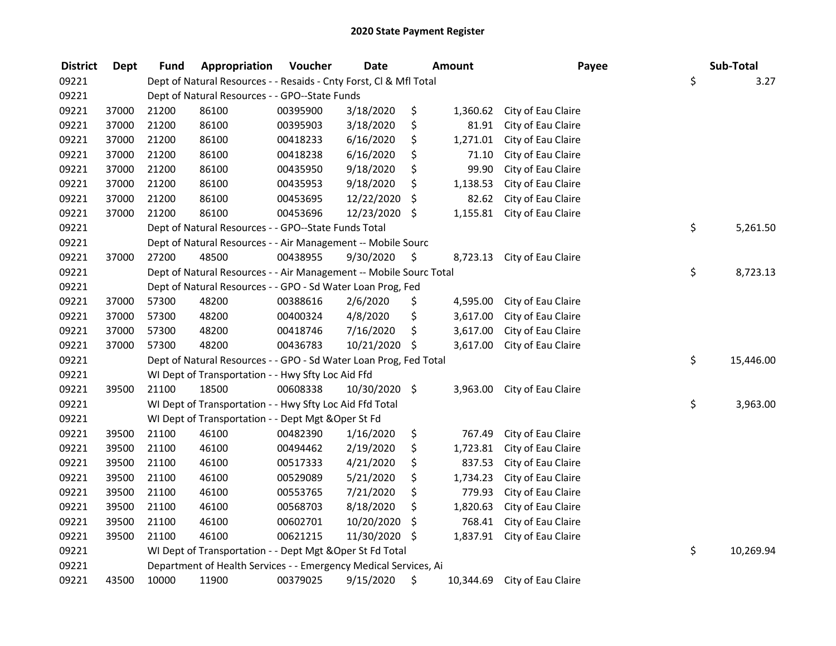| <b>District</b> | <b>Dept</b> | Fund  | Appropriation                                                      | Voucher  | <b>Date</b>   |      | <b>Amount</b> | Payee              | Sub-Total       |
|-----------------|-------------|-------|--------------------------------------------------------------------|----------|---------------|------|---------------|--------------------|-----------------|
| 09221           |             |       | Dept of Natural Resources - - Resaids - Cnty Forst, Cl & Mfl Total |          |               |      |               |                    | \$<br>3.27      |
| 09221           |             |       | Dept of Natural Resources - - GPO--State Funds                     |          |               |      |               |                    |                 |
| 09221           | 37000       | 21200 | 86100                                                              | 00395900 | 3/18/2020     | \$   | 1,360.62      | City of Eau Claire |                 |
| 09221           | 37000       | 21200 | 86100                                                              | 00395903 | 3/18/2020     | \$   | 81.91         | City of Eau Claire |                 |
| 09221           | 37000       | 21200 | 86100                                                              | 00418233 | 6/16/2020     | \$   | 1,271.01      | City of Eau Claire |                 |
| 09221           | 37000       | 21200 | 86100                                                              | 00418238 | 6/16/2020     | \$   | 71.10         | City of Eau Claire |                 |
| 09221           | 37000       | 21200 | 86100                                                              | 00435950 | 9/18/2020     | \$   | 99.90         | City of Eau Claire |                 |
| 09221           | 37000       | 21200 | 86100                                                              | 00435953 | 9/18/2020     | \$   | 1,138.53      | City of Eau Claire |                 |
| 09221           | 37000       | 21200 | 86100                                                              | 00453695 | 12/22/2020    | \$   | 82.62         | City of Eau Claire |                 |
| 09221           | 37000       | 21200 | 86100                                                              | 00453696 | 12/23/2020 \$ |      | 1,155.81      | City of Eau Claire |                 |
| 09221           |             |       | Dept of Natural Resources - - GPO--State Funds Total               |          |               |      |               |                    | \$<br>5,261.50  |
| 09221           |             |       | Dept of Natural Resources - - Air Management -- Mobile Sourc       |          |               |      |               |                    |                 |
| 09221           | 37000       | 27200 | 48500                                                              | 00438955 | 9/30/2020     | \$   | 8,723.13      | City of Eau Claire |                 |
| 09221           |             |       | Dept of Natural Resources - - Air Management -- Mobile Sourc Total |          |               |      |               |                    | \$<br>8,723.13  |
| 09221           |             |       | Dept of Natural Resources - - GPO - Sd Water Loan Prog, Fed        |          |               |      |               |                    |                 |
| 09221           | 37000       | 57300 | 48200                                                              | 00388616 | 2/6/2020      | \$   | 4,595.00      | City of Eau Claire |                 |
| 09221           | 37000       | 57300 | 48200                                                              | 00400324 | 4/8/2020      | \$   | 3,617.00      | City of Eau Claire |                 |
| 09221           | 37000       | 57300 | 48200                                                              | 00418746 | 7/16/2020     | \$   | 3,617.00      | City of Eau Claire |                 |
| 09221           | 37000       | 57300 | 48200                                                              | 00436783 | 10/21/2020    | -\$  | 3,617.00      | City of Eau Claire |                 |
| 09221           |             |       | Dept of Natural Resources - - GPO - Sd Water Loan Prog, Fed Total  |          |               |      |               |                    | \$<br>15,446.00 |
| 09221           |             |       | WI Dept of Transportation - - Hwy Sfty Loc Aid Ffd                 |          |               |      |               |                    |                 |
| 09221           | 39500       | 21100 | 18500                                                              | 00608338 | 10/30/2020 \$ |      | 3,963.00      | City of Eau Claire |                 |
| 09221           |             |       | WI Dept of Transportation - - Hwy Sfty Loc Aid Ffd Total           |          |               |      |               |                    | \$<br>3,963.00  |
| 09221           |             |       | WI Dept of Transportation - - Dept Mgt & Oper St Fd                |          |               |      |               |                    |                 |
| 09221           | 39500       | 21100 | 46100                                                              | 00482390 | 1/16/2020     | \$   | 767.49        | City of Eau Claire |                 |
| 09221           | 39500       | 21100 | 46100                                                              | 00494462 | 2/19/2020     | \$   | 1,723.81      | City of Eau Claire |                 |
| 09221           | 39500       | 21100 | 46100                                                              | 00517333 | 4/21/2020     | \$   | 837.53        | City of Eau Claire |                 |
| 09221           | 39500       | 21100 | 46100                                                              | 00529089 | 5/21/2020     | \$   | 1,734.23      | City of Eau Claire |                 |
| 09221           | 39500       | 21100 | 46100                                                              | 00553765 | 7/21/2020     | \$   | 779.93        | City of Eau Claire |                 |
| 09221           | 39500       | 21100 | 46100                                                              | 00568703 | 8/18/2020     | \$   | 1,820.63      | City of Eau Claire |                 |
| 09221           | 39500       | 21100 | 46100                                                              | 00602701 | 10/20/2020    | \$   | 768.41        | City of Eau Claire |                 |
| 09221           | 39500       | 21100 | 46100                                                              | 00621215 | 11/30/2020    | - \$ | 1,837.91      | City of Eau Claire |                 |
| 09221           |             |       | WI Dept of Transportation - - Dept Mgt & Oper St Fd Total          |          |               |      |               |                    | \$<br>10,269.94 |
| 09221           |             |       | Department of Health Services - - Emergency Medical Services, Ai   |          |               |      |               |                    |                 |
| 09221           | 43500       | 10000 | 11900                                                              | 00379025 | 9/15/2020     | \$   | 10,344.69     | City of Eau Claire |                 |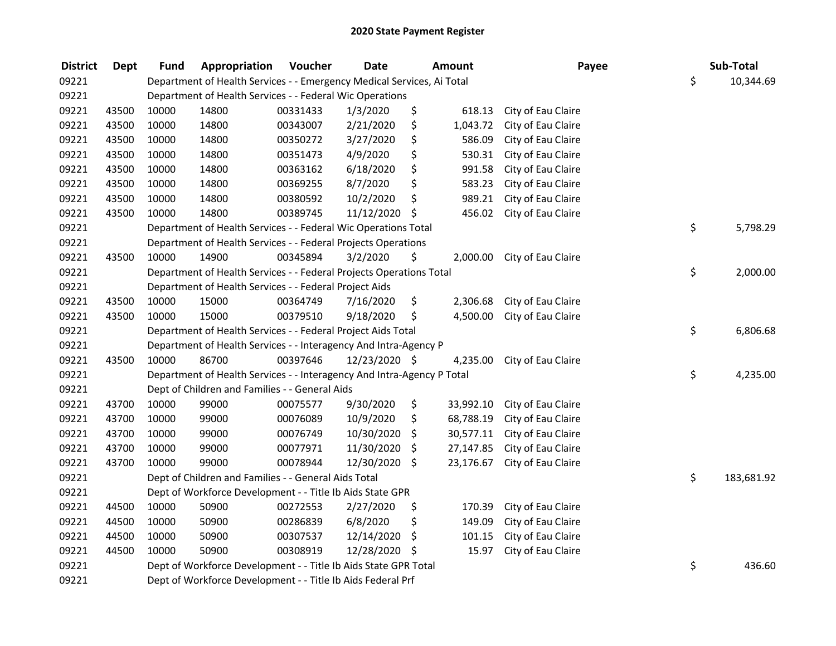| <b>District</b> | <b>Dept</b> | <b>Fund</b> | Appropriation                                                          | Voucher  | <b>Date</b>   | <b>Amount</b>   | Payee              | Sub-Total        |
|-----------------|-------------|-------------|------------------------------------------------------------------------|----------|---------------|-----------------|--------------------|------------------|
| 09221           |             |             | Department of Health Services - - Emergency Medical Services, Ai Total |          |               |                 |                    | \$<br>10,344.69  |
| 09221           |             |             | Department of Health Services - - Federal Wic Operations               |          |               |                 |                    |                  |
| 09221           | 43500       | 10000       | 14800                                                                  | 00331433 | 1/3/2020      | \$<br>618.13    | City of Eau Claire |                  |
| 09221           | 43500       | 10000       | 14800                                                                  | 00343007 | 2/21/2020     | \$<br>1,043.72  | City of Eau Claire |                  |
| 09221           | 43500       | 10000       | 14800                                                                  | 00350272 | 3/27/2020     | \$<br>586.09    | City of Eau Claire |                  |
| 09221           | 43500       | 10000       | 14800                                                                  | 00351473 | 4/9/2020      | \$<br>530.31    | City of Eau Claire |                  |
| 09221           | 43500       | 10000       | 14800                                                                  | 00363162 | 6/18/2020     | \$<br>991.58    | City of Eau Claire |                  |
| 09221           | 43500       | 10000       | 14800                                                                  | 00369255 | 8/7/2020      | \$<br>583.23    | City of Eau Claire |                  |
| 09221           | 43500       | 10000       | 14800                                                                  | 00380592 | 10/2/2020     | \$<br>989.21    | City of Eau Claire |                  |
| 09221           | 43500       | 10000       | 14800                                                                  | 00389745 | 11/12/2020    | \$<br>456.02    | City of Eau Claire |                  |
| 09221           |             |             | Department of Health Services - - Federal Wic Operations Total         |          |               |                 |                    | \$<br>5,798.29   |
| 09221           |             |             | Department of Health Services - - Federal Projects Operations          |          |               |                 |                    |                  |
| 09221           | 43500       | 10000       | 14900                                                                  | 00345894 | 3/2/2020      | \$<br>2,000.00  | City of Eau Claire |                  |
| 09221           |             |             | Department of Health Services - - Federal Projects Operations Total    |          |               |                 |                    | \$<br>2,000.00   |
| 09221           |             |             | Department of Health Services - - Federal Project Aids                 |          |               |                 |                    |                  |
| 09221           | 43500       | 10000       | 15000                                                                  | 00364749 | 7/16/2020     | \$<br>2,306.68  | City of Eau Claire |                  |
| 09221           | 43500       | 10000       | 15000                                                                  | 00379510 | 9/18/2020     | \$<br>4,500.00  | City of Eau Claire |                  |
| 09221           |             |             | Department of Health Services - - Federal Project Aids Total           |          |               |                 |                    | \$<br>6,806.68   |
| 09221           |             |             | Department of Health Services - - Interagency And Intra-Agency P       |          |               |                 |                    |                  |
| 09221           | 43500       | 10000       | 86700                                                                  | 00397646 | 12/23/2020 \$ | 4,235.00        | City of Eau Claire |                  |
| 09221           |             |             | Department of Health Services - - Interagency And Intra-Agency P Total |          |               |                 |                    | \$<br>4,235.00   |
| 09221           |             |             | Dept of Children and Families - - General Aids                         |          |               |                 |                    |                  |
| 09221           | 43700       | 10000       | 99000                                                                  | 00075577 | 9/30/2020     | \$<br>33,992.10 | City of Eau Claire |                  |
| 09221           | 43700       | 10000       | 99000                                                                  | 00076089 | 10/9/2020     | \$<br>68,788.19 | City of Eau Claire |                  |
| 09221           | 43700       | 10000       | 99000                                                                  | 00076749 | 10/30/2020    | \$<br>30,577.11 | City of Eau Claire |                  |
| 09221           | 43700       | 10000       | 99000                                                                  | 00077971 | 11/30/2020    | \$<br>27,147.85 | City of Eau Claire |                  |
| 09221           | 43700       | 10000       | 99000                                                                  | 00078944 | 12/30/2020    | \$<br>23,176.67 | City of Eau Claire |                  |
| 09221           |             |             | Dept of Children and Families - - General Aids Total                   |          |               |                 |                    | \$<br>183,681.92 |
| 09221           |             |             | Dept of Workforce Development - - Title Ib Aids State GPR              |          |               |                 |                    |                  |
| 09221           | 44500       | 10000       | 50900                                                                  | 00272553 | 2/27/2020     | \$<br>170.39    | City of Eau Claire |                  |
| 09221           | 44500       | 10000       | 50900                                                                  | 00286839 | 6/8/2020      | \$<br>149.09    | City of Eau Claire |                  |
| 09221           | 44500       | 10000       | 50900                                                                  | 00307537 | 12/14/2020    | \$<br>101.15    | City of Eau Claire |                  |
| 09221           | 44500       | 10000       | 50900                                                                  | 00308919 | 12/28/2020    | \$<br>15.97     | City of Eau Claire |                  |
| 09221           |             |             | Dept of Workforce Development - - Title Ib Aids State GPR Total        |          |               |                 |                    | \$<br>436.60     |
| 09221           |             |             | Dept of Workforce Development - - Title Ib Aids Federal Prf            |          |               |                 |                    |                  |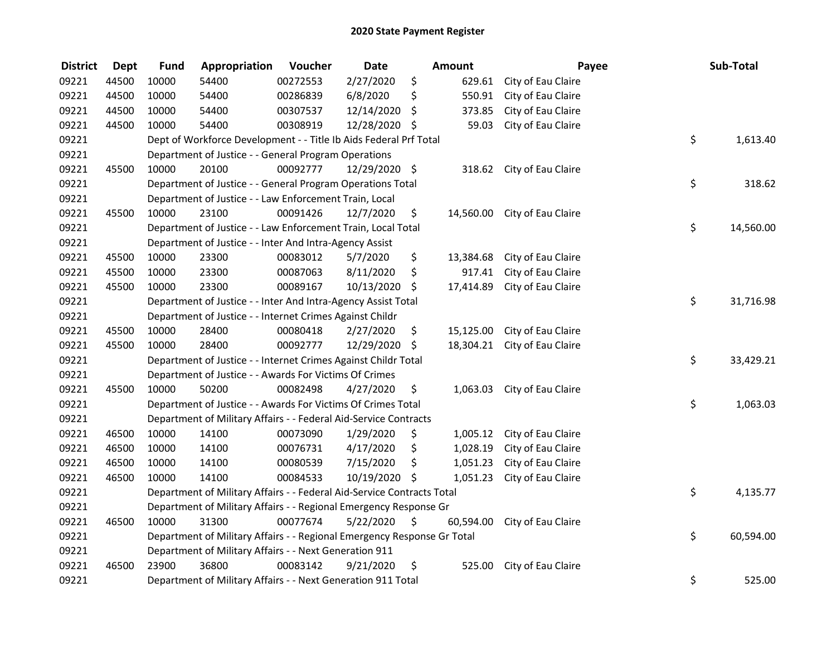| <b>District</b> | <b>Dept</b> | <b>Fund</b>                                                                   | Appropriation                                                          | Voucher  | <b>Date</b>   |    | Amount    |                              | Payee | Sub-Total |
|-----------------|-------------|-------------------------------------------------------------------------------|------------------------------------------------------------------------|----------|---------------|----|-----------|------------------------------|-------|-----------|
| 09221           | 44500       | 10000                                                                         | 54400                                                                  | 00272553 | 2/27/2020     | \$ | 629.61    | City of Eau Claire           |       |           |
| 09221           | 44500       | 10000                                                                         | 54400                                                                  | 00286839 | 6/8/2020      | \$ | 550.91    | City of Eau Claire           |       |           |
| 09221           | 44500       | 10000                                                                         | 54400                                                                  | 00307537 | 12/14/2020    | \$ | 373.85    | City of Eau Claire           |       |           |
| 09221           | 44500       | 10000                                                                         | 54400                                                                  | 00308919 | 12/28/2020 \$ |    | 59.03     | City of Eau Claire           |       |           |
| 09221           |             |                                                                               | Dept of Workforce Development - - Title Ib Aids Federal Prf Total      |          |               |    |           |                              | \$    | 1,613.40  |
| 09221           |             |                                                                               | Department of Justice - - General Program Operations                   |          |               |    |           |                              |       |           |
| 09221           | 45500       | 10000                                                                         | 20100                                                                  | 00092777 | 12/29/2020 \$ |    |           | 318.62 City of Eau Claire    |       |           |
| 09221           |             |                                                                               | Department of Justice - - General Program Operations Total             |          |               |    |           |                              | \$    | 318.62    |
| 09221           |             |                                                                               | Department of Justice - - Law Enforcement Train, Local                 |          |               |    |           |                              |       |           |
| 09221           | 45500       | 10000                                                                         | 23100                                                                  | 00091426 | 12/7/2020     | \$ | 14,560.00 | City of Eau Claire           |       |           |
| 09221           |             |                                                                               | Department of Justice - - Law Enforcement Train, Local Total           |          |               |    |           |                              | \$    | 14,560.00 |
| 09221           |             |                                                                               | Department of Justice - - Inter And Intra-Agency Assist                |          |               |    |           |                              |       |           |
| 09221           | 45500       | 10000                                                                         | 23300                                                                  | 00083012 | 5/7/2020      | \$ | 13,384.68 | City of Eau Claire           |       |           |
| 09221           | 45500       | 10000                                                                         | 23300                                                                  | 00087063 | 8/11/2020     | \$ | 917.41    | City of Eau Claire           |       |           |
| 09221           | 45500       | 10000                                                                         | 23300                                                                  | 00089167 | 10/13/2020    | \$ | 17,414.89 | City of Eau Claire           |       |           |
| 09221           |             |                                                                               | Department of Justice - - Inter And Intra-Agency Assist Total          |          |               |    |           |                              | \$    | 31,716.98 |
| 09221           |             |                                                                               | Department of Justice - - Internet Crimes Against Childr               |          |               |    |           |                              |       |           |
| 09221           | 45500       | 10000                                                                         | 28400                                                                  | 00080418 | 2/27/2020     | \$ | 15,125.00 | City of Eau Claire           |       |           |
| 09221           | 45500       | 10000                                                                         | 28400                                                                  | 00092777 | 12/29/2020    | \$ |           | 18,304.21 City of Eau Claire |       |           |
| 09221           |             |                                                                               | Department of Justice - - Internet Crimes Against Childr Total         |          |               |    |           |                              | \$    | 33,429.21 |
| 09221           |             |                                                                               | Department of Justice - - Awards For Victims Of Crimes                 |          |               |    |           |                              |       |           |
| 09221           | 45500       | 10000                                                                         | 50200                                                                  | 00082498 | 4/27/2020     | \$ | 1,063.03  | City of Eau Claire           |       |           |
| 09221           |             |                                                                               | Department of Justice - - Awards For Victims Of Crimes Total           |          |               |    |           |                              | \$    | 1,063.03  |
| 09221           |             |                                                                               | Department of Military Affairs - - Federal Aid-Service Contracts       |          |               |    |           |                              |       |           |
| 09221           | 46500       | 10000                                                                         | 14100                                                                  | 00073090 | 1/29/2020     | \$ | 1,005.12  | City of Eau Claire           |       |           |
| 09221           | 46500       | 10000                                                                         | 14100                                                                  | 00076731 | 4/17/2020     | \$ | 1,028.19  | City of Eau Claire           |       |           |
| 09221           | 46500       | 10000                                                                         | 14100                                                                  | 00080539 | 7/15/2020     | \$ | 1,051.23  | City of Eau Claire           |       |           |
| 09221           | 46500       | 10000                                                                         | 14100                                                                  | 00084533 | 10/19/2020 \$ |    | 1,051.23  | City of Eau Claire           |       |           |
| 09221           |             |                                                                               | Department of Military Affairs - - Federal Aid-Service Contracts Total |          |               |    |           |                              | \$    | 4,135.77  |
| 09221           |             |                                                                               | Department of Military Affairs - - Regional Emergency Response Gr      |          |               |    |           |                              |       |           |
| 09221           | 46500       | 10000                                                                         | 31300                                                                  | 00077674 | 5/22/2020     | \$ | 60,594.00 | City of Eau Claire           |       |           |
| 09221           |             | \$<br>Department of Military Affairs - - Regional Emergency Response Gr Total |                                                                        |          |               |    |           |                              |       | 60,594.00 |
| 09221           |             |                                                                               | Department of Military Affairs - - Next Generation 911                 |          |               |    |           |                              |       |           |
| 09221           | 46500       | 23900                                                                         | 36800                                                                  | 00083142 | 9/21/2020     | \$ | 525.00    | City of Eau Claire           |       |           |
| 09221           |             |                                                                               | Department of Military Affairs - - Next Generation 911 Total           |          |               |    |           |                              | \$    | 525.00    |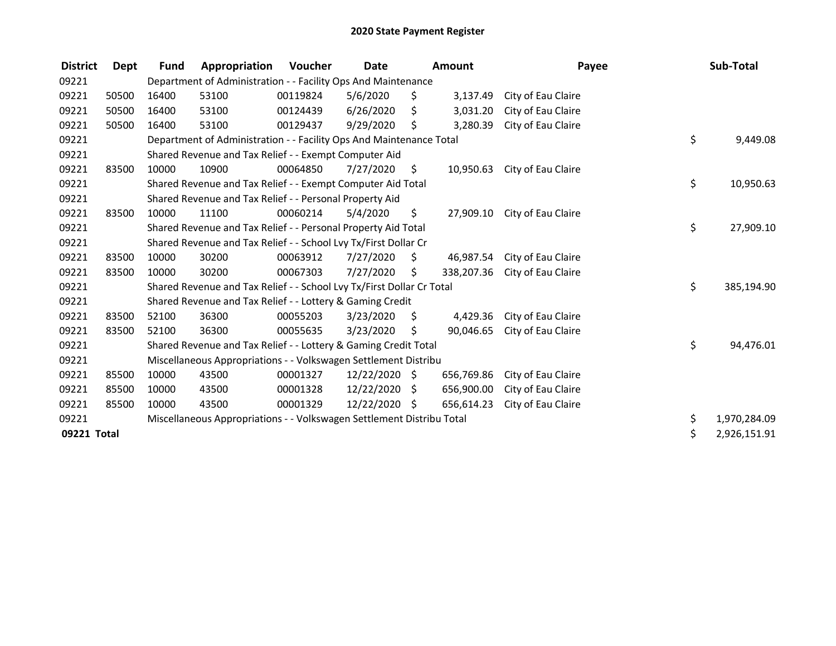| <b>District</b> | Dept  | <b>Fund</b>                                                           | Appropriation                                                         | Voucher      | <b>Date</b><br><b>Amount</b> |    | Payee      |                    | Sub-Total |              |
|-----------------|-------|-----------------------------------------------------------------------|-----------------------------------------------------------------------|--------------|------------------------------|----|------------|--------------------|-----------|--------------|
| 09221           |       | Department of Administration - - Facility Ops And Maintenance         |                                                                       |              |                              |    |            |                    |           |              |
| 09221           | 50500 | 16400                                                                 | 53100                                                                 | 00119824     | 5/6/2020                     | \$ | 3,137.49   | City of Eau Claire |           |              |
| 09221           | 50500 | 16400                                                                 | 53100                                                                 | 00124439     | 6/26/2020                    | Ŝ. | 3,031.20   | City of Eau Claire |           |              |
| 09221           | 50500 | 16400                                                                 | 53100                                                                 | 00129437     | 9/29/2020                    | Ś. | 3,280.39   | City of Eau Claire |           |              |
| 09221           |       |                                                                       | Department of Administration - - Facility Ops And Maintenance Total   |              |                              |    |            |                    | \$        | 9,449.08     |
| 09221           |       |                                                                       | Shared Revenue and Tax Relief - - Exempt Computer Aid                 |              |                              |    |            |                    |           |              |
| 09221           | 83500 | 10000                                                                 | 10900                                                                 | 00064850     | 7/27/2020                    | \$ | 10,950.63  | City of Eau Claire |           |              |
| 09221           |       |                                                                       | Shared Revenue and Tax Relief - - Exempt Computer Aid Total           |              |                              |    |            |                    | \$        | 10,950.63    |
| 09221           |       |                                                                       | Shared Revenue and Tax Relief - - Personal Property Aid               |              |                              |    |            |                    |           |              |
| 09221           | 83500 | 10000                                                                 | 11100                                                                 | 00060214     | 5/4/2020                     | \$ | 27,909.10  | City of Eau Claire |           |              |
| 09221           |       |                                                                       | Shared Revenue and Tax Relief - - Personal Property Aid Total         |              |                              |    |            |                    | \$        | 27,909.10    |
| 09221           |       |                                                                       | Shared Revenue and Tax Relief - - School Lvy Tx/First Dollar Cr       |              |                              |    |            |                    |           |              |
| 09221           | 83500 | 10000                                                                 | 30200                                                                 | 00063912     | 7/27/2020                    | \$ | 46,987.54  | City of Eau Claire |           |              |
| 09221           | 83500 | 10000                                                                 | 30200                                                                 | 00067303     | 7/27/2020                    | \$ | 338,207.36 | City of Eau Claire |           |              |
| 09221           |       |                                                                       | Shared Revenue and Tax Relief - - School Lvy Tx/First Dollar Cr Total |              |                              |    |            |                    | \$        | 385,194.90   |
| 09221           |       |                                                                       | Shared Revenue and Tax Relief - - Lottery & Gaming Credit             |              |                              |    |            |                    |           |              |
| 09221           | 83500 | 52100                                                                 | 36300                                                                 | 00055203     | 3/23/2020                    | \$ | 4,429.36   | City of Eau Claire |           |              |
| 09221           | 83500 | 52100                                                                 | 36300                                                                 | 00055635     | 3/23/2020                    | \$ | 90,046.65  | City of Eau Claire |           |              |
| 09221           |       |                                                                       | Shared Revenue and Tax Relief - - Lottery & Gaming Credit Total       |              |                              |    |            |                    | \$        | 94,476.01    |
| 09221           |       |                                                                       | Miscellaneous Appropriations - - Volkswagen Settlement Distribu       |              |                              |    |            |                    |           |              |
| 09221           | 85500 | 10000                                                                 | 43500                                                                 | 00001327     | 12/22/2020 \$                |    | 656,769.86 | City of Eau Claire |           |              |
| 09221           | 85500 | 10000                                                                 | 43500                                                                 | 00001328     | 12/22/2020                   | S. | 656,900.00 | City of Eau Claire |           |              |
| 09221           | 85500 | 10000                                                                 | 43500                                                                 | 00001329     | 12/22/2020 \$                |    | 656,614.23 | City of Eau Claire |           |              |
| 09221           |       | Miscellaneous Appropriations - - Volkswagen Settlement Distribu Total | \$                                                                    | 1,970,284.09 |                              |    |            |                    |           |              |
| 09221 Total     |       |                                                                       |                                                                       |              |                              |    |            |                    | \$        | 2,926,151.91 |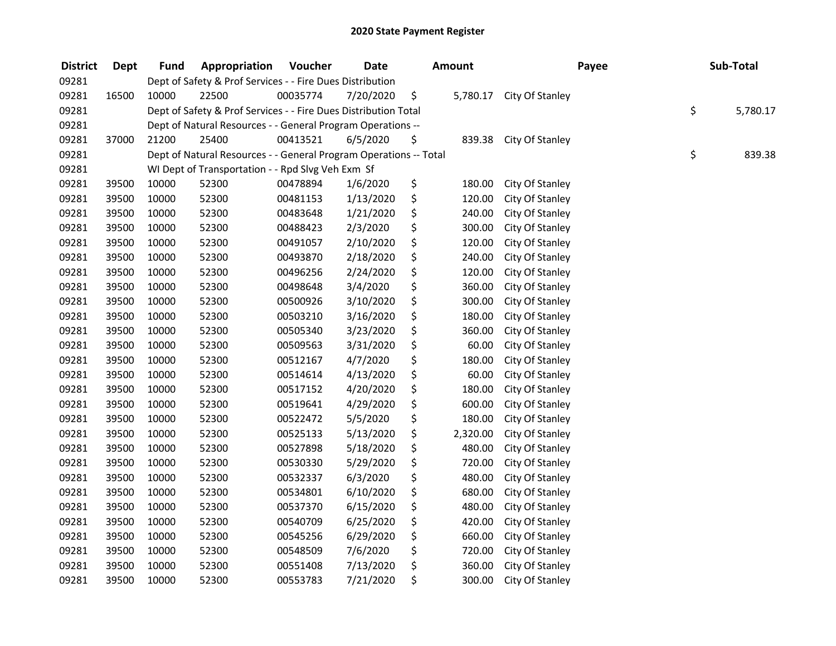## 2020 State Payment Register

| <b>District</b> | Dept  | <b>Fund</b> | Appropriation                                                     | Voucher  | <b>Date</b> | <b>Amount</b>  |                 | Payee | Sub-Total      |
|-----------------|-------|-------------|-------------------------------------------------------------------|----------|-------------|----------------|-----------------|-------|----------------|
| 09281           |       |             | Dept of Safety & Prof Services - - Fire Dues Distribution         |          |             |                |                 |       |                |
| 09281           | 16500 | 10000       | 22500                                                             | 00035774 | 7/20/2020   | \$<br>5,780.17 | City Of Stanley |       |                |
| 09281           |       |             | Dept of Safety & Prof Services - - Fire Dues Distribution Total   |          |             |                |                 |       | \$<br>5,780.17 |
| 09281           |       |             | Dept of Natural Resources - - General Program Operations --       |          |             |                |                 |       |                |
| 09281           | 37000 | 21200       | 25400                                                             | 00413521 | 6/5/2020    | \$<br>839.38   | City Of Stanley |       |                |
| 09281           |       |             | Dept of Natural Resources - - General Program Operations -- Total |          |             |                |                 |       | \$<br>839.38   |
| 09281           |       |             | WI Dept of Transportation - - Rpd Slvg Veh Exm Sf                 |          |             |                |                 |       |                |
| 09281           | 39500 | 10000       | 52300                                                             | 00478894 | 1/6/2020    | \$<br>180.00   | City Of Stanley |       |                |
| 09281           | 39500 | 10000       | 52300                                                             | 00481153 | 1/13/2020   | \$<br>120.00   | City Of Stanley |       |                |
| 09281           | 39500 | 10000       | 52300                                                             | 00483648 | 1/21/2020   | \$<br>240.00   | City Of Stanley |       |                |
| 09281           | 39500 | 10000       | 52300                                                             | 00488423 | 2/3/2020    | \$<br>300.00   | City Of Stanley |       |                |
| 09281           | 39500 | 10000       | 52300                                                             | 00491057 | 2/10/2020   | \$<br>120.00   | City Of Stanley |       |                |
| 09281           | 39500 | 10000       | 52300                                                             | 00493870 | 2/18/2020   | \$<br>240.00   | City Of Stanley |       |                |
| 09281           | 39500 | 10000       | 52300                                                             | 00496256 | 2/24/2020   | \$<br>120.00   | City Of Stanley |       |                |
| 09281           | 39500 | 10000       | 52300                                                             | 00498648 | 3/4/2020    | \$<br>360.00   | City Of Stanley |       |                |
| 09281           | 39500 | 10000       | 52300                                                             | 00500926 | 3/10/2020   | \$<br>300.00   | City Of Stanley |       |                |
| 09281           | 39500 | 10000       | 52300                                                             | 00503210 | 3/16/2020   | \$<br>180.00   | City Of Stanley |       |                |
| 09281           | 39500 | 10000       | 52300                                                             | 00505340 | 3/23/2020   | \$<br>360.00   | City Of Stanley |       |                |
| 09281           | 39500 | 10000       | 52300                                                             | 00509563 | 3/31/2020   | \$<br>60.00    | City Of Stanley |       |                |
| 09281           | 39500 | 10000       | 52300                                                             | 00512167 | 4/7/2020    | \$<br>180.00   | City Of Stanley |       |                |
| 09281           | 39500 | 10000       | 52300                                                             | 00514614 | 4/13/2020   | \$<br>60.00    | City Of Stanley |       |                |
| 09281           | 39500 | 10000       | 52300                                                             | 00517152 | 4/20/2020   | \$<br>180.00   | City Of Stanley |       |                |
| 09281           | 39500 | 10000       | 52300                                                             | 00519641 | 4/29/2020   | \$<br>600.00   | City Of Stanley |       |                |
| 09281           | 39500 | 10000       | 52300                                                             | 00522472 | 5/5/2020    | \$<br>180.00   | City Of Stanley |       |                |
| 09281           | 39500 | 10000       | 52300                                                             | 00525133 | 5/13/2020   | \$<br>2,320.00 | City Of Stanley |       |                |
| 09281           | 39500 | 10000       | 52300                                                             | 00527898 | 5/18/2020   | \$<br>480.00   | City Of Stanley |       |                |
| 09281           | 39500 | 10000       | 52300                                                             | 00530330 | 5/29/2020   | \$<br>720.00   | City Of Stanley |       |                |
| 09281           | 39500 | 10000       | 52300                                                             | 00532337 | 6/3/2020    | \$<br>480.00   | City Of Stanley |       |                |
| 09281           | 39500 | 10000       | 52300                                                             | 00534801 | 6/10/2020   | \$<br>680.00   | City Of Stanley |       |                |
| 09281           | 39500 | 10000       | 52300                                                             | 00537370 | 6/15/2020   | \$<br>480.00   | City Of Stanley |       |                |
| 09281           | 39500 | 10000       | 52300                                                             | 00540709 | 6/25/2020   | \$<br>420.00   | City Of Stanley |       |                |
| 09281           | 39500 | 10000       | 52300                                                             | 00545256 | 6/29/2020   | \$<br>660.00   | City Of Stanley |       |                |
| 09281           | 39500 | 10000       | 52300                                                             | 00548509 | 7/6/2020    | \$<br>720.00   | City Of Stanley |       |                |
| 09281           | 39500 | 10000       | 52300                                                             | 00551408 | 7/13/2020   | \$<br>360.00   | City Of Stanley |       |                |
| 09281           | 39500 | 10000       | 52300                                                             | 00553783 | 7/21/2020   | \$<br>300.00   | City Of Stanley |       |                |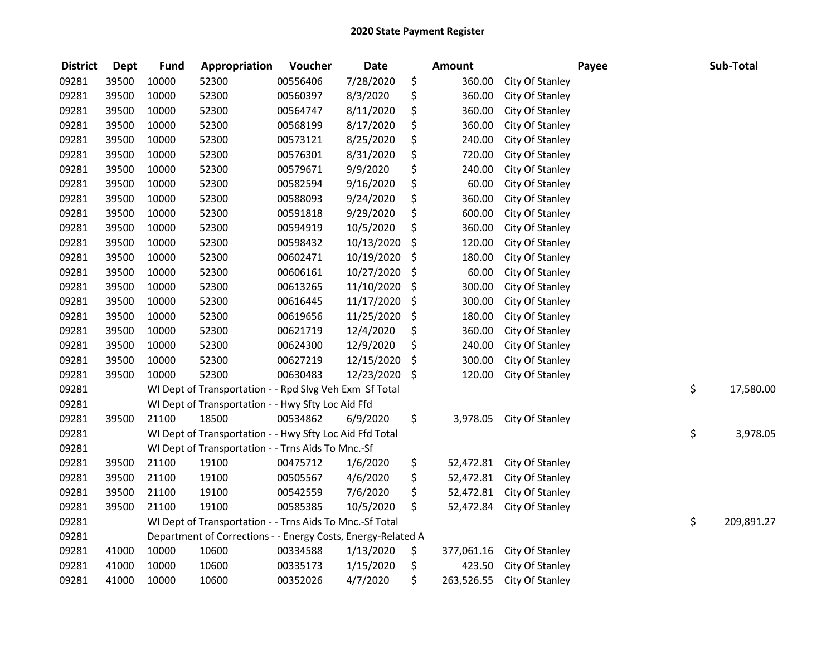| <b>District</b> | <b>Dept</b> | <b>Fund</b> | Appropriation                                                | Voucher  | <b>Date</b> | <b>Amount</b>    |                 | Payee | Sub-Total        |
|-----------------|-------------|-------------|--------------------------------------------------------------|----------|-------------|------------------|-----------------|-------|------------------|
| 09281           | 39500       | 10000       | 52300                                                        | 00556406 | 7/28/2020   | \$<br>360.00     | City Of Stanley |       |                  |
| 09281           | 39500       | 10000       | 52300                                                        | 00560397 | 8/3/2020    | \$<br>360.00     | City Of Stanley |       |                  |
| 09281           | 39500       | 10000       | 52300                                                        | 00564747 | 8/11/2020   | \$<br>360.00     | City Of Stanley |       |                  |
| 09281           | 39500       | 10000       | 52300                                                        | 00568199 | 8/17/2020   | \$<br>360.00     | City Of Stanley |       |                  |
| 09281           | 39500       | 10000       | 52300                                                        | 00573121 | 8/25/2020   | \$<br>240.00     | City Of Stanley |       |                  |
| 09281           | 39500       | 10000       | 52300                                                        | 00576301 | 8/31/2020   | \$<br>720.00     | City Of Stanley |       |                  |
| 09281           | 39500       | 10000       | 52300                                                        | 00579671 | 9/9/2020    | \$<br>240.00     | City Of Stanley |       |                  |
| 09281           | 39500       | 10000       | 52300                                                        | 00582594 | 9/16/2020   | \$<br>60.00      | City Of Stanley |       |                  |
| 09281           | 39500       | 10000       | 52300                                                        | 00588093 | 9/24/2020   | \$<br>360.00     | City Of Stanley |       |                  |
| 09281           | 39500       | 10000       | 52300                                                        | 00591818 | 9/29/2020   | \$<br>600.00     | City Of Stanley |       |                  |
| 09281           | 39500       | 10000       | 52300                                                        | 00594919 | 10/5/2020   | \$<br>360.00     | City Of Stanley |       |                  |
| 09281           | 39500       | 10000       | 52300                                                        | 00598432 | 10/13/2020  | \$<br>120.00     | City Of Stanley |       |                  |
| 09281           | 39500       | 10000       | 52300                                                        | 00602471 | 10/19/2020  | \$<br>180.00     | City Of Stanley |       |                  |
| 09281           | 39500       | 10000       | 52300                                                        | 00606161 | 10/27/2020  | \$<br>60.00      | City Of Stanley |       |                  |
| 09281           | 39500       | 10000       | 52300                                                        | 00613265 | 11/10/2020  | \$<br>300.00     | City Of Stanley |       |                  |
| 09281           | 39500       | 10000       | 52300                                                        | 00616445 | 11/17/2020  | \$<br>300.00     | City Of Stanley |       |                  |
| 09281           | 39500       | 10000       | 52300                                                        | 00619656 | 11/25/2020  | \$<br>180.00     | City Of Stanley |       |                  |
| 09281           | 39500       | 10000       | 52300                                                        | 00621719 | 12/4/2020   | \$<br>360.00     | City Of Stanley |       |                  |
| 09281           | 39500       | 10000       | 52300                                                        | 00624300 | 12/9/2020   | \$<br>240.00     | City Of Stanley |       |                  |
| 09281           | 39500       | 10000       | 52300                                                        | 00627219 | 12/15/2020  | \$<br>300.00     | City Of Stanley |       |                  |
| 09281           | 39500       | 10000       | 52300                                                        | 00630483 | 12/23/2020  | \$<br>120.00     | City Of Stanley |       |                  |
| 09281           |             |             | WI Dept of Transportation - - Rpd Slvg Veh Exm Sf Total      |          |             |                  |                 |       | \$<br>17,580.00  |
| 09281           |             |             | WI Dept of Transportation - - Hwy Sfty Loc Aid Ffd           |          |             |                  |                 |       |                  |
| 09281           | 39500       | 21100       | 18500                                                        | 00534862 | 6/9/2020    | \$<br>3,978.05   | City Of Stanley |       |                  |
| 09281           |             |             | WI Dept of Transportation - - Hwy Sfty Loc Aid Ffd Total     |          |             |                  |                 |       | \$<br>3,978.05   |
| 09281           |             |             | WI Dept of Transportation - - Trns Aids To Mnc.-Sf           |          |             |                  |                 |       |                  |
| 09281           | 39500       | 21100       | 19100                                                        | 00475712 | 1/6/2020    | \$<br>52,472.81  | City Of Stanley |       |                  |
| 09281           | 39500       | 21100       | 19100                                                        | 00505567 | 4/6/2020    | \$<br>52,472.81  | City Of Stanley |       |                  |
| 09281           | 39500       | 21100       | 19100                                                        | 00542559 | 7/6/2020    | \$<br>52,472.81  | City Of Stanley |       |                  |
| 09281           | 39500       | 21100       | 19100                                                        | 00585385 | 10/5/2020   | \$<br>52,472.84  | City Of Stanley |       |                  |
| 09281           |             |             | WI Dept of Transportation - - Trns Aids To Mnc.-Sf Total     |          |             |                  |                 |       | \$<br>209,891.27 |
| 09281           |             |             | Department of Corrections - - Energy Costs, Energy-Related A |          |             |                  |                 |       |                  |
| 09281           | 41000       | 10000       | 10600                                                        | 00334588 | 1/13/2020   | \$<br>377,061.16 | City Of Stanley |       |                  |
| 09281           | 41000       | 10000       | 10600                                                        | 00335173 | 1/15/2020   | \$<br>423.50     | City Of Stanley |       |                  |
| 09281           | 41000       | 10000       | 10600                                                        | 00352026 | 4/7/2020    | \$<br>263,526.55 | City Of Stanley |       |                  |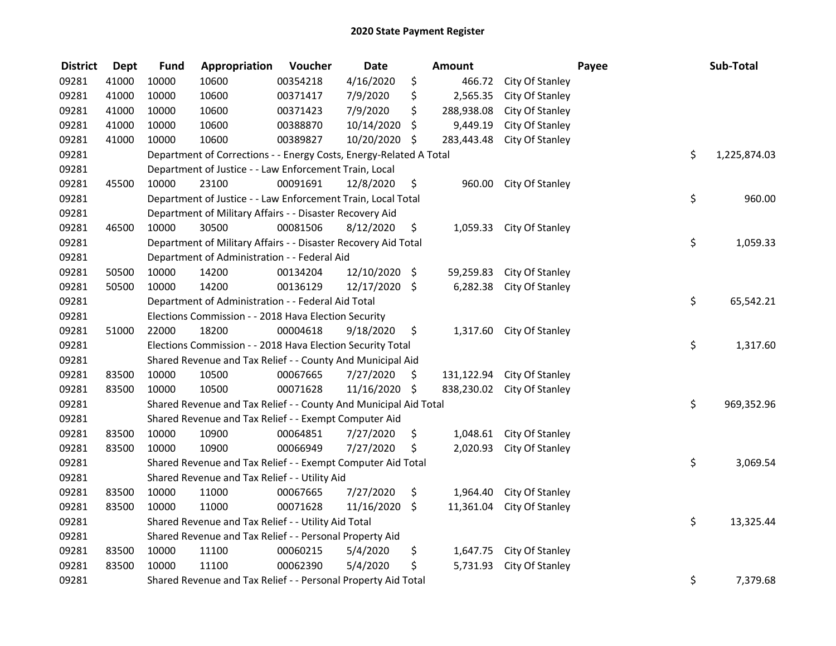| <b>District</b> | <b>Dept</b> | <b>Fund</b>                                         | Appropriation                                                      | Voucher   | <b>Date</b>   | Amount           |                            | Payee | Sub-Total    |
|-----------------|-------------|-----------------------------------------------------|--------------------------------------------------------------------|-----------|---------------|------------------|----------------------------|-------|--------------|
| 09281           | 41000       | 10000                                               | 10600                                                              | 00354218  | 4/16/2020     | \$<br>466.72     | City Of Stanley            |       |              |
| 09281           | 41000       | 10000                                               | 10600                                                              | 00371417  | 7/9/2020      | \$<br>2,565.35   | City Of Stanley            |       |              |
| 09281           | 41000       | 10000                                               | 10600                                                              | 00371423  | 7/9/2020      | \$<br>288,938.08 | City Of Stanley            |       |              |
| 09281           | 41000       | 10000                                               | 10600                                                              | 00388870  | 10/14/2020    | \$<br>9,449.19   | City Of Stanley            |       |              |
| 09281           | 41000       | 10000                                               | 10600                                                              | 00389827  | 10/20/2020 \$ | 283,443.48       | City Of Stanley            |       |              |
| 09281           |             |                                                     | Department of Corrections - - Energy Costs, Energy-Related A Total |           |               |                  |                            | \$    | 1,225,874.03 |
| 09281           |             |                                                     | Department of Justice - - Law Enforcement Train, Local             |           |               |                  |                            |       |              |
| 09281           | 45500       | 10000                                               | 23100                                                              | 00091691  | 12/8/2020     | \$               | 960.00 City Of Stanley     |       |              |
| 09281           |             |                                                     | Department of Justice - - Law Enforcement Train, Local Total       |           |               |                  |                            | \$    | 960.00       |
| 09281           |             |                                                     | Department of Military Affairs - - Disaster Recovery Aid           |           |               |                  |                            |       |              |
| 09281           | 46500       | 10000                                               | 30500                                                              | 00081506  | 8/12/2020     | \$               | 1,059.33 City Of Stanley   |       |              |
| 09281           |             |                                                     | Department of Military Affairs - - Disaster Recovery Aid Total     |           |               |                  |                            | \$    | 1,059.33     |
| 09281           |             |                                                     | Department of Administration - - Federal Aid                       |           |               |                  |                            |       |              |
| 09281           | 50500       | 10000                                               | 14200                                                              | 00134204  | 12/10/2020 \$ | 59,259.83        | City Of Stanley            |       |              |
| 09281           | 50500       | 10000                                               | 14200                                                              | 00136129  | 12/17/2020 \$ | 6,282.38         | City Of Stanley            |       |              |
| 09281           |             |                                                     | Department of Administration - - Federal Aid Total                 |           |               |                  |                            | \$    | 65,542.21    |
| 09281           |             |                                                     | Elections Commission - - 2018 Hava Election Security               |           |               |                  |                            |       |              |
| 09281           | 51000       | 22000                                               | 18200                                                              | 00004618  | 9/18/2020     | \$<br>1,317.60   | City Of Stanley            |       |              |
| 09281           |             |                                                     | Elections Commission - - 2018 Hava Election Security Total         |           |               |                  |                            | \$    | 1,317.60     |
| 09281           |             |                                                     | Shared Revenue and Tax Relief - - County And Municipal Aid         |           |               |                  |                            |       |              |
| 09281           | 83500       | 10000                                               | 10500                                                              | 00067665  | 7/27/2020     | \$               | 131,122.94 City Of Stanley |       |              |
| 09281           | 83500       | 10000                                               | 10500                                                              | 00071628  | 11/16/2020 \$ |                  | 838,230.02 City Of Stanley |       |              |
| 09281           |             |                                                     | Shared Revenue and Tax Relief - - County And Municipal Aid Total   |           |               |                  |                            | \$    | 969,352.96   |
| 09281           |             |                                                     | Shared Revenue and Tax Relief - - Exempt Computer Aid              |           |               |                  |                            |       |              |
| 09281           | 83500       | 10000                                               | 10900                                                              | 00064851  | 7/27/2020     | \$<br>1,048.61   | City Of Stanley            |       |              |
| 09281           | 83500       | 10000                                               | 10900                                                              | 00066949  | 7/27/2020     | \$<br>2,020.93   | City Of Stanley            |       |              |
| 09281           |             |                                                     | Shared Revenue and Tax Relief - - Exempt Computer Aid Total        |           |               |                  |                            | \$    | 3,069.54     |
| 09281           |             |                                                     | Shared Revenue and Tax Relief - - Utility Aid                      |           |               |                  |                            |       |              |
| 09281           | 83500       | 10000                                               | 11000                                                              | 00067665  | 7/27/2020     | \$<br>1,964.40   | City Of Stanley            |       |              |
| 09281           | 83500       | 10000                                               | 11000                                                              | 00071628  | 11/16/2020 \$ | 11,361.04        | City Of Stanley            |       |              |
| 09281           |             | Shared Revenue and Tax Relief - - Utility Aid Total | \$                                                                 | 13,325.44 |               |                  |                            |       |              |
| 09281           |             |                                                     | Shared Revenue and Tax Relief - - Personal Property Aid            |           |               |                  |                            |       |              |
| 09281           | 83500       | 10000                                               | 11100                                                              | 00060215  | 5/4/2020      | \$               | 1,647.75 City Of Stanley   |       |              |
| 09281           | 83500       | 10000                                               | 11100                                                              | 00062390  | 5/4/2020      | \$<br>5,731.93   | City Of Stanley            |       |              |
| 09281           |             |                                                     | Shared Revenue and Tax Relief - - Personal Property Aid Total      |           |               |                  |                            | \$    | 7,379.68     |